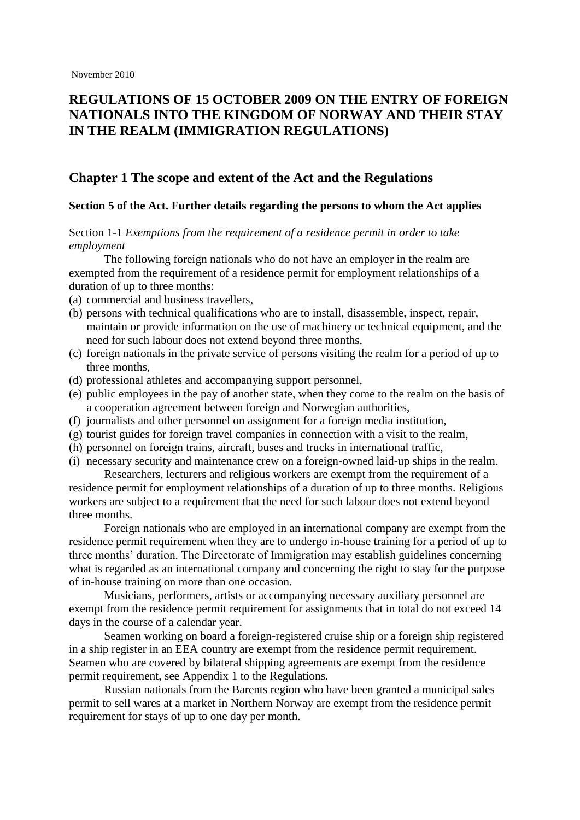# **REGULATIONS OF 15 OCTOBER 2009 ON THE ENTRY OF FOREIGN NATIONALS INTO THE KINGDOM OF NORWAY AND THEIR STAY IN THE REALM (IMMIGRATION REGULATIONS)**

## **Chapter 1 The scope and extent of the Act and the Regulations**

### **Section 5 of the Act. Further details regarding the persons to whom the Act applies**

## Section 1-1 *Exemptions from the requirement of a residence permit in order to take employment*

The following foreign nationals who do not have an employer in the realm are exempted from the requirement of a residence permit for employment relationships of a duration of up to three months:

- (a) commercial and business travellers,
- (b) persons with technical qualifications who are to install, disassemble, inspect, repair, maintain or provide information on the use of machinery or technical equipment, and the need for such labour does not extend beyond three months,
- (c) foreign nationals in the private service of persons visiting the realm for a period of up to three months,
- (d) professional athletes and accompanying support personnel,
- (e) public employees in the pay of another state, when they come to the realm on the basis of a cooperation agreement between foreign and Norwegian authorities,
- (f) journalists and other personnel on assignment for a foreign media institution,
- (g) tourist guides for foreign travel companies in connection with a visit to the realm,
- (h) personnel on foreign trains, aircraft, buses and trucks in international traffic,
- (i) necessary security and maintenance crew on a foreign-owned laid-up ships in the realm. Researchers, lecturers and religious workers are exempt from the requirement of a

residence permit for employment relationships of a duration of up to three months. Religious workers are subject to a requirement that the need for such labour does not extend beyond three months.

Foreign nationals who are employed in an international company are exempt from the residence permit requirement when they are to undergo in-house training for a period of up to three months" duration. The Directorate of Immigration may establish guidelines concerning what is regarded as an international company and concerning the right to stay for the purpose of in-house training on more than one occasion.

Musicians, performers, artists or accompanying necessary auxiliary personnel are exempt from the residence permit requirement for assignments that in total do not exceed 14 days in the course of a calendar year.

Seamen working on board a foreign-registered cruise ship or a foreign ship registered in a ship register in an EEA country are exempt from the residence permit requirement. Seamen who are covered by bilateral shipping agreements are exempt from the residence permit requirement, see Appendix 1 to the Regulations.

Russian nationals from the Barents region who have been granted a municipal sales permit to sell wares at a market in Northern Norway are exempt from the residence permit requirement for stays of up to one day per month.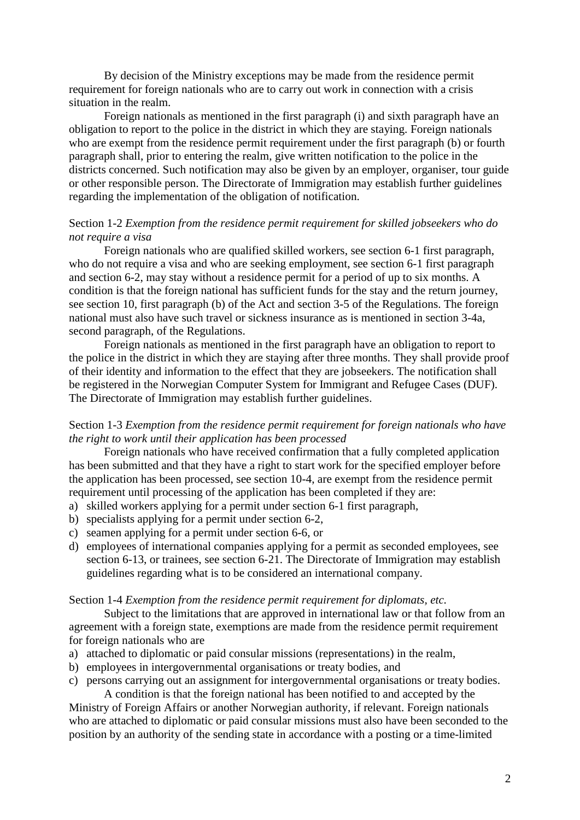By decision of the Ministry exceptions may be made from the residence permit requirement for foreign nationals who are to carry out work in connection with a crisis situation in the realm.

Foreign nationals as mentioned in the first paragraph (i) and sixth paragraph have an obligation to report to the police in the district in which they are staying. Foreign nationals who are exempt from the residence permit requirement under the first paragraph (b) or fourth paragraph shall, prior to entering the realm, give written notification to the police in the districts concerned. Such notification may also be given by an employer, organiser, tour guide or other responsible person. The Directorate of Immigration may establish further guidelines regarding the implementation of the obligation of notification.

## Section 1-2 *Exemption from the residence permit requirement for skilled jobseekers who do not require a visa*

Foreign nationals who are qualified skilled workers, see section 6-1 first paragraph, who do not require a visa and who are seeking employment, see section 6-1 first paragraph and section 6-2, may stay without a residence permit for a period of up to six months. A condition is that the foreign national has sufficient funds for the stay and the return journey, see section 10, first paragraph (b) of the Act and section 3-5 of the Regulations. The foreign national must also have such travel or sickness insurance as is mentioned in section 3-4a, second paragraph, of the Regulations.

Foreign nationals as mentioned in the first paragraph have an obligation to report to the police in the district in which they are staying after three months. They shall provide proof of their identity and information to the effect that they are jobseekers. The notification shall be registered in the Norwegian Computer System for Immigrant and Refugee Cases (DUF). The Directorate of Immigration may establish further guidelines.

## Section 1-3 *Exemption from the residence permit requirement for foreign nationals who have the right to work until their application has been processed*

Foreign nationals who have received confirmation that a fully completed application has been submitted and that they have a right to start work for the specified employer before the application has been processed, see section 10-4, are exempt from the residence permit requirement until processing of the application has been completed if they are:

- a) skilled workers applying for a permit under section 6-1 first paragraph,
- b) specialists applying for a permit under section 6-2,
- c) seamen applying for a permit under section 6-6, or
- d) employees of international companies applying for a permit as seconded employees, see section 6-13, or trainees, see section 6-21. The Directorate of Immigration may establish guidelines regarding what is to be considered an international company.

#### Section 1-4 *Exemption from the residence permit requirement for diplomats, etc.*

Subject to the limitations that are approved in international law or that follow from an agreement with a foreign state, exemptions are made from the residence permit requirement for foreign nationals who are

- a) attached to diplomatic or paid consular missions (representations) in the realm,
- b) employees in intergovernmental organisations or treaty bodies, and
- c) persons carrying out an assignment for intergovernmental organisations or treaty bodies.

A condition is that the foreign national has been notified to and accepted by the Ministry of Foreign Affairs or another Norwegian authority, if relevant. Foreign nationals who are attached to diplomatic or paid consular missions must also have been seconded to the position by an authority of the sending state in accordance with a posting or a time-limited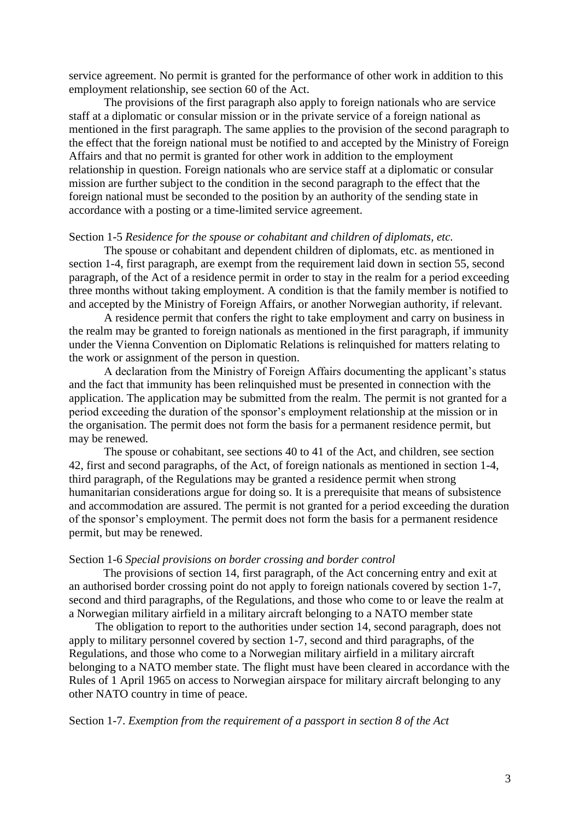service agreement. No permit is granted for the performance of other work in addition to this employment relationship, see section 60 of the Act.

 The provisions of the first paragraph also apply to foreign nationals who are service staff at a diplomatic or consular mission or in the private service of a foreign national as mentioned in the first paragraph. The same applies to the provision of the second paragraph to the effect that the foreign national must be notified to and accepted by the Ministry of Foreign Affairs and that no permit is granted for other work in addition to the employment relationship in question. Foreign nationals who are service staff at a diplomatic or consular mission are further subject to the condition in the second paragraph to the effect that the foreign national must be seconded to the position by an authority of the sending state in accordance with a posting or a time-limited service agreement.

### Section 1-5 *Residence for the spouse or cohabitant and children of diplomats, etc.*

The spouse or cohabitant and dependent children of diplomats, etc. as mentioned in section 1-4, first paragraph, are exempt from the requirement laid down in section 55, second paragraph, of the Act of a residence permit in order to stay in the realm for a period exceeding three months without taking employment. A condition is that the family member is notified to and accepted by the Ministry of Foreign Affairs, or another Norwegian authority, if relevant.

A residence permit that confers the right to take employment and carry on business in the realm may be granted to foreign nationals as mentioned in the first paragraph, if immunity under the Vienna Convention on Diplomatic Relations is relinquished for matters relating to the work or assignment of the person in question.

A declaration from the Ministry of Foreign Affairs documenting the applicant"s status and the fact that immunity has been relinquished must be presented in connection with the application. The application may be submitted from the realm. The permit is not granted for a period exceeding the duration of the sponsor"s employment relationship at the mission or in the organisation. The permit does not form the basis for a permanent residence permit, but may be renewed.

The spouse or cohabitant, see sections 40 to 41 of the Act, and children, see section 42, first and second paragraphs, of the Act, of foreign nationals as mentioned in section 1-4, third paragraph, of the Regulations may be granted a residence permit when strong humanitarian considerations argue for doing so. It is a prerequisite that means of subsistence and accommodation are assured. The permit is not granted for a period exceeding the duration of the sponsor"s employment. The permit does not form the basis for a permanent residence permit, but may be renewed.

### Section 1-6 *Special provisions on border crossing and border control*

The provisions of section 14, first paragraph, of the Act concerning entry and exit at an authorised border crossing point do not apply to foreign nationals covered by section 1-7, second and third paragraphs, of the Regulations, and those who come to or leave the realm at a Norwegian military airfield in a military aircraft belonging to a NATO member state

The obligation to report to the authorities under section 14, second paragraph, does not apply to military personnel covered by section 1-7, second and third paragraphs, of the Regulations, and those who come to a Norwegian military airfield in a military aircraft belonging to a NATO member state. The flight must have been cleared in accordance with the Rules of 1 April 1965 on access to Norwegian airspace for military aircraft belonging to any other NATO country in time of peace.

Section 1-7. *Exemption from the requirement of a passport in section 8 of the Act*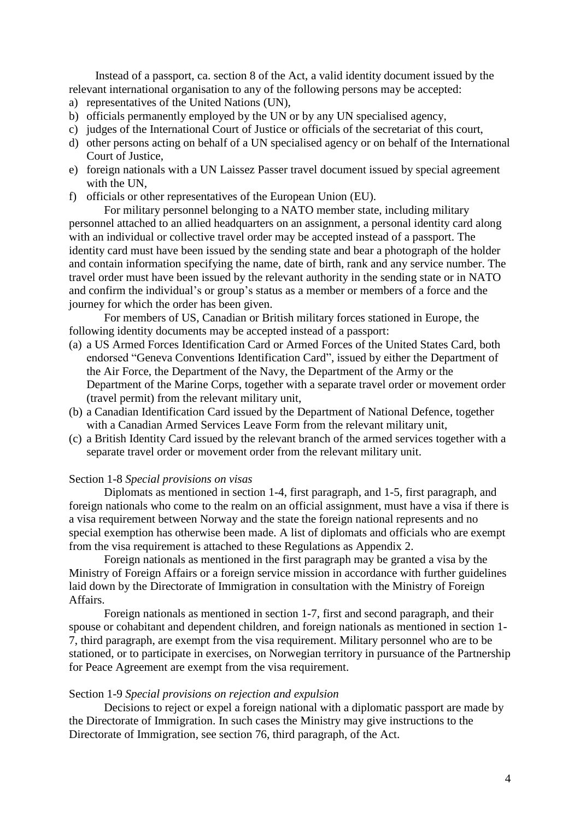Instead of a passport, ca. section 8 of the Act, a valid identity document issued by the relevant international organisation to any of the following persons may be accepted:

- a) representatives of the United Nations (UN),
- b) officials permanently employed by the UN or by any UN specialised agency,
- c) judges of the International Court of Justice or officials of the secretariat of this court,
- d) other persons acting on behalf of a UN specialised agency or on behalf of the International Court of Justice,
- e) foreign nationals with a UN Laissez Passer travel document issued by special agreement with the UN,
- f) officials or other representatives of the European Union (EU).

For military personnel belonging to a NATO member state, including military personnel attached to an allied headquarters on an assignment, a personal identity card along with an individual or collective travel order may be accepted instead of a passport. The identity card must have been issued by the sending state and bear a photograph of the holder and contain information specifying the name, date of birth, rank and any service number. The travel order must have been issued by the relevant authority in the sending state or in NATO and confirm the individual's or group's status as a member or members of a force and the journey for which the order has been given.

For members of US, Canadian or British military forces stationed in Europe, the following identity documents may be accepted instead of a passport:

- (a) a US Armed Forces Identification Card or Armed Forces of the United States Card, both endorsed "Geneva Conventions Identification Card", issued by either the Department of the Air Force, the Department of the Navy, the Department of the Army or the Department of the Marine Corps, together with a separate travel order or movement order (travel permit) from the relevant military unit,
- (b) a Canadian Identification Card issued by the Department of National Defence, together with a Canadian Armed Services Leave Form from the relevant military unit,
- (c) a British Identity Card issued by the relevant branch of the armed services together with a separate travel order or movement order from the relevant military unit.

#### Section 1-8 *Special provisions on visas*

Diplomats as mentioned in section 1-4, first paragraph, and 1-5, first paragraph, and foreign nationals who come to the realm on an official assignment, must have a visa if there is a visa requirement between Norway and the state the foreign national represents and no special exemption has otherwise been made. A list of diplomats and officials who are exempt from the visa requirement is attached to these Regulations as Appendix 2.

Foreign nationals as mentioned in the first paragraph may be granted a visa by the Ministry of Foreign Affairs or a foreign service mission in accordance with further guidelines laid down by the Directorate of Immigration in consultation with the Ministry of Foreign Affairs.

Foreign nationals as mentioned in section 1-7, first and second paragraph, and their spouse or cohabitant and dependent children, and foreign nationals as mentioned in section 1- 7, third paragraph, are exempt from the visa requirement. Military personnel who are to be stationed, or to participate in exercises, on Norwegian territory in pursuance of the Partnership for Peace Agreement are exempt from the visa requirement.

#### Section 1-9 *Special provisions on rejection and expulsion*

Decisions to reject or expel a foreign national with a diplomatic passport are made by the Directorate of Immigration. In such cases the Ministry may give instructions to the Directorate of Immigration, see section 76, third paragraph, of the Act.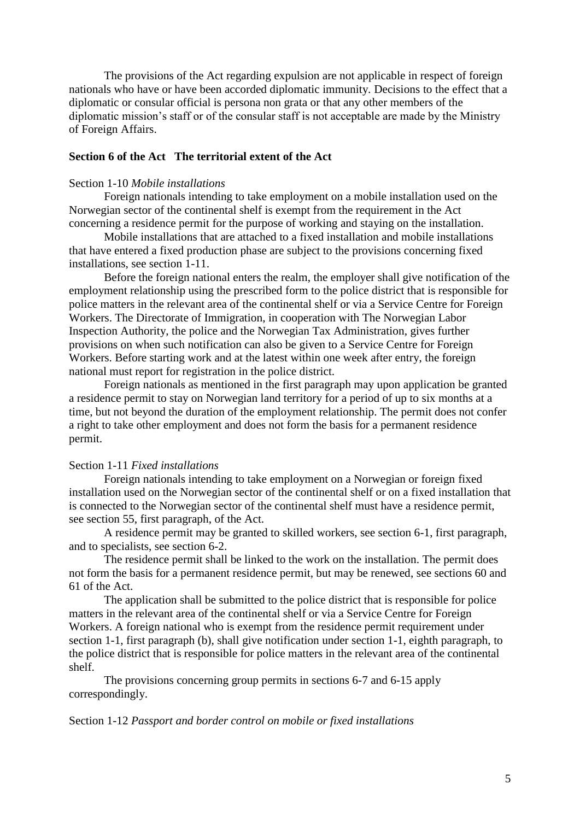The provisions of the Act regarding expulsion are not applicable in respect of foreign nationals who have or have been accorded diplomatic immunity. Decisions to the effect that a diplomatic or consular official is persona non grata or that any other members of the diplomatic mission"s staff or of the consular staff is not acceptable are made by the Ministry of Foreign Affairs.

## **Section 6 of the Act The territorial extent of the Act**

## Section 1-10 *Mobile installations*

Foreign nationals intending to take employment on a mobile installation used on the Norwegian sector of the continental shelf is exempt from the requirement in the Act concerning a residence permit for the purpose of working and staying on the installation.

Mobile installations that are attached to a fixed installation and mobile installations that have entered a fixed production phase are subject to the provisions concerning fixed installations, see section 1-11.

Before the foreign national enters the realm, the employer shall give notification of the employment relationship using the prescribed form to the police district that is responsible for police matters in the relevant area of the continental shelf or via a Service Centre for Foreign Workers. The Directorate of Immigration, in cooperation with The Norwegian Labor Inspection Authority, the police and the Norwegian Tax Administration, gives further provisions on when such notification can also be given to a Service Centre for Foreign Workers. Before starting work and at the latest within one week after entry, the foreign national must report for registration in the police district.

Foreign nationals as mentioned in the first paragraph may upon application be granted a residence permit to stay on Norwegian land territory for a period of up to six months at a time, but not beyond the duration of the employment relationship. The permit does not confer a right to take other employment and does not form the basis for a permanent residence permit.

### Section 1-11 *Fixed installations*

Foreign nationals intending to take employment on a Norwegian or foreign fixed installation used on the Norwegian sector of the continental shelf or on a fixed installation that is connected to the Norwegian sector of the continental shelf must have a residence permit, see section 55, first paragraph, of the Act.

A residence permit may be granted to skilled workers, see section 6-1, first paragraph, and to specialists, see section 6-2.

The residence permit shall be linked to the work on the installation. The permit does not form the basis for a permanent residence permit, but may be renewed, see sections 60 and 61 of the Act.

The application shall be submitted to the police district that is responsible for police matters in the relevant area of the continental shelf or via a Service Centre for Foreign Workers. A foreign national who is exempt from the residence permit requirement under section 1-1, first paragraph (b), shall give notification under section 1-1, eighth paragraph, to the police district that is responsible for police matters in the relevant area of the continental shelf.

The provisions concerning group permits in sections 6-7 and 6-15 apply correspondingly.

#### Section 1-12 *Passport and border control on mobile or fixed installations*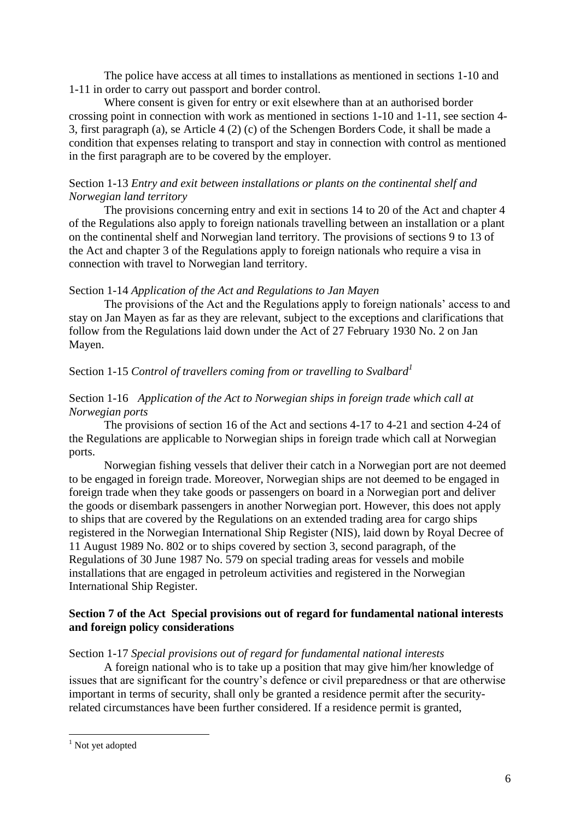The police have access at all times to installations as mentioned in sections 1-10 and 1-11 in order to carry out passport and border control.

Where consent is given for entry or exit elsewhere than at an authorised border crossing point in connection with work as mentioned in sections 1-10 and 1-11, see section 4- 3, first paragraph (a), se Article 4 (2) (c) of the Schengen Borders Code, it shall be made a condition that expenses relating to transport and stay in connection with control as mentioned in the first paragraph are to be covered by the employer.

## Section 1-13 *Entry and exit between installations or plants on the continental shelf and Norwegian land territory*

The provisions concerning entry and exit in sections 14 to 20 of the Act and chapter 4 of the Regulations also apply to foreign nationals travelling between an installation or a plant on the continental shelf and Norwegian land territory. The provisions of sections 9 to 13 of the Act and chapter 3 of the Regulations apply to foreign nationals who require a visa in connection with travel to Norwegian land territory.

## Section 1-14 *Application of the Act and Regulations to Jan Mayen*

The provisions of the Act and the Regulations apply to foreign nationals" access to and stay on Jan Mayen as far as they are relevant, subject to the exceptions and clarifications that follow from the Regulations laid down under the Act of 27 February 1930 No. 2 on Jan Mayen.

## Section 1-15 *Control of travellers coming from or travelling to Svalbard<sup>1</sup>*

## Section 1-16 *Application of the Act to Norwegian ships in foreign trade which call at Norwegian ports*

The provisions of section 16 of the Act and sections 4-17 to 4-21 and section 4-24 of the Regulations are applicable to Norwegian ships in foreign trade which call at Norwegian ports.

Norwegian fishing vessels that deliver their catch in a Norwegian port are not deemed to be engaged in foreign trade. Moreover, Norwegian ships are not deemed to be engaged in foreign trade when they take goods or passengers on board in a Norwegian port and deliver the goods or disembark passengers in another Norwegian port. However, this does not apply to ships that are covered by the Regulations on an extended trading area for cargo ships registered in the Norwegian International Ship Register (NIS), laid down by Royal Decree of 11 August 1989 No. 802 or to ships covered by section 3, second paragraph, of the Regulations of 30 June 1987 No. 579 on special trading areas for vessels and mobile installations that are engaged in petroleum activities and registered in the Norwegian International Ship Register.

## **Section 7 of the Act Special provisions out of regard for fundamental national interests and foreign policy considerations**

Section 1-17 *Special provisions out of regard for fundamental national interests*

A foreign national who is to take up a position that may give him/her knowledge of issues that are significant for the country"s defence or civil preparedness or that are otherwise important in terms of security, shall only be granted a residence permit after the securityrelated circumstances have been further considered. If a residence permit is granted,

1

<sup>&</sup>lt;sup>1</sup> Not yet adopted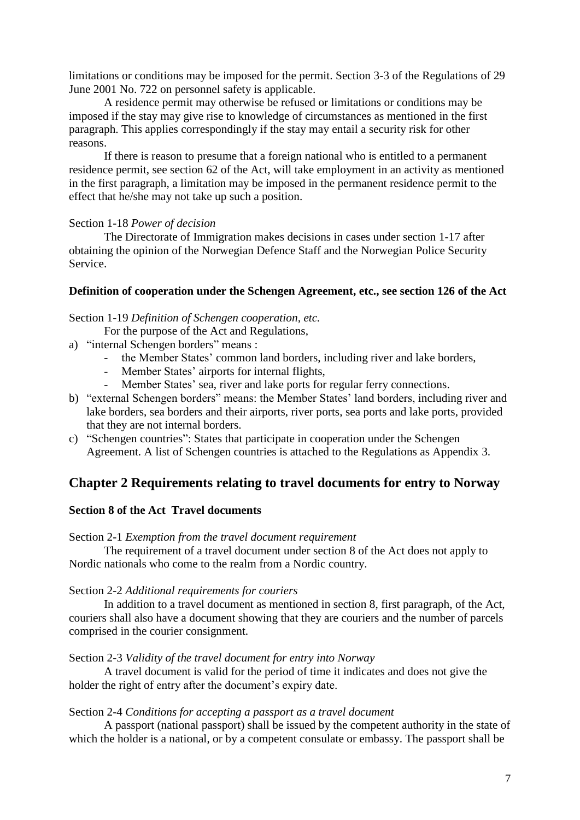limitations or conditions may be imposed for the permit. Section 3-3 of the Regulations of 29 June 2001 No. 722 on personnel safety is applicable.

A residence permit may otherwise be refused or limitations or conditions may be imposed if the stay may give rise to knowledge of circumstances as mentioned in the first paragraph. This applies correspondingly if the stay may entail a security risk for other reasons.

If there is reason to presume that a foreign national who is entitled to a permanent residence permit, see section 62 of the Act, will take employment in an activity as mentioned in the first paragraph, a limitation may be imposed in the permanent residence permit to the effect that he/she may not take up such a position.

## Section 1-18 *Power of decision*

The Directorate of Immigration makes decisions in cases under section 1-17 after obtaining the opinion of the Norwegian Defence Staff and the Norwegian Police Security Service.

### **Definition of cooperation under the Schengen Agreement, etc., see section 126 of the Act**

Section 1-19 *Definition of Schengen cooperation, etc.* 

For the purpose of the Act and Regulations,

- a) "internal Schengen borders" means :
	- the Member States' common land borders, including river and lake borders,
	- Member States' airports for internal flights,
	- Member States' sea, river and lake ports for regular ferry connections.
- b) "external Schengen borders" means: the Member States" land borders, including river and lake borders, sea borders and their airports, river ports, sea ports and lake ports, provided that they are not internal borders.
- c) "Schengen countries": States that participate in cooperation under the Schengen Agreement. A list of Schengen countries is attached to the Regulations as Appendix 3.

# **Chapter 2 Requirements relating to travel documents for entry to Norway**

## **Section 8 of the Act Travel documents**

Section 2-1 *Exemption from the travel document requirement*

The requirement of a travel document under section 8 of the Act does not apply to Nordic nationals who come to the realm from a Nordic country.

### Section 2-2 *Additional requirements for couriers*

In addition to a travel document as mentioned in section 8, first paragraph, of the Act, couriers shall also have a document showing that they are couriers and the number of parcels comprised in the courier consignment.

### Section 2-3 *Validity of the travel document for entry into Norway*

A travel document is valid for the period of time it indicates and does not give the holder the right of entry after the document's expiry date.

### Section 2-4 *Conditions for accepting a passport as a travel document*

A passport (national passport) shall be issued by the competent authority in the state of which the holder is a national, or by a competent consulate or embassy. The passport shall be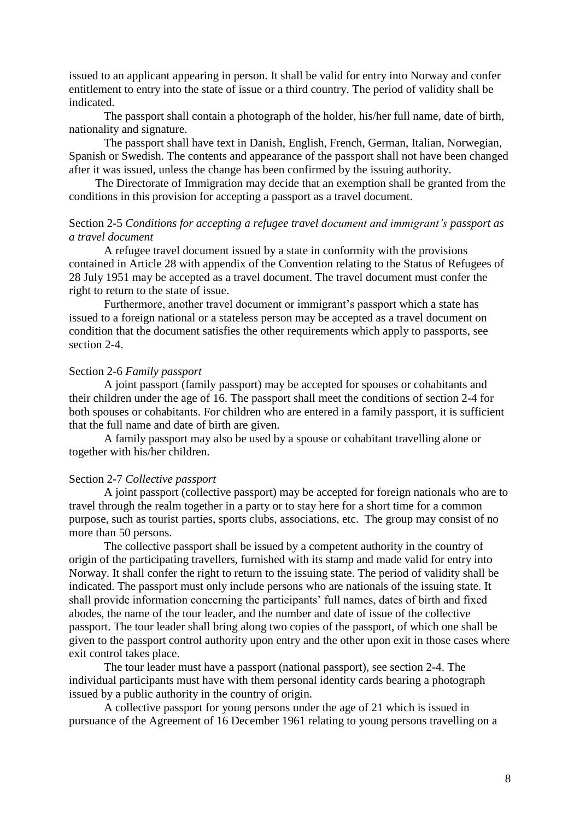issued to an applicant appearing in person. It shall be valid for entry into Norway and confer entitlement to entry into the state of issue or a third country. The period of validity shall be indicated.

The passport shall contain a photograph of the holder, his/her full name, date of birth, nationality and signature.

The passport shall have text in Danish, English, French, German, Italian, Norwegian, Spanish or Swedish. The contents and appearance of the passport shall not have been changed after it was issued, unless the change has been confirmed by the issuing authority.

The Directorate of Immigration may decide that an exemption shall be granted from the conditions in this provision for accepting a passport as a travel document.

## Section 2-5 *Conditions for accepting a refugee travel document and immigrant's passport as a travel document*

A refugee travel document issued by a state in conformity with the provisions contained in Article 28 with appendix of the Convention relating to the Status of Refugees of 28 July 1951 may be accepted as a travel document. The travel document must confer the right to return to the state of issue.

Furthermore, another travel document or immigrant's passport which a state has issued to a foreign national or a stateless person may be accepted as a travel document on condition that the document satisfies the other requirements which apply to passports, see section 2-4.

### Section 2-6 *Family passport*

A joint passport (family passport) may be accepted for spouses or cohabitants and their children under the age of 16. The passport shall meet the conditions of section 2-4 for both spouses or cohabitants. For children who are entered in a family passport, it is sufficient that the full name and date of birth are given.

A family passport may also be used by a spouse or cohabitant travelling alone or together with his/her children.

#### Section 2-7 *Collective passport*

A joint passport (collective passport) may be accepted for foreign nationals who are to travel through the realm together in a party or to stay here for a short time for a common purpose, such as tourist parties, sports clubs, associations, etc. The group may consist of no more than 50 persons.

The collective passport shall be issued by a competent authority in the country of origin of the participating travellers, furnished with its stamp and made valid for entry into Norway. It shall confer the right to return to the issuing state. The period of validity shall be indicated. The passport must only include persons who are nationals of the issuing state. It shall provide information concerning the participants' full names, dates of birth and fixed abodes, the name of the tour leader, and the number and date of issue of the collective passport. The tour leader shall bring along two copies of the passport, of which one shall be given to the passport control authority upon entry and the other upon exit in those cases where exit control takes place.

The tour leader must have a passport (national passport), see section 2-4. The individual participants must have with them personal identity cards bearing a photograph issued by a public authority in the country of origin.

A collective passport for young persons under the age of 21 which is issued in pursuance of the Agreement of 16 December 1961 relating to young persons travelling on a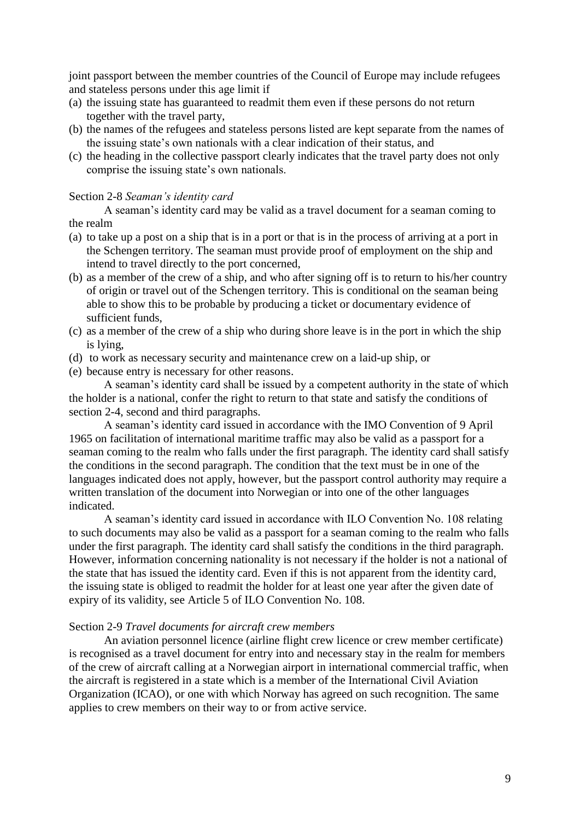joint passport between the member countries of the Council of Europe may include refugees and stateless persons under this age limit if

- (a) the issuing state has guaranteed to readmit them even if these persons do not return together with the travel party,
- (b) the names of the refugees and stateless persons listed are kept separate from the names of the issuing state"s own nationals with a clear indication of their status, and
- (c) the heading in the collective passport clearly indicates that the travel party does not only comprise the issuing state's own nationals.

## Section 2-8 *Seaman's identity card*

A seaman"s identity card may be valid as a travel document for a seaman coming to the realm

- (a) to take up a post on a ship that is in a port or that is in the process of arriving at a port in the Schengen territory. The seaman must provide proof of employment on the ship and intend to travel directly to the port concerned,
- (b) as a member of the crew of a ship, and who after signing off is to return to his/her country of origin or travel out of the Schengen territory. This is conditional on the seaman being able to show this to be probable by producing a ticket or documentary evidence of sufficient funds,
- (c) as a member of the crew of a ship who during shore leave is in the port in which the ship is lying,
- (d) to work as necessary security and maintenance crew on a laid-up ship, or
- (e) because entry is necessary for other reasons.

A seaman"s identity card shall be issued by a competent authority in the state of which the holder is a national, confer the right to return to that state and satisfy the conditions of section 2-4, second and third paragraphs.

A seaman"s identity card issued in accordance with the IMO Convention of 9 April 1965 on facilitation of international maritime traffic may also be valid as a passport for a seaman coming to the realm who falls under the first paragraph. The identity card shall satisfy the conditions in the second paragraph. The condition that the text must be in one of the languages indicated does not apply, however, but the passport control authority may require a written translation of the document into Norwegian or into one of the other languages indicated.

A seaman"s identity card issued in accordance with ILO Convention No. 108 relating to such documents may also be valid as a passport for a seaman coming to the realm who falls under the first paragraph. The identity card shall satisfy the conditions in the third paragraph. However, information concerning nationality is not necessary if the holder is not a national of the state that has issued the identity card. Even if this is not apparent from the identity card, the issuing state is obliged to readmit the holder for at least one year after the given date of expiry of its validity, see Article 5 of ILO Convention No. 108.

## Section 2-9 *Travel documents for aircraft crew members*

An aviation personnel licence (airline flight crew licence or crew member certificate) is recognised as a travel document for entry into and necessary stay in the realm for members of the crew of aircraft calling at a Norwegian airport in international commercial traffic, when the aircraft is registered in a state which is a member of the International Civil Aviation Organization (ICAO), or one with which Norway has agreed on such recognition. The same applies to crew members on their way to or from active service.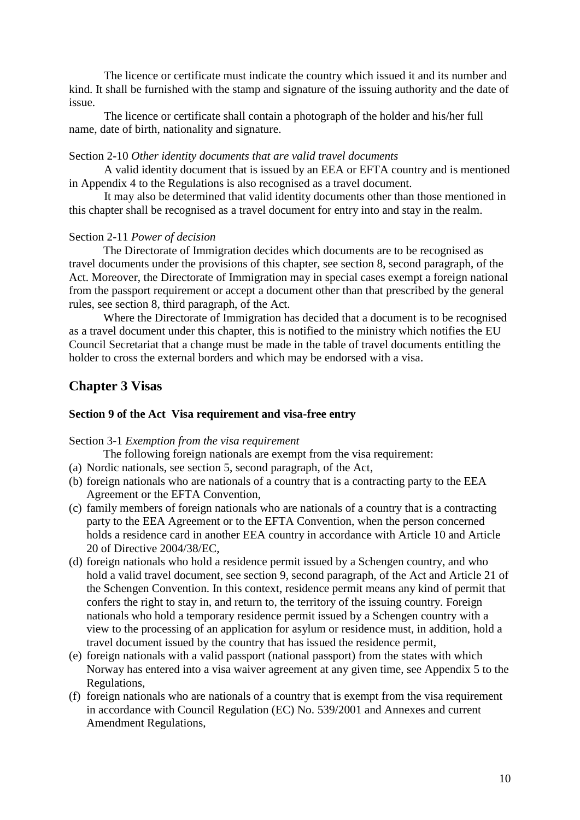The licence or certificate must indicate the country which issued it and its number and kind. It shall be furnished with the stamp and signature of the issuing authority and the date of issue.

The licence or certificate shall contain a photograph of the holder and his/her full name, date of birth, nationality and signature.

## Section 2-10 *Other identity documents that are valid travel documents*

A valid identity document that is issued by an EEA or EFTA country and is mentioned in Appendix 4 to the Regulations is also recognised as a travel document.

It may also be determined that valid identity documents other than those mentioned in this chapter shall be recognised as a travel document for entry into and stay in the realm.

### Section 2-11 *Power of decision*

The Directorate of Immigration decides which documents are to be recognised as travel documents under the provisions of this chapter, see section 8, second paragraph, of the Act. Moreover, the Directorate of Immigration may in special cases exempt a foreign national from the passport requirement or accept a document other than that prescribed by the general rules, see section 8, third paragraph, of the Act.

Where the Directorate of Immigration has decided that a document is to be recognised as a travel document under this chapter, this is notified to the ministry which notifies the EU Council Secretariat that a change must be made in the table of travel documents entitling the holder to cross the external borders and which may be endorsed with a visa.

## **Chapter 3 Visas**

## **Section 9 of the Act Visa requirement and visa-free entry**

Section 3-1 *Exemption from the visa requirement*

The following foreign nationals are exempt from the visa requirement:

- (a) Nordic nationals, see section 5, second paragraph, of the Act,
- (b) foreign nationals who are nationals of a country that is a contracting party to the EEA Agreement or the EFTA Convention,
- (c) family members of foreign nationals who are nationals of a country that is a contracting party to the EEA Agreement or to the EFTA Convention, when the person concerned holds a residence card in another EEA country in accordance with Article 10 and Article 20 of Directive 2004/38/EC,
- (d) foreign nationals who hold a residence permit issued by a Schengen country, and who hold a valid travel document, see section 9, second paragraph, of the Act and Article 21 of the Schengen Convention. In this context, residence permit means any kind of permit that confers the right to stay in, and return to, the territory of the issuing country. Foreign nationals who hold a temporary residence permit issued by a Schengen country with a view to the processing of an application for asylum or residence must, in addition, hold a travel document issued by the country that has issued the residence permit,
- (e) foreign nationals with a valid passport (national passport) from the states with which Norway has entered into a visa waiver agreement at any given time, see Appendix 5 to the Regulations,
- (f) foreign nationals who are nationals of a country that is exempt from the visa requirement in accordance with Council Regulation (EC) No. 539/2001 and Annexes and current Amendment Regulations,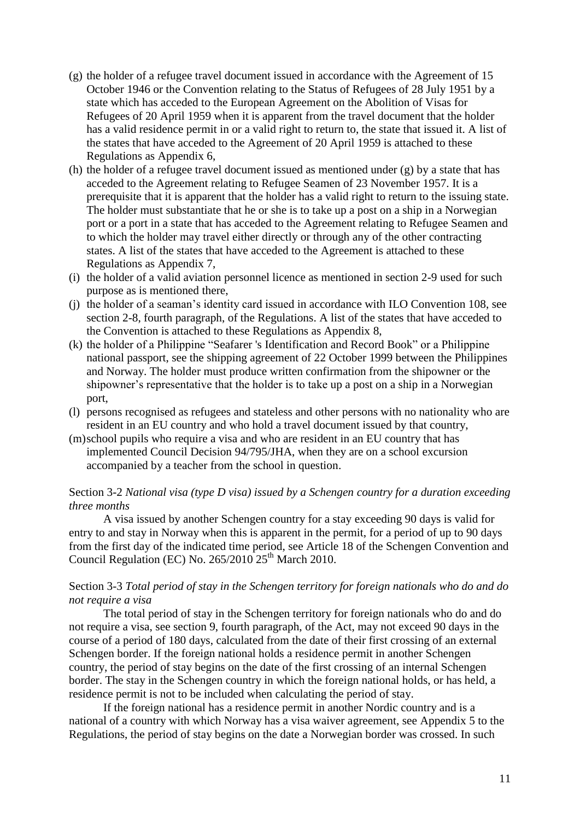- (g) the holder of a refugee travel document issued in accordance with the Agreement of 15 October 1946 or the Convention relating to the Status of Refugees of 28 July 1951 by a state which has acceded to the European Agreement on the Abolition of Visas for Refugees of 20 April 1959 when it is apparent from the travel document that the holder has a valid residence permit in or a valid right to return to, the state that issued it. A list of the states that have acceded to the Agreement of 20 April 1959 is attached to these Regulations as Appendix 6,
- (h) the holder of a refugee travel document issued as mentioned under (g) by a state that has acceded to the Agreement relating to Refugee Seamen of 23 November 1957. It is a prerequisite that it is apparent that the holder has a valid right to return to the issuing state. The holder must substantiate that he or she is to take up a post on a ship in a Norwegian port or a port in a state that has acceded to the Agreement relating to Refugee Seamen and to which the holder may travel either directly or through any of the other contracting states. A list of the states that have acceded to the Agreement is attached to these Regulations as Appendix 7,
- (i) the holder of a valid aviation personnel licence as mentioned in section 2-9 used for such purpose as is mentioned there,
- (j) the holder of a seaman"s identity card issued in accordance with ILO Convention 108, see section 2-8, fourth paragraph, of the Regulations. A list of the states that have acceded to the Convention is attached to these Regulations as Appendix 8,
- (k) the holder of a Philippine "Seafarer 's Identification and Record Book" or a Philippine national passport, see the shipping agreement of 22 October 1999 between the Philippines and Norway. The holder must produce written confirmation from the shipowner or the shipowner"s representative that the holder is to take up a post on a ship in a Norwegian port,
- (l) persons recognised as refugees and stateless and other persons with no nationality who are resident in an EU country and who hold a travel document issued by that country,
- (m)school pupils who require a visa and who are resident in an EU country that has implemented Council Decision 94/795/JHA, when they are on a school excursion accompanied by a teacher from the school in question.

## Section 3-2 *National visa (type D visa) issued by a Schengen country for a duration exceeding three months*

A visa issued by another Schengen country for a stay exceeding 90 days is valid for entry to and stay in Norway when this is apparent in the permit, for a period of up to 90 days from the first day of the indicated time period, see Article 18 of the Schengen Convention and Council Regulation (EC) No.  $265/2010 25$ <sup>th</sup> March 2010.

## Section 3-3 *Total period of stay in the Schengen territory for foreign nationals who do and do not require a visa*

The total period of stay in the Schengen territory for foreign nationals who do and do not require a visa, see section 9, fourth paragraph, of the Act, may not exceed 90 days in the course of a period of 180 days, calculated from the date of their first crossing of an external Schengen border. If the foreign national holds a residence permit in another Schengen country, the period of stay begins on the date of the first crossing of an internal Schengen border. The stay in the Schengen country in which the foreign national holds, or has held, a residence permit is not to be included when calculating the period of stay.

If the foreign national has a residence permit in another Nordic country and is a national of a country with which Norway has a visa waiver agreement, see Appendix 5 to the Regulations, the period of stay begins on the date a Norwegian border was crossed. In such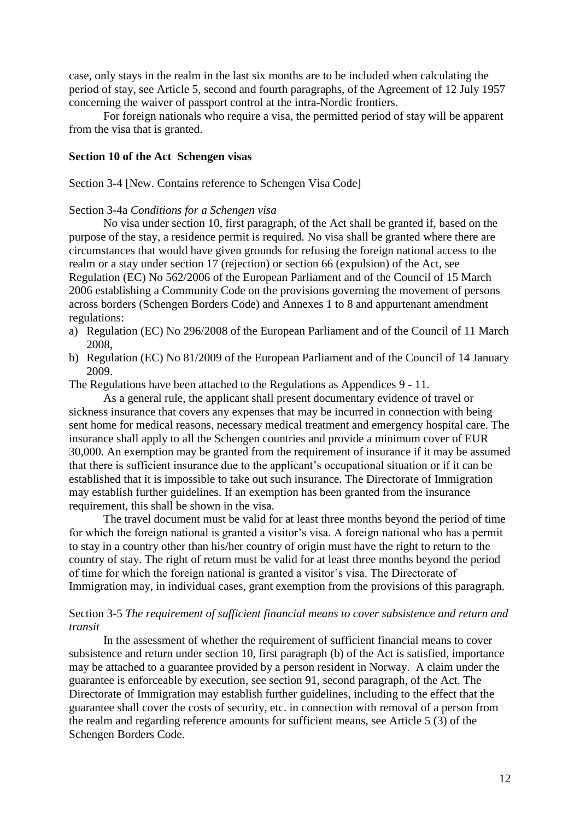case, only stays in the realm in the last six months are to be included when calculating the period of stay, see Article 5, second and fourth paragraphs, of the Agreement of 12 July 1957 concerning the waiver of passport control at the intra-Nordic frontiers.

For foreign nationals who require a visa, the permitted period of stay will be apparent from the visa that is granted.

## **Section 10 of the Act Schengen visas**

Section 3-4 [New. Contains reference to Schengen Visa Code]

### Section 3-4a *Conditions for a Schengen visa*

No visa under section 10, first paragraph, of the Act shall be granted if, based on the purpose of the stay, a residence permit is required. No visa shall be granted where there are circumstances that would have given grounds for refusing the foreign national access to the realm or a stay under section 17 (rejection) or section 66 (expulsion) of the Act, see Regulation (EC) No 562/2006 of the European Parliament and of the Council of 15 March 2006 establishing a Community Code on the provisions governing the movement of persons across borders (Schengen Borders Code) and Annexes 1 to 8 and appurtenant amendment regulations:

- a) Regulation (EC) No 296/2008 of the European Parliament and of the Council of 11 March 2008,
- b) Regulation (EC) No 81/2009 of the European Parliament and of the Council of 14 January 2009.

The Regulations have been attached to the Regulations as Appendices 9 - 11.

As a general rule, the applicant shall present documentary evidence of travel or sickness insurance that covers any expenses that may be incurred in connection with being sent home for medical reasons, necessary medical treatment and emergency hospital care. The insurance shall apply to all the Schengen countries and provide a minimum cover of EUR 30,000. An exemption may be granted from the requirement of insurance if it may be assumed that there is sufficient insurance due to the applicant"s occupational situation or if it can be established that it is impossible to take out such insurance. The Directorate of Immigration may establish further guidelines. If an exemption has been granted from the insurance requirement, this shall be shown in the visa.

The travel document must be valid for at least three months beyond the period of time for which the foreign national is granted a visitor's visa. A foreign national who has a permit to stay in a country other than his/her country of origin must have the right to return to the country of stay. The right of return must be valid for at least three months beyond the period of time for which the foreign national is granted a visitor"s visa. The Directorate of Immigration may, in individual cases, grant exemption from the provisions of this paragraph.

## Section 3-5 *The requirement of sufficient financial means to cover subsistence and return and transit*

In the assessment of whether the requirement of sufficient financial means to cover subsistence and return under section 10, first paragraph (b) of the Act is satisfied, importance may be attached to a guarantee provided by a person resident in Norway. A claim under the guarantee is enforceable by execution, see section 91, second paragraph, of the Act. The Directorate of Immigration may establish further guidelines, including to the effect that the guarantee shall cover the costs of security, etc. in connection with removal of a person from the realm and regarding reference amounts for sufficient means, see Article 5 (3) of the Schengen Borders Code.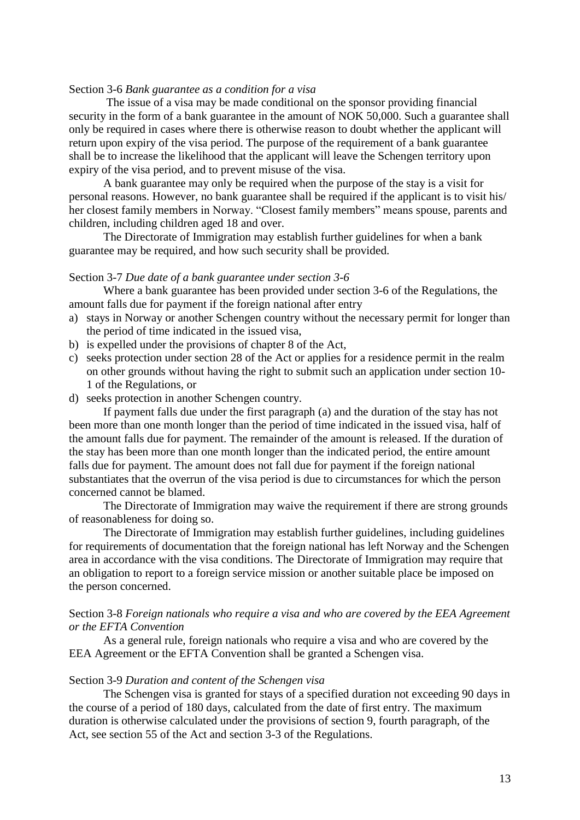#### Section 3-6 *Bank guarantee as a condition for a visa*

The issue of a visa may be made conditional on the sponsor providing financial security in the form of a bank guarantee in the amount of NOK 50,000. Such a guarantee shall only be required in cases where there is otherwise reason to doubt whether the applicant will return upon expiry of the visa period. The purpose of the requirement of a bank guarantee shall be to increase the likelihood that the applicant will leave the Schengen territory upon expiry of the visa period, and to prevent misuse of the visa.

A bank guarantee may only be required when the purpose of the stay is a visit for personal reasons. However, no bank guarantee shall be required if the applicant is to visit his/ her closest family members in Norway. "Closest family members" means spouse, parents and children, including children aged 18 and over.

The Directorate of Immigration may establish further guidelines for when a bank guarantee may be required, and how such security shall be provided.

#### Section 3-7 *Due date of a bank guarantee under section 3-6*

Where a bank guarantee has been provided under section 3-6 of the Regulations, the amount falls due for payment if the foreign national after entry

- a) stays in Norway or another Schengen country without the necessary permit for longer than the period of time indicated in the issued visa,
- b) is expelled under the provisions of chapter 8 of the Act,
- c) seeks protection under section 28 of the Act or applies for a residence permit in the realm on other grounds without having the right to submit such an application under section 10- 1 of the Regulations, or
- d) seeks protection in another Schengen country.

If payment falls due under the first paragraph (a) and the duration of the stay has not been more than one month longer than the period of time indicated in the issued visa, half of the amount falls due for payment. The remainder of the amount is released. If the duration of the stay has been more than one month longer than the indicated period, the entire amount falls due for payment. The amount does not fall due for payment if the foreign national substantiates that the overrun of the visa period is due to circumstances for which the person concerned cannot be blamed.

The Directorate of Immigration may waive the requirement if there are strong grounds of reasonableness for doing so.

The Directorate of Immigration may establish further guidelines, including guidelines for requirements of documentation that the foreign national has left Norway and the Schengen area in accordance with the visa conditions. The Directorate of Immigration may require that an obligation to report to a foreign service mission or another suitable place be imposed on the person concerned.

## Section 3-8 *Foreign nationals who require a visa and who are covered by the EEA Agreement or the EFTA Convention*

As a general rule, foreign nationals who require a visa and who are covered by the EEA Agreement or the EFTA Convention shall be granted a Schengen visa.

#### Section 3-9 *Duration and content of the Schengen visa*

The Schengen visa is granted for stays of a specified duration not exceeding 90 days in the course of a period of 180 days, calculated from the date of first entry. The maximum duration is otherwise calculated under the provisions of section 9, fourth paragraph, of the Act, see section 55 of the Act and section 3-3 of the Regulations.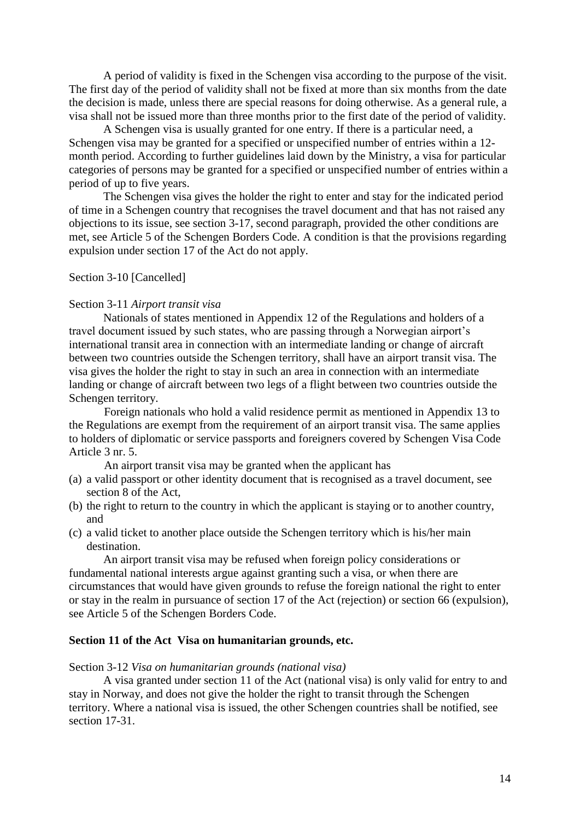A period of validity is fixed in the Schengen visa according to the purpose of the visit. The first day of the period of validity shall not be fixed at more than six months from the date the decision is made, unless there are special reasons for doing otherwise. As a general rule, a visa shall not be issued more than three months prior to the first date of the period of validity.

A Schengen visa is usually granted for one entry. If there is a particular need, a Schengen visa may be granted for a specified or unspecified number of entries within a 12 month period. According to further guidelines laid down by the Ministry, a visa for particular categories of persons may be granted for a specified or unspecified number of entries within a period of up to five years.

The Schengen visa gives the holder the right to enter and stay for the indicated period of time in a Schengen country that recognises the travel document and that has not raised any objections to its issue, see section 3-17, second paragraph, provided the other conditions are met, see Article 5 of the Schengen Borders Code. A condition is that the provisions regarding expulsion under section 17 of the Act do not apply.

Section 3-10 [Cancelled]

### Section 3-11 *Airport transit visa*

Nationals of states mentioned in Appendix 12 of the Regulations and holders of a travel document issued by such states, who are passing through a Norwegian airport"s international transit area in connection with an intermediate landing or change of aircraft between two countries outside the Schengen territory, shall have an airport transit visa. The visa gives the holder the right to stay in such an area in connection with an intermediate landing or change of aircraft between two legs of a flight between two countries outside the Schengen territory.

Foreign nationals who hold a valid residence permit as mentioned in Appendix 13 to the Regulations are exempt from the requirement of an airport transit visa. The same applies to holders of diplomatic or service passports and foreigners covered by Schengen Visa Code Article 3 nr. 5.

An airport transit visa may be granted when the applicant has

- (a) a valid passport or other identity document that is recognised as a travel document, see section 8 of the Act,
- (b) the right to return to the country in which the applicant is staying or to another country, and
- (c) a valid ticket to another place outside the Schengen territory which is his/her main destination.

An airport transit visa may be refused when foreign policy considerations or fundamental national interests argue against granting such a visa, or when there are circumstances that would have given grounds to refuse the foreign national the right to enter or stay in the realm in pursuance of section 17 of the Act (rejection) or section 66 (expulsion), see Article 5 of the Schengen Borders Code.

### **Section 11 of the Act Visa on humanitarian grounds, etc.**

Section 3-12 *Visa on humanitarian grounds (national visa)*

A visa granted under section 11 of the Act (national visa) is only valid for entry to and stay in Norway, and does not give the holder the right to transit through the Schengen territory. Where a national visa is issued, the other Schengen countries shall be notified, see section 17-31.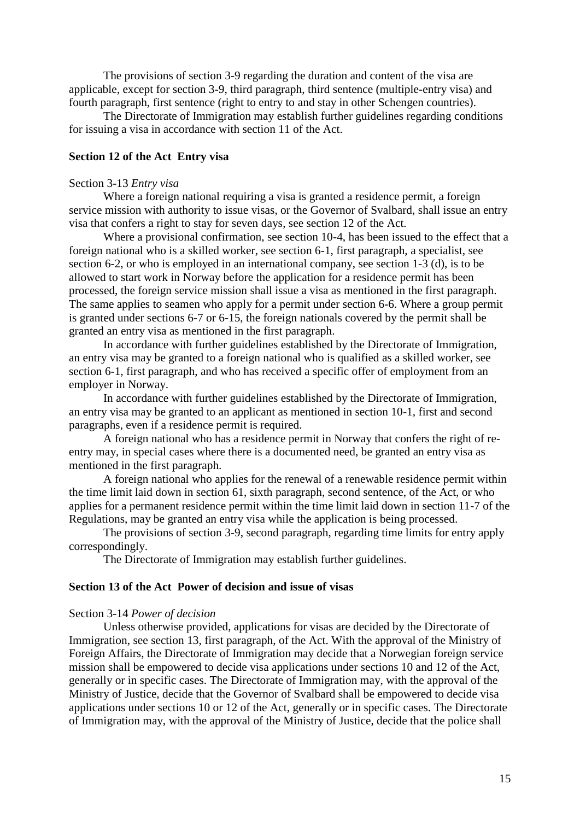The provisions of section 3-9 regarding the duration and content of the visa are applicable, except for section 3-9, third paragraph, third sentence (multiple-entry visa) and fourth paragraph, first sentence (right to entry to and stay in other Schengen countries).

The Directorate of Immigration may establish further guidelines regarding conditions for issuing a visa in accordance with section 11 of the Act.

## **Section 12 of the Act Entry visa**

#### Section 3-13 *Entry visa*

Where a foreign national requiring a visa is granted a residence permit, a foreign service mission with authority to issue visas, or the Governor of Svalbard, shall issue an entry visa that confers a right to stay for seven days, see section 12 of the Act.

Where a provisional confirmation, see section 10-4, has been issued to the effect that a foreign national who is a skilled worker, see section 6-1, first paragraph, a specialist, see section 6-2, or who is employed in an international company, see section 1-3 (d), is to be allowed to start work in Norway before the application for a residence permit has been processed, the foreign service mission shall issue a visa as mentioned in the first paragraph. The same applies to seamen who apply for a permit under section 6-6. Where a group permit is granted under sections 6-7 or 6-15, the foreign nationals covered by the permit shall be granted an entry visa as mentioned in the first paragraph.

In accordance with further guidelines established by the Directorate of Immigration, an entry visa may be granted to a foreign national who is qualified as a skilled worker, see section 6-1, first paragraph, and who has received a specific offer of employment from an employer in Norway.

In accordance with further guidelines established by the Directorate of Immigration, an entry visa may be granted to an applicant as mentioned in section 10-1, first and second paragraphs, even if a residence permit is required.

A foreign national who has a residence permit in Norway that confers the right of reentry may, in special cases where there is a documented need, be granted an entry visa as mentioned in the first paragraph.

A foreign national who applies for the renewal of a renewable residence permit within the time limit laid down in section 61, sixth paragraph, second sentence, of the Act, or who applies for a permanent residence permit within the time limit laid down in section 11-7 of the Regulations, may be granted an entry visa while the application is being processed.

The provisions of section 3-9, second paragraph, regarding time limits for entry apply correspondingly.

The Directorate of Immigration may establish further guidelines.

## **Section 13 of the Act Power of decision and issue of visas**

#### Section 3-14 *Power of decision*

Unless otherwise provided, applications for visas are decided by the Directorate of Immigration, see section 13, first paragraph, of the Act. With the approval of the Ministry of Foreign Affairs, the Directorate of Immigration may decide that a Norwegian foreign service mission shall be empowered to decide visa applications under sections 10 and 12 of the Act, generally or in specific cases. The Directorate of Immigration may, with the approval of the Ministry of Justice, decide that the Governor of Svalbard shall be empowered to decide visa applications under sections 10 or 12 of the Act, generally or in specific cases. The Directorate of Immigration may, with the approval of the Ministry of Justice, decide that the police shall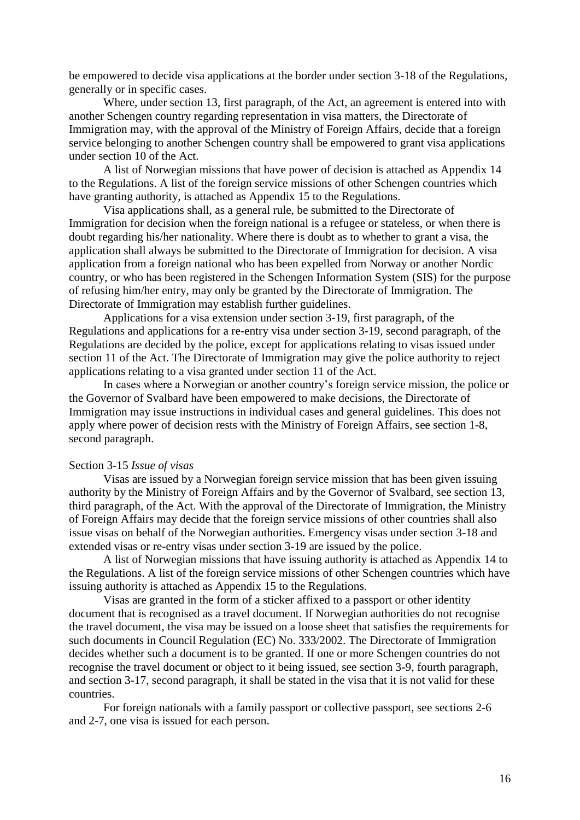be empowered to decide visa applications at the border under section 3-18 of the Regulations, generally or in specific cases.

Where, under section 13, first paragraph, of the Act, an agreement is entered into with another Schengen country regarding representation in visa matters, the Directorate of Immigration may, with the approval of the Ministry of Foreign Affairs, decide that a foreign service belonging to another Schengen country shall be empowered to grant visa applications under section 10 of the Act.

A list of Norwegian missions that have power of decision is attached as Appendix 14 to the Regulations. A list of the foreign service missions of other Schengen countries which have granting authority, is attached as Appendix 15 to the Regulations.

Visa applications shall, as a general rule, be submitted to the Directorate of Immigration for decision when the foreign national is a refugee or stateless, or when there is doubt regarding his/her nationality. Where there is doubt as to whether to grant a visa, the application shall always be submitted to the Directorate of Immigration for decision. A visa application from a foreign national who has been expelled from Norway or another Nordic country, or who has been registered in the Schengen Information System (SIS) for the purpose of refusing him/her entry, may only be granted by the Directorate of Immigration. The Directorate of Immigration may establish further guidelines.

Applications for a visa extension under section 3-19, first paragraph, of the Regulations and applications for a re-entry visa under section 3-19, second paragraph, of the Regulations are decided by the police, except for applications relating to visas issued under section 11 of the Act. The Directorate of Immigration may give the police authority to reject applications relating to a visa granted under section 11 of the Act.

In cases where a Norwegian or another country"s foreign service mission, the police or the Governor of Svalbard have been empowered to make decisions, the Directorate of Immigration may issue instructions in individual cases and general guidelines. This does not apply where power of decision rests with the Ministry of Foreign Affairs, see section 1-8, second paragraph.

#### Section 3-15 *Issue of visas*

Visas are issued by a Norwegian foreign service mission that has been given issuing authority by the Ministry of Foreign Affairs and by the Governor of Svalbard, see section 13, third paragraph, of the Act. With the approval of the Directorate of Immigration, the Ministry of Foreign Affairs may decide that the foreign service missions of other countries shall also issue visas on behalf of the Norwegian authorities. Emergency visas under section 3-18 and extended visas or re-entry visas under section 3-19 are issued by the police.

A list of Norwegian missions that have issuing authority is attached as Appendix 14 to the Regulations. A list of the foreign service missions of other Schengen countries which have issuing authority is attached as Appendix 15 to the Regulations.

Visas are granted in the form of a sticker affixed to a passport or other identity document that is recognised as a travel document. If Norwegian authorities do not recognise the travel document, the visa may be issued on a loose sheet that satisfies the requirements for such documents in Council Regulation (EC) No. 333/2002. The Directorate of Immigration decides whether such a document is to be granted. If one or more Schengen countries do not recognise the travel document or object to it being issued, see section 3-9, fourth paragraph, and section 3-17, second paragraph, it shall be stated in the visa that it is not valid for these countries.

For foreign nationals with a family passport or collective passport, see sections 2-6 and 2-7, one visa is issued for each person.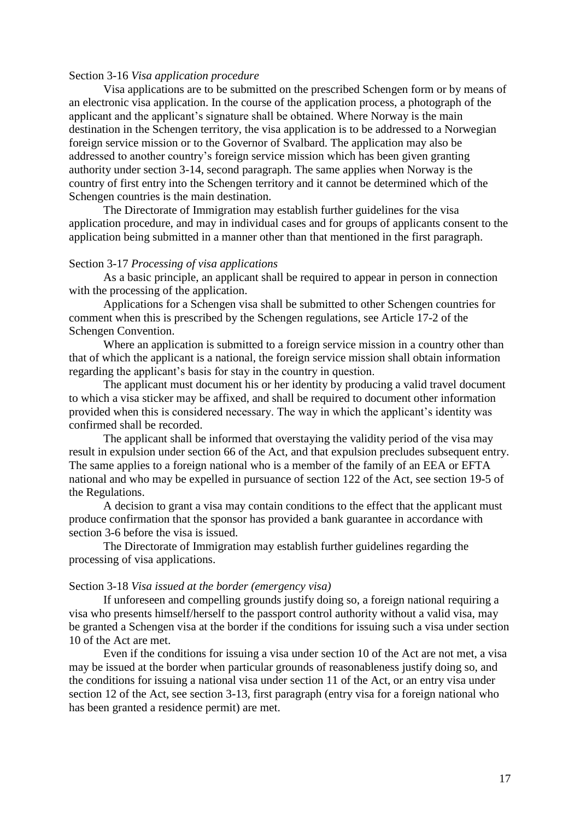### Section 3-16 *Visa application procedure*

Visa applications are to be submitted on the prescribed Schengen form or by means of an electronic visa application. In the course of the application process, a photograph of the applicant and the applicant"s signature shall be obtained. Where Norway is the main destination in the Schengen territory, the visa application is to be addressed to a Norwegian foreign service mission or to the Governor of Svalbard. The application may also be addressed to another country"s foreign service mission which has been given granting authority under section 3-14, second paragraph. The same applies when Norway is the country of first entry into the Schengen territory and it cannot be determined which of the Schengen countries is the main destination.

The Directorate of Immigration may establish further guidelines for the visa application procedure, and may in individual cases and for groups of applicants consent to the application being submitted in a manner other than that mentioned in the first paragraph.

#### Section 3-17 *Processing of visa applications*

As a basic principle, an applicant shall be required to appear in person in connection with the processing of the application.

Applications for a Schengen visa shall be submitted to other Schengen countries for comment when this is prescribed by the Schengen regulations, see Article 17-2 of the Schengen Convention.

Where an application is submitted to a foreign service mission in a country other than that of which the applicant is a national, the foreign service mission shall obtain information regarding the applicant's basis for stay in the country in question.

The applicant must document his or her identity by producing a valid travel document to which a visa sticker may be affixed, and shall be required to document other information provided when this is considered necessary. The way in which the applicant"s identity was confirmed shall be recorded.

The applicant shall be informed that overstaying the validity period of the visa may result in expulsion under section 66 of the Act, and that expulsion precludes subsequent entry. The same applies to a foreign national who is a member of the family of an EEA or EFTA national and who may be expelled in pursuance of section 122 of the Act, see section 19-5 of the Regulations.

A decision to grant a visa may contain conditions to the effect that the applicant must produce confirmation that the sponsor has provided a bank guarantee in accordance with section 3-6 before the visa is issued.

The Directorate of Immigration may establish further guidelines regarding the processing of visa applications.

### Section 3-18 *Visa issued at the border (emergency visa)*

If unforeseen and compelling grounds justify doing so, a foreign national requiring a visa who presents himself/herself to the passport control authority without a valid visa, may be granted a Schengen visa at the border if the conditions for issuing such a visa under section 10 of the Act are met.

Even if the conditions for issuing a visa under section 10 of the Act are not met, a visa may be issued at the border when particular grounds of reasonableness justify doing so, and the conditions for issuing a national visa under section 11 of the Act, or an entry visa under section 12 of the Act, see section 3-13, first paragraph (entry visa for a foreign national who has been granted a residence permit) are met.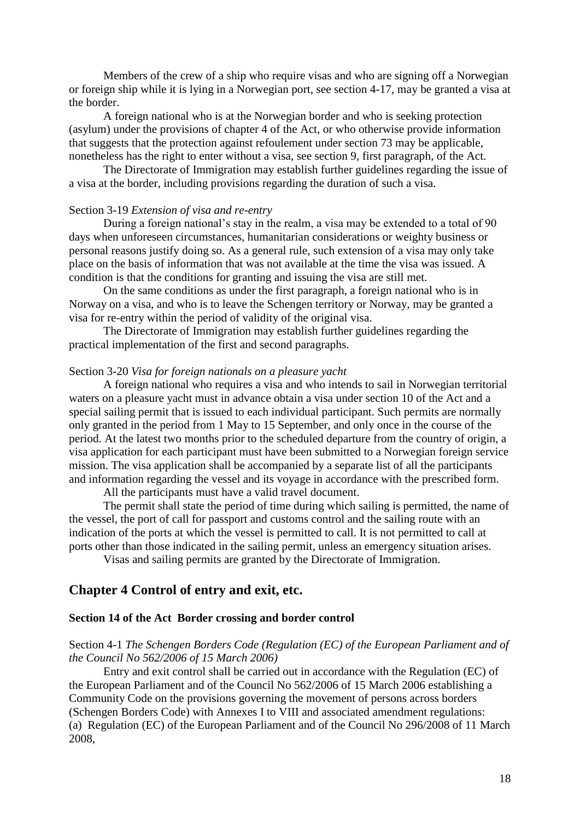Members of the crew of a ship who require visas and who are signing off a Norwegian or foreign ship while it is lying in a Norwegian port, see section 4-17, may be granted a visa at the border.

A foreign national who is at the Norwegian border and who is seeking protection (asylum) under the provisions of chapter 4 of the Act, or who otherwise provide information that suggests that the protection against refoulement under section 73 may be applicable, nonetheless has the right to enter without a visa, see section 9, first paragraph, of the Act.

The Directorate of Immigration may establish further guidelines regarding the issue of a visa at the border, including provisions regarding the duration of such a visa.

### Section 3-19 *Extension of visa and re-entry*

During a foreign national's stay in the realm, a visa may be extended to a total of 90 days when unforeseen circumstances, humanitarian considerations or weighty business or personal reasons justify doing so. As a general rule, such extension of a visa may only take place on the basis of information that was not available at the time the visa was issued. A condition is that the conditions for granting and issuing the visa are still met.

On the same conditions as under the first paragraph, a foreign national who is in Norway on a visa, and who is to leave the Schengen territory or Norway, may be granted a visa for re-entry within the period of validity of the original visa.

The Directorate of Immigration may establish further guidelines regarding the practical implementation of the first and second paragraphs.

#### Section 3-20 *Visa for foreign nationals on a pleasure yacht*

A foreign national who requires a visa and who intends to sail in Norwegian territorial waters on a pleasure yacht must in advance obtain a visa under section 10 of the Act and a special sailing permit that is issued to each individual participant. Such permits are normally only granted in the period from 1 May to 15 September, and only once in the course of the period. At the latest two months prior to the scheduled departure from the country of origin, a visa application for each participant must have been submitted to a Norwegian foreign service mission. The visa application shall be accompanied by a separate list of all the participants and information regarding the vessel and its voyage in accordance with the prescribed form.

All the participants must have a valid travel document.

The permit shall state the period of time during which sailing is permitted, the name of the vessel, the port of call for passport and customs control and the sailing route with an indication of the ports at which the vessel is permitted to call. It is not permitted to call at ports other than those indicated in the sailing permit, unless an emergency situation arises.

Visas and sailing permits are granted by the Directorate of Immigration.

## **Chapter 4 Control of entry and exit, etc.**

#### **Section 14 of the Act Border crossing and border control**

## Section 4-1 *The Schengen Borders Code (Regulation (EC) of the European Parliament and of the Council No 562/2006 of 15 March 2006)*

Entry and exit control shall be carried out in accordance with the Regulation (EC) of the European Parliament and of the Council No 562/2006 of 15 March 2006 establishing a Community Code on the provisions governing the movement of persons across borders (Schengen Borders Code) with Annexes I to VIII and associated amendment regulations: (a) Regulation (EC) of the European Parliament and of the Council No 296/2008 of 11 March 2008,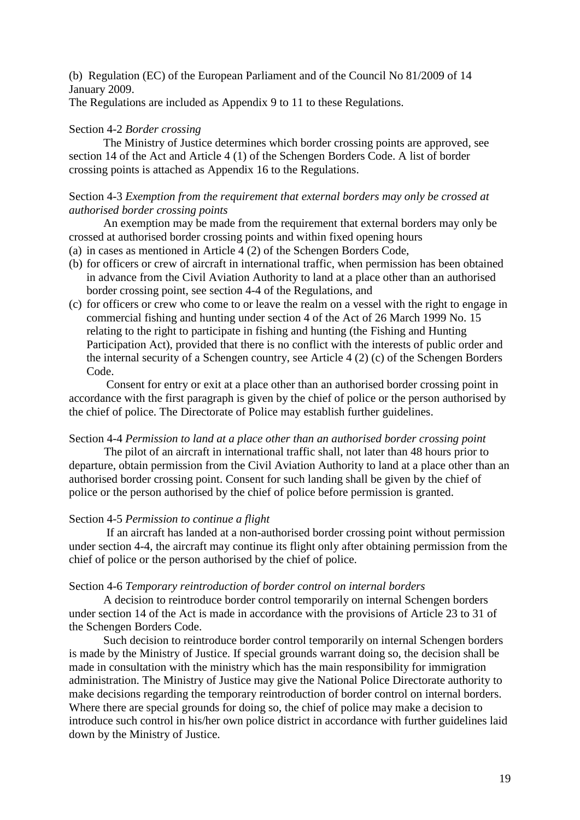(b) Regulation (EC) of the European Parliament and of the Council No 81/2009 of 14 January 2009.

The Regulations are included as Appendix 9 to 11 to these Regulations.

### Section 4-2 *Border crossing*

The Ministry of Justice determines which border crossing points are approved, see section 14 of the Act and Article 4 (1) of the Schengen Borders Code. A list of border crossing points is attached as Appendix 16 to the Regulations.

## Section 4-3 *Exemption from the requirement that external borders may only be crossed at authorised border crossing points*

An exemption may be made from the requirement that external borders may only be crossed at authorised border crossing points and within fixed opening hours

- (a) in cases as mentioned in Article 4 (2) of the Schengen Borders Code,
- (b) for officers or crew of aircraft in international traffic, when permission has been obtained in advance from the Civil Aviation Authority to land at a place other than an authorised border crossing point, see section 4-4 of the Regulations, and
- (c) for officers or crew who come to or leave the realm on a vessel with the right to engage in commercial fishing and hunting under section 4 of the Act of 26 March 1999 No. 15 relating to the right to participate in fishing and hunting (the Fishing and Hunting Participation Act), provided that there is no conflict with the interests of public order and the internal security of a Schengen country, see Article 4 (2) (c) of the Schengen Borders Code.

Consent for entry or exit at a place other than an authorised border crossing point in accordance with the first paragraph is given by the chief of police or the person authorised by the chief of police. The Directorate of Police may establish further guidelines.

### Section 4-4 *Permission to land at a place other than an authorised border crossing point*

The pilot of an aircraft in international traffic shall, not later than 48 hours prior to departure, obtain permission from the Civil Aviation Authority to land at a place other than an authorised border crossing point. Consent for such landing shall be given by the chief of police or the person authorised by the chief of police before permission is granted.

### Section 4-5 *Permission to continue a flight*

 If an aircraft has landed at a non-authorised border crossing point without permission under section 4-4, the aircraft may continue its flight only after obtaining permission from the chief of police or the person authorised by the chief of police.

### Section 4-6 *Temporary reintroduction of border control on internal borders*

A decision to reintroduce border control temporarily on internal Schengen borders under section 14 of the Act is made in accordance with the provisions of Article 23 to 31 of the Schengen Borders Code.

Such decision to reintroduce border control temporarily on internal Schengen borders is made by the Ministry of Justice. If special grounds warrant doing so, the decision shall be made in consultation with the ministry which has the main responsibility for immigration administration. The Ministry of Justice may give the National Police Directorate authority to make decisions regarding the temporary reintroduction of border control on internal borders. Where there are special grounds for doing so, the chief of police may make a decision to introduce such control in his/her own police district in accordance with further guidelines laid down by the Ministry of Justice.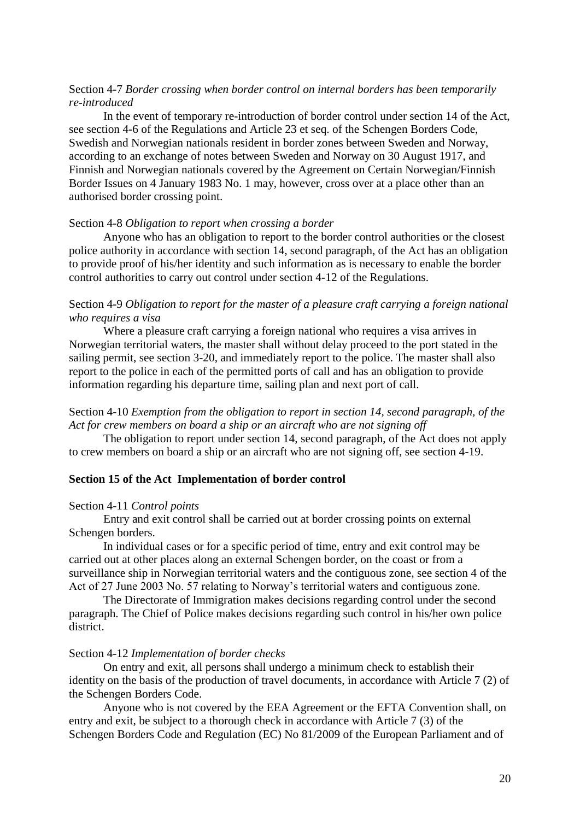## Section 4-7 *Border crossing when border control on internal borders has been temporarily re-introduced*

In the event of temporary re-introduction of border control under section 14 of the Act, see section 4-6 of the Regulations and Article 23 et seq. of the Schengen Borders Code, Swedish and Norwegian nationals resident in border zones between Sweden and Norway, according to an exchange of notes between Sweden and Norway on 30 August 1917, and Finnish and Norwegian nationals covered by the Agreement on Certain Norwegian/Finnish Border Issues on 4 January 1983 No. 1 may, however, cross over at a place other than an authorised border crossing point.

#### Section 4-8 *Obligation to report when crossing a border*

Anyone who has an obligation to report to the border control authorities or the closest police authority in accordance with section 14, second paragraph, of the Act has an obligation to provide proof of his/her identity and such information as is necessary to enable the border control authorities to carry out control under section 4-12 of the Regulations.

## Section 4-9 *Obligation to report for the master of a pleasure craft carrying a foreign national who requires a visa*

Where a pleasure craft carrying a foreign national who requires a visa arrives in Norwegian territorial waters, the master shall without delay proceed to the port stated in the sailing permit, see section 3-20, and immediately report to the police. The master shall also report to the police in each of the permitted ports of call and has an obligation to provide information regarding his departure time, sailing plan and next port of call.

## Section 4-10 *Exemption from the obligation to report in section 14, second paragraph, of the Act for crew members on board a ship or an aircraft who are not signing off*

The obligation to report under section 14, second paragraph, of the Act does not apply to crew members on board a ship or an aircraft who are not signing off, see section 4-19.

#### **Section 15 of the Act Implementation of border control**

#### Section 4-11 *Control points*

Entry and exit control shall be carried out at border crossing points on external Schengen borders.

In individual cases or for a specific period of time, entry and exit control may be carried out at other places along an external Schengen border, on the coast or from a surveillance ship in Norwegian territorial waters and the contiguous zone, see section 4 of the Act of 27 June 2003 No. 57 relating to Norway's territorial waters and contiguous zone.

The Directorate of Immigration makes decisions regarding control under the second paragraph. The Chief of Police makes decisions regarding such control in his/her own police district.

#### Section 4-12 *Implementation of border checks*

On entry and exit, all persons shall undergo a minimum check to establish their identity on the basis of the production of travel documents, in accordance with Article 7 (2) of the Schengen Borders Code.

Anyone who is not covered by the EEA Agreement or the EFTA Convention shall, on entry and exit, be subject to a thorough check in accordance with Article 7 (3) of the Schengen Borders Code and Regulation (EC) No 81/2009 of the European Parliament and of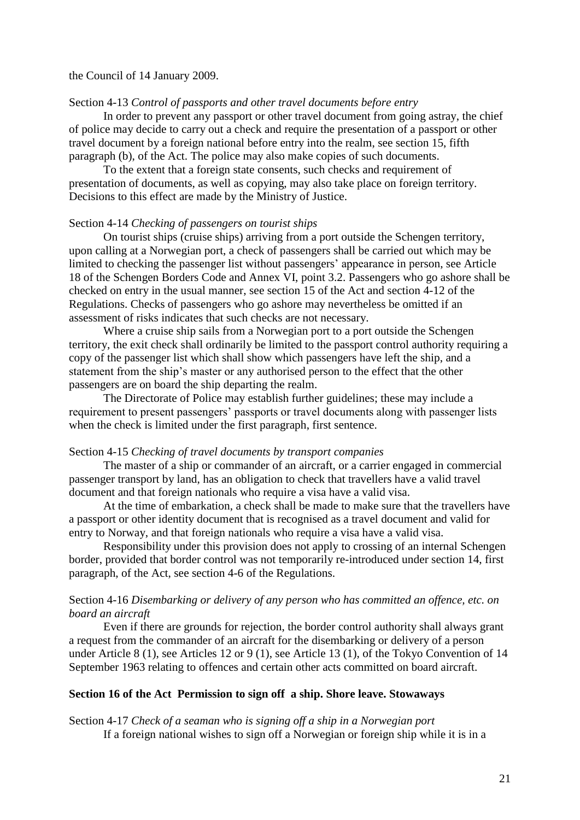#### the Council of 14 January 2009.

### Section 4-13 *Control of passports and other travel documents before entry*

In order to prevent any passport or other travel document from going astray, the chief of police may decide to carry out a check and require the presentation of a passport or other travel document by a foreign national before entry into the realm, see section 15, fifth paragraph (b), of the Act. The police may also make copies of such documents.

To the extent that a foreign state consents, such checks and requirement of presentation of documents, as well as copying, may also take place on foreign territory. Decisions to this effect are made by the Ministry of Justice.

## Section 4-14 *Checking of passengers on tourist ships*

On tourist ships (cruise ships) arriving from a port outside the Schengen territory, upon calling at a Norwegian port, a check of passengers shall be carried out which may be limited to checking the passenger list without passengers" appearance in person, see Article 18 of the Schengen Borders Code and Annex VI, point 3.2. Passengers who go ashore shall be checked on entry in the usual manner, see section 15 of the Act and section 4-12 of the Regulations. Checks of passengers who go ashore may nevertheless be omitted if an assessment of risks indicates that such checks are not necessary.

Where a cruise ship sails from a Norwegian port to a port outside the Schengen territory, the exit check shall ordinarily be limited to the passport control authority requiring a copy of the passenger list which shall show which passengers have left the ship, and a statement from the ship"s master or any authorised person to the effect that the other passengers are on board the ship departing the realm.

The Directorate of Police may establish further guidelines; these may include a requirement to present passengers" passports or travel documents along with passenger lists when the check is limited under the first paragraph, first sentence.

#### Section 4-15 *Checking of travel documents by transport companies*

The master of a ship or commander of an aircraft, or a carrier engaged in commercial passenger transport by land, has an obligation to check that travellers have a valid travel document and that foreign nationals who require a visa have a valid visa.

 At the time of embarkation, a check shall be made to make sure that the travellers have a passport or other identity document that is recognised as a travel document and valid for entry to Norway, and that foreign nationals who require a visa have a valid visa.

Responsibility under this provision does not apply to crossing of an internal Schengen border, provided that border control was not temporarily re-introduced under section 14, first paragraph, of the Act, see section 4-6 of the Regulations.

## Section 4-16 *Disembarking or delivery of any person who has committed an offence, etc. on board an aircraft*

 Even if there are grounds for rejection, the border control authority shall always grant a request from the commander of an aircraft for the disembarking or delivery of a person under Article 8 (1), see Articles 12 or 9 (1), see Article 13 (1), of the Tokyo Convention of 14 September 1963 relating to offences and certain other acts committed on board aircraft.

## **Section 16 of the Act Permission to sign off a ship. Shore leave. Stowaways**

Section 4-17 *Check of a seaman who is signing off a ship in a Norwegian port* If a foreign national wishes to sign off a Norwegian or foreign ship while it is in a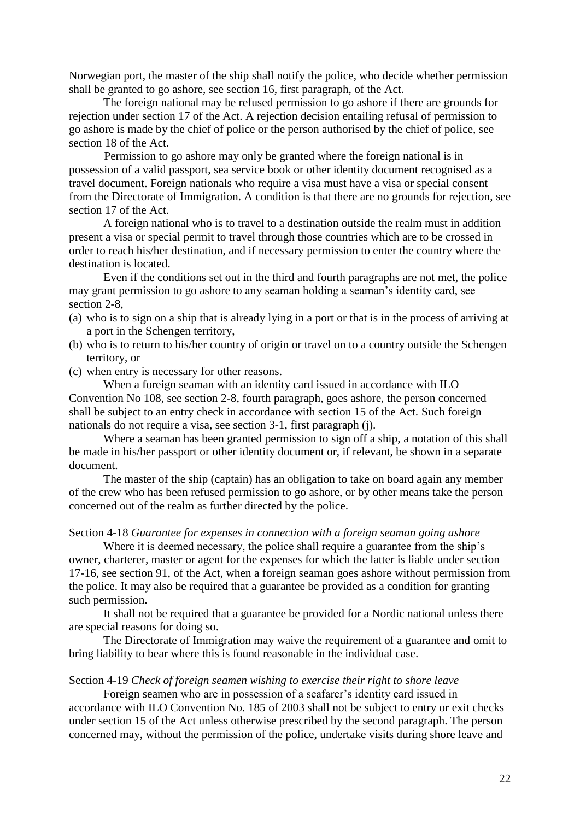Norwegian port, the master of the ship shall notify the police, who decide whether permission shall be granted to go ashore, see section 16, first paragraph, of the Act.

The foreign national may be refused permission to go ashore if there are grounds for rejection under section 17 of the Act. A rejection decision entailing refusal of permission to go ashore is made by the chief of police or the person authorised by the chief of police, see section 18 of the Act.

 Permission to go ashore may only be granted where the foreign national is in possession of a valid passport, sea service book or other identity document recognised as a travel document. Foreign nationals who require a visa must have a visa or special consent from the Directorate of Immigration. A condition is that there are no grounds for rejection, see section 17 of the Act.

 A foreign national who is to travel to a destination outside the realm must in addition present a visa or special permit to travel through those countries which are to be crossed in order to reach his/her destination, and if necessary permission to enter the country where the destination is located.

Even if the conditions set out in the third and fourth paragraphs are not met, the police may grant permission to go ashore to any seaman holding a seaman"s identity card, see section 2-8,

- (a) who is to sign on a ship that is already lying in a port or that is in the process of arriving at a port in the Schengen territory,
- (b) who is to return to his/her country of origin or travel on to a country outside the Schengen territory, or
- (c) when entry is necessary for other reasons.

 When a foreign seaman with an identity card issued in accordance with ILO Convention No 108, see section 2-8, fourth paragraph, goes ashore, the person concerned shall be subject to an entry check in accordance with section 15 of the Act. Such foreign nationals do not require a visa, see section 3-1, first paragraph (j).

 Where a seaman has been granted permission to sign off a ship, a notation of this shall be made in his/her passport or other identity document or, if relevant, be shown in a separate document.

 The master of the ship (captain) has an obligation to take on board again any member of the crew who has been refused permission to go ashore, or by other means take the person concerned out of the realm as further directed by the police.

## Section 4-18 *Guarantee for expenses in connection with a foreign seaman going ashore*

Where it is deemed necessary, the police shall require a guarantee from the ship's owner, charterer, master or agent for the expenses for which the latter is liable under section 17-16, see section 91, of the Act, when a foreign seaman goes ashore without permission from the police. It may also be required that a guarantee be provided as a condition for granting such permission.

 It shall not be required that a guarantee be provided for a Nordic national unless there are special reasons for doing so.

 The Directorate of Immigration may waive the requirement of a guarantee and omit to bring liability to bear where this is found reasonable in the individual case.

#### Section 4-19 *Check of foreign seamen wishing to exercise their right to shore leave*

Foreign seamen who are in possession of a seafarer"s identity card issued in accordance with ILO Convention No. 185 of 2003 shall not be subject to entry or exit checks under section 15 of the Act unless otherwise prescribed by the second paragraph. The person concerned may, without the permission of the police, undertake visits during shore leave and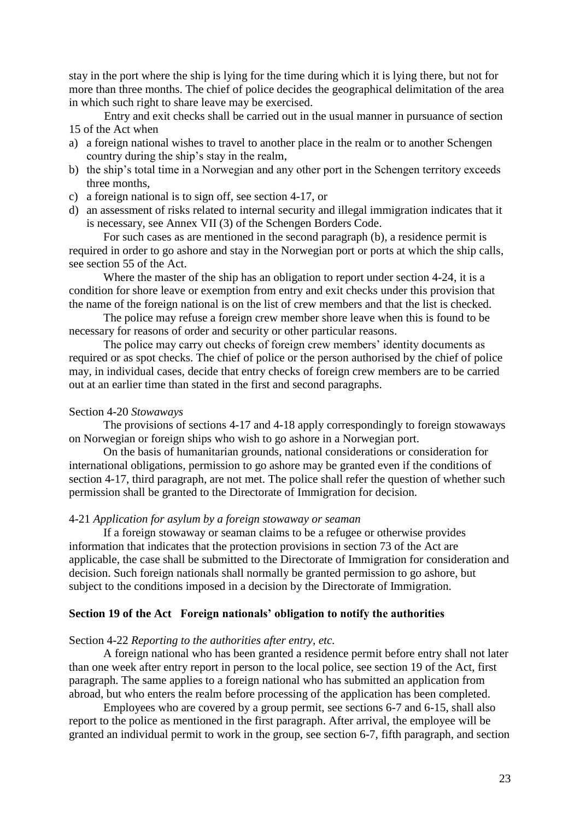stay in the port where the ship is lying for the time during which it is lying there, but not for more than three months. The chief of police decides the geographical delimitation of the area in which such right to share leave may be exercised.

Entry and exit checks shall be carried out in the usual manner in pursuance of section 15 of the Act when

- a) a foreign national wishes to travel to another place in the realm or to another Schengen country during the ship"s stay in the realm,
- b) the ship"s total time in a Norwegian and any other port in the Schengen territory exceeds three months,
- c) a foreign national is to sign off, see section 4-17, or
- d) an assessment of risks related to internal security and illegal immigration indicates that it is necessary, see Annex VII (3) of the Schengen Borders Code.

For such cases as are mentioned in the second paragraph (b), a residence permit is required in order to go ashore and stay in the Norwegian port or ports at which the ship calls, see section 55 of the Act.

Where the master of the ship has an obligation to report under section 4-24, it is a condition for shore leave or exemption from entry and exit checks under this provision that the name of the foreign national is on the list of crew members and that the list is checked.

The police may refuse a foreign crew member shore leave when this is found to be necessary for reasons of order and security or other particular reasons.

The police may carry out checks of foreign crew members' identity documents as required or as spot checks. The chief of police or the person authorised by the chief of police may, in individual cases, decide that entry checks of foreign crew members are to be carried out at an earlier time than stated in the first and second paragraphs.

### Section 4-20 *Stowaways*

 The provisions of sections 4-17 and 4-18 apply correspondingly to foreign stowaways on Norwegian or foreign ships who wish to go ashore in a Norwegian port.

 On the basis of humanitarian grounds, national considerations or consideration for international obligations, permission to go ashore may be granted even if the conditions of section 4-17, third paragraph, are not met. The police shall refer the question of whether such permission shall be granted to the Directorate of Immigration for decision.

### 4-21 *Application for asylum by a foreign stowaway or seaman*

 If a foreign stowaway or seaman claims to be a refugee or otherwise provides information that indicates that the protection provisions in section 73 of the Act are applicable, the case shall be submitted to the Directorate of Immigration for consideration and decision. Such foreign nationals shall normally be granted permission to go ashore, but subject to the conditions imposed in a decision by the Directorate of Immigration.

## **Section 19 of the Act Foreign nationals' obligation to notify the authorities**

#### Section 4-22 *Reporting to the authorities after entry, etc.*

A foreign national who has been granted a residence permit before entry shall not later than one week after entry report in person to the local police, see section 19 of the Act, first paragraph. The same applies to a foreign national who has submitted an application from abroad, but who enters the realm before processing of the application has been completed.

Employees who are covered by a group permit, see sections 6-7 and 6-15, shall also report to the police as mentioned in the first paragraph. After arrival, the employee will be granted an individual permit to work in the group, see section 6-7, fifth paragraph, and section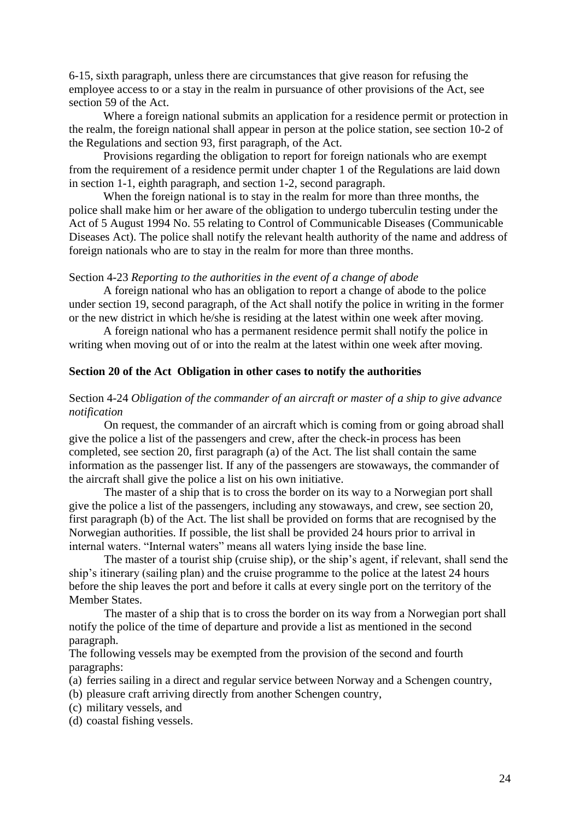6-15, sixth paragraph, unless there are circumstances that give reason for refusing the employee access to or a stay in the realm in pursuance of other provisions of the Act, see section 59 of the Act.

Where a foreign national submits an application for a residence permit or protection in the realm, the foreign national shall appear in person at the police station, see section 10-2 of the Regulations and section 93, first paragraph, of the Act.

Provisions regarding the obligation to report for foreign nationals who are exempt from the requirement of a residence permit under chapter 1 of the Regulations are laid down in section 1-1, eighth paragraph, and section 1-2, second paragraph.

When the foreign national is to stay in the realm for more than three months, the police shall make him or her aware of the obligation to undergo tuberculin testing under the Act of 5 August 1994 No. 55 relating to Control of Communicable Diseases (Communicable Diseases Act). The police shall notify the relevant health authority of the name and address of foreign nationals who are to stay in the realm for more than three months.

### Section 4-23 *Reporting to the authorities in the event of a change of abode*

A foreign national who has an obligation to report a change of abode to the police under section 19, second paragraph, of the Act shall notify the police in writing in the former or the new district in which he/she is residing at the latest within one week after moving.

A foreign national who has a permanent residence permit shall notify the police in writing when moving out of or into the realm at the latest within one week after moving.

### **Section 20 of the Act Obligation in other cases to notify the authorities**

## Section 4-24 *Obligation of the commander of an aircraft or master of a ship to give advance notification*

On request, the commander of an aircraft which is coming from or going abroad shall give the police a list of the passengers and crew, after the check-in process has been completed, see section 20, first paragraph (a) of the Act. The list shall contain the same information as the passenger list. If any of the passengers are stowaways, the commander of the aircraft shall give the police a list on his own initiative.

The master of a ship that is to cross the border on its way to a Norwegian port shall give the police a list of the passengers, including any stowaways, and crew, see section 20, first paragraph (b) of the Act. The list shall be provided on forms that are recognised by the Norwegian authorities. If possible, the list shall be provided 24 hours prior to arrival in internal waters. "Internal waters" means all waters lying inside the base line.

The master of a tourist ship (cruise ship), or the ship's agent, if relevant, shall send the ship"s itinerary (sailing plan) and the cruise programme to the police at the latest 24 hours before the ship leaves the port and before it calls at every single port on the territory of the Member States.

The master of a ship that is to cross the border on its way from a Norwegian port shall notify the police of the time of departure and provide a list as mentioned in the second paragraph.

The following vessels may be exempted from the provision of the second and fourth paragraphs:

- (a) ferries sailing in a direct and regular service between Norway and a Schengen country,
- (b) pleasure craft arriving directly from another Schengen country,
- (c) military vessels, and
- (d) coastal fishing vessels.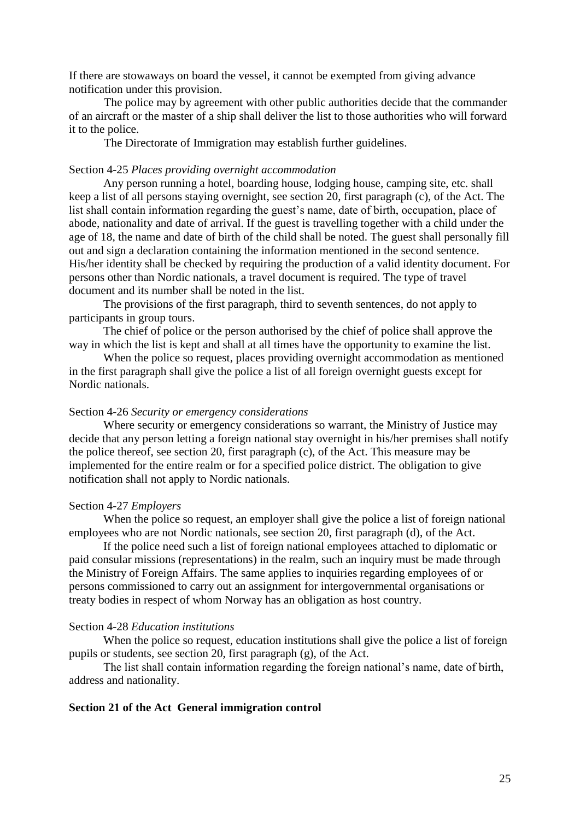If there are stowaways on board the vessel, it cannot be exempted from giving advance notification under this provision.

The police may by agreement with other public authorities decide that the commander of an aircraft or the master of a ship shall deliver the list to those authorities who will forward it to the police.

The Directorate of Immigration may establish further guidelines.

### Section 4-25 *Places providing overnight accommodation*

 Any person running a hotel, boarding house, lodging house, camping site, etc. shall keep a list of all persons staying overnight, see section 20, first paragraph (c), of the Act. The list shall contain information regarding the guest's name, date of birth, occupation, place of abode, nationality and date of arrival. If the guest is travelling together with a child under the age of 18, the name and date of birth of the child shall be noted. The guest shall personally fill out and sign a declaration containing the information mentioned in the second sentence. His/her identity shall be checked by requiring the production of a valid identity document. For persons other than Nordic nationals, a travel document is required. The type of travel document and its number shall be noted in the list.

 The provisions of the first paragraph, third to seventh sentences, do not apply to participants in group tours.

 The chief of police or the person authorised by the chief of police shall approve the way in which the list is kept and shall at all times have the opportunity to examine the list.

 When the police so request, places providing overnight accommodation as mentioned in the first paragraph shall give the police a list of all foreign overnight guests except for Nordic nationals.

### Section 4-26 *Security or emergency considerations*

 Where security or emergency considerations so warrant, the Ministry of Justice may decide that any person letting a foreign national stay overnight in his/her premises shall notify the police thereof, see section 20, first paragraph (c), of the Act. This measure may be implemented for the entire realm or for a specified police district. The obligation to give notification shall not apply to Nordic nationals.

## Section 4-27 *Employers*

When the police so request, an employer shall give the police a list of foreign national employees who are not Nordic nationals, see section 20, first paragraph (d), of the Act.

If the police need such a list of foreign national employees attached to diplomatic or paid consular missions (representations) in the realm, such an inquiry must be made through the Ministry of Foreign Affairs. The same applies to inquiries regarding employees of or persons commissioned to carry out an assignment for intergovernmental organisations or treaty bodies in respect of whom Norway has an obligation as host country.

#### Section 4-28 *Education institutions*

 When the police so request, education institutions shall give the police a list of foreign pupils or students, see section 20, first paragraph (g), of the Act.

 The list shall contain information regarding the foreign national"s name, date of birth, address and nationality.

### **Section 21 of the Act General immigration control**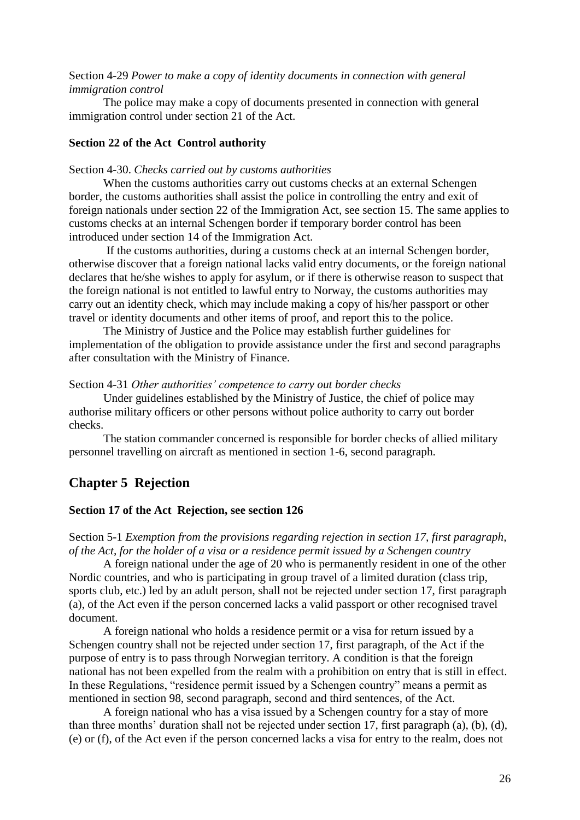Section 4-29 *Power to make a copy of identity documents in connection with general immigration control*

The police may make a copy of documents presented in connection with general immigration control under section 21 of the Act.

## **Section 22 of the Act Control authority**

### Section 4-30. *Checks carried out by customs authorities*

When the customs authorities carry out customs checks at an external Schengen border, the customs authorities shall assist the police in controlling the entry and exit of foreign nationals under section 22 of the Immigration Act, see section 15. The same applies to customs checks at an internal Schengen border if temporary border control has been introduced under section 14 of the Immigration Act.

If the customs authorities, during a customs check at an internal Schengen border, otherwise discover that a foreign national lacks valid entry documents, or the foreign national declares that he/she wishes to apply for asylum, or if there is otherwise reason to suspect that the foreign national is not entitled to lawful entry to Norway, the customs authorities may carry out an identity check, which may include making a copy of his/her passport or other travel or identity documents and other items of proof, and report this to the police.

The Ministry of Justice and the Police may establish further guidelines for implementation of the obligation to provide assistance under the first and second paragraphs after consultation with the Ministry of Finance.

#### Section 4-31 *Other authorities' competence to carry out border checks*

Under guidelines established by the Ministry of Justice, the chief of police may authorise military officers or other persons without police authority to carry out border checks.

The station commander concerned is responsible for border checks of allied military personnel travelling on aircraft as mentioned in section 1-6, second paragraph.

## **Chapter 5 Rejection**

### **Section 17 of the Act Rejection, see section 126**

Section 5-1 *Exemption from the provisions regarding rejection in section 17, first paragraph, of the Act, for the holder of a visa or a residence permit issued by a Schengen country*

A foreign national under the age of 20 who is permanently resident in one of the other Nordic countries, and who is participating in group travel of a limited duration (class trip, sports club, etc.) led by an adult person, shall not be rejected under section 17, first paragraph (a), of the Act even if the person concerned lacks a valid passport or other recognised travel document.

A foreign national who holds a residence permit or a visa for return issued by a Schengen country shall not be rejected under section 17, first paragraph, of the Act if the purpose of entry is to pass through Norwegian territory. A condition is that the foreign national has not been expelled from the realm with a prohibition on entry that is still in effect. In these Regulations, "residence permit issued by a Schengen country" means a permit as mentioned in section 98, second paragraph, second and third sentences, of the Act.

A foreign national who has a visa issued by a Schengen country for a stay of more than three months" duration shall not be rejected under section 17, first paragraph (a), (b), (d), (e) or (f), of the Act even if the person concerned lacks a visa for entry to the realm, does not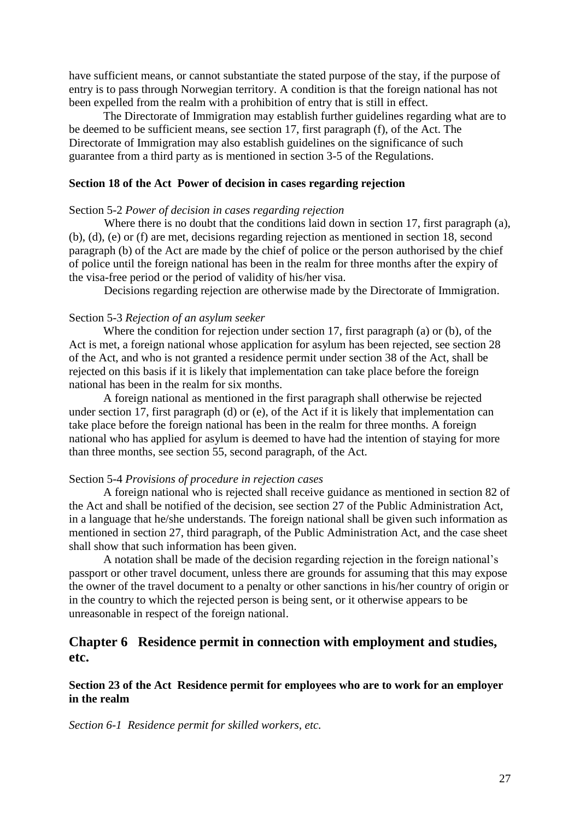have sufficient means, or cannot substantiate the stated purpose of the stay, if the purpose of entry is to pass through Norwegian territory. A condition is that the foreign national has not been expelled from the realm with a prohibition of entry that is still in effect.

The Directorate of Immigration may establish further guidelines regarding what are to be deemed to be sufficient means, see section 17, first paragraph (f), of the Act. The Directorate of Immigration may also establish guidelines on the significance of such guarantee from a third party as is mentioned in section 3-5 of the Regulations.

## **Section 18 of the Act Power of decision in cases regarding rejection**

## Section 5-2 *Power of decision in cases regarding rejection*

Where there is no doubt that the conditions laid down in section 17, first paragraph (a), (b), (d), (e) or (f) are met, decisions regarding rejection as mentioned in section 18, second paragraph (b) of the Act are made by the chief of police or the person authorised by the chief of police until the foreign national has been in the realm for three months after the expiry of the visa-free period or the period of validity of his/her visa.

Decisions regarding rejection are otherwise made by the Directorate of Immigration.

## Section 5-3 *Rejection of an asylum seeker*

Where the condition for rejection under section 17, first paragraph (a) or (b), of the Act is met, a foreign national whose application for asylum has been rejected, see section 28 of the Act, and who is not granted a residence permit under section 38 of the Act, shall be rejected on this basis if it is likely that implementation can take place before the foreign national has been in the realm for six months.

A foreign national as mentioned in the first paragraph shall otherwise be rejected under section 17, first paragraph (d) or (e), of the Act if it is likely that implementation can take place before the foreign national has been in the realm for three months. A foreign national who has applied for asylum is deemed to have had the intention of staying for more than three months, see section 55, second paragraph, of the Act.

## Section 5-4 *Provisions of procedure in rejection cases*

A foreign national who is rejected shall receive guidance as mentioned in section 82 of the Act and shall be notified of the decision, see section 27 of the Public Administration Act, in a language that he/she understands. The foreign national shall be given such information as mentioned in section 27, third paragraph, of the Public Administration Act, and the case sheet shall show that such information has been given.

A notation shall be made of the decision regarding rejection in the foreign national"s passport or other travel document, unless there are grounds for assuming that this may expose the owner of the travel document to a penalty or other sanctions in his/her country of origin or in the country to which the rejected person is being sent, or it otherwise appears to be unreasonable in respect of the foreign national.

# **Chapter 6 Residence permit in connection with employment and studies, etc.**

## **Section 23 of the Act Residence permit for employees who are to work for an employer in the realm**

*Section 6-1 Residence permit for skilled workers, etc.*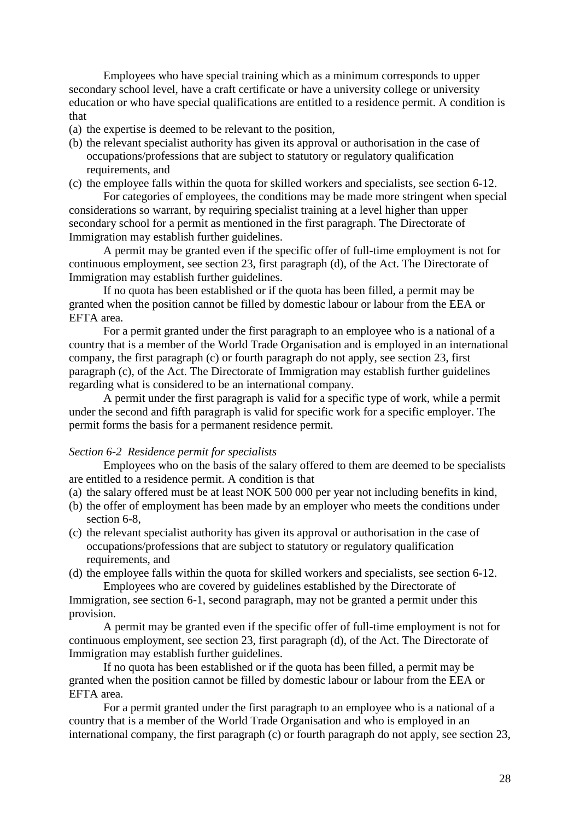Employees who have special training which as a minimum corresponds to upper secondary school level, have a craft certificate or have a university college or university education or who have special qualifications are entitled to a residence permit. A condition is that

- (a) the expertise is deemed to be relevant to the position,
- (b) the relevant specialist authority has given its approval or authorisation in the case of occupations/professions that are subject to statutory or regulatory qualification requirements, and
- (c) the employee falls within the quota for skilled workers and specialists, see section 6-12.

For categories of employees, the conditions may be made more stringent when special considerations so warrant, by requiring specialist training at a level higher than upper secondary school for a permit as mentioned in the first paragraph. The Directorate of Immigration may establish further guidelines.

A permit may be granted even if the specific offer of full-time employment is not for continuous employment, see section 23, first paragraph (d), of the Act. The Directorate of Immigration may establish further guidelines.

If no quota has been established or if the quota has been filled, a permit may be granted when the position cannot be filled by domestic labour or labour from the EEA or EFTA area.

For a permit granted under the first paragraph to an employee who is a national of a country that is a member of the World Trade Organisation and is employed in an international company, the first paragraph (c) or fourth paragraph do not apply, see section 23, first paragraph (c), of the Act. The Directorate of Immigration may establish further guidelines regarding what is considered to be an international company.

A permit under the first paragraph is valid for a specific type of work, while a permit under the second and fifth paragraph is valid for specific work for a specific employer. The permit forms the basis for a permanent residence permit.

## *Section 6-2 Residence permit for specialists*

Employees who on the basis of the salary offered to them are deemed to be specialists are entitled to a residence permit. A condition is that

- (a) the salary offered must be at least NOK 500 000 per year not including benefits in kind,
- (b) the offer of employment has been made by an employer who meets the conditions under section 6-8.
- (c) the relevant specialist authority has given its approval or authorisation in the case of occupations/professions that are subject to statutory or regulatory qualification requirements, and
- (d) the employee falls within the quota for skilled workers and specialists, see section 6-12. Employees who are covered by guidelines established by the Directorate of

Immigration, see section 6-1, second paragraph, may not be granted a permit under this provision.

A permit may be granted even if the specific offer of full-time employment is not for continuous employment, see section 23, first paragraph (d), of the Act. The Directorate of Immigration may establish further guidelines.

If no quota has been established or if the quota has been filled, a permit may be granted when the position cannot be filled by domestic labour or labour from the EEA or EFTA area.

For a permit granted under the first paragraph to an employee who is a national of a country that is a member of the World Trade Organisation and who is employed in an international company, the first paragraph (c) or fourth paragraph do not apply, see section 23,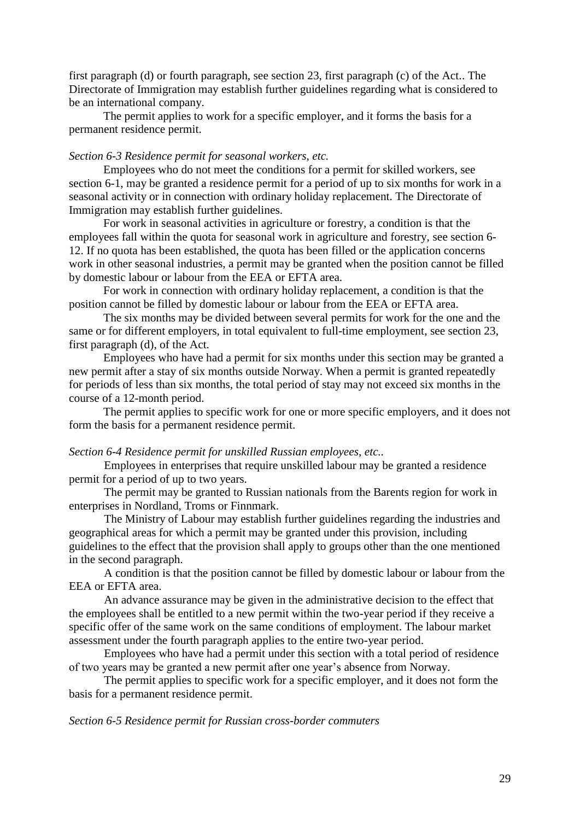first paragraph (d) or fourth paragraph, see section 23, first paragraph (c) of the Act.. The Directorate of Immigration may establish further guidelines regarding what is considered to be an international company.

The permit applies to work for a specific employer, and it forms the basis for a permanent residence permit.

### *Section 6-3 Residence permit for seasonal workers, etc.*

Employees who do not meet the conditions for a permit for skilled workers, see section 6-1, may be granted a residence permit for a period of up to six months for work in a seasonal activity or in connection with ordinary holiday replacement. The Directorate of Immigration may establish further guidelines.

For work in seasonal activities in agriculture or forestry, a condition is that the employees fall within the quota for seasonal work in agriculture and forestry, see section 6- 12. If no quota has been established, the quota has been filled or the application concerns work in other seasonal industries, a permit may be granted when the position cannot be filled by domestic labour or labour from the EEA or EFTA area.

For work in connection with ordinary holiday replacement, a condition is that the position cannot be filled by domestic labour or labour from the EEA or EFTA area.

The six months may be divided between several permits for work for the one and the same or for different employers, in total equivalent to full-time employment, see section 23, first paragraph (d), of the Act.

Employees who have had a permit for six months under this section may be granted a new permit after a stay of six months outside Norway. When a permit is granted repeatedly for periods of less than six months, the total period of stay may not exceed six months in the course of a 12-month period.

The permit applies to specific work for one or more specific employers, and it does not form the basis for a permanent residence permit.

### *Section 6-4 Residence permit for unskilled Russian employees, etc..*

Employees in enterprises that require unskilled labour may be granted a residence permit for a period of up to two years.

The permit may be granted to Russian nationals from the Barents region for work in enterprises in Nordland, Troms or Finnmark.

The Ministry of Labour may establish further guidelines regarding the industries and geographical areas for which a permit may be granted under this provision, including guidelines to the effect that the provision shall apply to groups other than the one mentioned in the second paragraph.

A condition is that the position cannot be filled by domestic labour or labour from the EEA or EFTA area.

An advance assurance may be given in the administrative decision to the effect that the employees shall be entitled to a new permit within the two-year period if they receive a specific offer of the same work on the same conditions of employment. The labour market assessment under the fourth paragraph applies to the entire two-year period.

Employees who have had a permit under this section with a total period of residence of two years may be granted a new permit after one year"s absence from Norway.

The permit applies to specific work for a specific employer, and it does not form the basis for a permanent residence permit.

#### *Section 6-5 Residence permit for Russian cross-border commuters*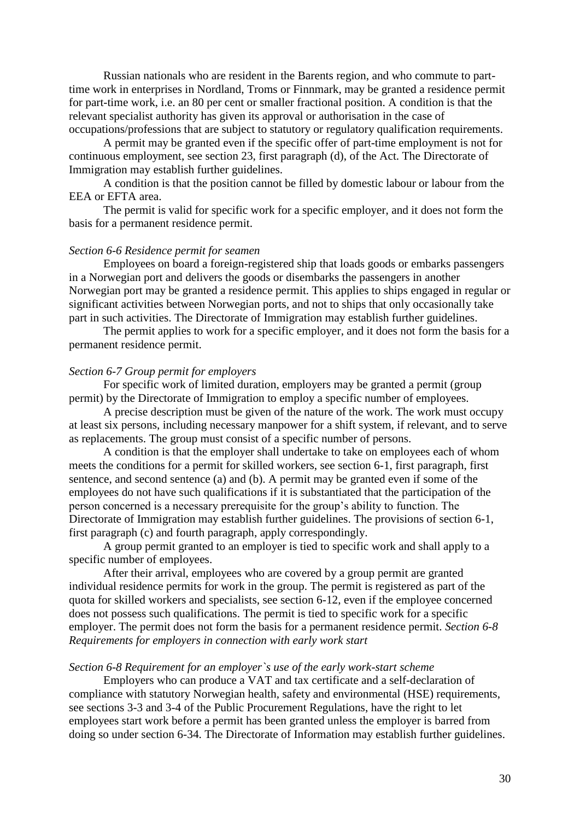Russian nationals who are resident in the Barents region, and who commute to parttime work in enterprises in Nordland, Troms or Finnmark, may be granted a residence permit for part-time work, i.e. an 80 per cent or smaller fractional position. A condition is that the relevant specialist authority has given its approval or authorisation in the case of occupations/professions that are subject to statutory or regulatory qualification requirements.

A permit may be granted even if the specific offer of part-time employment is not for continuous employment, see section 23, first paragraph (d), of the Act. The Directorate of Immigration may establish further guidelines.

A condition is that the position cannot be filled by domestic labour or labour from the EEA or EFTA area.

The permit is valid for specific work for a specific employer, and it does not form the basis for a permanent residence permit.

### *Section 6-6 Residence permit for seamen*

Employees on board a foreign-registered ship that loads goods or embarks passengers in a Norwegian port and delivers the goods or disembarks the passengers in another Norwegian port may be granted a residence permit. This applies to ships engaged in regular or significant activities between Norwegian ports, and not to ships that only occasionally take part in such activities. The Directorate of Immigration may establish further guidelines.

The permit applies to work for a specific employer, and it does not form the basis for a permanent residence permit.

### *Section 6-7 Group permit for employers*

For specific work of limited duration, employers may be granted a permit (group permit) by the Directorate of Immigration to employ a specific number of employees.

A precise description must be given of the nature of the work. The work must occupy at least six persons, including necessary manpower for a shift system, if relevant, and to serve as replacements. The group must consist of a specific number of persons.

A condition is that the employer shall undertake to take on employees each of whom meets the conditions for a permit for skilled workers, see section 6-1, first paragraph, first sentence, and second sentence (a) and (b). A permit may be granted even if some of the employees do not have such qualifications if it is substantiated that the participation of the person concerned is a necessary prerequisite for the group"s ability to function. The Directorate of Immigration may establish further guidelines. The provisions of section 6-1, first paragraph (c) and fourth paragraph, apply correspondingly.

A group permit granted to an employer is tied to specific work and shall apply to a specific number of employees.

After their arrival, employees who are covered by a group permit are granted individual residence permits for work in the group. The permit is registered as part of the quota for skilled workers and specialists, see section 6-12, even if the employee concerned does not possess such qualifications. The permit is tied to specific work for a specific employer. The permit does not form the basis for a permanent residence permit. *Section 6-8 Requirements for employers in connection with early work start*

## *Section 6-8 Requirement for an employer`s use of the early work-start scheme*

Employers who can produce a VAT and tax certificate and a self-declaration of compliance with statutory Norwegian health, safety and environmental (HSE) requirements, see sections 3-3 and 3-4 of the Public Procurement Regulations, have the right to let employees start work before a permit has been granted unless the employer is barred from doing so under section 6-34. The Directorate of Information may establish further guidelines.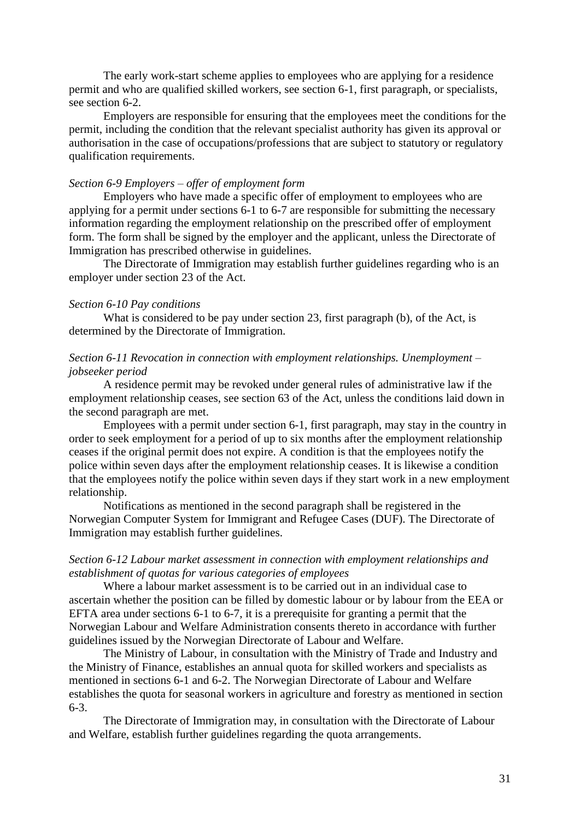The early work-start scheme applies to employees who are applying for a residence permit and who are qualified skilled workers, see section 6-1, first paragraph, or specialists, see section 6-2.

Employers are responsible for ensuring that the employees meet the conditions for the permit, including the condition that the relevant specialist authority has given its approval or authorisation in the case of occupations/professions that are subject to statutory or regulatory qualification requirements.

#### *Section 6-9 Employers – offer of employment form*

Employers who have made a specific offer of employment to employees who are applying for a permit under sections 6-1 to 6-7 are responsible for submitting the necessary information regarding the employment relationship on the prescribed offer of employment form. The form shall be signed by the employer and the applicant, unless the Directorate of Immigration has prescribed otherwise in guidelines.

The Directorate of Immigration may establish further guidelines regarding who is an employer under section 23 of the Act.

## *Section 6-10 Pay conditions*

What is considered to be pay under section 23, first paragraph (b), of the Act, is determined by the Directorate of Immigration.

## *Section 6-11 Revocation in connection with employment relationships. Unemployment – jobseeker period*

A residence permit may be revoked under general rules of administrative law if the employment relationship ceases, see section 63 of the Act, unless the conditions laid down in the second paragraph are met.

Employees with a permit under section 6-1, first paragraph, may stay in the country in order to seek employment for a period of up to six months after the employment relationship ceases if the original permit does not expire. A condition is that the employees notify the police within seven days after the employment relationship ceases. It is likewise a condition that the employees notify the police within seven days if they start work in a new employment relationship.

Notifications as mentioned in the second paragraph shall be registered in the Norwegian Computer System for Immigrant and Refugee Cases (DUF). The Directorate of Immigration may establish further guidelines.

## *Section 6-12 Labour market assessment in connection with employment relationships and establishment of quotas for various categories of employees*

Where a labour market assessment is to be carried out in an individual case to ascertain whether the position can be filled by domestic labour or by labour from the EEA or EFTA area under sections 6-1 to 6-7, it is a prerequisite for granting a permit that the Norwegian Labour and Welfare Administration consents thereto in accordance with further guidelines issued by the Norwegian Directorate of Labour and Welfare.

The Ministry of Labour, in consultation with the Ministry of Trade and Industry and the Ministry of Finance, establishes an annual quota for skilled workers and specialists as mentioned in sections 6-1 and 6-2. The Norwegian Directorate of Labour and Welfare establishes the quota for seasonal workers in agriculture and forestry as mentioned in section 6-3.

The Directorate of Immigration may, in consultation with the Directorate of Labour and Welfare, establish further guidelines regarding the quota arrangements.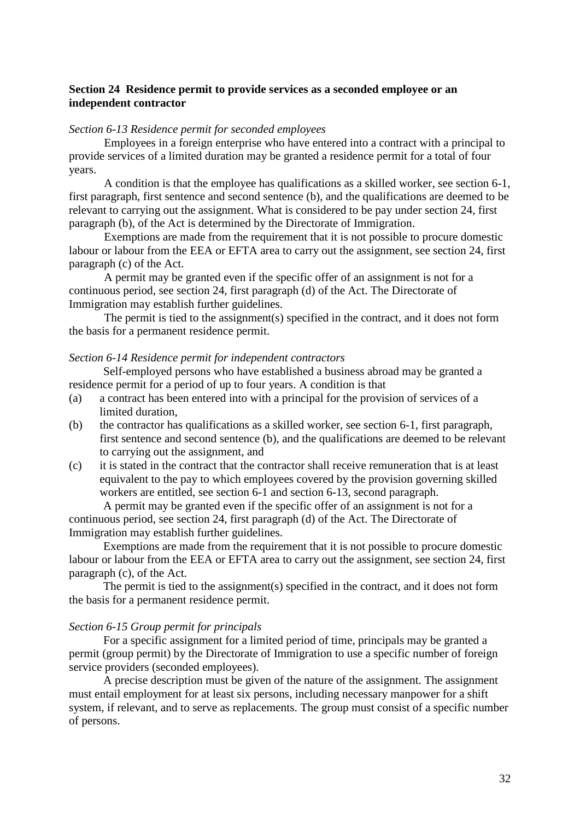## **Section 24 Residence permit to provide services as a seconded employee or an independent contractor**

### *Section 6-13 Residence permit for seconded employees*

Employees in a foreign enterprise who have entered into a contract with a principal to provide services of a limited duration may be granted a residence permit for a total of four years.

A condition is that the employee has qualifications as a skilled worker, see section 6-1, first paragraph, first sentence and second sentence (b), and the qualifications are deemed to be relevant to carrying out the assignment. What is considered to be pay under section 24, first paragraph (b), of the Act is determined by the Directorate of Immigration.

Exemptions are made from the requirement that it is not possible to procure domestic labour or labour from the EEA or EFTA area to carry out the assignment, see section 24, first paragraph (c) of the Act.

A permit may be granted even if the specific offer of an assignment is not for a continuous period, see section 24, first paragraph (d) of the Act. The Directorate of Immigration may establish further guidelines.

The permit is tied to the assignment(s) specified in the contract, and it does not form the basis for a permanent residence permit.

## *Section 6-14 Residence permit for independent contractors*

Self-employed persons who have established a business abroad may be granted a residence permit for a period of up to four years. A condition is that

- (a) a contract has been entered into with a principal for the provision of services of a limited duration,
- (b) the contractor has qualifications as a skilled worker, see section 6-1, first paragraph, first sentence and second sentence (b), and the qualifications are deemed to be relevant to carrying out the assignment, and
- (c) it is stated in the contract that the contractor shall receive remuneration that is at least equivalent to the pay to which employees covered by the provision governing skilled workers are entitled, see section 6-1 and section 6-13, second paragraph.

A permit may be granted even if the specific offer of an assignment is not for a continuous period, see section 24, first paragraph (d) of the Act. The Directorate of Immigration may establish further guidelines.

Exemptions are made from the requirement that it is not possible to procure domestic labour or labour from the EEA or EFTA area to carry out the assignment, see section 24, first paragraph (c), of the Act.

The permit is tied to the assignment(s) specified in the contract, and it does not form the basis for a permanent residence permit.

## *Section 6-15 Group permit for principals*

For a specific assignment for a limited period of time, principals may be granted a permit (group permit) by the Directorate of Immigration to use a specific number of foreign service providers (seconded employees).

A precise description must be given of the nature of the assignment. The assignment must entail employment for at least six persons, including necessary manpower for a shift system, if relevant, and to serve as replacements. The group must consist of a specific number of persons.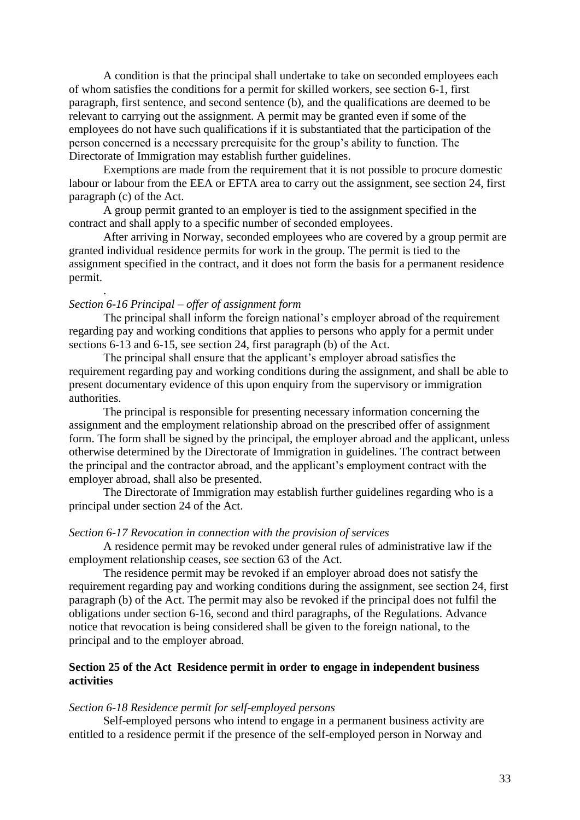A condition is that the principal shall undertake to take on seconded employees each of whom satisfies the conditions for a permit for skilled workers, see section 6-1, first paragraph, first sentence, and second sentence (b), and the qualifications are deemed to be relevant to carrying out the assignment. A permit may be granted even if some of the employees do not have such qualifications if it is substantiated that the participation of the person concerned is a necessary prerequisite for the group"s ability to function. The Directorate of Immigration may establish further guidelines.

Exemptions are made from the requirement that it is not possible to procure domestic labour or labour from the EEA or EFTA area to carry out the assignment, see section 24, first paragraph (c) of the Act.

A group permit granted to an employer is tied to the assignment specified in the contract and shall apply to a specific number of seconded employees.

After arriving in Norway, seconded employees who are covered by a group permit are granted individual residence permits for work in the group. The permit is tied to the assignment specified in the contract, and it does not form the basis for a permanent residence permit.

### *Section 6-16 Principal – offer of assignment form*

.

The principal shall inform the foreign national's employer abroad of the requirement regarding pay and working conditions that applies to persons who apply for a permit under sections 6-13 and 6-15, see section 24, first paragraph (b) of the Act.

The principal shall ensure that the applicant's employer abroad satisfies the requirement regarding pay and working conditions during the assignment, and shall be able to present documentary evidence of this upon enquiry from the supervisory or immigration authorities.

The principal is responsible for presenting necessary information concerning the assignment and the employment relationship abroad on the prescribed offer of assignment form. The form shall be signed by the principal, the employer abroad and the applicant, unless otherwise determined by the Directorate of Immigration in guidelines. The contract between the principal and the contractor abroad, and the applicant"s employment contract with the employer abroad, shall also be presented.

The Directorate of Immigration may establish further guidelines regarding who is a principal under section 24 of the Act.

#### *Section 6-17 Revocation in connection with the provision of services*

A residence permit may be revoked under general rules of administrative law if the employment relationship ceases, see section 63 of the Act.

The residence permit may be revoked if an employer abroad does not satisfy the requirement regarding pay and working conditions during the assignment, see section 24, first paragraph (b) of the Act. The permit may also be revoked if the principal does not fulfil the obligations under section 6-16, second and third paragraphs, of the Regulations. Advance notice that revocation is being considered shall be given to the foreign national, to the principal and to the employer abroad.

## **Section 25 of the Act Residence permit in order to engage in independent business activities**

#### *Section 6-18 Residence permit for self-employed persons*

Self-employed persons who intend to engage in a permanent business activity are entitled to a residence permit if the presence of the self-employed person in Norway and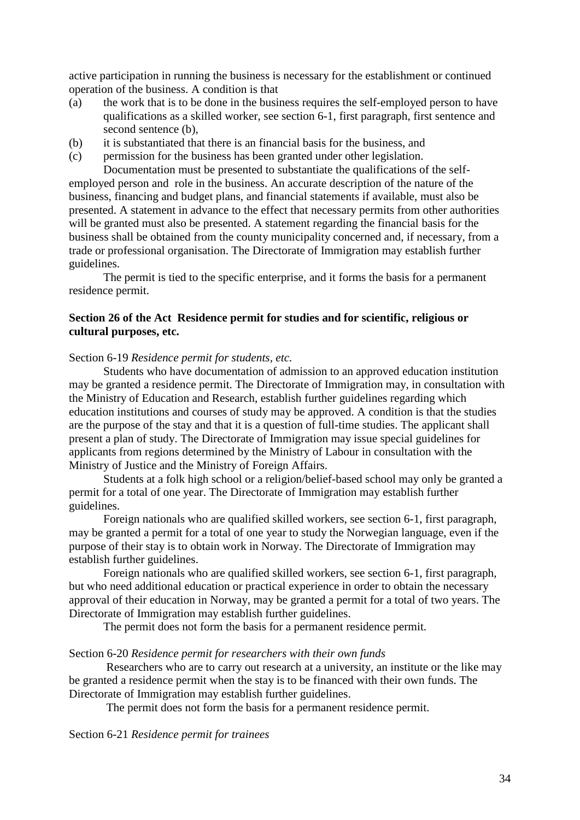active participation in running the business is necessary for the establishment or continued operation of the business. A condition is that

- (a) the work that is to be done in the business requires the self-employed person to have qualifications as a skilled worker, see section 6-1, first paragraph, first sentence and second sentence (b),
- (b) it is substantiated that there is an financial basis for the business, and
- (c) permission for the business has been granted under other legislation.

Documentation must be presented to substantiate the qualifications of the selfemployed person and role in the business. An accurate description of the nature of the business, financing and budget plans, and financial statements if available, must also be presented. A statement in advance to the effect that necessary permits from other authorities will be granted must also be presented. A statement regarding the financial basis for the business shall be obtained from the county municipality concerned and, if necessary, from a trade or professional organisation. The Directorate of Immigration may establish further guidelines.

The permit is tied to the specific enterprise, and it forms the basis for a permanent residence permit.

## **Section 26 of the Act Residence permit for studies and for scientific, religious or cultural purposes, etc.**

Section 6-19 *Residence permit for students, etc.*

Students who have documentation of admission to an approved education institution may be granted a residence permit. The Directorate of Immigration may, in consultation with the Ministry of Education and Research, establish further guidelines regarding which education institutions and courses of study may be approved. A condition is that the studies are the purpose of the stay and that it is a question of full-time studies. The applicant shall present a plan of study. The Directorate of Immigration may issue special guidelines for applicants from regions determined by the Ministry of Labour in consultation with the Ministry of Justice and the Ministry of Foreign Affairs.

Students at a folk high school or a religion/belief-based school may only be granted a permit for a total of one year. The Directorate of Immigration may establish further guidelines.

Foreign nationals who are qualified skilled workers, see section 6-1, first paragraph, may be granted a permit for a total of one year to study the Norwegian language, even if the purpose of their stay is to obtain work in Norway. The Directorate of Immigration may establish further guidelines.

Foreign nationals who are qualified skilled workers, see section 6-1, first paragraph, but who need additional education or practical experience in order to obtain the necessary approval of their education in Norway, may be granted a permit for a total of two years. The Directorate of Immigration may establish further guidelines.

The permit does not form the basis for a permanent residence permit.

### Section 6-20 *Residence permit for researchers with their own funds*

Researchers who are to carry out research at a university, an institute or the like may be granted a residence permit when the stay is to be financed with their own funds. The Directorate of Immigration may establish further guidelines.

The permit does not form the basis for a permanent residence permit.

Section 6-21 *Residence permit for trainees*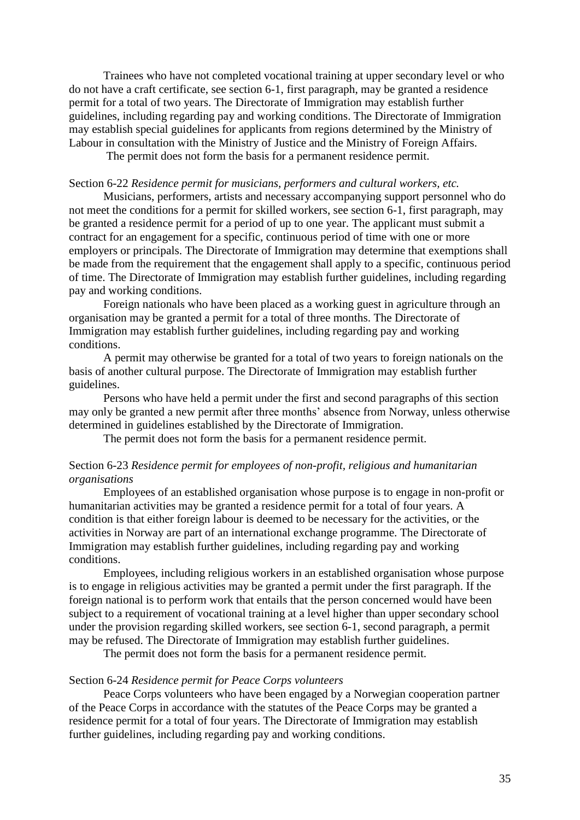Trainees who have not completed vocational training at upper secondary level or who do not have a craft certificate, see section 6-1, first paragraph, may be granted a residence permit for a total of two years. The Directorate of Immigration may establish further guidelines, including regarding pay and working conditions. The Directorate of Immigration may establish special guidelines for applicants from regions determined by the Ministry of Labour in consultation with the Ministry of Justice and the Ministry of Foreign Affairs.

The permit does not form the basis for a permanent residence permit.

#### Section 6-22 *Residence permit for musicians, performers and cultural workers, etc.*

Musicians, performers, artists and necessary accompanying support personnel who do not meet the conditions for a permit for skilled workers, see section 6-1, first paragraph, may be granted a residence permit for a period of up to one year. The applicant must submit a contract for an engagement for a specific, continuous period of time with one or more employers or principals. The Directorate of Immigration may determine that exemptions shall be made from the requirement that the engagement shall apply to a specific, continuous period of time. The Directorate of Immigration may establish further guidelines, including regarding pay and working conditions.

Foreign nationals who have been placed as a working guest in agriculture through an organisation may be granted a permit for a total of three months. The Directorate of Immigration may establish further guidelines, including regarding pay and working conditions.

A permit may otherwise be granted for a total of two years to foreign nationals on the basis of another cultural purpose. The Directorate of Immigration may establish further guidelines.

Persons who have held a permit under the first and second paragraphs of this section may only be granted a new permit after three months" absence from Norway, unless otherwise determined in guidelines established by the Directorate of Immigration.

The permit does not form the basis for a permanent residence permit.

## Section 6-23 *Residence permit for employees of non-profit, religious and humanitarian organisations*

Employees of an established organisation whose purpose is to engage in non-profit or humanitarian activities may be granted a residence permit for a total of four years. A condition is that either foreign labour is deemed to be necessary for the activities, or the activities in Norway are part of an international exchange programme. The Directorate of Immigration may establish further guidelines, including regarding pay and working conditions.

Employees, including religious workers in an established organisation whose purpose is to engage in religious activities may be granted a permit under the first paragraph. If the foreign national is to perform work that entails that the person concerned would have been subject to a requirement of vocational training at a level higher than upper secondary school under the provision regarding skilled workers, see section 6-1, second paragraph, a permit may be refused. The Directorate of Immigration may establish further guidelines.

The permit does not form the basis for a permanent residence permit.

### Section 6-24 *Residence permit for Peace Corps volunteers*

Peace Corps volunteers who have been engaged by a Norwegian cooperation partner of the Peace Corps in accordance with the statutes of the Peace Corps may be granted a residence permit for a total of four years. The Directorate of Immigration may establish further guidelines, including regarding pay and working conditions.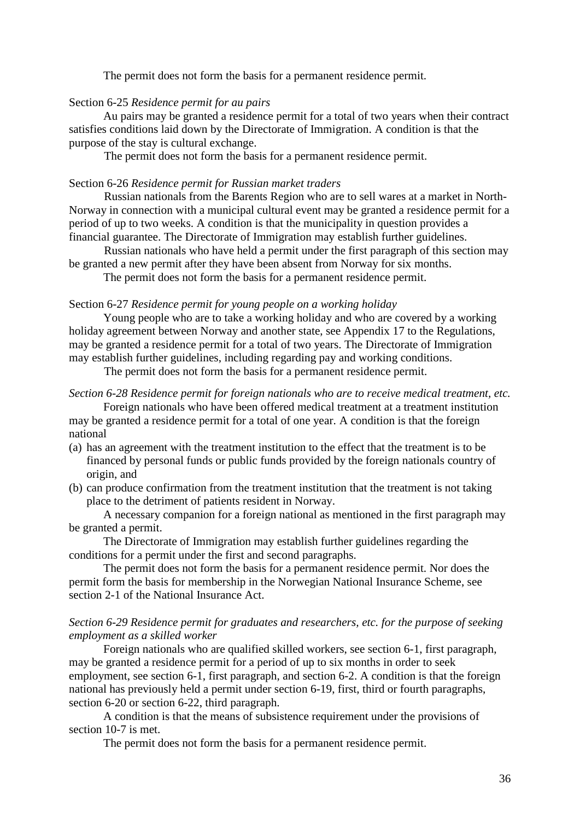The permit does not form the basis for a permanent residence permit.

## Section 6-25 *Residence permit for au pairs*

Au pairs may be granted a residence permit for a total of two years when their contract satisfies conditions laid down by the Directorate of Immigration. A condition is that the purpose of the stay is cultural exchange.

The permit does not form the basis for a permanent residence permit.

### Section 6-26 *Residence permit for Russian market traders*

Russian nationals from the Barents Region who are to sell wares at a market in North-Norway in connection with a municipal cultural event may be granted a residence permit for a period of up to two weeks. A condition is that the municipality in question provides a financial guarantee. The Directorate of Immigration may establish further guidelines.

Russian nationals who have held a permit under the first paragraph of this section may be granted a new permit after they have been absent from Norway for six months.

The permit does not form the basis for a permanent residence permit.

## Section 6-27 *Residence permit for young people on a working holiday*

Young people who are to take a working holiday and who are covered by a working holiday agreement between Norway and another state, see Appendix 17 to the Regulations, may be granted a residence permit for a total of two years. The Directorate of Immigration may establish further guidelines, including regarding pay and working conditions.

The permit does not form the basis for a permanent residence permit.

# *Section 6-28 Residence permit for foreign nationals who are to receive medical treatment, etc.*

Foreign nationals who have been offered medical treatment at a treatment institution may be granted a residence permit for a total of one year. A condition is that the foreign national

- (a) has an agreement with the treatment institution to the effect that the treatment is to be financed by personal funds or public funds provided by the foreign nationals country of origin, and
- (b) can produce confirmation from the treatment institution that the treatment is not taking place to the detriment of patients resident in Norway.

A necessary companion for a foreign national as mentioned in the first paragraph may be granted a permit.

The Directorate of Immigration may establish further guidelines regarding the conditions for a permit under the first and second paragraphs.

The permit does not form the basis for a permanent residence permit. Nor does the permit form the basis for membership in the Norwegian National Insurance Scheme, see section 2-1 of the National Insurance Act.

## *Section 6-29 Residence permit for graduates and researchers, etc. for the purpose of seeking employment as a skilled worker*

Foreign nationals who are qualified skilled workers, see section 6-1, first paragraph, may be granted a residence permit for a period of up to six months in order to seek employment, see section 6-1, first paragraph, and section 6-2. A condition is that the foreign national has previously held a permit under section 6-19, first, third or fourth paragraphs, section 6-20 or section 6-22, third paragraph.

A condition is that the means of subsistence requirement under the provisions of section 10-7 is met.

The permit does not form the basis for a permanent residence permit.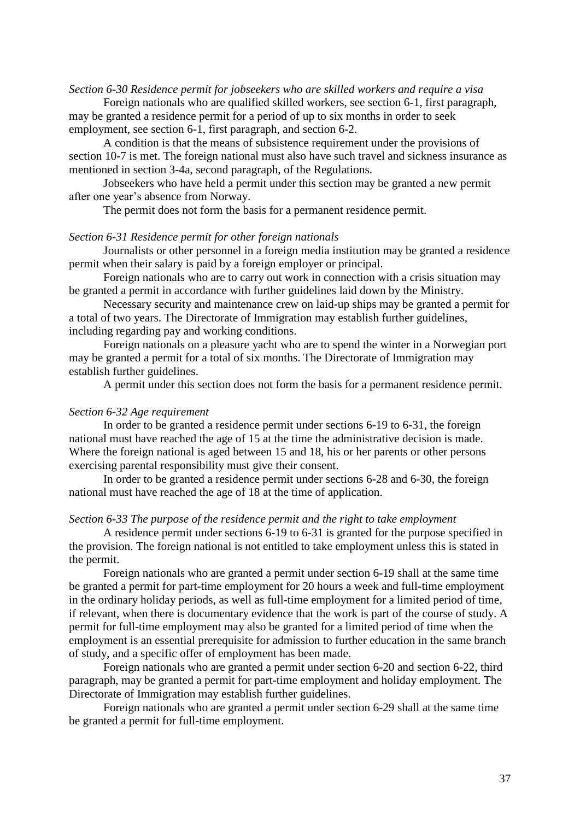#### *Section 6-30 Residence permit for jobseekers who are skilled workers and require a visa*

Foreign nationals who are qualified skilled workers, see section 6-1, first paragraph, may be granted a residence permit for a period of up to six months in order to seek employment, see section 6-1, first paragraph, and section 6-2.

A condition is that the means of subsistence requirement under the provisions of section 10-7 is met. The foreign national must also have such travel and sickness insurance as mentioned in section 3-4a, second paragraph, of the Regulations.

Jobseekers who have held a permit under this section may be granted a new permit after one year"s absence from Norway.

The permit does not form the basis for a permanent residence permit.

#### *Section 6-31 Residence permit for other foreign nationals*

Journalists or other personnel in a foreign media institution may be granted a residence permit when their salary is paid by a foreign employer or principal.

Foreign nationals who are to carry out work in connection with a crisis situation may be granted a permit in accordance with further guidelines laid down by the Ministry.

Necessary security and maintenance crew on laid-up ships may be granted a permit for a total of two years. The Directorate of Immigration may establish further guidelines, including regarding pay and working conditions.

Foreign nationals on a pleasure yacht who are to spend the winter in a Norwegian port may be granted a permit for a total of six months. The Directorate of Immigration may establish further guidelines.

A permit under this section does not form the basis for a permanent residence permit.

#### *Section 6-32 Age requirement*

In order to be granted a residence permit under sections 6-19 to 6-31, the foreign national must have reached the age of 15 at the time the administrative decision is made. Where the foreign national is aged between 15 and 18, his or her parents or other persons exercising parental responsibility must give their consent.

In order to be granted a residence permit under sections 6-28 and 6-30, the foreign national must have reached the age of 18 at the time of application.

#### *Section 6-33 The purpose of the residence permit and the right to take employment*

A residence permit under sections 6-19 to 6-31 is granted for the purpose specified in the provision. The foreign national is not entitled to take employment unless this is stated in the permit.

Foreign nationals who are granted a permit under section 6-19 shall at the same time be granted a permit for part-time employment for 20 hours a week and full-time employment in the ordinary holiday periods, as well as full-time employment for a limited period of time, if relevant, when there is documentary evidence that the work is part of the course of study. A permit for full-time employment may also be granted for a limited period of time when the employment is an essential prerequisite for admission to further education in the same branch of study, and a specific offer of employment has been made.

Foreign nationals who are granted a permit under section 6-20 and section 6-22, third paragraph, may be granted a permit for part-time employment and holiday employment. The Directorate of Immigration may establish further guidelines.

Foreign nationals who are granted a permit under section 6-29 shall at the same time be granted a permit for full-time employment.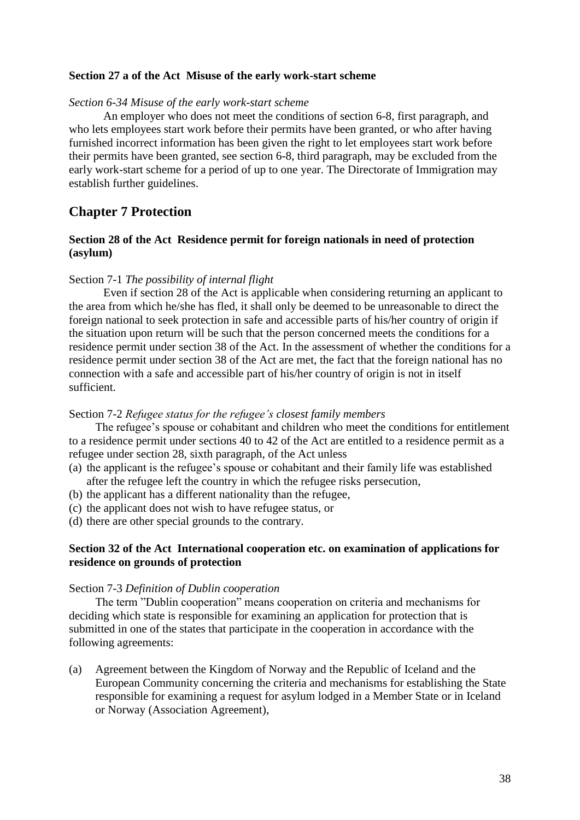#### **Section 27 a of the Act Misuse of the early work-start scheme**

#### *Section 6-34 Misuse of the early work-start scheme*

An employer who does not meet the conditions of section 6-8, first paragraph, and who lets employees start work before their permits have been granted, or who after having furnished incorrect information has been given the right to let employees start work before their permits have been granted, see section 6-8, third paragraph, may be excluded from the early work-start scheme for a period of up to one year. The Directorate of Immigration may establish further guidelines.

## **Chapter 7 Protection**

### **Section 28 of the Act Residence permit for foreign nationals in need of protection (asylum)**

#### Section 7-1 *The possibility of internal flight*

Even if section 28 of the Act is applicable when considering returning an applicant to the area from which he/she has fled, it shall only be deemed to be unreasonable to direct the foreign national to seek protection in safe and accessible parts of his/her country of origin if the situation upon return will be such that the person concerned meets the conditions for a residence permit under section 38 of the Act. In the assessment of whether the conditions for a residence permit under section 38 of the Act are met, the fact that the foreign national has no connection with a safe and accessible part of his/her country of origin is not in itself sufficient.

#### Section 7-2 *Refugee status for the refugee's closest family members*

The refugee's spouse or cohabitant and children who meet the conditions for entitlement to a residence permit under sections 40 to 42 of the Act are entitled to a residence permit as a refugee under section 28, sixth paragraph, of the Act unless

- (a) the applicant is the refugee"s spouse or cohabitant and their family life was established after the refugee left the country in which the refugee risks persecution,
- (b) the applicant has a different nationality than the refugee,
- (c) the applicant does not wish to have refugee status, or
- (d) there are other special grounds to the contrary.

#### **Section 32 of the Act International cooperation etc. on examination of applications for residence on grounds of protection**

#### Section 7-3 *Definition of Dublin cooperation*

The term "Dublin cooperation" means cooperation on criteria and mechanisms for deciding which state is responsible for examining an application for protection that is submitted in one of the states that participate in the cooperation in accordance with the following agreements:

(a) Agreement between the Kingdom of Norway and the Republic of Iceland and the European Community concerning the criteria and mechanisms for establishing the State responsible for examining a request for asylum lodged in a Member State or in Iceland or Norway (Association Agreement),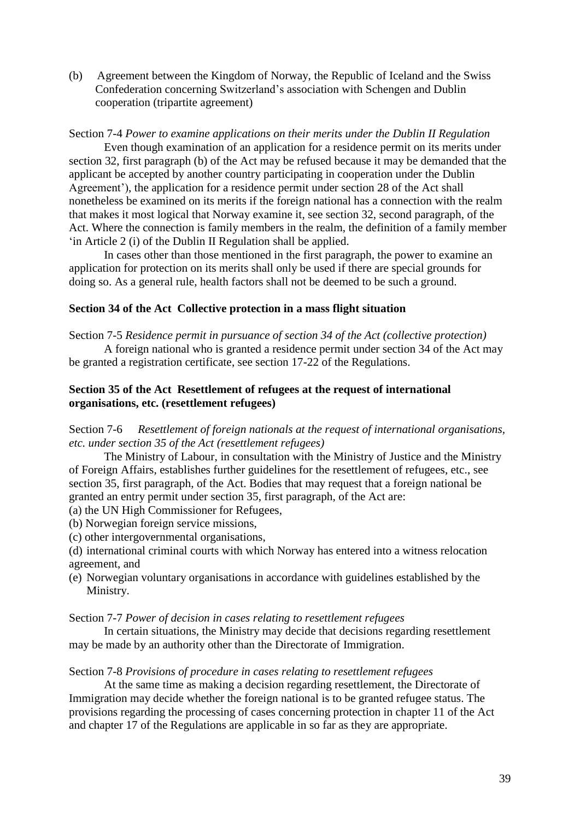(b) Agreement between the Kingdom of Norway, the Republic of Iceland and the Swiss Confederation concerning Switzerland"s association with Schengen and Dublin cooperation (tripartite agreement)

Section 7-4 *Power to examine applications on their merits under the Dublin II Regulation*

Even though examination of an application for a residence permit on its merits under section 32, first paragraph (b) of the Act may be refused because it may be demanded that the applicant be accepted by another country participating in cooperation under the Dublin Agreement'), the application for a residence permit under section 28 of the Act shall nonetheless be examined on its merits if the foreign national has a connection with the realm that makes it most logical that Norway examine it, see section 32, second paragraph, of the Act. Where the connection is family members in the realm, the definition of a family member "in Article 2 (i) of the Dublin II Regulation shall be applied.

In cases other than those mentioned in the first paragraph, the power to examine an application for protection on its merits shall only be used if there are special grounds for doing so. As a general rule, health factors shall not be deemed to be such a ground.

### **Section 34 of the Act Collective protection in a mass flight situation**

Section 7-5 *Residence permit in pursuance of section 34 of the Act (collective protection)*

A foreign national who is granted a residence permit under section 34 of the Act may be granted a registration certificate, see section 17-22 of the Regulations.

### **Section 35 of the Act Resettlement of refugees at the request of international organisations, etc. (resettlement refugees)**

Section 7-6 *Resettlement of foreign nationals at the request of international organisations, etc. under section 35 of the Act (resettlement refugees)*

The Ministry of Labour, in consultation with the Ministry of Justice and the Ministry of Foreign Affairs, establishes further guidelines for the resettlement of refugees, etc., see section 35, first paragraph, of the Act. Bodies that may request that a foreign national be granted an entry permit under section 35, first paragraph, of the Act are:

- (a) the UN High Commissioner for Refugees,
- (b) Norwegian foreign service missions,
- (c) other intergovernmental organisations,
- (d) international criminal courts with which Norway has entered into a witness relocation agreement, and
- (e) Norwegian voluntary organisations in accordance with guidelines established by the Ministry.

#### Section 7-7 *Power of decision in cases relating to resettlement refugees*

In certain situations, the Ministry may decide that decisions regarding resettlement may be made by an authority other than the Directorate of Immigration.

#### Section 7-8 *Provisions of procedure in cases relating to resettlement refugees*

At the same time as making a decision regarding resettlement, the Directorate of Immigration may decide whether the foreign national is to be granted refugee status. The provisions regarding the processing of cases concerning protection in chapter 11 of the Act and chapter 17 of the Regulations are applicable in so far as they are appropriate.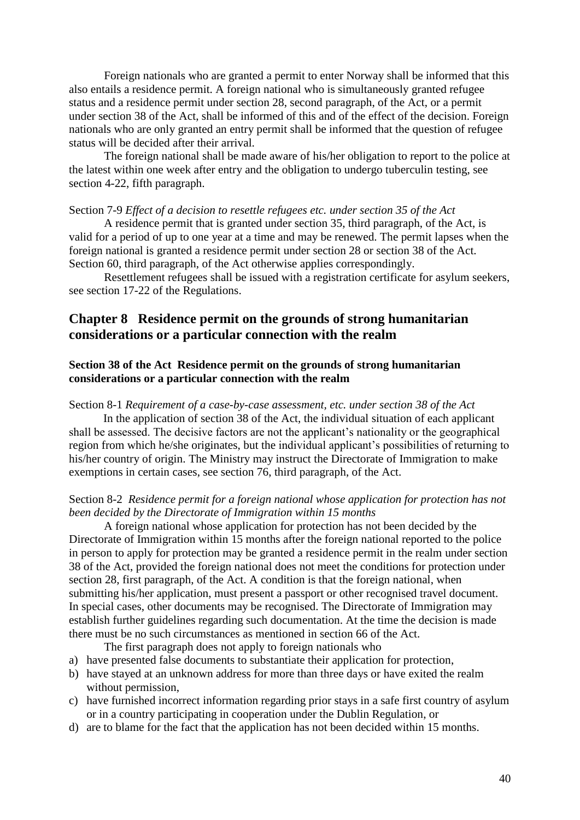Foreign nationals who are granted a permit to enter Norway shall be informed that this also entails a residence permit. A foreign national who is simultaneously granted refugee status and a residence permit under section 28, second paragraph, of the Act, or a permit under section 38 of the Act, shall be informed of this and of the effect of the decision. Foreign nationals who are only granted an entry permit shall be informed that the question of refugee status will be decided after their arrival.

The foreign national shall be made aware of his/her obligation to report to the police at the latest within one week after entry and the obligation to undergo tuberculin testing, see section 4-22, fifth paragraph.

#### Section 7-9 *Effect of a decision to resettle refugees etc. under section 35 of the Act*

A residence permit that is granted under section 35, third paragraph, of the Act, is valid for a period of up to one year at a time and may be renewed. The permit lapses when the foreign national is granted a residence permit under section 28 or section 38 of the Act. Section 60, third paragraph, of the Act otherwise applies correspondingly.

Resettlement refugees shall be issued with a registration certificate for asylum seekers, see section 17-22 of the Regulations.

## **Chapter 8 Residence permit on the grounds of strong humanitarian considerations or a particular connection with the realm**

#### **Section 38 of the Act Residence permit on the grounds of strong humanitarian considerations or a particular connection with the realm**

#### Section 8-1 *Requirement of a case-by-case assessment, etc. under section 38 of the Act*

In the application of section 38 of the Act, the individual situation of each applicant shall be assessed. The decisive factors are not the applicant's nationality or the geographical region from which he/she originates, but the individual applicant's possibilities of returning to his/her country of origin. The Ministry may instruct the Directorate of Immigration to make exemptions in certain cases, see section 76, third paragraph, of the Act.

## Section 8-2 *Residence permit for a foreign national whose application for protection has not been decided by the Directorate of Immigration within 15 months*

A foreign national whose application for protection has not been decided by the Directorate of Immigration within 15 months after the foreign national reported to the police in person to apply for protection may be granted a residence permit in the realm under section 38 of the Act, provided the foreign national does not meet the conditions for protection under section 28, first paragraph, of the Act. A condition is that the foreign national, when submitting his/her application, must present a passport or other recognised travel document. In special cases, other documents may be recognised. The Directorate of Immigration may establish further guidelines regarding such documentation. At the time the decision is made there must be no such circumstances as mentioned in section 66 of the Act.

The first paragraph does not apply to foreign nationals who

- a) have presented false documents to substantiate their application for protection,
- b) have stayed at an unknown address for more than three days or have exited the realm without permission,
- c) have furnished incorrect information regarding prior stays in a safe first country of asylum or in a country participating in cooperation under the Dublin Regulation, or
- d) are to blame for the fact that the application has not been decided within 15 months.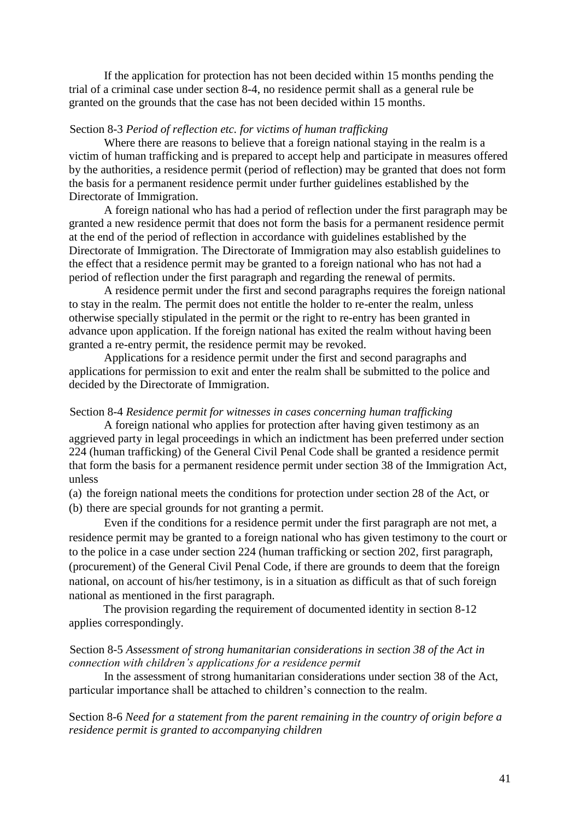If the application for protection has not been decided within 15 months pending the trial of a criminal case under section 8-4, no residence permit shall as a general rule be granted on the grounds that the case has not been decided within 15 months.

#### Section 8-3 *Period of reflection etc. for victims of human trafficking*

Where there are reasons to believe that a foreign national staying in the realm is a victim of human trafficking and is prepared to accept help and participate in measures offered by the authorities, a residence permit (period of reflection) may be granted that does not form the basis for a permanent residence permit under further guidelines established by the Directorate of Immigration.

A foreign national who has had a period of reflection under the first paragraph may be granted a new residence permit that does not form the basis for a permanent residence permit at the end of the period of reflection in accordance with guidelines established by the Directorate of Immigration. The Directorate of Immigration may also establish guidelines to the effect that a residence permit may be granted to a foreign national who has not had a period of reflection under the first paragraph and regarding the renewal of permits.

A residence permit under the first and second paragraphs requires the foreign national to stay in the realm*.* The permit does not entitle the holder to re-enter the realm, unless otherwise specially stipulated in the permit or the right to re-entry has been granted in advance upon application. If the foreign national has exited the realm without having been granted a re-entry permit, the residence permit may be revoked.

Applications for a residence permit under the first and second paragraphs and applications for permission to exit and enter the realm shall be submitted to the police and decided by the Directorate of Immigration.

#### Section 8-4 *Residence permit for witnesses in cases concerning human trafficking*

A foreign national who applies for protection after having given testimony as an aggrieved party in legal proceedings in which an indictment has been preferred under section 224 (human trafficking) of the General Civil Penal Code shall be granted a residence permit that form the basis for a permanent residence permit under section 38 of the Immigration Act, unless

- (a) the foreign national meets the conditions for protection under section 28 of the Act, or
- (b) there are special grounds for not granting a permit.

Even if the conditions for a residence permit under the first paragraph are not met, a residence permit may be granted to a foreign national who has given testimony to the court or to the police in a case under section 224 (human trafficking or section 202, first paragraph, (procurement) of the General Civil Penal Code, if there are grounds to deem that the foreign national, on account of his/her testimony, is in a situation as difficult as that of such foreign national as mentioned in the first paragraph.

The provision regarding the requirement of documented identity in section 8-12 applies correspondingly.

#### Section 8-5 *Assessment of strong humanitarian considerations in section 38 of the Act in connection with children's applications for a residence permit*

In the assessment of strong humanitarian considerations under section 38 of the Act, particular importance shall be attached to children"s connection to the realm.

Section 8-6 *Need for a statement from the parent remaining in the country of origin before a residence permit is granted to accompanying children*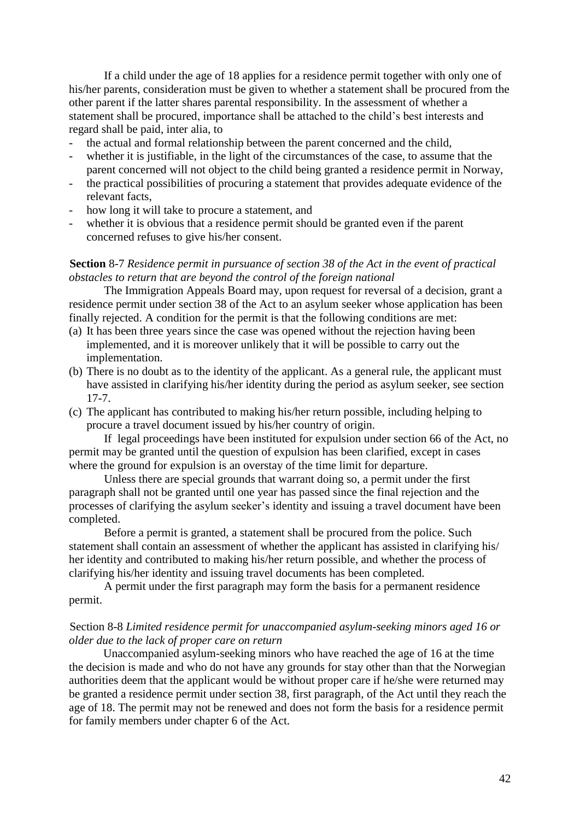If a child under the age of 18 applies for a residence permit together with only one of his/her parents, consideration must be given to whether a statement shall be procured from the other parent if the latter shares parental responsibility. In the assessment of whether a statement shall be procured, importance shall be attached to the child"s best interests and regard shall be paid, inter alia, to

- the actual and formal relationship between the parent concerned and the child,
- whether it is justifiable, in the light of the circumstances of the case, to assume that the parent concerned will not object to the child being granted a residence permit in Norway,
- the practical possibilities of procuring a statement that provides adequate evidence of the relevant facts,
- how long it will take to procure a statement, and
- whether it is obvious that a residence permit should be granted even if the parent concerned refuses to give his/her consent.

#### **Section** 8-7 *Residence permit in pursuance of section 38 of the Act in the event of practical obstacles to return that are beyond the control of the foreign national*

The Immigration Appeals Board may, upon request for reversal of a decision, grant a residence permit under section 38 of the Act to an asylum seeker whose application has been finally rejected. A condition for the permit is that the following conditions are met:

- (a) It has been three years since the case was opened without the rejection having been implemented, and it is moreover unlikely that it will be possible to carry out the implementation.
- (b) There is no doubt as to the identity of the applicant. As a general rule, the applicant must have assisted in clarifying his/her identity during the period as asylum seeker, see section 17-7.
- (c) The applicant has contributed to making his/her return possible, including helping to procure a travel document issued by his/her country of origin.

If legal proceedings have been instituted for expulsion under section 66 of the Act, no permit may be granted until the question of expulsion has been clarified, except in cases where the ground for expulsion is an overstay of the time limit for departure.

Unless there are special grounds that warrant doing so, a permit under the first paragraph shall not be granted until one year has passed since the final rejection and the processes of clarifying the asylum seeker"s identity and issuing a travel document have been completed.

Before a permit is granted, a statement shall be procured from the police. Such statement shall contain an assessment of whether the applicant has assisted in clarifying his/ her identity and contributed to making his/her return possible, and whether the process of clarifying his/her identity and issuing travel documents has been completed.

A permit under the first paragraph may form the basis for a permanent residence permit.

#### Section 8-8 *Limited residence permit for unaccompanied asylum-seeking minors aged 16 or older due to the lack of proper care on return*

Unaccompanied asylum-seeking minors who have reached the age of 16 at the time the decision is made and who do not have any grounds for stay other than that the Norwegian authorities deem that the applicant would be without proper care if he/she were returned may be granted a residence permit under section 38, first paragraph, of the Act until they reach the age of 18. The permit may not be renewed and does not form the basis for a residence permit for family members under chapter 6 of the Act.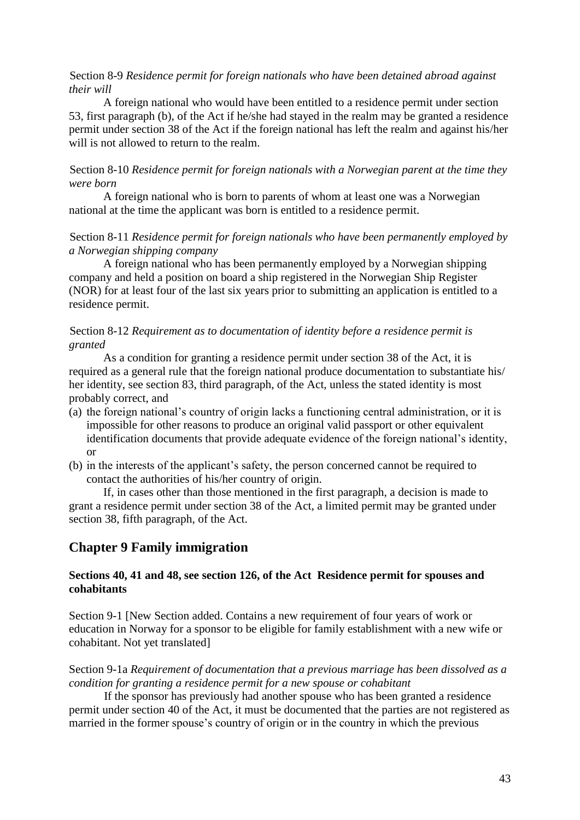#### Section 8-9 *Residence permit for foreign nationals who have been detained abroad against their will*

A foreign national who would have been entitled to a residence permit under section 53, first paragraph (b), of the Act if he/she had stayed in the realm may be granted a residence permit under section 38 of the Act if the foreign national has left the realm and against his/her will is not allowed to return to the realm.

#### Section 8-10 *Residence permit for foreign nationals with a Norwegian parent at the time they were born*

A foreign national who is born to parents of whom at least one was a Norwegian national at the time the applicant was born is entitled to a residence permit.

#### Section 8-11 *Residence permit for foreign nationals who have been permanently employed by a Norwegian shipping company*

A foreign national who has been permanently employed by a Norwegian shipping company and held a position on board a ship registered in the Norwegian Ship Register (NOR) for at least four of the last six years prior to submitting an application is entitled to a residence permit.

#### Section 8-12 *Requirement as to documentation of identity before a residence permit is granted*

As a condition for granting a residence permit under section 38 of the Act, it is required as a general rule that the foreign national produce documentation to substantiate his/ her identity, see section 83, third paragraph, of the Act, unless the stated identity is most probably correct, and

- (a) the foreign national"s country of origin lacks a functioning central administration, or it is impossible for other reasons to produce an original valid passport or other equivalent identification documents that provide adequate evidence of the foreign national's identity, or
- (b) in the interests of the applicant"s safety, the person concerned cannot be required to contact the authorities of his/her country of origin.

If, in cases other than those mentioned in the first paragraph, a decision is made to grant a residence permit under section 38 of the Act, a limited permit may be granted under section 38, fifth paragraph, of the Act.

## **Chapter 9 Family immigration**

#### **Sections 40, 41 and 48, see section 126, of the Act Residence permit for spouses and cohabitants**

Section 9-1 [New Section added. Contains a new requirement of four years of work or education in Norway for a sponsor to be eligible for family establishment with a new wife or cohabitant. Not yet translated]

Section 9-1a *Requirement of documentation that a previous marriage has been dissolved as a condition for granting a residence permit for a new spouse or cohabitant*

If the sponsor has previously had another spouse who has been granted a residence permit under section 40 of the Act, it must be documented that the parties are not registered as married in the former spouse's country of origin or in the country in which the previous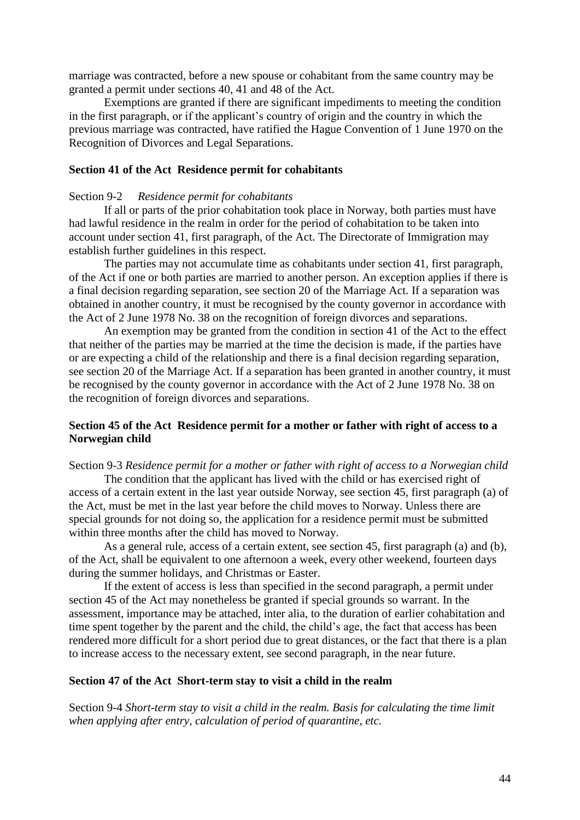marriage was contracted, before a new spouse or cohabitant from the same country may be granted a permit under sections 40, 41 and 48 of the Act.

Exemptions are granted if there are significant impediments to meeting the condition in the first paragraph, or if the applicant"s country of origin and the country in which the previous marriage was contracted, have ratified the Hague Convention of 1 June 1970 on the Recognition of Divorces and Legal Separations.

#### **Section 41 of the Act Residence permit for cohabitants**

#### Section 9-2 *Residence permit for cohabitants*

If all or parts of the prior cohabitation took place in Norway, both parties must have had lawful residence in the realm in order for the period of cohabitation to be taken into account under section 41, first paragraph, of the Act. The Directorate of Immigration may establish further guidelines in this respect.

The parties may not accumulate time as cohabitants under section 41, first paragraph, of the Act if one or both parties are married to another person. An exception applies if there is a final decision regarding separation, see section 20 of the Marriage Act. If a separation was obtained in another country, it must be recognised by the county governor in accordance with the Act of 2 June 1978 No. 38 on the recognition of foreign divorces and separations.

An exemption may be granted from the condition in section 41 of the Act to the effect that neither of the parties may be married at the time the decision is made, if the parties have or are expecting a child of the relationship and there is a final decision regarding separation, see section 20 of the Marriage Act. If a separation has been granted in another country, it must be recognised by the county governor in accordance with the Act of 2 June 1978 No. 38 on the recognition of foreign divorces and separations.

#### **Section 45 of the Act Residence permit for a mother or father with right of access to a Norwegian child**

## Section 9-3 *Residence permit for a mother or father with right of access to a Norwegian child*

The condition that the applicant has lived with the child or has exercised right of access of a certain extent in the last year outside Norway, see section 45, first paragraph (a) of the Act, must be met in the last year before the child moves to Norway. Unless there are special grounds for not doing so, the application for a residence permit must be submitted within three months after the child has moved to Norway.

As a general rule, access of a certain extent, see section 45, first paragraph (a) and (b), of the Act, shall be equivalent to one afternoon a week, every other weekend, fourteen days during the summer holidays, and Christmas or Easter.

If the extent of access is less than specified in the second paragraph, a permit under section 45 of the Act may nonetheless be granted if special grounds so warrant. In the assessment, importance may be attached, inter alia, to the duration of earlier cohabitation and time spent together by the parent and the child, the child's age, the fact that access has been rendered more difficult for a short period due to great distances, or the fact that there is a plan to increase access to the necessary extent, see second paragraph, in the near future.

#### **Section 47 of the Act Short-term stay to visit a child in the realm**

Section 9-4 *Short-term stay to visit a child in the realm. Basis for calculating the time limit when applying after entry, calculation of period of quarantine, etc.*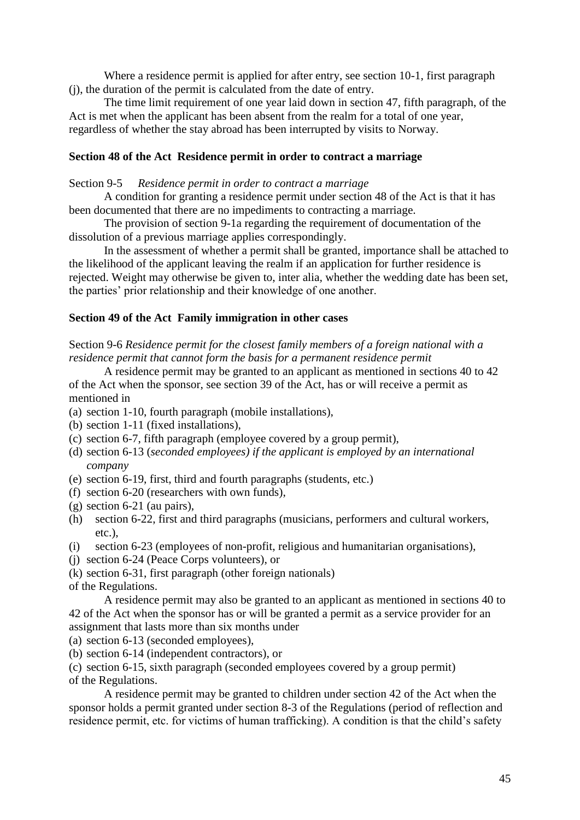Where a residence permit is applied for after entry, see section 10-1, first paragraph (j), the duration of the permit is calculated from the date of entry.

The time limit requirement of one year laid down in section 47, fifth paragraph, of the Act is met when the applicant has been absent from the realm for a total of one year, regardless of whether the stay abroad has been interrupted by visits to Norway.

#### **Section 48 of the Act Residence permit in order to contract a marriage**

#### Section 9-5 *Residence permit in order to contract a marriage*

A condition for granting a residence permit under section 48 of the Act is that it has been documented that there are no impediments to contracting a marriage.

The provision of section 9-1a regarding the requirement of documentation of the dissolution of a previous marriage applies correspondingly.

In the assessment of whether a permit shall be granted, importance shall be attached to the likelihood of the applicant leaving the realm if an application for further residence is rejected. Weight may otherwise be given to, inter alia*,* whether the wedding date has been set, the parties" prior relationship and their knowledge of one another.

#### **Section 49 of the Act Family immigration in other cases**

Section 9-6 *Residence permit for the closest family members of a foreign national with a residence permit that cannot form the basis for a permanent residence permit*

A residence permit may be granted to an applicant as mentioned in sections 40 to 42 of the Act when the sponsor, see section 39 of the Act, has or will receive a permit as mentioned in

- (a) section 1-10, fourth paragraph (mobile installations),
- (b) section 1-11 (fixed installations),
- (c) section 6-7, fifth paragraph (employee covered by a group permit),
- (d) section 6-13 (*seconded employees) if the applicant is employed by an international company*
- (e) section 6-19, first, third and fourth paragraphs (students, etc.)
- (f) section 6-20 (researchers with own funds),
- (g) section 6-21 (au pairs),
- (h) section 6-22, first and third paragraphs (musicians, performers and cultural workers, etc.),
- (i) section 6-23 (employees of non-profit, religious and humanitarian organisations),
- (j) section 6-24 (Peace Corps volunteers), or

(k) section 6-31, first paragraph (other foreign nationals)

of the Regulations.

A residence permit may also be granted to an applicant as mentioned in sections 40 to 42 of the Act when the sponsor has or will be granted a permit as a service provider for an assignment that lasts more than six months under

- (a) section 6-13 (seconded employees),
- (b) section 6-14 (independent contractors), or

(c) section 6-15, sixth paragraph (seconded employees covered by a group permit) of the Regulations.

A residence permit may be granted to children under section 42 of the Act when the sponsor holds a permit granted under section 8-3 of the Regulations (period of reflection and residence permit, etc. for victims of human trafficking). A condition is that the child"s safety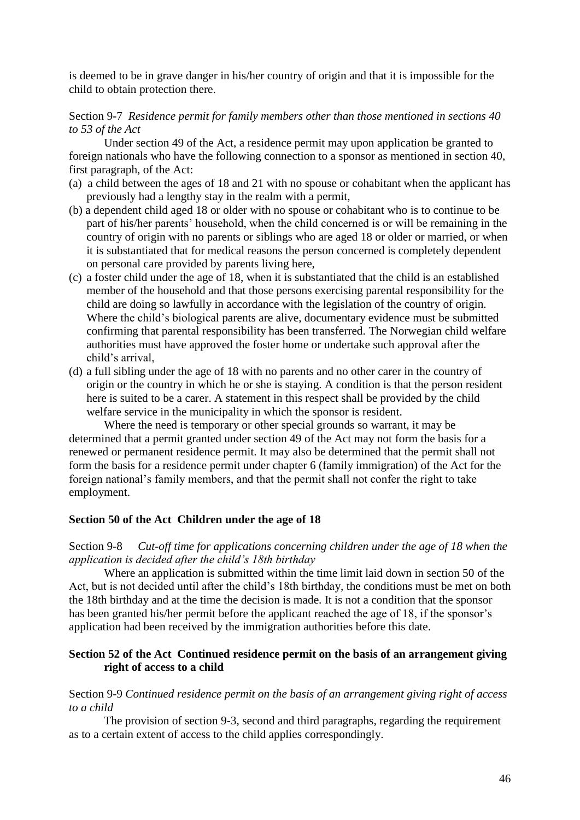is deemed to be in grave danger in his/her country of origin and that it is impossible for the child to obtain protection there.

### Section 9-7 *Residence permit for family members other than those mentioned in sections 40 to 53 of the Act*

Under section 49 of the Act, a residence permit may upon application be granted to foreign nationals who have the following connection to a sponsor as mentioned in section 40, first paragraph, of the Act:

- (a) a child between the ages of 18 and 21 with no spouse or cohabitant when the applicant has previously had a lengthy stay in the realm with a permit,
- (b) a dependent child aged 18 or older with no spouse or cohabitant who is to continue to be part of his/her parents' household, when the child concerned is or will be remaining in the country of origin with no parents or siblings who are aged 18 or older or married, or when it is substantiated that for medical reasons the person concerned is completely dependent on personal care provided by parents living here,
- (c) a foster child under the age of 18, when it is substantiated that the child is an established member of the household and that those persons exercising parental responsibility for the child are doing so lawfully in accordance with the legislation of the country of origin. Where the child"s biological parents are alive, documentary evidence must be submitted confirming that parental responsibility has been transferred. The Norwegian child welfare authorities must have approved the foster home or undertake such approval after the child"s arrival,
- (d) a full sibling under the age of 18 with no parents and no other carer in the country of origin or the country in which he or she is staying. A condition is that the person resident here is suited to be a carer. A statement in this respect shall be provided by the child welfare service in the municipality in which the sponsor is resident.

Where the need is temporary or other special grounds so warrant, it may be determined that a permit granted under section 49 of the Act may not form the basis for a renewed or permanent residence permit. It may also be determined that the permit shall not form the basis for a residence permit under chapter 6 (family immigration) of the Act for the foreign national"s family members, and that the permit shall not confer the right to take employment.

### **Section 50 of the Act Children under the age of 18**

Section 9-8 *Cut-off time for applications concerning children under the age of 18 when the application is decided after the child's 18th birthday*

Where an application is submitted within the time limit laid down in section 50 of the Act, but is not decided until after the child"s 18th birthday, the conditions must be met on both the 18th birthday and at the time the decision is made. It is not a condition that the sponsor has been granted his/her permit before the applicant reached the age of 18, if the sponsor's application had been received by the immigration authorities before this date.

#### **Section 52 of the Act Continued residence permit on the basis of an arrangement giving right of access to a child**

Section 9-9 *Continued residence permit on the basis of an arrangement giving right of access to a child*

The provision of section 9-3, second and third paragraphs, regarding the requirement as to a certain extent of access to the child applies correspondingly.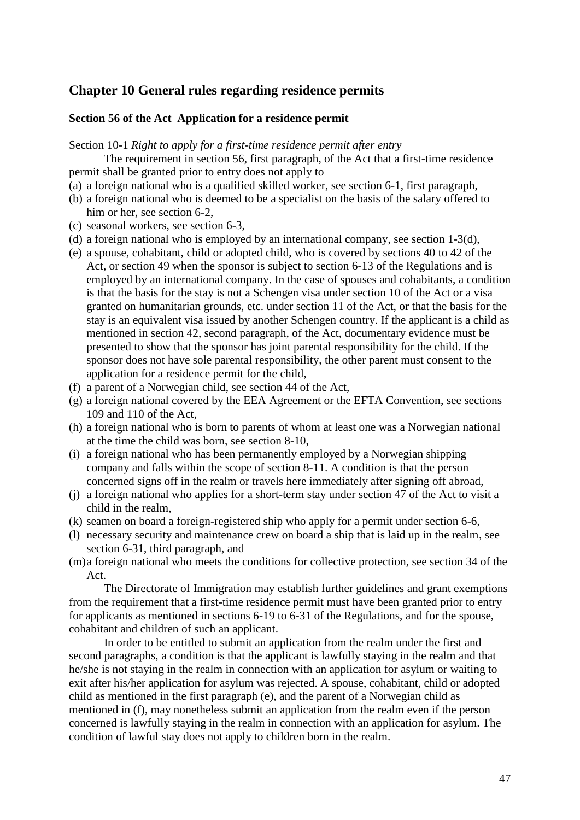## **Chapter 10 General rules regarding residence permits**

#### **Section 56 of the Act Application for a residence permit**

Section 10-1 *Right to apply for a first-time residence permit after entry*

The requirement in section 56, first paragraph, of the Act that a first-time residence permit shall be granted prior to entry does not apply to

- (a) a foreign national who is a qualified skilled worker, see section 6-1, first paragraph,
- (b) a foreign national who is deemed to be a specialist on the basis of the salary offered to him or her, see section 6-2.
- (c) seasonal workers, see section 6-3,
- (d) a foreign national who is employed by an international company, see section 1-3(d),
- (e) a spouse, cohabitant, child or adopted child, who is covered by sections 40 to 42 of the Act, or section 49 when the sponsor is subject to section 6-13 of the Regulations and is employed by an international company. In the case of spouses and cohabitants, a condition is that the basis for the stay is not a Schengen visa under section 10 of the Act or a visa granted on humanitarian grounds, etc. under section 11 of the Act, or that the basis for the stay is an equivalent visa issued by another Schengen country. If the applicant is a child as mentioned in section 42, second paragraph, of the Act, documentary evidence must be presented to show that the sponsor has joint parental responsibility for the child. If the sponsor does not have sole parental responsibility, the other parent must consent to the application for a residence permit for the child,
- (f) a parent of a Norwegian child, see section 44 of the Act,
- (g) a foreign national covered by the EEA Agreement or the EFTA Convention, see sections 109 and 110 of the Act,
- (h) a foreign national who is born to parents of whom at least one was a Norwegian national at the time the child was born, see section 8-10,
- (i) a foreign national who has been permanently employed by a Norwegian shipping company and falls within the scope of section 8-11. A condition is that the person concerned signs off in the realm or travels here immediately after signing off abroad,
- (j) a foreign national who applies for a short-term stay under section 47 of the Act to visit a child in the realm,
- (k) seamen on board a foreign-registered ship who apply for a permit under section 6-6,
- (l) necessary security and maintenance crew on board a ship that is laid up in the realm, see section 6-31, third paragraph, and
- (m)a foreign national who meets the conditions for collective protection, see section 34 of the Act.

The Directorate of Immigration may establish further guidelines and grant exemptions from the requirement that a first-time residence permit must have been granted prior to entry for applicants as mentioned in sections 6-19 to 6-31 of the Regulations, and for the spouse, cohabitant and children of such an applicant.

In order to be entitled to submit an application from the realm under the first and second paragraphs, a condition is that the applicant is lawfully staying in the realm and that he/she is not staying in the realm in connection with an application for asylum or waiting to exit after his/her application for asylum was rejected. A spouse, cohabitant, child or adopted child as mentioned in the first paragraph (e), and the parent of a Norwegian child as mentioned in (f), may nonetheless submit an application from the realm even if the person concerned is lawfully staying in the realm in connection with an application for asylum. The condition of lawful stay does not apply to children born in the realm.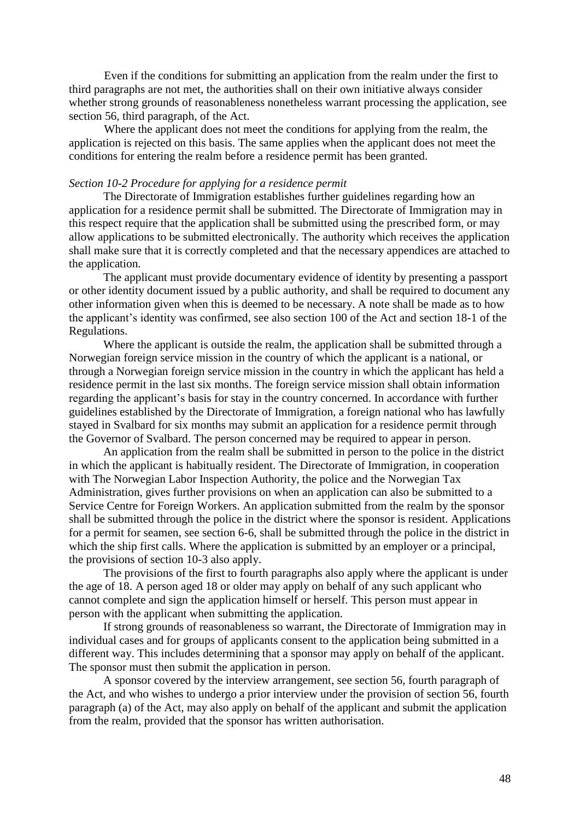Even if the conditions for submitting an application from the realm under the first to third paragraphs are not met, the authorities shall on their own initiative always consider whether strong grounds of reasonableness nonetheless warrant processing the application, see section 56, third paragraph, of the Act.

Where the applicant does not meet the conditions for applying from the realm, the application is rejected on this basis. The same applies when the applicant does not meet the conditions for entering the realm before a residence permit has been granted.

#### *Section 10-2 Procedure for applying for a residence permit*

The Directorate of Immigration establishes further guidelines regarding how an application for a residence permit shall be submitted. The Directorate of Immigration may in this respect require that the application shall be submitted using the prescribed form, or may allow applications to be submitted electronically. The authority which receives the application shall make sure that it is correctly completed and that the necessary appendices are attached to the application.

The applicant must provide documentary evidence of identity by presenting a passport or other identity document issued by a public authority, and shall be required to document any other information given when this is deemed to be necessary. A note shall be made as to how the applicant"s identity was confirmed, see also section 100 of the Act and section 18-1 of the Regulations.

Where the applicant is outside the realm, the application shall be submitted through a Norwegian foreign service mission in the country of which the applicant is a national, or through a Norwegian foreign service mission in the country in which the applicant has held a residence permit in the last six months. The foreign service mission shall obtain information regarding the applicant"s basis for stay in the country concerned. In accordance with further guidelines established by the Directorate of Immigration, a foreign national who has lawfully stayed in Svalbard for six months may submit an application for a residence permit through the Governor of Svalbard. The person concerned may be required to appear in person.

An application from the realm shall be submitted in person to the police in the district in which the applicant is habitually resident. The Directorate of Immigration, in cooperation with The Norwegian Labor Inspection Authority, the police and the Norwegian Tax Administration, gives further provisions on when an application can also be submitted to a Service Centre for Foreign Workers. An application submitted from the realm by the sponsor shall be submitted through the police in the district where the sponsor is resident. Applications for a permit for seamen, see section 6-6, shall be submitted through the police in the district in which the ship first calls. Where the application is submitted by an employer or a principal, the provisions of section 10-3 also apply.

The provisions of the first to fourth paragraphs also apply where the applicant is under the age of 18. A person aged 18 or older may apply on behalf of any such applicant who cannot complete and sign the application himself or herself. This person must appear in person with the applicant when submitting the application.

If strong grounds of reasonableness so warrant, the Directorate of Immigration may in individual cases and for groups of applicants consent to the application being submitted in a different way. This includes determining that a sponsor may apply on behalf of the applicant. The sponsor must then submit the application in person.

A sponsor covered by the interview arrangement, see section 56, fourth paragraph of the Act, and who wishes to undergo a prior interview under the provision of section 56, fourth paragraph (a) of the Act, may also apply on behalf of the applicant and submit the application from the realm, provided that the sponsor has written authorisation.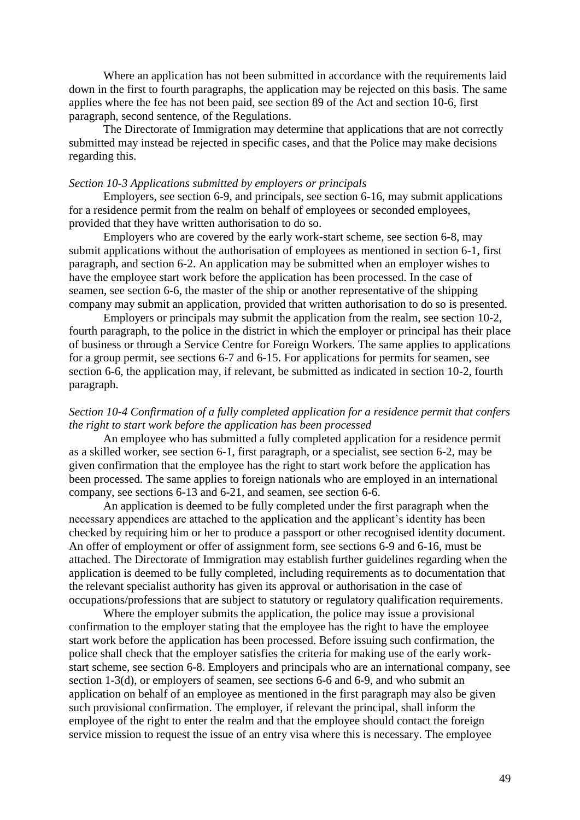Where an application has not been submitted in accordance with the requirements laid down in the first to fourth paragraphs, the application may be rejected on this basis. The same applies where the fee has not been paid, see section 89 of the Act and section 10-6, first paragraph, second sentence, of the Regulations.

The Directorate of Immigration may determine that applications that are not correctly submitted may instead be rejected in specific cases, and that the Police may make decisions regarding this.

#### *Section 10-3 Applications submitted by employers or principals*

Employers, see section 6-9, and principals, see section 6-16, may submit applications for a residence permit from the realm on behalf of employees or seconded employees, provided that they have written authorisation to do so.

Employers who are covered by the early work-start scheme, see section 6-8, may submit applications without the authorisation of employees as mentioned in section 6-1, first paragraph, and section 6-2. An application may be submitted when an employer wishes to have the employee start work before the application has been processed. In the case of seamen, see section 6-6, the master of the ship or another representative of the shipping company may submit an application, provided that written authorisation to do so is presented.

Employers or principals may submit the application from the realm, see section 10-2, fourth paragraph, to the police in the district in which the employer or principal has their place of business or through a Service Centre for Foreign Workers. The same applies to applications for a group permit, see sections 6-7 and 6-15. For applications for permits for seamen, see section 6-6, the application may, if relevant, be submitted as indicated in section 10-2, fourth paragraph.

### *Section 10-4 Confirmation of a fully completed application for a residence permit that confers the right to start work before the application has been processed*

An employee who has submitted a fully completed application for a residence permit as a skilled worker, see section 6-1, first paragraph, or a specialist, see section 6-2, may be given confirmation that the employee has the right to start work before the application has been processed. The same applies to foreign nationals who are employed in an international company, see sections 6-13 and 6-21, and seamen, see section 6-6.

An application is deemed to be fully completed under the first paragraph when the necessary appendices are attached to the application and the applicant's identity has been checked by requiring him or her to produce a passport or other recognised identity document. An offer of employment or offer of assignment form, see sections 6-9 and 6-16, must be attached. The Directorate of Immigration may establish further guidelines regarding when the application is deemed to be fully completed, including requirements as to documentation that the relevant specialist authority has given its approval or authorisation in the case of occupations/professions that are subject to statutory or regulatory qualification requirements.

Where the employer submits the application, the police may issue a provisional confirmation to the employer stating that the employee has the right to have the employee start work before the application has been processed. Before issuing such confirmation, the police shall check that the employer satisfies the criteria for making use of the early workstart scheme, see section 6-8. Employers and principals who are an international company, see section 1-3(d), or employers of seamen, see sections 6-6 and 6-9, and who submit an application on behalf of an employee as mentioned in the first paragraph may also be given such provisional confirmation. The employer, if relevant the principal, shall inform the employee of the right to enter the realm and that the employee should contact the foreign service mission to request the issue of an entry visa where this is necessary. The employee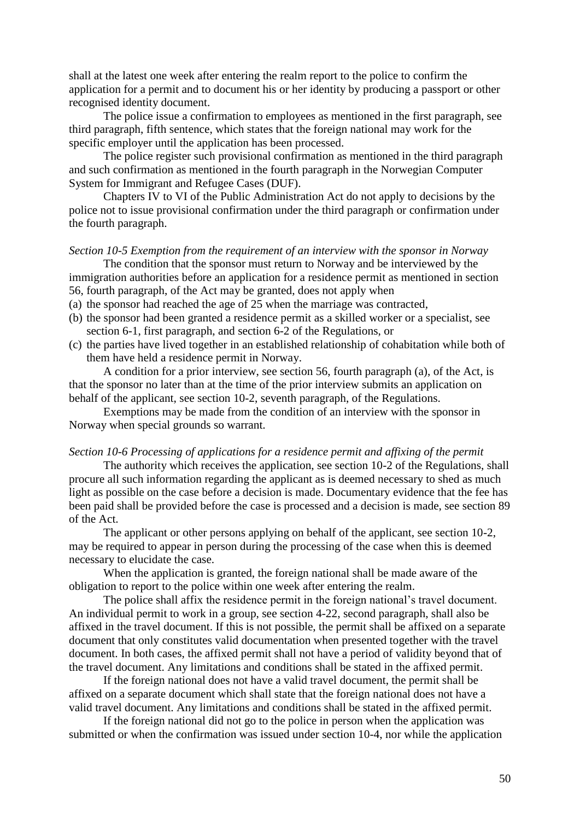shall at the latest one week after entering the realm report to the police to confirm the application for a permit and to document his or her identity by producing a passport or other recognised identity document.

The police issue a confirmation to employees as mentioned in the first paragraph, see third paragraph, fifth sentence, which states that the foreign national may work for the specific employer until the application has been processed.

The police register such provisional confirmation as mentioned in the third paragraph and such confirmation as mentioned in the fourth paragraph in the Norwegian Computer System for Immigrant and Refugee Cases (DUF).

Chapters IV to VI of the Public Administration Act do not apply to decisions by the police not to issue provisional confirmation under the third paragraph or confirmation under the fourth paragraph.

#### *Section 10-5 Exemption from the requirement of an interview with the sponsor in Norway*

The condition that the sponsor must return to Norway and be interviewed by the immigration authorities before an application for a residence permit as mentioned in section 56, fourth paragraph, of the Act may be granted, does not apply when

- (a) the sponsor had reached the age of 25 when the marriage was contracted,
- (b) the sponsor had been granted a residence permit as a skilled worker or a specialist, see section 6-1, first paragraph, and section 6-2 of the Regulations, or
- (c) the parties have lived together in an established relationship of cohabitation while both of them have held a residence permit in Norway.

A condition for a prior interview, see section 56, fourth paragraph (a), of the Act, is that the sponsor no later than at the time of the prior interview submits an application on behalf of the applicant, see section 10-2, seventh paragraph, of the Regulations.

Exemptions may be made from the condition of an interview with the sponsor in Norway when special grounds so warrant.

#### *Section 10-6 Processing of applications for a residence permit and affixing of the permit*

The authority which receives the application, see section 10-2 of the Regulations, shall procure all such information regarding the applicant as is deemed necessary to shed as much light as possible on the case before a decision is made. Documentary evidence that the fee has been paid shall be provided before the case is processed and a decision is made, see section 89 of the Act.

The applicant or other persons applying on behalf of the applicant, see section 10-2, may be required to appear in person during the processing of the case when this is deemed necessary to elucidate the case.

When the application is granted, the foreign national shall be made aware of the obligation to report to the police within one week after entering the realm.

The police shall affix the residence permit in the foreign national"s travel document. An individual permit to work in a group, see section 4-22, second paragraph, shall also be affixed in the travel document. If this is not possible, the permit shall be affixed on a separate document that only constitutes valid documentation when presented together with the travel document. In both cases, the affixed permit shall not have a period of validity beyond that of the travel document. Any limitations and conditions shall be stated in the affixed permit.

If the foreign national does not have a valid travel document, the permit shall be affixed on a separate document which shall state that the foreign national does not have a valid travel document. Any limitations and conditions shall be stated in the affixed permit.

If the foreign national did not go to the police in person when the application was submitted or when the confirmation was issued under section 10-4, nor while the application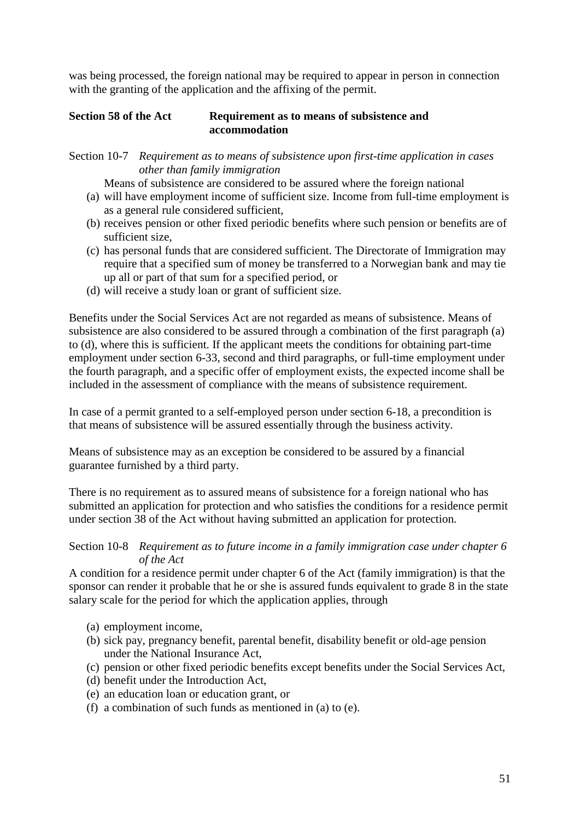was being processed, the foreign national may be required to appear in person in connection with the granting of the application and the affixing of the permit.

### **Section 58 of the Act Requirement as to means of subsistence and accommodation**

Section 10-7 *Requirement as to means of subsistence upon first-time application in cases other than family immigration*

Means of subsistence are considered to be assured where the foreign national

- (a) will have employment income of sufficient size. Income from full-time employment is as a general rule considered sufficient,
- (b) receives pension or other fixed periodic benefits where such pension or benefits are of sufficient size,
- (c) has personal funds that are considered sufficient. The Directorate of Immigration may require that a specified sum of money be transferred to a Norwegian bank and may tie up all or part of that sum for a specified period, or
- (d) will receive a study loan or grant of sufficient size.

Benefits under the Social Services Act are not regarded as means of subsistence. Means of subsistence are also considered to be assured through a combination of the first paragraph (a) to (d), where this is sufficient. If the applicant meets the conditions for obtaining part-time employment under section 6-33, second and third paragraphs, or full-time employment under the fourth paragraph, and a specific offer of employment exists, the expected income shall be included in the assessment of compliance with the means of subsistence requirement.

In case of a permit granted to a self-employed person under section 6-18, a precondition is that means of subsistence will be assured essentially through the business activity.

Means of subsistence may as an exception be considered to be assured by a financial guarantee furnished by a third party.

There is no requirement as to assured means of subsistence for a foreign national who has submitted an application for protection and who satisfies the conditions for a residence permit under section 38 of the Act without having submitted an application for protection.

#### Section 10-8 *Requirement as to future income in a family immigration case under chapter 6 of the Act*

A condition for a residence permit under chapter 6 of the Act (family immigration) is that the sponsor can render it probable that he or she is assured funds equivalent to grade 8 in the state salary scale for the period for which the application applies, through

- (a) employment income,
- (b) sick pay, pregnancy benefit, parental benefit, disability benefit or old-age pension under the National Insurance Act,
- (c) pension or other fixed periodic benefits except benefits under the Social Services Act,
- (d) benefit under the Introduction Act,
- (e) an education loan or education grant, or
- (f) a combination of such funds as mentioned in (a) to (e).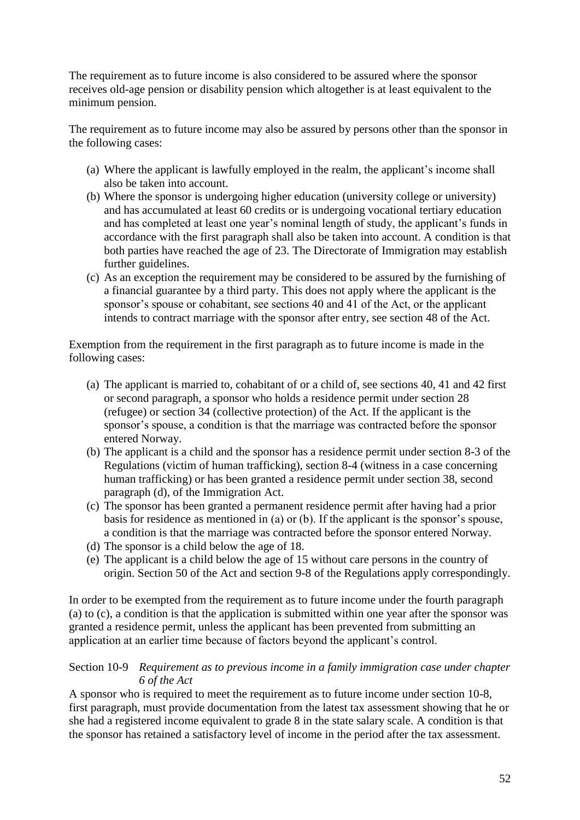The requirement as to future income is also considered to be assured where the sponsor receives old-age pension or disability pension which altogether is at least equivalent to the minimum pension.

The requirement as to future income may also be assured by persons other than the sponsor in the following cases:

- (a) Where the applicant is lawfully employed in the realm, the applicant's income shall also be taken into account.
- (b) Where the sponsor is undergoing higher education (university college or university) and has accumulated at least 60 credits or is undergoing vocational tertiary education and has completed at least one year's nominal length of study, the applicant's funds in accordance with the first paragraph shall also be taken into account. A condition is that both parties have reached the age of 23. The Directorate of Immigration may establish further guidelines.
- (c) As an exception the requirement may be considered to be assured by the furnishing of a financial guarantee by a third party. This does not apply where the applicant is the sponsor's spouse or cohabitant, see sections 40 and 41 of the Act, or the applicant intends to contract marriage with the sponsor after entry, see section 48 of the Act.

Exemption from the requirement in the first paragraph as to future income is made in the following cases:

- (a) The applicant is married to, cohabitant of or a child of, see sections 40, 41 and 42 first or second paragraph, a sponsor who holds a residence permit under section 28 (refugee) or section 34 (collective protection) of the Act. If the applicant is the sponsor's spouse, a condition is that the marriage was contracted before the sponsor entered Norway.
- (b) The applicant is a child and the sponsor has a residence permit under section 8-3 of the Regulations (victim of human trafficking), section 8-4 (witness in a case concerning human trafficking) or has been granted a residence permit under section 38, second paragraph (d), of the Immigration Act.
- (c) The sponsor has been granted a permanent residence permit after having had a prior basis for residence as mentioned in (a) or (b). If the applicant is the sponsor's spouse, a condition is that the marriage was contracted before the sponsor entered Norway.
- (d) The sponsor is a child below the age of 18.
- (e) The applicant is a child below the age of 15 without care persons in the country of origin. Section 50 of the Act and section 9-8 of the Regulations apply correspondingly.

In order to be exempted from the requirement as to future income under the fourth paragraph (a) to (c), a condition is that the application is submitted within one year after the sponsor was granted a residence permit, unless the applicant has been prevented from submitting an application at an earlier time because of factors beyond the applicant"s control.

### Section 10-9 *Requirement as to previous income in a family immigration case under chapter 6 of the Act*

A sponsor who is required to meet the requirement as to future income under section 10-8, first paragraph, must provide documentation from the latest tax assessment showing that he or she had a registered income equivalent to grade 8 in the state salary scale. A condition is that the sponsor has retained a satisfactory level of income in the period after the tax assessment.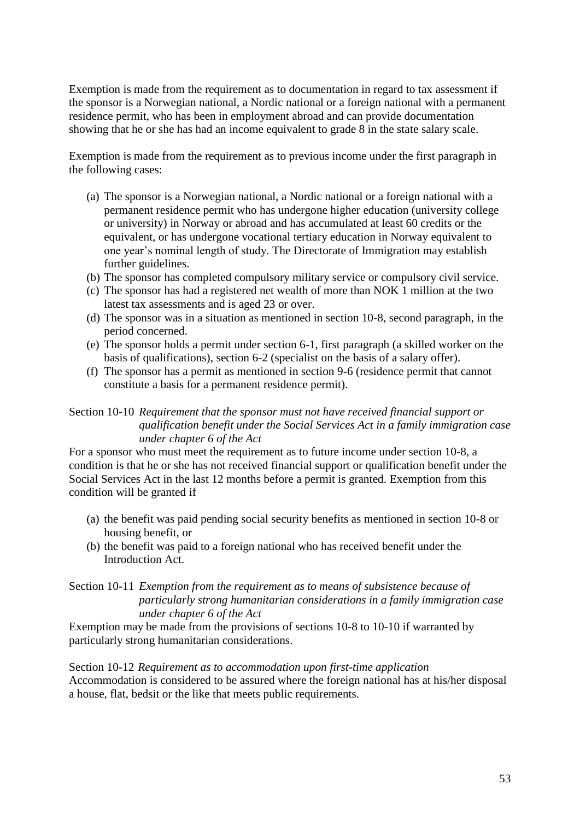Exemption is made from the requirement as to documentation in regard to tax assessment if the sponsor is a Norwegian national, a Nordic national or a foreign national with a permanent residence permit, who has been in employment abroad and can provide documentation showing that he or she has had an income equivalent to grade 8 in the state salary scale.

Exemption is made from the requirement as to previous income under the first paragraph in the following cases:

- (a) The sponsor is a Norwegian national, a Nordic national or a foreign national with a permanent residence permit who has undergone higher education (university college or university) in Norway or abroad and has accumulated at least 60 credits or the equivalent, or has undergone vocational tertiary education in Norway equivalent to one year"s nominal length of study. The Directorate of Immigration may establish further guidelines.
- (b) The sponsor has completed compulsory military service or compulsory civil service.
- (c) The sponsor has had a registered net wealth of more than NOK 1 million at the two latest tax assessments and is aged 23 or over.
- (d) The sponsor was in a situation as mentioned in section 10-8, second paragraph, in the period concerned.
- (e) The sponsor holds a permit under section 6-1, first paragraph (a skilled worker on the basis of qualifications), section 6-2 (specialist on the basis of a salary offer).
- (f) The sponsor has a permit as mentioned in section 9-6 (residence permit that cannot constitute a basis for a permanent residence permit).

Section 10-10 *Requirement that the sponsor must not have received financial support or qualification benefit under the Social Services Act in a family immigration case under chapter 6 of the Act*

For a sponsor who must meet the requirement as to future income under section 10-8, a condition is that he or she has not received financial support or qualification benefit under the Social Services Act in the last 12 months before a permit is granted. Exemption from this condition will be granted if

- (a) the benefit was paid pending social security benefits as mentioned in section 10-8 or housing benefit, or
- (b) the benefit was paid to a foreign national who has received benefit under the Introduction Act.

### Section 10-11 *Exemption from the requirement as to means of subsistence because of particularly strong humanitarian considerations in a family immigration case under chapter 6 of the Act*

Exemption may be made from the provisions of sections 10-8 to 10-10 if warranted by particularly strong humanitarian considerations.

Section 10-12 *Requirement as to accommodation upon first-time application* Accommodation is considered to be assured where the foreign national has at his/her disposal a house, flat, bedsit or the like that meets public requirements.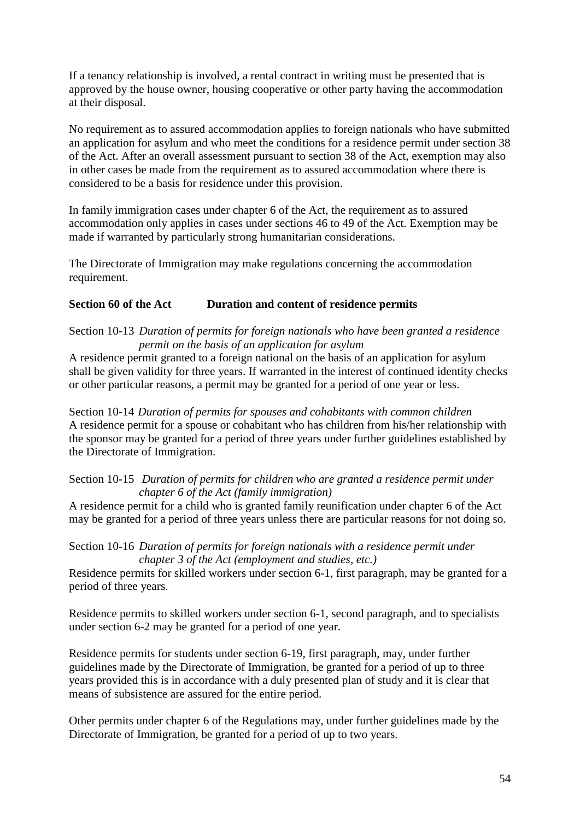If a tenancy relationship is involved, a rental contract in writing must be presented that is approved by the house owner, housing cooperative or other party having the accommodation at their disposal.

No requirement as to assured accommodation applies to foreign nationals who have submitted an application for asylum and who meet the conditions for a residence permit under section 38 of the Act. After an overall assessment pursuant to section 38 of the Act, exemption may also in other cases be made from the requirement as to assured accommodation where there is considered to be a basis for residence under this provision.

In family immigration cases under chapter 6 of the Act, the requirement as to assured accommodation only applies in cases under sections 46 to 49 of the Act. Exemption may be made if warranted by particularly strong humanitarian considerations.

The Directorate of Immigration may make regulations concerning the accommodation requirement.

## **Section 60 of the Act Duration and content of residence permits**

### Section 10-13 *Duration of permits for foreign nationals who have been granted a residence permit on the basis of an application for asylum*

A residence permit granted to a foreign national on the basis of an application for asylum shall be given validity for three years. If warranted in the interest of continued identity checks or other particular reasons, a permit may be granted for a period of one year or less.

Section 10-14 *Duration of permits for spouses and cohabitants with common children* A residence permit for a spouse or cohabitant who has children from his/her relationship with the sponsor may be granted for a period of three years under further guidelines established by the Directorate of Immigration.

Section 10-15 *Duration of permits for children who are granted a residence permit under chapter 6 of the Act (family immigration)*

A residence permit for a child who is granted family reunification under chapter 6 of the Act may be granted for a period of three years unless there are particular reasons for not doing so.

Section 10-16 *Duration of permits for foreign nationals with a residence permit under chapter 3 of the Act (employment and studies, etc.)*

Residence permits for skilled workers under section 6-1, first paragraph, may be granted for a period of three years.

Residence permits to skilled workers under section 6-1, second paragraph, and to specialists under section 6-2 may be granted for a period of one year.

Residence permits for students under section 6-19, first paragraph, may, under further guidelines made by the Directorate of Immigration, be granted for a period of up to three years provided this is in accordance with a duly presented plan of study and it is clear that means of subsistence are assured for the entire period.

Other permits under chapter 6 of the Regulations may, under further guidelines made by the Directorate of Immigration, be granted for a period of up to two years.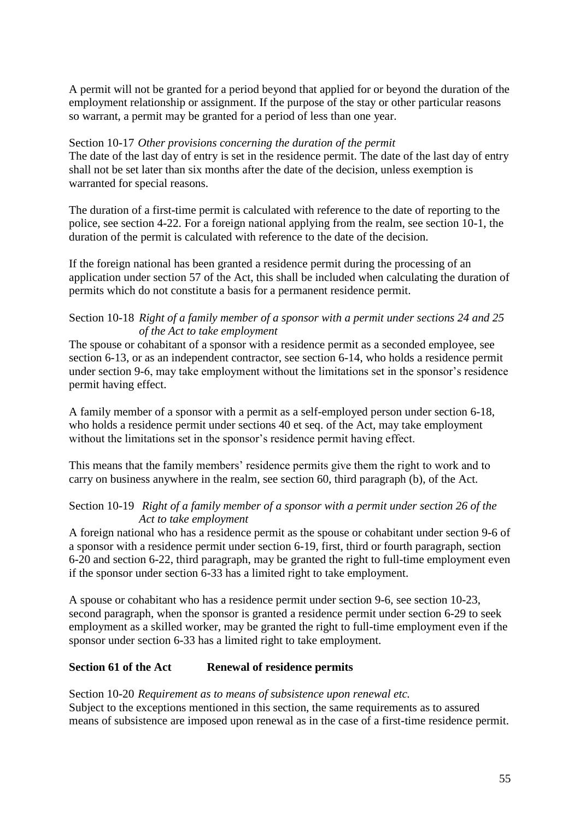A permit will not be granted for a period beyond that applied for or beyond the duration of the employment relationship or assignment. If the purpose of the stay or other particular reasons so warrant, a permit may be granted for a period of less than one year.

#### Section 10-17 *Other provisions concerning the duration of the permit*

The date of the last day of entry is set in the residence permit. The date of the last day of entry shall not be set later than six months after the date of the decision, unless exemption is warranted for special reasons.

The duration of a first-time permit is calculated with reference to the date of reporting to the police, see section 4-22. For a foreign national applying from the realm, see section 10-1, the duration of the permit is calculated with reference to the date of the decision.

If the foreign national has been granted a residence permit during the processing of an application under section 57 of the Act, this shall be included when calculating the duration of permits which do not constitute a basis for a permanent residence permit.

### Section 10-18 *Right of a family member of a sponsor with a permit under sections 24 and 25 of the Act to take employment*

The spouse or cohabitant of a sponsor with a residence permit as a seconded employee, see section 6-13, or as an independent contractor, see section 6-14, who holds a residence permit under section 9-6, may take employment without the limitations set in the sponsor's residence permit having effect.

A family member of a sponsor with a permit as a self-employed person under section 6-18, who holds a residence permit under sections 40 et seq. of the Act, may take employment without the limitations set in the sponsor's residence permit having effect.

This means that the family members' residence permits give them the right to work and to carry on business anywhere in the realm, see section 60, third paragraph (b), of the Act.

### Section 10-19 *Right of a family member of a sponsor with a permit under section 26 of the Act to take employment*

A foreign national who has a residence permit as the spouse or cohabitant under section 9-6 of a sponsor with a residence permit under section 6-19, first, third or fourth paragraph, section 6-20 and section 6-22, third paragraph, may be granted the right to full-time employment even if the sponsor under section 6-33 has a limited right to take employment.

A spouse or cohabitant who has a residence permit under section 9-6, see section 10-23, second paragraph, when the sponsor is granted a residence permit under section 6-29 to seek employment as a skilled worker, may be granted the right to full-time employment even if the sponsor under section 6-33 has a limited right to take employment.

## **Section 61 of the Act Renewal of residence permits**

# Section 10-20 *Requirement as to means of subsistence upon renewal etc.*

Subject to the exceptions mentioned in this section, the same requirements as to assured means of subsistence are imposed upon renewal as in the case of a first-time residence permit.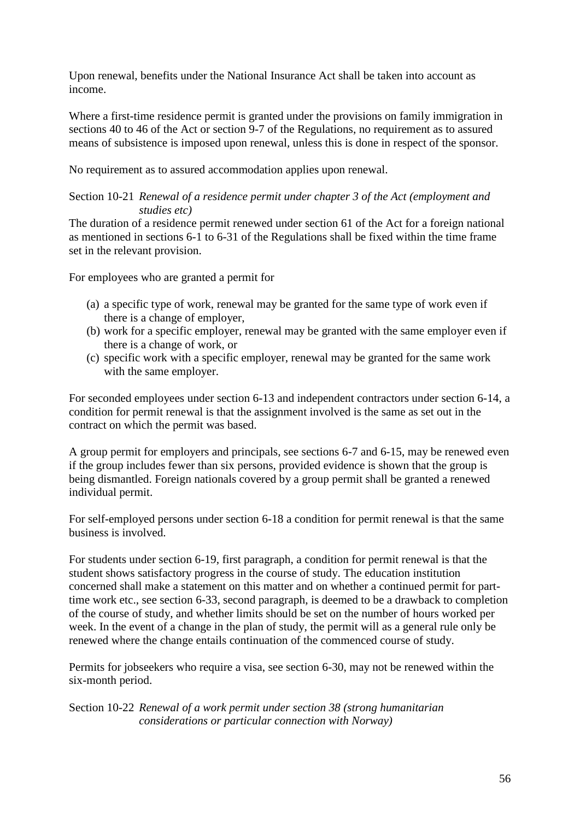Upon renewal, benefits under the National Insurance Act shall be taken into account as income.

Where a first-time residence permit is granted under the provisions on family immigration in sections 40 to 46 of the Act or section 9-7 of the Regulations, no requirement as to assured means of subsistence is imposed upon renewal, unless this is done in respect of the sponsor.

No requirement as to assured accommodation applies upon renewal.

### Section 10-21 *Renewal of a residence permit under chapter 3 of the Act (employment and studies etc)*

The duration of a residence permit renewed under section 61 of the Act for a foreign national as mentioned in sections 6-1 to 6-31 of the Regulations shall be fixed within the time frame set in the relevant provision.

For employees who are granted a permit for

- (a) a specific type of work, renewal may be granted for the same type of work even if there is a change of employer,
- (b) work for a specific employer, renewal may be granted with the same employer even if there is a change of work, or
- (c) specific work with a specific employer, renewal may be granted for the same work with the same employer.

For seconded employees under section 6-13 and independent contractors under section 6-14, a condition for permit renewal is that the assignment involved is the same as set out in the contract on which the permit was based.

A group permit for employers and principals, see sections 6-7 and 6-15, may be renewed even if the group includes fewer than six persons, provided evidence is shown that the group is being dismantled. Foreign nationals covered by a group permit shall be granted a renewed individual permit.

For self-employed persons under section 6-18 a condition for permit renewal is that the same business is involved.

For students under section 6-19, first paragraph, a condition for permit renewal is that the student shows satisfactory progress in the course of study. The education institution concerned shall make a statement on this matter and on whether a continued permit for parttime work etc., see section 6-33, second paragraph, is deemed to be a drawback to completion of the course of study, and whether limits should be set on the number of hours worked per week. In the event of a change in the plan of study, the permit will as a general rule only be renewed where the change entails continuation of the commenced course of study.

Permits for jobseekers who require a visa, see section 6-30, may not be renewed within the six-month period.

Section 10-22 *Renewal of a work permit under section 38 (strong humanitarian considerations or particular connection with Norway)*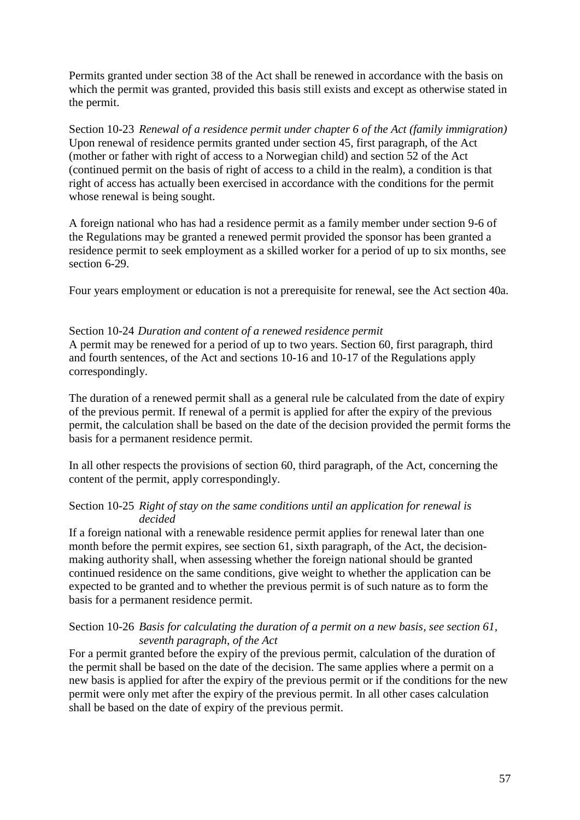Permits granted under section 38 of the Act shall be renewed in accordance with the basis on which the permit was granted, provided this basis still exists and except as otherwise stated in the permit.

Section 10-23 *Renewal of a residence permit under chapter 6 of the Act (family immigration)* Upon renewal of residence permits granted under section 45, first paragraph, of the Act (mother or father with right of access to a Norwegian child) and section 52 of the Act (continued permit on the basis of right of access to a child in the realm), a condition is that right of access has actually been exercised in accordance with the conditions for the permit whose renewal is being sought.

A foreign national who has had a residence permit as a family member under section 9-6 of the Regulations may be granted a renewed permit provided the sponsor has been granted a residence permit to seek employment as a skilled worker for a period of up to six months, see section 6-29.

Four years employment or education is not a prerequisite for renewal, see the Act section 40a.

#### Section 10-24 *Duration and content of a renewed residence permit*

A permit may be renewed for a period of up to two years. Section 60, first paragraph, third and fourth sentences, of the Act and sections 10-16 and 10-17 of the Regulations apply correspondingly.

The duration of a renewed permit shall as a general rule be calculated from the date of expiry of the previous permit. If renewal of a permit is applied for after the expiry of the previous permit, the calculation shall be based on the date of the decision provided the permit forms the basis for a permanent residence permit.

In all other respects the provisions of section 60, third paragraph, of the Act, concerning the content of the permit, apply correspondingly.

### Section 10-25 *Right of stay on the same conditions until an application for renewal is decided*

If a foreign national with a renewable residence permit applies for renewal later than one month before the permit expires, see section 61, sixth paragraph, of the Act, the decisionmaking authority shall, when assessing whether the foreign national should be granted continued residence on the same conditions, give weight to whether the application can be expected to be granted and to whether the previous permit is of such nature as to form the basis for a permanent residence permit.

### Section 10-26 *Basis for calculating the duration of a permit on a new basis, see section 61, seventh paragraph, of the Act*

For a permit granted before the expiry of the previous permit, calculation of the duration of the permit shall be based on the date of the decision. The same applies where a permit on a new basis is applied for after the expiry of the previous permit or if the conditions for the new permit were only met after the expiry of the previous permit. In all other cases calculation shall be based on the date of expiry of the previous permit.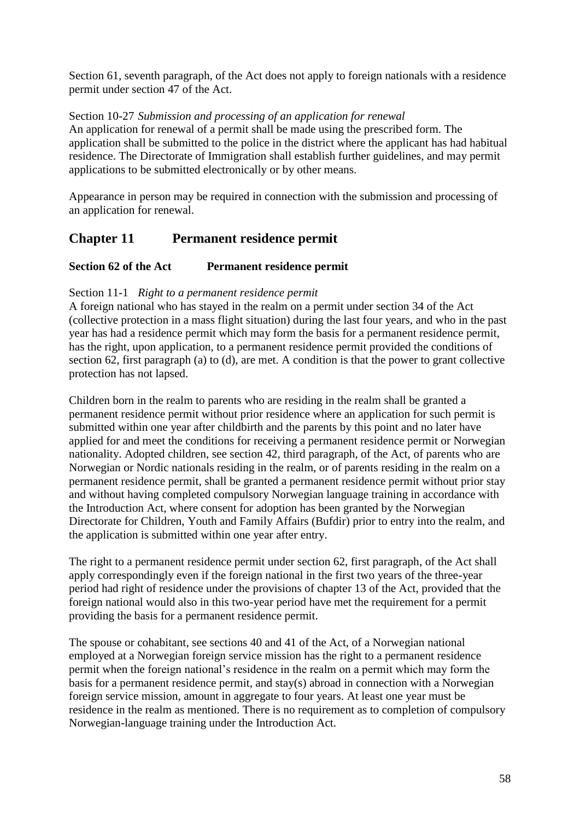Section 61, seventh paragraph, of the Act does not apply to foreign nationals with a residence permit under section 47 of the Act.

Section 10-27 *Submission and processing of an application for renewal* An application for renewal of a permit shall be made using the prescribed form. The application shall be submitted to the police in the district where the applicant has had habitual residence. The Directorate of Immigration shall establish further guidelines, and may permit applications to be submitted electronically or by other means.

Appearance in person may be required in connection with the submission and processing of an application for renewal.

## **Chapter 11 Permanent residence permit**

## **Section 62 of the Act Permanent residence permit**

## Section 11-1 *Right to a permanent residence permit*

A foreign national who has stayed in the realm on a permit under section 34 of the Act (collective protection in a mass flight situation) during the last four years, and who in the past year has had a residence permit which may form the basis for a permanent residence permit, has the right, upon application, to a permanent residence permit provided the conditions of section 62, first paragraph (a) to (d), are met. A condition is that the power to grant collective protection has not lapsed.

Children born in the realm to parents who are residing in the realm shall be granted a permanent residence permit without prior residence where an application for such permit is submitted within one year after childbirth and the parents by this point and no later have applied for and meet the conditions for receiving a permanent residence permit or Norwegian nationality. Adopted children, see section 42, third paragraph, of the Act, of parents who are Norwegian or Nordic nationals residing in the realm, or of parents residing in the realm on a permanent residence permit, shall be granted a permanent residence permit without prior stay and without having completed compulsory Norwegian language training in accordance with the Introduction Act, where consent for adoption has been granted by the Norwegian Directorate for Children, Youth and Family Affairs (Bufdir) prior to entry into the realm, and the application is submitted within one year after entry.

The right to a permanent residence permit under section 62, first paragraph, of the Act shall apply correspondingly even if the foreign national in the first two years of the three-year period had right of residence under the provisions of chapter 13 of the Act, provided that the foreign national would also in this two-year period have met the requirement for a permit providing the basis for a permanent residence permit.

The spouse or cohabitant, see sections 40 and 41 of the Act, of a Norwegian national employed at a Norwegian foreign service mission has the right to a permanent residence permit when the foreign national"s residence in the realm on a permit which may form the basis for a permanent residence permit, and stay(s) abroad in connection with a Norwegian foreign service mission, amount in aggregate to four years. At least one year must be residence in the realm as mentioned. There is no requirement as to completion of compulsory Norwegian-language training under the Introduction Act.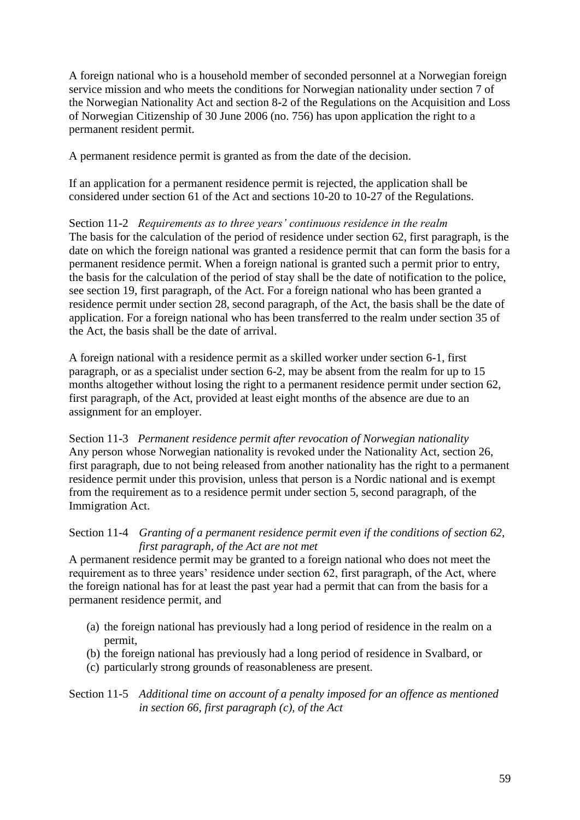A foreign national who is a household member of seconded personnel at a Norwegian foreign service mission and who meets the conditions for Norwegian nationality under section 7 of the Norwegian Nationality Act and section 8-2 of the Regulations on the Acquisition and Loss of Norwegian Citizenship of 30 June 2006 (no. 756) has upon application the right to a permanent resident permit.

A permanent residence permit is granted as from the date of the decision.

If an application for a permanent residence permit is rejected, the application shall be considered under section 61 of the Act and sections 10-20 to 10-27 of the Regulations.

Section 11-2 *Requirements as to three years' continuous residence in the realm* The basis for the calculation of the period of residence under section 62, first paragraph, is the date on which the foreign national was granted a residence permit that can form the basis for a permanent residence permit. When a foreign national is granted such a permit prior to entry, the basis for the calculation of the period of stay shall be the date of notification to the police, see section 19, first paragraph, of the Act. For a foreign national who has been granted a residence permit under section 28, second paragraph, of the Act, the basis shall be the date of application. For a foreign national who has been transferred to the realm under section 35 of the Act, the basis shall be the date of arrival.

A foreign national with a residence permit as a skilled worker under section 6-1, first paragraph, or as a specialist under section 6-2, may be absent from the realm for up to 15 months altogether without losing the right to a permanent residence permit under section 62, first paragraph, of the Act, provided at least eight months of the absence are due to an assignment for an employer.

Section 11-3 *Permanent residence permit after revocation of Norwegian nationality* Any person whose Norwegian nationality is revoked under the Nationality Act, section 26, first paragraph, due to not being released from another nationality has the right to a permanent residence permit under this provision, unless that person is a Nordic national and is exempt from the requirement as to a residence permit under section 5, second paragraph, of the Immigration Act.

Section 11-4 *Granting of a permanent residence permit even if the conditions of section 62, first paragraph, of the Act are not met*

A permanent residence permit may be granted to a foreign national who does not meet the requirement as to three years' residence under section 62, first paragraph, of the Act, where the foreign national has for at least the past year had a permit that can from the basis for a permanent residence permit, and

- (a) the foreign national has previously had a long period of residence in the realm on a permit,
- (b) the foreign national has previously had a long period of residence in Svalbard, or
- (c) particularly strong grounds of reasonableness are present.

### Section 11-5 *Additional time on account of a penalty imposed for an offence as mentioned in section 66, first paragraph (c), of the Act*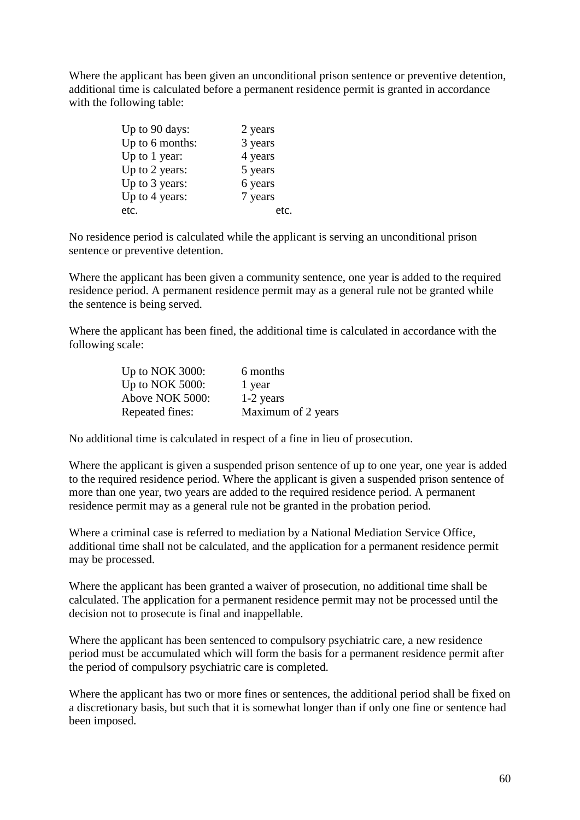Where the applicant has been given an unconditional prison sentence or preventive detention, additional time is calculated before a permanent residence permit is granted in accordance with the following table:

| Up to 90 days:  | 2 years |
|-----------------|---------|
| Up to 6 months: | 3 years |
| Up to 1 year:   | 4 years |
| Up to 2 years:  | 5 years |
| Up to 3 years:  | 6 years |
| Up to 4 years:  | 7 years |
| etc.            |         |

No residence period is calculated while the applicant is serving an unconditional prison sentence or preventive detention.

Where the applicant has been given a community sentence, one year is added to the required residence period. A permanent residence permit may as a general rule not be granted while the sentence is being served.

Where the applicant has been fined, the additional time is calculated in accordance with the following scale:

| Up to NOK 3000:    | 6 months           |
|--------------------|--------------------|
| Up to NOK $5000$ : | 1 year             |
| Above NOK 5000:    | 1-2 years          |
| Repeated fines:    | Maximum of 2 years |

No additional time is calculated in respect of a fine in lieu of prosecution.

Where the applicant is given a suspended prison sentence of up to one year, one year is added to the required residence period. Where the applicant is given a suspended prison sentence of more than one year, two years are added to the required residence period. A permanent residence permit may as a general rule not be granted in the probation period.

Where a criminal case is referred to mediation by a National Mediation Service Office, additional time shall not be calculated, and the application for a permanent residence permit may be processed.

Where the applicant has been granted a waiver of prosecution, no additional time shall be calculated. The application for a permanent residence permit may not be processed until the decision not to prosecute is final and inappellable.

Where the applicant has been sentenced to compulsory psychiatric care, a new residence period must be accumulated which will form the basis for a permanent residence permit after the period of compulsory psychiatric care is completed.

Where the applicant has two or more fines or sentences, the additional period shall be fixed on a discretionary basis, but such that it is somewhat longer than if only one fine or sentence had been imposed.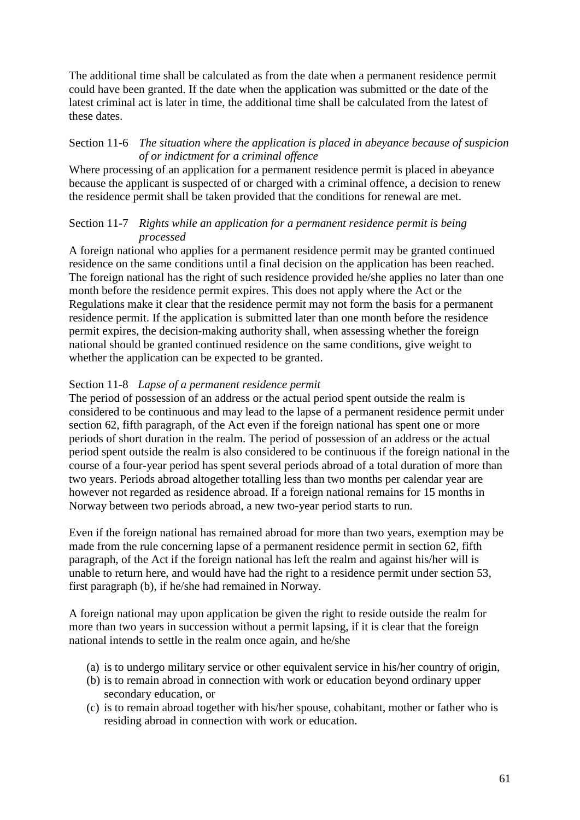The additional time shall be calculated as from the date when a permanent residence permit could have been granted. If the date when the application was submitted or the date of the latest criminal act is later in time, the additional time shall be calculated from the latest of these dates.

## Section 11-6 *The situation where the application is placed in abeyance because of suspicion of or indictment for a criminal offence*

Where processing of an application for a permanent residence permit is placed in abeyance because the applicant is suspected of or charged with a criminal offence, a decision to renew the residence permit shall be taken provided that the conditions for renewal are met.

## Section 11-7 *Rights while an application for a permanent residence permit is being processed*

A foreign national who applies for a permanent residence permit may be granted continued residence on the same conditions until a final decision on the application has been reached. The foreign national has the right of such residence provided he/she applies no later than one month before the residence permit expires. This does not apply where the Act or the Regulations make it clear that the residence permit may not form the basis for a permanent residence permit. If the application is submitted later than one month before the residence permit expires, the decision-making authority shall, when assessing whether the foreign national should be granted continued residence on the same conditions, give weight to whether the application can be expected to be granted.

## Section 11-8 *Lapse of a permanent residence permit*

The period of possession of an address or the actual period spent outside the realm is considered to be continuous and may lead to the lapse of a permanent residence permit under section 62, fifth paragraph, of the Act even if the foreign national has spent one or more periods of short duration in the realm. The period of possession of an address or the actual period spent outside the realm is also considered to be continuous if the foreign national in the course of a four-year period has spent several periods abroad of a total duration of more than two years. Periods abroad altogether totalling less than two months per calendar year are however not regarded as residence abroad. If a foreign national remains for 15 months in Norway between two periods abroad, a new two-year period starts to run.

Even if the foreign national has remained abroad for more than two years, exemption may be made from the rule concerning lapse of a permanent residence permit in section 62, fifth paragraph, of the Act if the foreign national has left the realm and against his/her will is unable to return here, and would have had the right to a residence permit under section 53, first paragraph (b), if he/she had remained in Norway.

A foreign national may upon application be given the right to reside outside the realm for more than two years in succession without a permit lapsing, if it is clear that the foreign national intends to settle in the realm once again, and he/she

- (a) is to undergo military service or other equivalent service in his/her country of origin,
- (b) is to remain abroad in connection with work or education beyond ordinary upper secondary education, or
- (c) is to remain abroad together with his/her spouse, cohabitant, mother or father who is residing abroad in connection with work or education.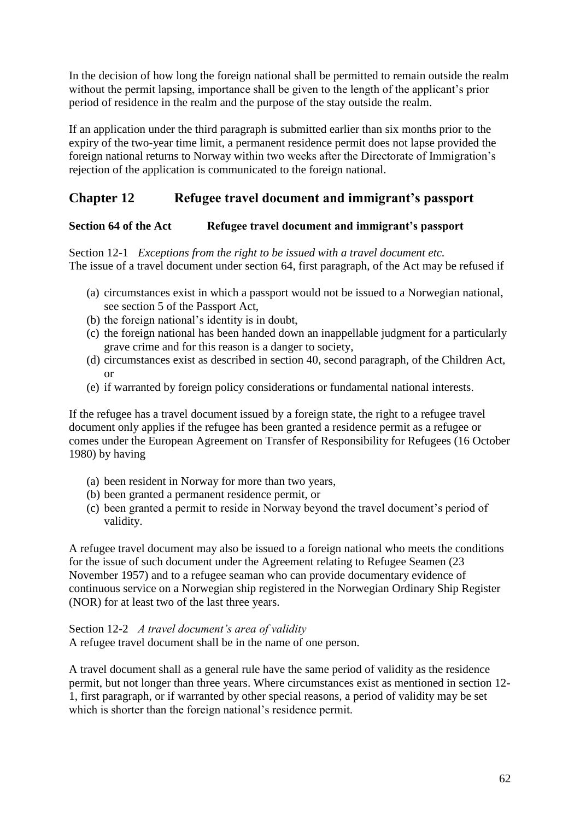In the decision of how long the foreign national shall be permitted to remain outside the realm without the permit lapsing, importance shall be given to the length of the applicant's prior period of residence in the realm and the purpose of the stay outside the realm.

If an application under the third paragraph is submitted earlier than six months prior to the expiry of the two-year time limit, a permanent residence permit does not lapse provided the foreign national returns to Norway within two weeks after the Directorate of Immigration"s rejection of the application is communicated to the foreign national.

# **Chapter 12 Refugee travel document and immigrant's passport**

## **Section 64 of the Act Refugee travel document and immigrant's passport**

Section 12-1 *Exceptions from the right to be issued with a travel document etc.* The issue of a travel document under section 64, first paragraph, of the Act may be refused if

- (a) circumstances exist in which a passport would not be issued to a Norwegian national, see section 5 of the Passport Act,
- (b) the foreign national"s identity is in doubt,
- (c) the foreign national has been handed down an inappellable judgment for a particularly grave crime and for this reason is a danger to society,
- (d) circumstances exist as described in section 40, second paragraph, of the Children Act, or
- (e) if warranted by foreign policy considerations or fundamental national interests.

If the refugee has a travel document issued by a foreign state, the right to a refugee travel document only applies if the refugee has been granted a residence permit as a refugee or comes under the European Agreement on Transfer of Responsibility for Refugees (16 October 1980) by having

- (a) been resident in Norway for more than two years,
- (b) been granted a permanent residence permit, or
- (c) been granted a permit to reside in Norway beyond the travel document"s period of validity.

A refugee travel document may also be issued to a foreign national who meets the conditions for the issue of such document under the Agreement relating to Refugee Seamen (23 November 1957) and to a refugee seaman who can provide documentary evidence of continuous service on a Norwegian ship registered in the Norwegian Ordinary Ship Register (NOR) for at least two of the last three years.

Section 12-2 *A travel document's area of validity* A refugee travel document shall be in the name of one person.

A travel document shall as a general rule have the same period of validity as the residence permit, but not longer than three years. Where circumstances exist as mentioned in section 12- 1, first paragraph, or if warranted by other special reasons, a period of validity may be set which is shorter than the foreign national's residence permit.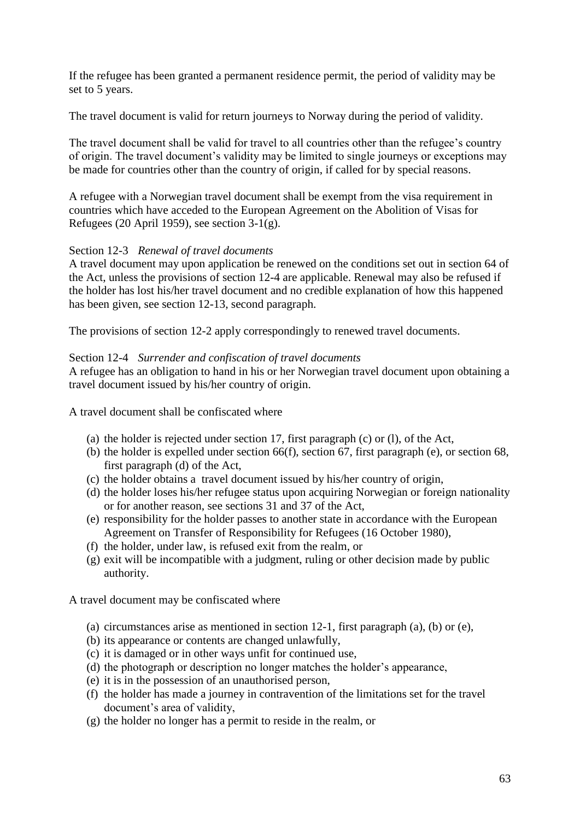If the refugee has been granted a permanent residence permit, the period of validity may be set to 5 years.

The travel document is valid for return journeys to Norway during the period of validity.

The travel document shall be valid for travel to all countries other than the refugee's country of origin. The travel document"s validity may be limited to single journeys or exceptions may be made for countries other than the country of origin, if called for by special reasons.

A refugee with a Norwegian travel document shall be exempt from the visa requirement in countries which have acceded to the European Agreement on the Abolition of Visas for Refugees (20 April 1959), see section 3-1(g).

### Section 12-3 *Renewal of travel documents*

A travel document may upon application be renewed on the conditions set out in section 64 of the Act, unless the provisions of section 12-4 are applicable. Renewal may also be refused if the holder has lost his/her travel document and no credible explanation of how this happened has been given, see section 12-13, second paragraph.

The provisions of section 12-2 apply correspondingly to renewed travel documents.

#### Section 12-4 *Surrender and confiscation of travel documents*

A refugee has an obligation to hand in his or her Norwegian travel document upon obtaining a travel document issued by his/her country of origin.

A travel document shall be confiscated where

- (a) the holder is rejected under section 17, first paragraph (c) or (l), of the Act,
- (b) the holder is expelled under section 66(f), section 67, first paragraph (e), or section 68, first paragraph (d) of the Act,
- (c) the holder obtains a travel document issued by his/her country of origin,
- (d) the holder loses his/her refugee status upon acquiring Norwegian or foreign nationality or for another reason, see sections 31 and 37 of the Act,
- (e) responsibility for the holder passes to another state in accordance with the European Agreement on Transfer of Responsibility for Refugees (16 October 1980),
- (f) the holder, under law, is refused exit from the realm, or
- (g) exit will be incompatible with a judgment, ruling or other decision made by public authority.

A travel document may be confiscated where

- (a) circumstances arise as mentioned in section  $12-1$ , first paragraph (a), (b) or (e),
- (b) its appearance or contents are changed unlawfully,
- (c) it is damaged or in other ways unfit for continued use,
- (d) the photograph or description no longer matches the holder"s appearance,
- (e) it is in the possession of an unauthorised person,
- (f) the holder has made a journey in contravention of the limitations set for the travel document's area of validity,
- (g) the holder no longer has a permit to reside in the realm, or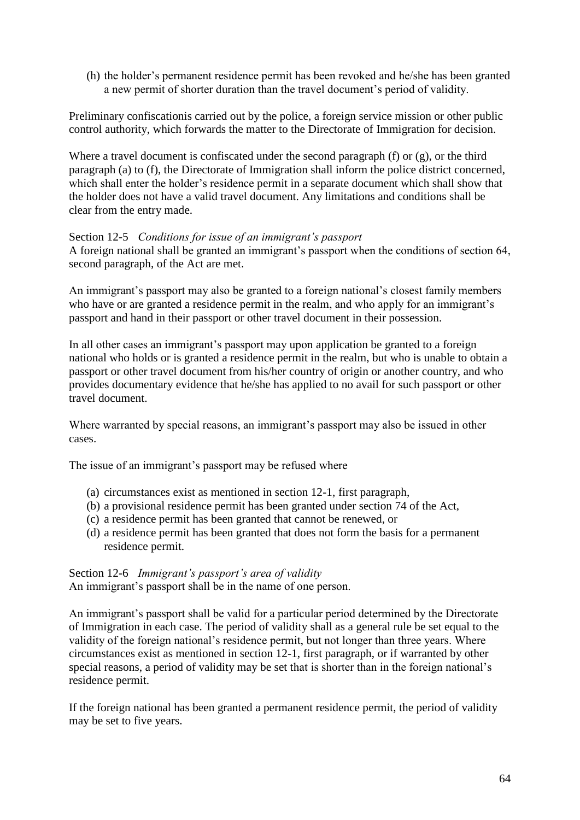(h) the holder"s permanent residence permit has been revoked and he/she has been granted a new permit of shorter duration than the travel document"s period of validity.

Preliminary confiscationis carried out by the police, a foreign service mission or other public control authority, which forwards the matter to the Directorate of Immigration for decision.

Where a travel document is confiscated under the second paragraph (f) or (g), or the third paragraph (a) to (f), the Directorate of Immigration shall inform the police district concerned, which shall enter the holder's residence permit in a separate document which shall show that the holder does not have a valid travel document. Any limitations and conditions shall be clear from the entry made.

#### Section 12-5 *Conditions for issue of an immigrant's passport*

A foreign national shall be granted an immigrant's passport when the conditions of section 64, second paragraph, of the Act are met.

An immigrant's passport may also be granted to a foreign national's closest family members who have or are granted a residence permit in the realm, and who apply for an immigrant's passport and hand in their passport or other travel document in their possession.

In all other cases an immigrant's passport may upon application be granted to a foreign national who holds or is granted a residence permit in the realm, but who is unable to obtain a passport or other travel document from his/her country of origin or another country, and who provides documentary evidence that he/she has applied to no avail for such passport or other travel document.

Where warranted by special reasons, an immigrant's passport may also be issued in other cases.

The issue of an immigrant's passport may be refused where

- (a) circumstances exist as mentioned in section 12-1, first paragraph,
- (b) a provisional residence permit has been granted under section 74 of the Act,
- (c) a residence permit has been granted that cannot be renewed, or
- (d) a residence permit has been granted that does not form the basis for a permanent residence permit.

Section 12-6 *Immigrant's passport's area of validity* An immigrant's passport shall be in the name of one person.

An immigrant's passport shall be valid for a particular period determined by the Directorate of Immigration in each case. The period of validity shall as a general rule be set equal to the validity of the foreign national's residence permit, but not longer than three years. Where circumstances exist as mentioned in section 12-1, first paragraph, or if warranted by other special reasons, a period of validity may be set that is shorter than in the foreign national's residence permit.

If the foreign national has been granted a permanent residence permit, the period of validity may be set to five years.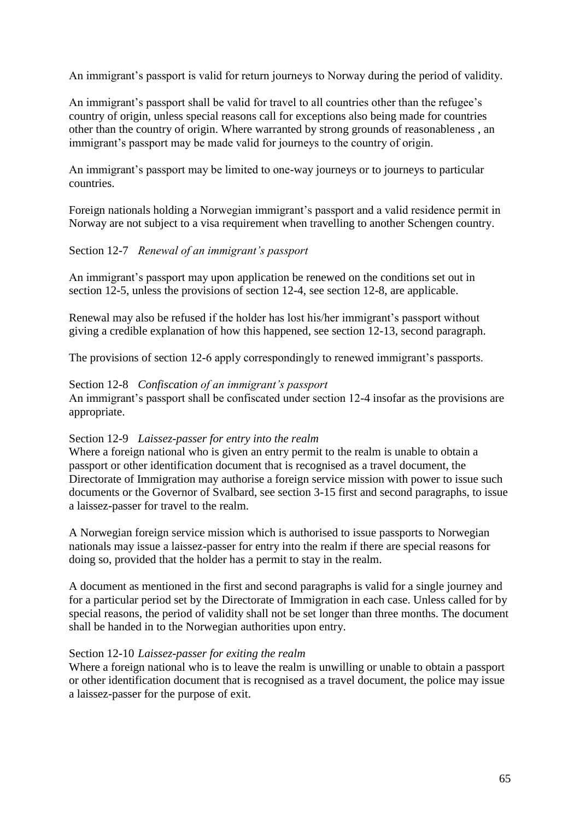An immigrant's passport is valid for return journeys to Norway during the period of validity.

An immigrant's passport shall be valid for travel to all countries other than the refugee's country of origin, unless special reasons call for exceptions also being made for countries other than the country of origin. Where warranted by strong grounds of reasonableness , an immigrant's passport may be made valid for journeys to the country of origin.

An immigrant's passport may be limited to one-way journeys or to journeys to particular countries.

Foreign nationals holding a Norwegian immigrant's passport and a valid residence permit in Norway are not subject to a visa requirement when travelling to another Schengen country.

### Section 12-7 *Renewal of an immigrant's passport*

An immigrant's passport may upon application be renewed on the conditions set out in section 12-5, unless the provisions of section 12-4, see section 12-8, are applicable.

Renewal may also be refused if the holder has lost his/her immigrant"s passport without giving a credible explanation of how this happened, see section 12-13, second paragraph.

The provisions of section 12-6 apply correspondingly to renewed immigrant's passports.

#### Section 12-8 *Confiscation of an immigrant's passport*

An immigrant's passport shall be confiscated under section 12-4 insofar as the provisions are appropriate.

#### Section 12-9 *Laissez-passer for entry into the realm*

Where a foreign national who is given an entry permit to the realm is unable to obtain a passport or other identification document that is recognised as a travel document, the Directorate of Immigration may authorise a foreign service mission with power to issue such documents or the Governor of Svalbard, see section 3-15 first and second paragraphs, to issue a laissez-passer for travel to the realm.

A Norwegian foreign service mission which is authorised to issue passports to Norwegian nationals may issue a laissez-passer for entry into the realm if there are special reasons for doing so, provided that the holder has a permit to stay in the realm.

A document as mentioned in the first and second paragraphs is valid for a single journey and for a particular period set by the Directorate of Immigration in each case. Unless called for by special reasons, the period of validity shall not be set longer than three months. The document shall be handed in to the Norwegian authorities upon entry.

#### Section 12-10 *Laissez-passer for exiting the realm*

Where a foreign national who is to leave the realm is unwilling or unable to obtain a passport or other identification document that is recognised as a travel document, the police may issue a laissez-passer for the purpose of exit.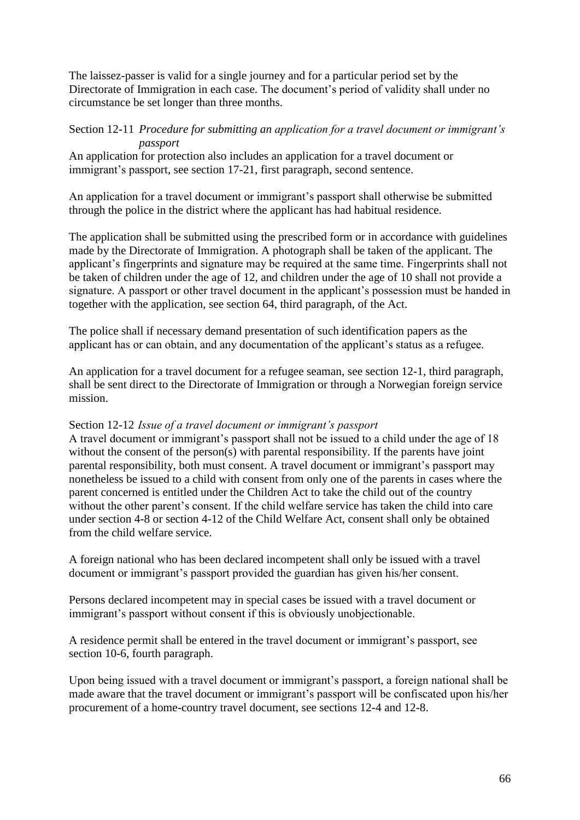The laissez-passer is valid for a single journey and for a particular period set by the Directorate of Immigration in each case. The document's period of validity shall under no circumstance be set longer than three months.

### Section 12-11 *Procedure for submitting an application for a travel document or immigrant's passport*

An application for protection also includes an application for a travel document or immigrant's passport, see section 17-21, first paragraph, second sentence.

An application for a travel document or immigrant's passport shall otherwise be submitted through the police in the district where the applicant has had habitual residence.

The application shall be submitted using the prescribed form or in accordance with guidelines made by the Directorate of Immigration. A photograph shall be taken of the applicant. The applicant"s fingerprints and signature may be required at the same time. Fingerprints shall not be taken of children under the age of 12, and children under the age of 10 shall not provide a signature. A passport or other travel document in the applicant's possession must be handed in together with the application, see section 64, third paragraph, of the Act.

The police shall if necessary demand presentation of such identification papers as the applicant has or can obtain, and any documentation of the applicant's status as a refugee.

An application for a travel document for a refugee seaman, see section 12-1, third paragraph, shall be sent direct to the Directorate of Immigration or through a Norwegian foreign service mission.

## Section 12-12 *Issue of a travel document or immigrant's passport*

A travel document or immigrant's passport shall not be issued to a child under the age of 18 without the consent of the person(s) with parental responsibility. If the parents have joint parental responsibility, both must consent. A travel document or immigrant's passport may nonetheless be issued to a child with consent from only one of the parents in cases where the parent concerned is entitled under the Children Act to take the child out of the country without the other parent's consent. If the child welfare service has taken the child into care under section 4-8 or section 4-12 of the Child Welfare Act, consent shall only be obtained from the child welfare service.

A foreign national who has been declared incompetent shall only be issued with a travel document or immigrant"s passport provided the guardian has given his/her consent.

Persons declared incompetent may in special cases be issued with a travel document or immigrant's passport without consent if this is obviously unobjectionable.

A residence permit shall be entered in the travel document or immigrant's passport, see section 10-6, fourth paragraph.

Upon being issued with a travel document or immigrant's passport, a foreign national shall be made aware that the travel document or immigrant"s passport will be confiscated upon his/her procurement of a home-country travel document, see sections 12-4 and 12-8.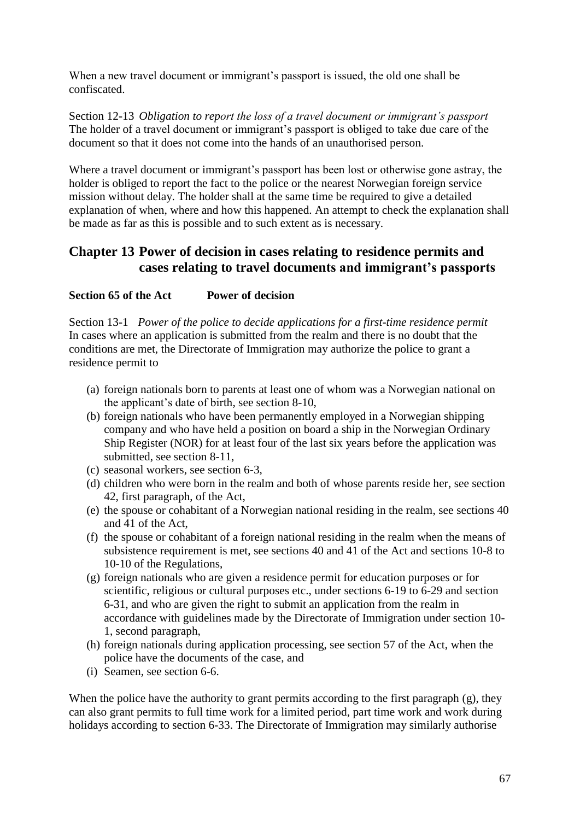When a new travel document or immigrant's passport is issued, the old one shall be confiscated.

Section 12-13 *Obligation to report the loss of a travel document or immigrant's passport* The holder of a travel document or immigrant's passport is obliged to take due care of the document so that it does not come into the hands of an unauthorised person.

Where a travel document or immigrant's passport has been lost or otherwise gone astray, the holder is obliged to report the fact to the police or the nearest Norwegian foreign service mission without delay. The holder shall at the same time be required to give a detailed explanation of when, where and how this happened. An attempt to check the explanation shall be made as far as this is possible and to such extent as is necessary.

## **Chapter 13 Power of decision in cases relating to residence permits and cases relating to travel documents and immigrant's passports**

## **Section 65 of the Act Power of decision**

Section 13-1 *Power of the police to decide applications for a first-time residence permit* In cases where an application is submitted from the realm and there is no doubt that the conditions are met, the Directorate of Immigration may authorize the police to grant a residence permit to

- (a) foreign nationals born to parents at least one of whom was a Norwegian national on the applicant"s date of birth, see section 8-10,
- (b) foreign nationals who have been permanently employed in a Norwegian shipping company and who have held a position on board a ship in the Norwegian Ordinary Ship Register (NOR) for at least four of the last six years before the application was submitted, see section 8-11,
- (c) seasonal workers, see section 6-3,
- (d) children who were born in the realm and both of whose parents reside her, see section 42, first paragraph, of the Act,
- (e) the spouse or cohabitant of a Norwegian national residing in the realm, see sections 40 and 41 of the Act,
- (f) the spouse or cohabitant of a foreign national residing in the realm when the means of subsistence requirement is met, see sections 40 and 41 of the Act and sections 10-8 to 10-10 of the Regulations,
- (g) foreign nationals who are given a residence permit for education purposes or for scientific, religious or cultural purposes etc., under sections 6-19 to 6-29 and section 6-31, and who are given the right to submit an application from the realm in accordance with guidelines made by the Directorate of Immigration under section 10- 1, second paragraph,
- (h) foreign nationals during application processing, see section 57 of the Act, when the police have the documents of the case, and
- (i) Seamen, see section 6-6.

When the police have the authority to grant permits according to the first paragraph (g), they can also grant permits to full time work for a limited period, part time work and work during holidays according to section 6-33. The Directorate of Immigration may similarly authorise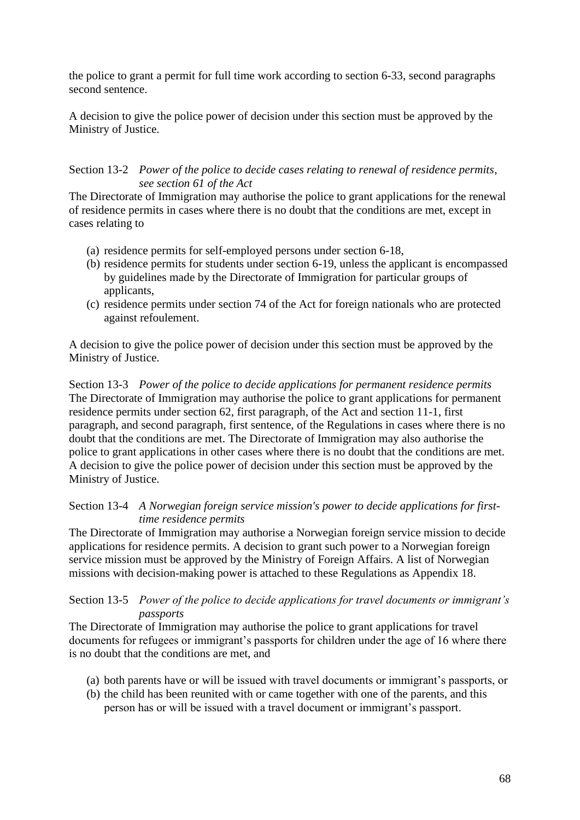the police to grant a permit for full time work according to section 6-33, second paragraphs second sentence.

A decision to give the police power of decision under this section must be approved by the Ministry of Justice.

### Section 13-2 *Power of the police to decide cases relating to renewal of residence permits, see section 61 of the Act*

The Directorate of Immigration may authorise the police to grant applications for the renewal of residence permits in cases where there is no doubt that the conditions are met, except in cases relating to

- (a) residence permits for self-employed persons under section 6-18,
- (b) residence permits for students under section 6-19, unless the applicant is encompassed by guidelines made by the Directorate of Immigration for particular groups of applicants,
- (c) residence permits under section 74 of the Act for foreign nationals who are protected against refoulement.

A decision to give the police power of decision under this section must be approved by the Ministry of Justice.

Section 13-3 *Power of the police to decide applications for permanent residence permits* The Directorate of Immigration may authorise the police to grant applications for permanent residence permits under section 62, first paragraph, of the Act and section 11-1, first paragraph, and second paragraph, first sentence, of the Regulations in cases where there is no doubt that the conditions are met. The Directorate of Immigration may also authorise the police to grant applications in other cases where there is no doubt that the conditions are met. A decision to give the police power of decision under this section must be approved by the Ministry of Justice.

## Section 13-4 *A Norwegian foreign service mission's power to decide applications for firsttime residence permits*

The Directorate of Immigration may authorise a Norwegian foreign service mission to decide applications for residence permits. A decision to grant such power to a Norwegian foreign service mission must be approved by the Ministry of Foreign Affairs. A list of Norwegian missions with decision-making power is attached to these Regulations as Appendix 18.

Section 13-5 *Power of the police to decide applications for travel documents or immigrant's passports*

The Directorate of Immigration may authorise the police to grant applications for travel documents for refugees or immigrant's passports for children under the age of 16 where there is no doubt that the conditions are met, and

- (a) both parents have or will be issued with travel documents or immigrant"s passports, or
- (b) the child has been reunited with or came together with one of the parents, and this person has or will be issued with a travel document or immigrant"s passport.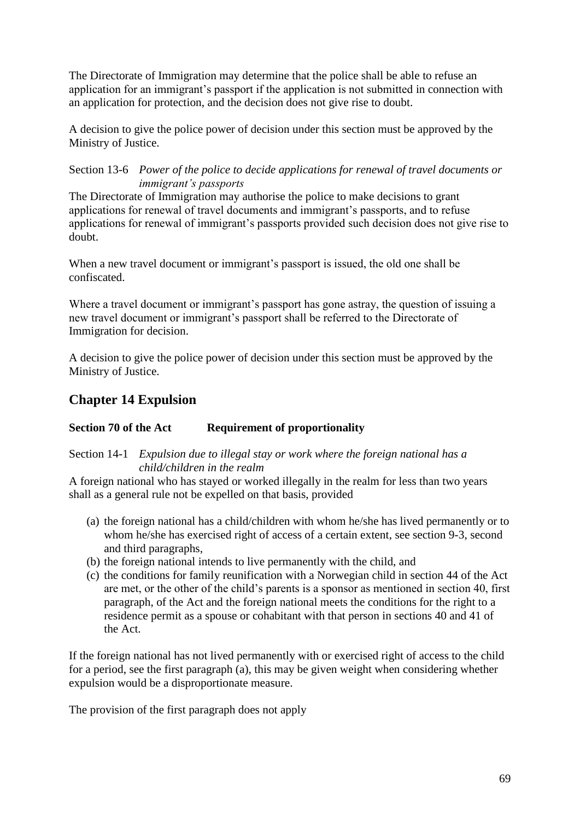The Directorate of Immigration may determine that the police shall be able to refuse an application for an immigrant's passport if the application is not submitted in connection with an application for protection, and the decision does not give rise to doubt.

A decision to give the police power of decision under this section must be approved by the Ministry of Justice.

Section 13-6 *Power of the police to decide applications for renewal of travel documents or immigrant's passports*

The Directorate of Immigration may authorise the police to make decisions to grant applications for renewal of travel documents and immigrant"s passports, and to refuse applications for renewal of immigrant's passports provided such decision does not give rise to doubt.

When a new travel document or immigrant's passport is issued, the old one shall be confiscated.

Where a travel document or immigrant's passport has gone astray, the question of issuing a new travel document or immigrant's passport shall be referred to the Directorate of Immigration for decision.

A decision to give the police power of decision under this section must be approved by the Ministry of Justice.

# **Chapter 14 Expulsion**

## **Section 70 of the Act Requirement of proportionality**

Section 14-1 *Expulsion due to illegal stay or work where the foreign national has a child/children in the realm*

A foreign national who has stayed or worked illegally in the realm for less than two years shall as a general rule not be expelled on that basis, provided

- (a) the foreign national has a child/children with whom he/she has lived permanently or to whom he/she has exercised right of access of a certain extent, see section 9-3, second and third paragraphs,
- (b) the foreign national intends to live permanently with the child, and
- (c) the conditions for family reunification with a Norwegian child in section 44 of the Act are met, or the other of the child"s parents is a sponsor as mentioned in section 40, first paragraph, of the Act and the foreign national meets the conditions for the right to a residence permit as a spouse or cohabitant with that person in sections 40 and 41 of the Act.

If the foreign national has not lived permanently with or exercised right of access to the child for a period, see the first paragraph (a), this may be given weight when considering whether expulsion would be a disproportionate measure.

The provision of the first paragraph does not apply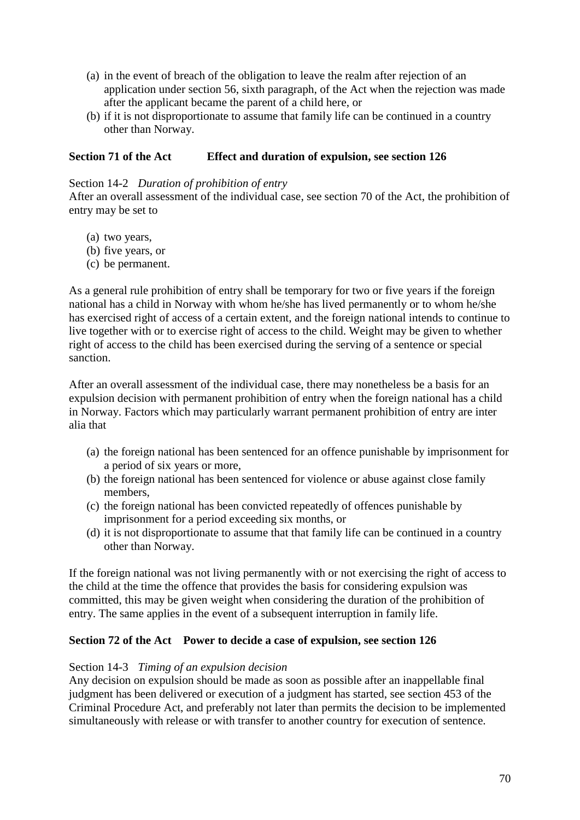- (a) in the event of breach of the obligation to leave the realm after rejection of an application under section 56, sixth paragraph, of the Act when the rejection was made after the applicant became the parent of a child here, or
- (b) if it is not disproportionate to assume that family life can be continued in a country other than Norway.

### **Section 71 of the Act Effect and duration of expulsion, see section 126**

#### Section 14-2 *Duration of prohibition of entry*

After an overall assessment of the individual case, see section 70 of the Act, the prohibition of entry may be set to

- (a) two years,
- (b) five years, or
- (c) be permanent.

As a general rule prohibition of entry shall be temporary for two or five years if the foreign national has a child in Norway with whom he/she has lived permanently or to whom he/she has exercised right of access of a certain extent, and the foreign national intends to continue to live together with or to exercise right of access to the child. Weight may be given to whether right of access to the child has been exercised during the serving of a sentence or special sanction.

After an overall assessment of the individual case, there may nonetheless be a basis for an expulsion decision with permanent prohibition of entry when the foreign national has a child in Norway. Factors which may particularly warrant permanent prohibition of entry are inter alia that

- (a) the foreign national has been sentenced for an offence punishable by imprisonment for a period of six years or more,
- (b) the foreign national has been sentenced for violence or abuse against close family members,
- (c) the foreign national has been convicted repeatedly of offences punishable by imprisonment for a period exceeding six months, or
- (d) it is not disproportionate to assume that that family life can be continued in a country other than Norway.

If the foreign national was not living permanently with or not exercising the right of access to the child at the time the offence that provides the basis for considering expulsion was committed, this may be given weight when considering the duration of the prohibition of entry. The same applies in the event of a subsequent interruption in family life.

#### **Section 72 of the Act Power to decide a case of expulsion, see section 126**

#### Section 14-3 *Timing of an expulsion decision*

Any decision on expulsion should be made as soon as possible after an inappellable final judgment has been delivered or execution of a judgment has started, see section 453 of the Criminal Procedure Act, and preferably not later than permits the decision to be implemented simultaneously with release or with transfer to another country for execution of sentence.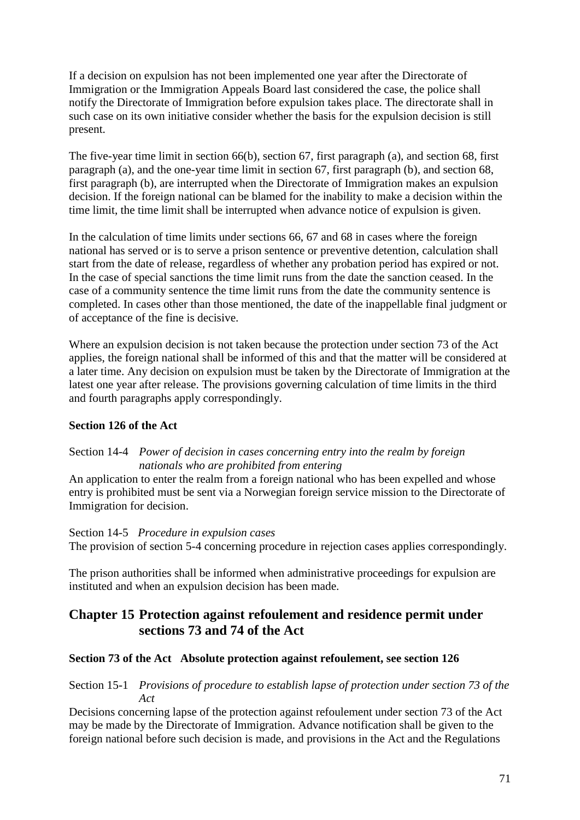If a decision on expulsion has not been implemented one year after the Directorate of Immigration or the Immigration Appeals Board last considered the case, the police shall notify the Directorate of Immigration before expulsion takes place. The directorate shall in such case on its own initiative consider whether the basis for the expulsion decision is still present.

The five-year time limit in section 66(b), section 67, first paragraph (a), and section 68, first paragraph (a), and the one-year time limit in section 67, first paragraph (b), and section 68, first paragraph (b), are interrupted when the Directorate of Immigration makes an expulsion decision. If the foreign national can be blamed for the inability to make a decision within the time limit, the time limit shall be interrupted when advance notice of expulsion is given.

In the calculation of time limits under sections 66, 67 and 68 in cases where the foreign national has served or is to serve a prison sentence or preventive detention, calculation shall start from the date of release, regardless of whether any probation period has expired or not. In the case of special sanctions the time limit runs from the date the sanction ceased. In the case of a community sentence the time limit runs from the date the community sentence is completed. In cases other than those mentioned, the date of the inappellable final judgment or of acceptance of the fine is decisive.

Where an expulsion decision is not taken because the protection under section 73 of the Act applies, the foreign national shall be informed of this and that the matter will be considered at a later time. Any decision on expulsion must be taken by the Directorate of Immigration at the latest one year after release. The provisions governing calculation of time limits in the third and fourth paragraphs apply correspondingly.

## **Section 126 of the Act**

### Section 14-4 *Power of decision in cases concerning entry into the realm by foreign nationals who are prohibited from entering*

An application to enter the realm from a foreign national who has been expelled and whose entry is prohibited must be sent via a Norwegian foreign service mission to the Directorate of Immigration for decision.

#### Section 14-5 *Procedure in expulsion cases*

The provision of section 5-4 concerning procedure in rejection cases applies correspondingly.

The prison authorities shall be informed when administrative proceedings for expulsion are instituted and when an expulsion decision has been made.

## **Chapter 15 Protection against refoulement and residence permit under sections 73 and 74 of the Act**

## **Section 73 of the Act Absolute protection against refoulement, see section 126**

### Section 15-1 *Provisions of procedure to establish lapse of protection under section 73 of the Act*

Decisions concerning lapse of the protection against refoulement under section 73 of the Act may be made by the Directorate of Immigration. Advance notification shall be given to the foreign national before such decision is made, and provisions in the Act and the Regulations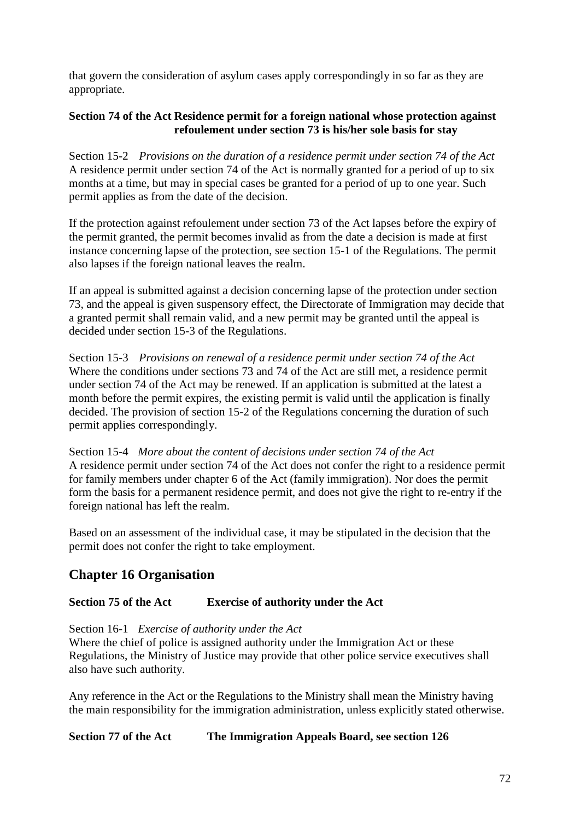that govern the consideration of asylum cases apply correspondingly in so far as they are appropriate.

## **Section 74 of the Act Residence permit for a foreign national whose protection against refoulement under section 73 is his/her sole basis for stay**

Section 15-2 *Provisions on the duration of a residence permit under section 74 of the Act* A residence permit under section 74 of the Act is normally granted for a period of up to six months at a time, but may in special cases be granted for a period of up to one year. Such permit applies as from the date of the decision.

If the protection against refoulement under section 73 of the Act lapses before the expiry of the permit granted, the permit becomes invalid as from the date a decision is made at first instance concerning lapse of the protection, see section 15-1 of the Regulations. The permit also lapses if the foreign national leaves the realm.

If an appeal is submitted against a decision concerning lapse of the protection under section 73, and the appeal is given suspensory effect, the Directorate of Immigration may decide that a granted permit shall remain valid, and a new permit may be granted until the appeal is decided under section 15-3 of the Regulations.

Section 15-3 *Provisions on renewal of a residence permit under section 74 of the Act* Where the conditions under sections 73 and 74 of the Act are still met, a residence permit under section 74 of the Act may be renewed. If an application is submitted at the latest a month before the permit expires, the existing permit is valid until the application is finally decided. The provision of section 15-2 of the Regulations concerning the duration of such permit applies correspondingly.

Section 15-4 *More about the content of decisions under section 74 of the Act* A residence permit under section 74 of the Act does not confer the right to a residence permit for family members under chapter 6 of the Act (family immigration). Nor does the permit form the basis for a permanent residence permit, and does not give the right to re-entry if the foreign national has left the realm.

Based on an assessment of the individual case, it may be stipulated in the decision that the permit does not confer the right to take employment.

# **Chapter 16 Organisation**

## **Section 75 of the Act Exercise of authority under the Act**

Section 16-1 *Exercise of authority under the Act*

Where the chief of police is assigned authority under the Immigration Act or these Regulations, the Ministry of Justice may provide that other police service executives shall also have such authority.

Any reference in the Act or the Regulations to the Ministry shall mean the Ministry having the main responsibility for the immigration administration, unless explicitly stated otherwise.

## **Section 77 of the Act The Immigration Appeals Board, see section 126**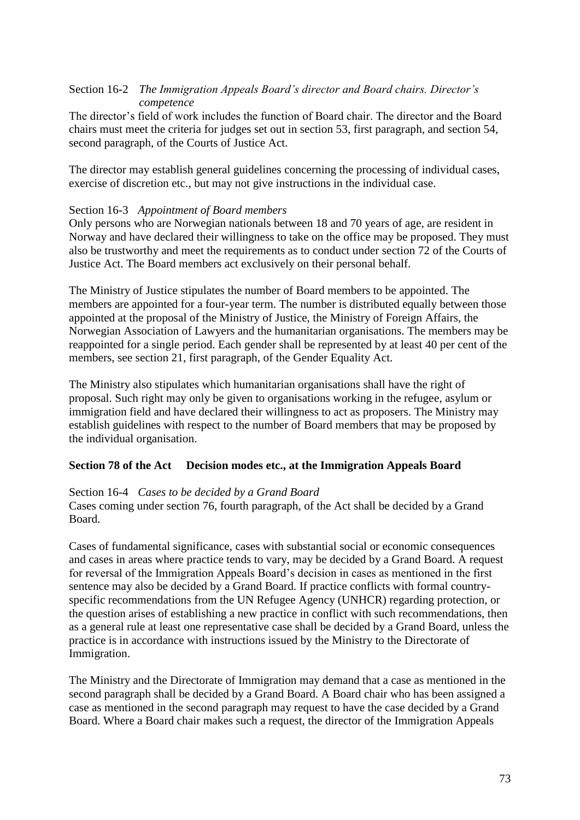# Section 16-2 *The Immigration Appeals Board's director and Board chairs. Director's competence*

The director's field of work includes the function of Board chair. The director and the Board chairs must meet the criteria for judges set out in section 53, first paragraph, and section 54, second paragraph, of the Courts of Justice Act.

The director may establish general guidelines concerning the processing of individual cases, exercise of discretion etc., but may not give instructions in the individual case.

# Section 16-3 *Appointment of Board members*

Only persons who are Norwegian nationals between 18 and 70 years of age, are resident in Norway and have declared their willingness to take on the office may be proposed. They must also be trustworthy and meet the requirements as to conduct under section 72 of the Courts of Justice Act. The Board members act exclusively on their personal behalf.

The Ministry of Justice stipulates the number of Board members to be appointed. The members are appointed for a four-year term. The number is distributed equally between those appointed at the proposal of the Ministry of Justice, the Ministry of Foreign Affairs, the Norwegian Association of Lawyers and the humanitarian organisations. The members may be reappointed for a single period. Each gender shall be represented by at least 40 per cent of the members, see section 21, first paragraph, of the Gender Equality Act.

The Ministry also stipulates which humanitarian organisations shall have the right of proposal. Such right may only be given to organisations working in the refugee, asylum or immigration field and have declared their willingness to act as proposers. The Ministry may establish guidelines with respect to the number of Board members that may be proposed by the individual organisation.

# **Section 78 of the Act Decision modes etc., at the Immigration Appeals Board**

#### Section 16-4 *Cases to be decided by a Grand Board*

Cases coming under section 76, fourth paragraph, of the Act shall be decided by a Grand Board.

Cases of fundamental significance, cases with substantial social or economic consequences and cases in areas where practice tends to vary, may be decided by a Grand Board. A request for reversal of the Immigration Appeals Board"s decision in cases as mentioned in the first sentence may also be decided by a Grand Board. If practice conflicts with formal countryspecific recommendations from the UN Refugee Agency (UNHCR) regarding protection, or the question arises of establishing a new practice in conflict with such recommendations, then as a general rule at least one representative case shall be decided by a Grand Board, unless the practice is in accordance with instructions issued by the Ministry to the Directorate of Immigration.

The Ministry and the Directorate of Immigration may demand that a case as mentioned in the second paragraph shall be decided by a Grand Board. A Board chair who has been assigned a case as mentioned in the second paragraph may request to have the case decided by a Grand Board. Where a Board chair makes such a request, the director of the Immigration Appeals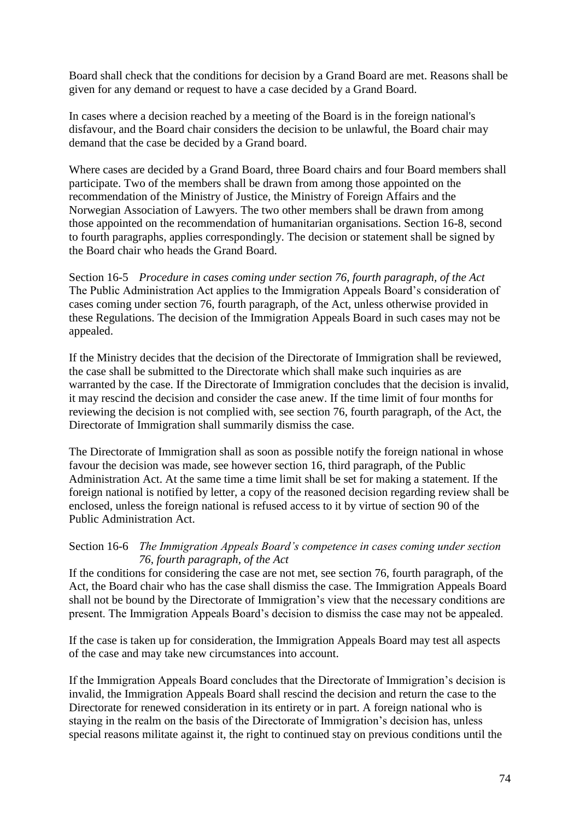Board shall check that the conditions for decision by a Grand Board are met. Reasons shall be given for any demand or request to have a case decided by a Grand Board.

In cases where a decision reached by a meeting of the Board is in the foreign national's disfavour, and the Board chair considers the decision to be unlawful, the Board chair may demand that the case be decided by a Grand board.

Where cases are decided by a Grand Board, three Board chairs and four Board members shall participate. Two of the members shall be drawn from among those appointed on the recommendation of the Ministry of Justice, the Ministry of Foreign Affairs and the Norwegian Association of Lawyers. The two other members shall be drawn from among those appointed on the recommendation of humanitarian organisations. Section 16-8, second to fourth paragraphs, applies correspondingly. The decision or statement shall be signed by the Board chair who heads the Grand Board.

Section 16-5 *Procedure in cases coming under section 76, fourth paragraph, of the Act* The Public Administration Act applies to the Immigration Appeals Board"s consideration of cases coming under section 76, fourth paragraph, of the Act, unless otherwise provided in these Regulations. The decision of the Immigration Appeals Board in such cases may not be appealed.

If the Ministry decides that the decision of the Directorate of Immigration shall be reviewed, the case shall be submitted to the Directorate which shall make such inquiries as are warranted by the case. If the Directorate of Immigration concludes that the decision is invalid, it may rescind the decision and consider the case anew. If the time limit of four months for reviewing the decision is not complied with, see section 76, fourth paragraph, of the Act, the Directorate of Immigration shall summarily dismiss the case.

The Directorate of Immigration shall as soon as possible notify the foreign national in whose favour the decision was made, see however section 16, third paragraph, of the Public Administration Act. At the same time a time limit shall be set for making a statement. If the foreign national is notified by letter, a copy of the reasoned decision regarding review shall be enclosed, unless the foreign national is refused access to it by virtue of section 90 of the Public Administration Act.

# Section 16-6 *The Immigration Appeals Board's competence in cases coming under section 76, fourth paragraph, of the Act*

If the conditions for considering the case are not met, see section 76, fourth paragraph, of the Act, the Board chair who has the case shall dismiss the case. The Immigration Appeals Board shall not be bound by the Directorate of Immigration"s view that the necessary conditions are present. The Immigration Appeals Board"s decision to dismiss the case may not be appealed.

If the case is taken up for consideration, the Immigration Appeals Board may test all aspects of the case and may take new circumstances into account.

If the Immigration Appeals Board concludes that the Directorate of Immigration"s decision is invalid, the Immigration Appeals Board shall rescind the decision and return the case to the Directorate for renewed consideration in its entirety or in part. A foreign national who is staying in the realm on the basis of the Directorate of Immigration"s decision has, unless special reasons militate against it, the right to continued stay on previous conditions until the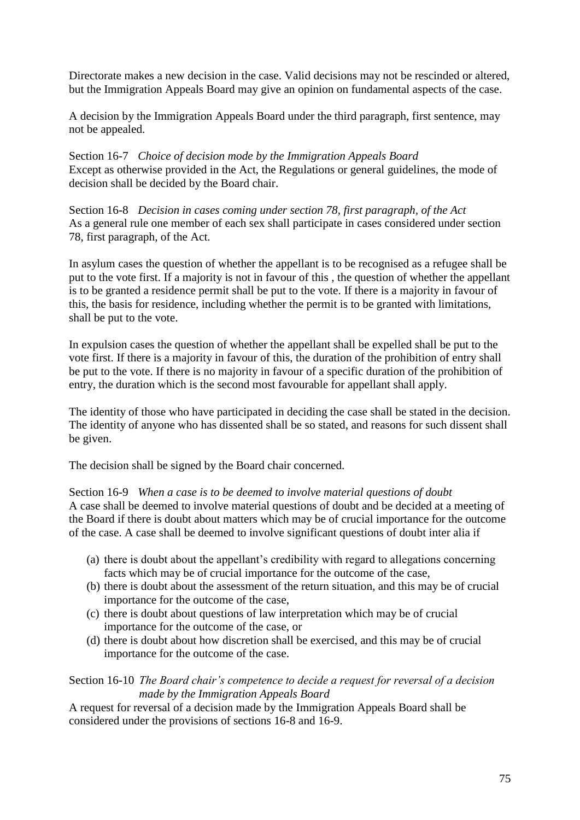Directorate makes a new decision in the case. Valid decisions may not be rescinded or altered, but the Immigration Appeals Board may give an opinion on fundamental aspects of the case.

A decision by the Immigration Appeals Board under the third paragraph, first sentence, may not be appealed.

Section 16-7 *Choice of decision mode by the Immigration Appeals Board* Except as otherwise provided in the Act, the Regulations or general guidelines, the mode of decision shall be decided by the Board chair.

Section 16-8 *Decision in cases coming under section 78, first paragraph, of the Act* As a general rule one member of each sex shall participate in cases considered under section 78, first paragraph, of the Act.

In asylum cases the question of whether the appellant is to be recognised as a refugee shall be put to the vote first. If a majority is not in favour of this , the question of whether the appellant is to be granted a residence permit shall be put to the vote. If there is a majority in favour of this, the basis for residence, including whether the permit is to be granted with limitations, shall be put to the vote.

In expulsion cases the question of whether the appellant shall be expelled shall be put to the vote first. If there is a majority in favour of this, the duration of the prohibition of entry shall be put to the vote. If there is no majority in favour of a specific duration of the prohibition of entry, the duration which is the second most favourable for appellant shall apply.

The identity of those who have participated in deciding the case shall be stated in the decision. The identity of anyone who has dissented shall be so stated, and reasons for such dissent shall be given.

The decision shall be signed by the Board chair concerned.

Section 16-9 *When a case is to be deemed to involve material questions of doubt* A case shall be deemed to involve material questions of doubt and be decided at a meeting of the Board if there is doubt about matters which may be of crucial importance for the outcome of the case. A case shall be deemed to involve significant questions of doubt inter alia if

- (a) there is doubt about the appellant"s credibility with regard to allegations concerning facts which may be of crucial importance for the outcome of the case,
- (b) there is doubt about the assessment of the return situation, and this may be of crucial importance for the outcome of the case,
- (c) there is doubt about questions of law interpretation which may be of crucial importance for the outcome of the case, or
- (d) there is doubt about how discretion shall be exercised, and this may be of crucial importance for the outcome of the case.

Section 16-10 *The Board chair's competence to decide a request for reversal of a decision made by the Immigration Appeals Board*

A request for reversal of a decision made by the Immigration Appeals Board shall be considered under the provisions of sections 16-8 and 16-9.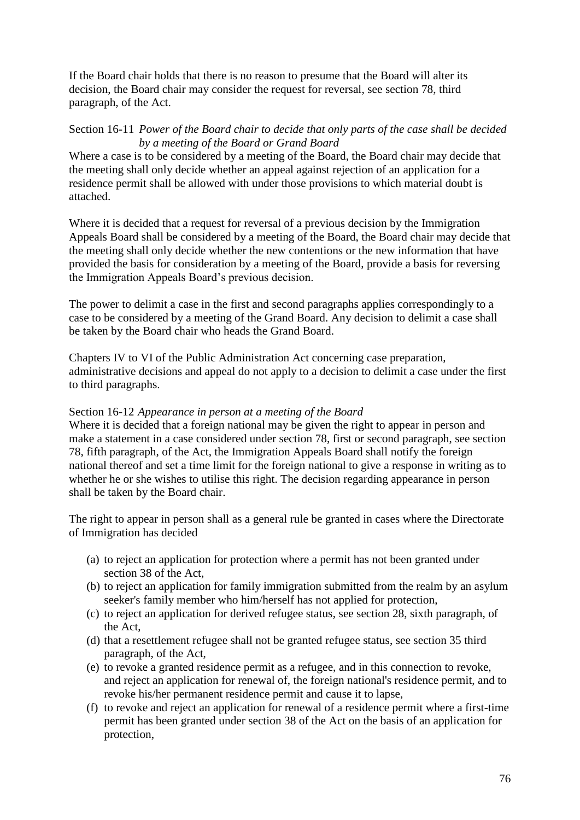If the Board chair holds that there is no reason to presume that the Board will alter its decision, the Board chair may consider the request for reversal, see section 78, third paragraph, of the Act.

### Section 16-11 *Power of the Board chair to decide that only parts of the case shall be decided by a meeting of the Board or Grand Board*

Where a case is to be considered by a meeting of the Board, the Board chair may decide that the meeting shall only decide whether an appeal against rejection of an application for a residence permit shall be allowed with under those provisions to which material doubt is attached.

Where it is decided that a request for reversal of a previous decision by the Immigration Appeals Board shall be considered by a meeting of the Board, the Board chair may decide that the meeting shall only decide whether the new contentions or the new information that have provided the basis for consideration by a meeting of the Board, provide a basis for reversing the Immigration Appeals Board"s previous decision.

The power to delimit a case in the first and second paragraphs applies correspondingly to a case to be considered by a meeting of the Grand Board. Any decision to delimit a case shall be taken by the Board chair who heads the Grand Board.

Chapters IV to VI of the Public Administration Act concerning case preparation, administrative decisions and appeal do not apply to a decision to delimit a case under the first to third paragraphs.

# Section 16-12 *Appearance in person at a meeting of the Board*

Where it is decided that a foreign national may be given the right to appear in person and make a statement in a case considered under section 78, first or second paragraph, see section 78, fifth paragraph, of the Act, the Immigration Appeals Board shall notify the foreign national thereof and set a time limit for the foreign national to give a response in writing as to whether he or she wishes to utilise this right. The decision regarding appearance in person shall be taken by the Board chair.

The right to appear in person shall as a general rule be granted in cases where the Directorate of Immigration has decided

- (a) to reject an application for protection where a permit has not been granted under section 38 of the Act,
- (b) to reject an application for family immigration submitted from the realm by an asylum seeker's family member who him/herself has not applied for protection,
- (c) to reject an application for derived refugee status, see section 28, sixth paragraph, of the Act,
- (d) that a resettlement refugee shall not be granted refugee status, see section 35 third paragraph, of the Act,
- (e) to revoke a granted residence permit as a refugee, and in this connection to revoke, and reject an application for renewal of, the foreign national's residence permit, and to revoke his/her permanent residence permit and cause it to lapse,
- (f) to revoke and reject an application for renewal of a residence permit where a first-time permit has been granted under section 38 of the Act on the basis of an application for protection,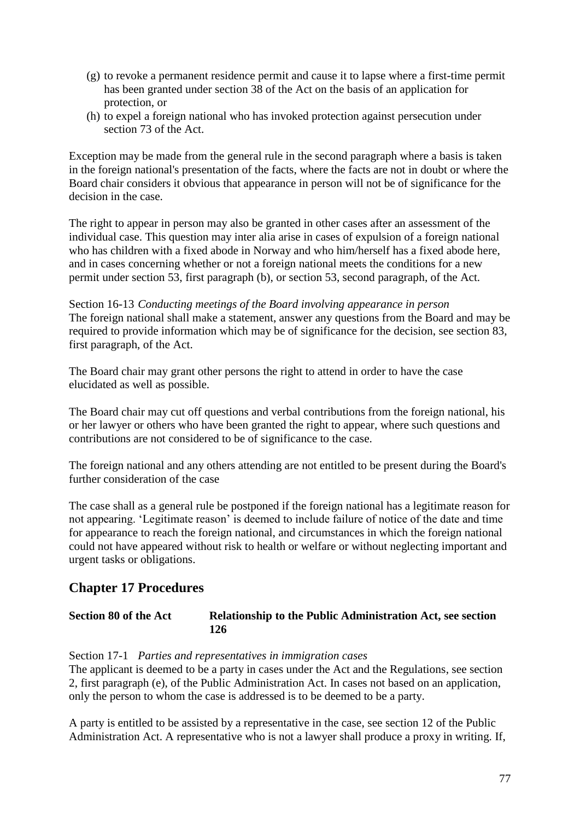- (g) to revoke a permanent residence permit and cause it to lapse where a first-time permit has been granted under section 38 of the Act on the basis of an application for protection, or
- (h) to expel a foreign national who has invoked protection against persecution under section 73 of the Act.

Exception may be made from the general rule in the second paragraph where a basis is taken in the foreign national's presentation of the facts, where the facts are not in doubt or where the Board chair considers it obvious that appearance in person will not be of significance for the decision in the case.

The right to appear in person may also be granted in other cases after an assessment of the individual case. This question may inter alia arise in cases of expulsion of a foreign national who has children with a fixed abode in Norway and who him/herself has a fixed abode here, and in cases concerning whether or not a foreign national meets the conditions for a new permit under section 53, first paragraph (b), or section 53, second paragraph, of the Act.

Section 16-13 *Conducting meetings of the Board involving appearance in person* The foreign national shall make a statement, answer any questions from the Board and may be required to provide information which may be of significance for the decision, see section 83, first paragraph, of the Act.

The Board chair may grant other persons the right to attend in order to have the case elucidated as well as possible.

The Board chair may cut off questions and verbal contributions from the foreign national, his or her lawyer or others who have been granted the right to appear, where such questions and contributions are not considered to be of significance to the case.

The foreign national and any others attending are not entitled to be present during the Board's further consideration of the case

The case shall as a general rule be postponed if the foreign national has a legitimate reason for not appearing. "Legitimate reason" is deemed to include failure of notice of the date and time for appearance to reach the foreign national, and circumstances in which the foreign national could not have appeared without risk to health or welfare or without neglecting important and urgent tasks or obligations.

# **Chapter 17 Procedures**

**Section 80 of the Act Relationship to the Public Administration Act, see section 126**

Section 17-1 *Parties and representatives in immigration cases*

The applicant is deemed to be a party in cases under the Act and the Regulations, see section 2, first paragraph (e), of the Public Administration Act. In cases not based on an application, only the person to whom the case is addressed is to be deemed to be a party.

A party is entitled to be assisted by a representative in the case, see section 12 of the Public Administration Act. A representative who is not a lawyer shall produce a proxy in writing. If,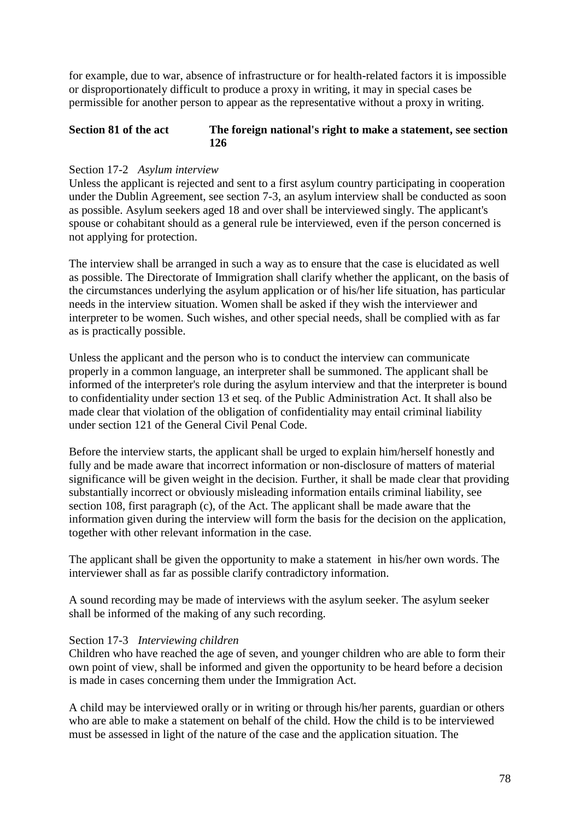for example, due to war, absence of infrastructure or for health-related factors it is impossible or disproportionately difficult to produce a proxy in writing, it may in special cases be permissible for another person to appear as the representative without a proxy in writing.

### **Section 81 of the act The foreign national's right to make a statement, see section 126**

### Section 17-2 *Asylum interview*

Unless the applicant is rejected and sent to a first asylum country participating in cooperation under the Dublin Agreement, see section 7-3, an asylum interview shall be conducted as soon as possible. Asylum seekers aged 18 and over shall be interviewed singly. The applicant's spouse or cohabitant should as a general rule be interviewed, even if the person concerned is not applying for protection.

The interview shall be arranged in such a way as to ensure that the case is elucidated as well as possible. The Directorate of Immigration shall clarify whether the applicant, on the basis of the circumstances underlying the asylum application or of his/her life situation, has particular needs in the interview situation. Women shall be asked if they wish the interviewer and interpreter to be women. Such wishes, and other special needs, shall be complied with as far as is practically possible.

Unless the applicant and the person who is to conduct the interview can communicate properly in a common language, an interpreter shall be summoned. The applicant shall be informed of the interpreter's role during the asylum interview and that the interpreter is bound to confidentiality under section 13 et seq. of the Public Administration Act. It shall also be made clear that violation of the obligation of confidentiality may entail criminal liability under section 121 of the General Civil Penal Code.

Before the interview starts, the applicant shall be urged to explain him/herself honestly and fully and be made aware that incorrect information or non-disclosure of matters of material significance will be given weight in the decision. Further, it shall be made clear that providing substantially incorrect or obviously misleading information entails criminal liability, see section 108, first paragraph (c), of the Act. The applicant shall be made aware that the information given during the interview will form the basis for the decision on the application, together with other relevant information in the case.

The applicant shall be given the opportunity to make a statement in his/her own words. The interviewer shall as far as possible clarify contradictory information.

A sound recording may be made of interviews with the asylum seeker. The asylum seeker shall be informed of the making of any such recording.

#### Section 17-3 *Interviewing children*

Children who have reached the age of seven, and younger children who are able to form their own point of view, shall be informed and given the opportunity to be heard before a decision is made in cases concerning them under the Immigration Act.

A child may be interviewed orally or in writing or through his/her parents, guardian or others who are able to make a statement on behalf of the child. How the child is to be interviewed must be assessed in light of the nature of the case and the application situation. The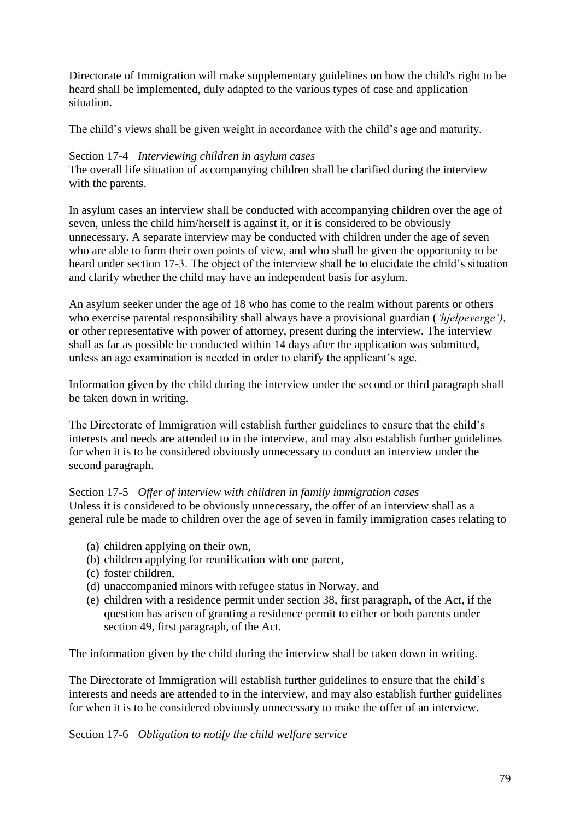Directorate of Immigration will make supplementary guidelines on how the child's right to be heard shall be implemented, duly adapted to the various types of case and application situation.

The child"s views shall be given weight in accordance with the child"s age and maturity.

### Section 17-4 *Interviewing children in asylum cases*

The overall life situation of accompanying children shall be clarified during the interview with the parents.

In asylum cases an interview shall be conducted with accompanying children over the age of seven, unless the child him/herself is against it, or it is considered to be obviously unnecessary. A separate interview may be conducted with children under the age of seven who are able to form their own points of view, and who shall be given the opportunity to be heard under section 17-3. The object of the interview shall be to elucidate the child's situation and clarify whether the child may have an independent basis for asylum.

An asylum seeker under the age of 18 who has come to the realm without parents or others who exercise parental responsibility shall always have a provisional guardian (*'hjelpeverge')*, or other representative with power of attorney, present during the interview. The interview shall as far as possible be conducted within 14 days after the application was submitted, unless an age examination is needed in order to clarify the applicant"s age.

Information given by the child during the interview under the second or third paragraph shall be taken down in writing.

The Directorate of Immigration will establish further guidelines to ensure that the child"s interests and needs are attended to in the interview, and may also establish further guidelines for when it is to be considered obviously unnecessary to conduct an interview under the second paragraph.

Section 17-5 *Offer of interview with children in family immigration cases* Unless it is considered to be obviously unnecessary, the offer of an interview shall as a general rule be made to children over the age of seven in family immigration cases relating to

- (a) children applying on their own,
- (b) children applying for reunification with one parent,
- (c) foster children,
- (d) unaccompanied minors with refugee status in Norway, and
- (e) children with a residence permit under section 38, first paragraph, of the Act, if the question has arisen of granting a residence permit to either or both parents under section 49, first paragraph, of the Act.

The information given by the child during the interview shall be taken down in writing.

The Directorate of Immigration will establish further guidelines to ensure that the child"s interests and needs are attended to in the interview, and may also establish further guidelines for when it is to be considered obviously unnecessary to make the offer of an interview.

Section 17-6 *Obligation to notify the child welfare service*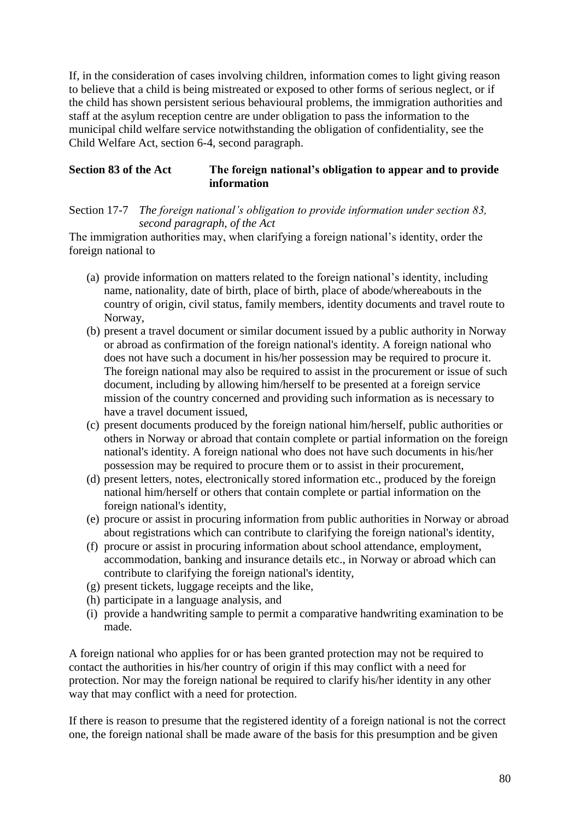If, in the consideration of cases involving children, information comes to light giving reason to believe that a child is being mistreated or exposed to other forms of serious neglect, or if the child has shown persistent serious behavioural problems, the immigration authorities and staff at the asylum reception centre are under obligation to pass the information to the municipal child welfare service notwithstanding the obligation of confidentiality, see the Child Welfare Act, section 6-4, second paragraph.

# **Section 83 of the Act The foreign national's obligation to appear and to provide information**

Section 17-7 *The foreign national's obligation to provide information under section 83, second paragraph, of the Act*

The immigration authorities may, when clarifying a foreign national"s identity, order the foreign national to

- (a) provide information on matters related to the foreign national"s identity, including name, nationality, date of birth, place of birth, place of abode/whereabouts in the country of origin, civil status, family members, identity documents and travel route to Norway,
- (b) present a travel document or similar document issued by a public authority in Norway or abroad as confirmation of the foreign national's identity. A foreign national who does not have such a document in his/her possession may be required to procure it. The foreign national may also be required to assist in the procurement or issue of such document, including by allowing him/herself to be presented at a foreign service mission of the country concerned and providing such information as is necessary to have a travel document issued,
- (c) present documents produced by the foreign national him/herself, public authorities or others in Norway or abroad that contain complete or partial information on the foreign national's identity. A foreign national who does not have such documents in his/her possession may be required to procure them or to assist in their procurement,
- (d) present letters, notes, electronically stored information etc., produced by the foreign national him/herself or others that contain complete or partial information on the foreign national's identity,
- (e) procure or assist in procuring information from public authorities in Norway or abroad about registrations which can contribute to clarifying the foreign national's identity,
- (f) procure or assist in procuring information about school attendance, employment, accommodation, banking and insurance details etc., in Norway or abroad which can contribute to clarifying the foreign national's identity,
- (g) present tickets, luggage receipts and the like,
- (h) participate in a language analysis, and
- (i) provide a handwriting sample to permit a comparative handwriting examination to be made.

A foreign national who applies for or has been granted protection may not be required to contact the authorities in his/her country of origin if this may conflict with a need for protection. Nor may the foreign national be required to clarify his/her identity in any other way that may conflict with a need for protection.

If there is reason to presume that the registered identity of a foreign national is not the correct one, the foreign national shall be made aware of the basis for this presumption and be given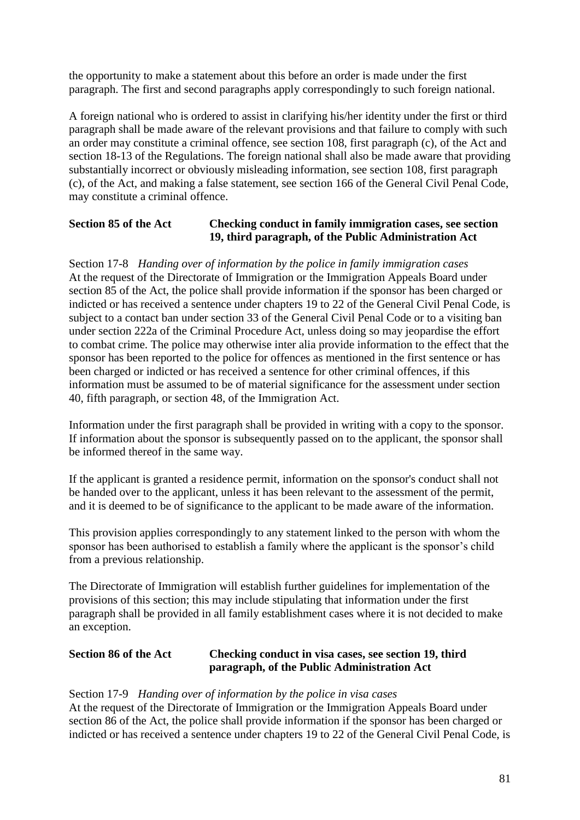the opportunity to make a statement about this before an order is made under the first paragraph. The first and second paragraphs apply correspondingly to such foreign national.

A foreign national who is ordered to assist in clarifying his/her identity under the first or third paragraph shall be made aware of the relevant provisions and that failure to comply with such an order may constitute a criminal offence, see section 108, first paragraph (c), of the Act and section 18-13 of the Regulations. The foreign national shall also be made aware that providing substantially incorrect or obviously misleading information, see section 108, first paragraph (c), of the Act, and making a false statement, see section 166 of the General Civil Penal Code, may constitute a criminal offence.

# **Section 85 of the Act Checking conduct in family immigration cases, see section 19, third paragraph, of the Public Administration Act**

Section 17-8 *Handing over of information by the police in family immigration cases* At the request of the Directorate of Immigration or the Immigration Appeals Board under section 85 of the Act, the police shall provide information if the sponsor has been charged or indicted or has received a sentence under chapters 19 to 22 of the General Civil Penal Code, is subject to a contact ban under section 33 of the General Civil Penal Code or to a visiting ban under section 222a of the Criminal Procedure Act, unless doing so may jeopardise the effort to combat crime. The police may otherwise inter alia provide information to the effect that the sponsor has been reported to the police for offences as mentioned in the first sentence or has been charged or indicted or has received a sentence for other criminal offences, if this information must be assumed to be of material significance for the assessment under section 40, fifth paragraph, or section 48, of the Immigration Act.

Information under the first paragraph shall be provided in writing with a copy to the sponsor. If information about the sponsor is subsequently passed on to the applicant, the sponsor shall be informed thereof in the same way.

If the applicant is granted a residence permit, information on the sponsor's conduct shall not be handed over to the applicant, unless it has been relevant to the assessment of the permit, and it is deemed to be of significance to the applicant to be made aware of the information.

This provision applies correspondingly to any statement linked to the person with whom the sponsor has been authorised to establish a family where the applicant is the sponsor's child from a previous relationship.

The Directorate of Immigration will establish further guidelines for implementation of the provisions of this section; this may include stipulating that information under the first paragraph shall be provided in all family establishment cases where it is not decided to make an exception.

### **Section 86 of the Act Checking conduct in visa cases, see section 19, third paragraph, of the Public Administration Act**

# Section 17-9 *Handing over of information by the police in visa cases*

At the request of the Directorate of Immigration or the Immigration Appeals Board under section 86 of the Act, the police shall provide information if the sponsor has been charged or indicted or has received a sentence under chapters 19 to 22 of the General Civil Penal Code, is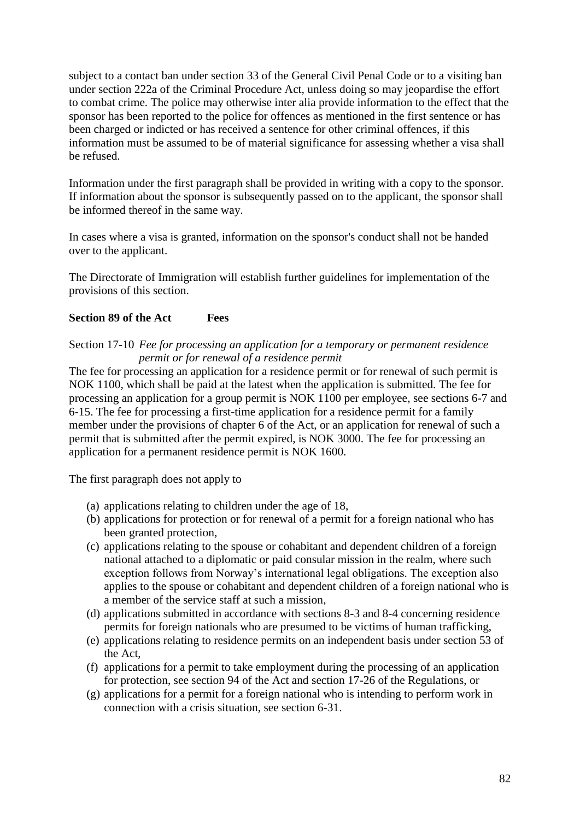subject to a contact ban under section 33 of the General Civil Penal Code or to a visiting ban under section 222a of the Criminal Procedure Act, unless doing so may jeopardise the effort to combat crime. The police may otherwise inter alia provide information to the effect that the sponsor has been reported to the police for offences as mentioned in the first sentence or has been charged or indicted or has received a sentence for other criminal offences, if this information must be assumed to be of material significance for assessing whether a visa shall be refused.

Information under the first paragraph shall be provided in writing with a copy to the sponsor. If information about the sponsor is subsequently passed on to the applicant, the sponsor shall be informed thereof in the same way.

In cases where a visa is granted, information on the sponsor's conduct shall not be handed over to the applicant.

The Directorate of Immigration will establish further guidelines for implementation of the provisions of this section.

### **Section 89 of the Act Fees**

Section 17-10 *Fee for processing an application for a temporary or permanent residence permit or for renewal of a residence permit*

The fee for processing an application for a residence permit or for renewal of such permit is NOK 1100, which shall be paid at the latest when the application is submitted. The fee for processing an application for a group permit is NOK 1100 per employee, see sections 6-7 and 6-15. The fee for processing a first-time application for a residence permit for a family member under the provisions of chapter 6 of the Act, or an application for renewal of such a permit that is submitted after the permit expired, is NOK 3000. The fee for processing an application for a permanent residence permit is NOK 1600.

The first paragraph does not apply to

- (a) applications relating to children under the age of 18,
- (b) applications for protection or for renewal of a permit for a foreign national who has been granted protection,
- (c) applications relating to the spouse or cohabitant and dependent children of a foreign national attached to a diplomatic or paid consular mission in the realm, where such exception follows from Norway's international legal obligations. The exception also applies to the spouse or cohabitant and dependent children of a foreign national who is a member of the service staff at such a mission,
- (d) applications submitted in accordance with sections 8-3 and 8-4 concerning residence permits for foreign nationals who are presumed to be victims of human trafficking,
- (e) applications relating to residence permits on an independent basis under section 53 of the Act,
- (f) applications for a permit to take employment during the processing of an application for protection, see section 94 of the Act and section 17-26 of the Regulations, or
- (g) applications for a permit for a foreign national who is intending to perform work in connection with a crisis situation, see section 6-31.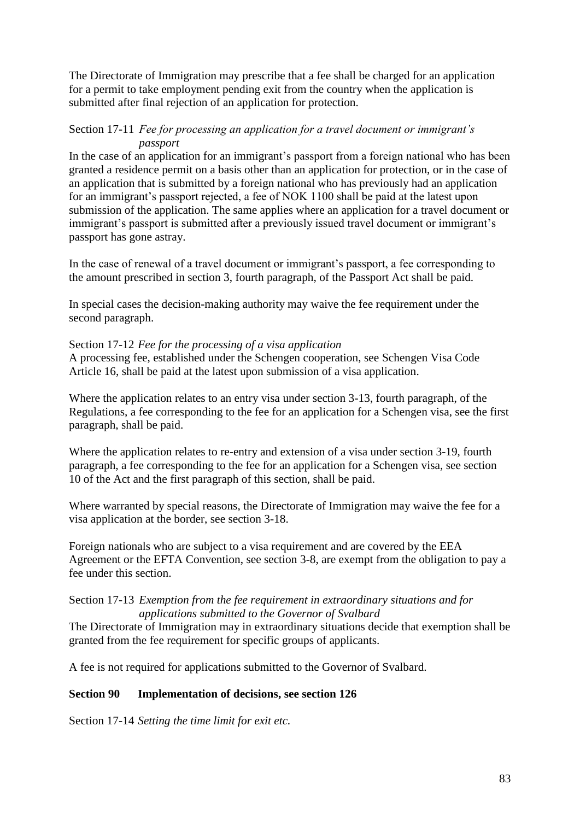The Directorate of Immigration may prescribe that a fee shall be charged for an application for a permit to take employment pending exit from the country when the application is submitted after final rejection of an application for protection.

### Section 17-11 *Fee for processing an application for a travel document or immigrant's passport*

In the case of an application for an immigrant's passport from a foreign national who has been granted a residence permit on a basis other than an application for protection, or in the case of an application that is submitted by a foreign national who has previously had an application for an immigrant"s passport rejected, a fee of NOK 1100 shall be paid at the latest upon submission of the application. The same applies where an application for a travel document or immigrant's passport is submitted after a previously issued travel document or immigrant's passport has gone astray.

In the case of renewal of a travel document or immigrant's passport, a fee corresponding to the amount prescribed in section 3, fourth paragraph, of the Passport Act shall be paid.

In special cases the decision-making authority may waive the fee requirement under the second paragraph.

# Section 17-12 *Fee for the processing of a visa application*

A processing fee, established under the Schengen cooperation, see Schengen Visa Code Article 16, shall be paid at the latest upon submission of a visa application.

Where the application relates to an entry visa under section 3-13, fourth paragraph, of the Regulations, a fee corresponding to the fee for an application for a Schengen visa, see the first paragraph, shall be paid.

Where the application relates to re-entry and extension of a visa under section 3-19, fourth paragraph, a fee corresponding to the fee for an application for a Schengen visa, see section 10 of the Act and the first paragraph of this section, shall be paid.

Where warranted by special reasons, the Directorate of Immigration may waive the fee for a visa application at the border, see section 3-18.

Foreign nationals who are subject to a visa requirement and are covered by the EEA Agreement or the EFTA Convention, see section 3-8, are exempt from the obligation to pay a fee under this section.

### Section 17-13 *Exemption from the fee requirement in extraordinary situations and for applications submitted to the Governor of Svalbard*

The Directorate of Immigration may in extraordinary situations decide that exemption shall be granted from the fee requirement for specific groups of applicants.

A fee is not required for applications submitted to the Governor of Svalbard.

# **Section 90 Implementation of decisions, see section 126**

Section 17-14 *Setting the time limit for exit etc.*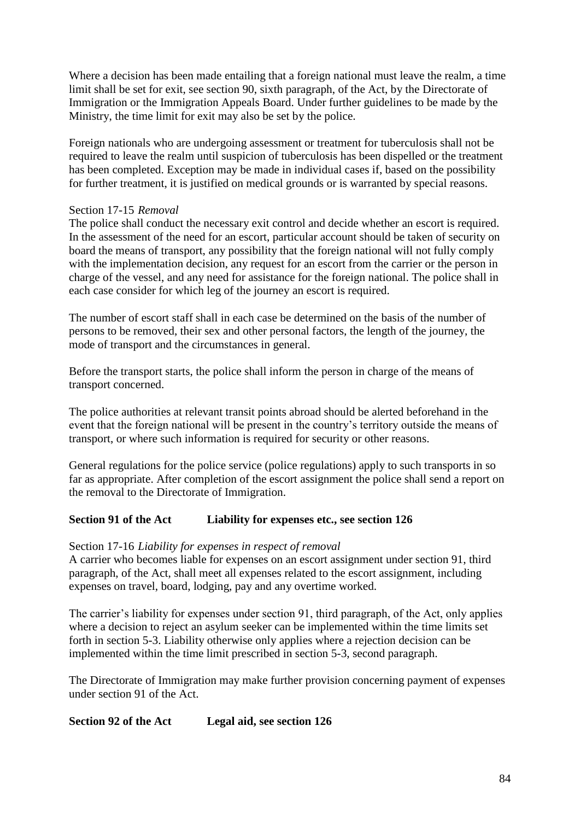Where a decision has been made entailing that a foreign national must leave the realm, a time limit shall be set for exit, see section 90, sixth paragraph, of the Act, by the Directorate of Immigration or the Immigration Appeals Board. Under further guidelines to be made by the Ministry, the time limit for exit may also be set by the police.

Foreign nationals who are undergoing assessment or treatment for tuberculosis shall not be required to leave the realm until suspicion of tuberculosis has been dispelled or the treatment has been completed. Exception may be made in individual cases if, based on the possibility for further treatment, it is justified on medical grounds or is warranted by special reasons.

### Section 17-15 *Removal*

The police shall conduct the necessary exit control and decide whether an escort is required. In the assessment of the need for an escort, particular account should be taken of security on board the means of transport, any possibility that the foreign national will not fully comply with the implementation decision, any request for an escort from the carrier or the person in charge of the vessel, and any need for assistance for the foreign national. The police shall in each case consider for which leg of the journey an escort is required.

The number of escort staff shall in each case be determined on the basis of the number of persons to be removed, their sex and other personal factors, the length of the journey, the mode of transport and the circumstances in general.

Before the transport starts, the police shall inform the person in charge of the means of transport concerned.

The police authorities at relevant transit points abroad should be alerted beforehand in the event that the foreign national will be present in the country"s territory outside the means of transport, or where such information is required for security or other reasons.

General regulations for the police service (police regulations) apply to such transports in so far as appropriate. After completion of the escort assignment the police shall send a report on the removal to the Directorate of Immigration.

# **Section 91 of the Act Liability for expenses etc., see section 126**

#### Section 17-16 *Liability for expenses in respect of removal*

A carrier who becomes liable for expenses on an escort assignment under section 91, third paragraph, of the Act, shall meet all expenses related to the escort assignment, including expenses on travel, board, lodging, pay and any overtime worked.

The carrier's liability for expenses under section 91, third paragraph, of the Act, only applies where a decision to reject an asylum seeker can be implemented within the time limits set forth in section 5-3. Liability otherwise only applies where a rejection decision can be implemented within the time limit prescribed in section 5-3, second paragraph.

The Directorate of Immigration may make further provision concerning payment of expenses under section 91 of the Act.

# **Section 92 of the Act Legal aid, see section 126**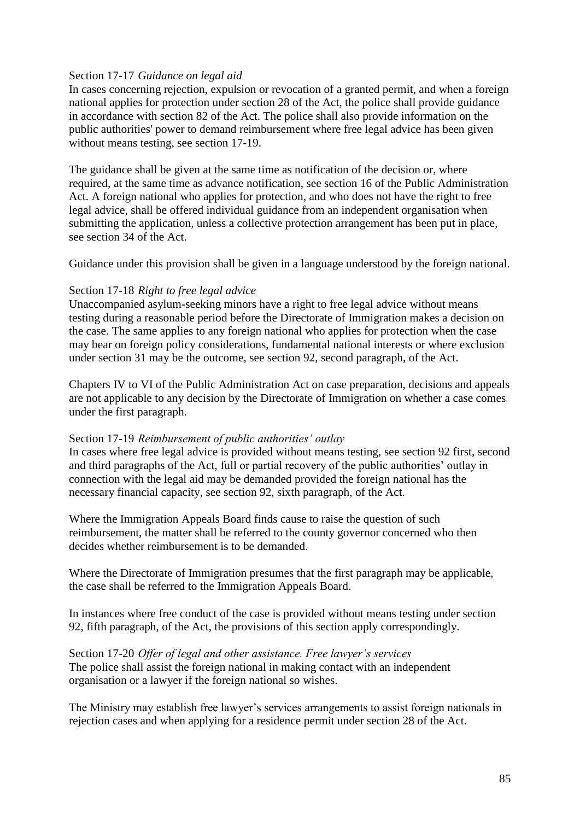### Section 17-17 *Guidance on legal aid*

In cases concerning rejection, expulsion or revocation of a granted permit, and when a foreign national applies for protection under section 28 of the Act, the police shall provide guidance in accordance with section 82 of the Act. The police shall also provide information on the public authorities' power to demand reimbursement where free legal advice has been given without means testing, see section 17-19.

The guidance shall be given at the same time as notification of the decision or, where required, at the same time as advance notification, see section 16 of the Public Administration Act. A foreign national who applies for protection, and who does not have the right to free legal advice, shall be offered individual guidance from an independent organisation when submitting the application, unless a collective protection arrangement has been put in place, see section 34 of the Act.

Guidance under this provision shall be given in a language understood by the foreign national.

# Section 17-18 *Right to free legal advice*

Unaccompanied asylum-seeking minors have a right to free legal advice without means testing during a reasonable period before the Directorate of Immigration makes a decision on the case. The same applies to any foreign national who applies for protection when the case may bear on foreign policy considerations, fundamental national interests or where exclusion under section 31 may be the outcome, see section 92, second paragraph, of the Act.

Chapters IV to VI of the Public Administration Act on case preparation, decisions and appeals are not applicable to any decision by the Directorate of Immigration on whether a case comes under the first paragraph.

#### Section 17-19 *Reimbursement of public authorities' outlay*

In cases where free legal advice is provided without means testing, see section 92 first, second and third paragraphs of the Act, full or partial recovery of the public authorities" outlay in connection with the legal aid may be demanded provided the foreign national has the necessary financial capacity, see section 92, sixth paragraph, of the Act.

Where the Immigration Appeals Board finds cause to raise the question of such reimbursement, the matter shall be referred to the county governor concerned who then decides whether reimbursement is to be demanded.

Where the Directorate of Immigration presumes that the first paragraph may be applicable, the case shall be referred to the Immigration Appeals Board.

In instances where free conduct of the case is provided without means testing under section 92, fifth paragraph, of the Act, the provisions of this section apply correspondingly.

Section 17-20 *Offer of legal and other assistance. Free lawyer's services*  The police shall assist the foreign national in making contact with an independent organisation or a lawyer if the foreign national so wishes.

The Ministry may establish free lawyer's services arrangements to assist foreign nationals in rejection cases and when applying for a residence permit under section 28 of the Act.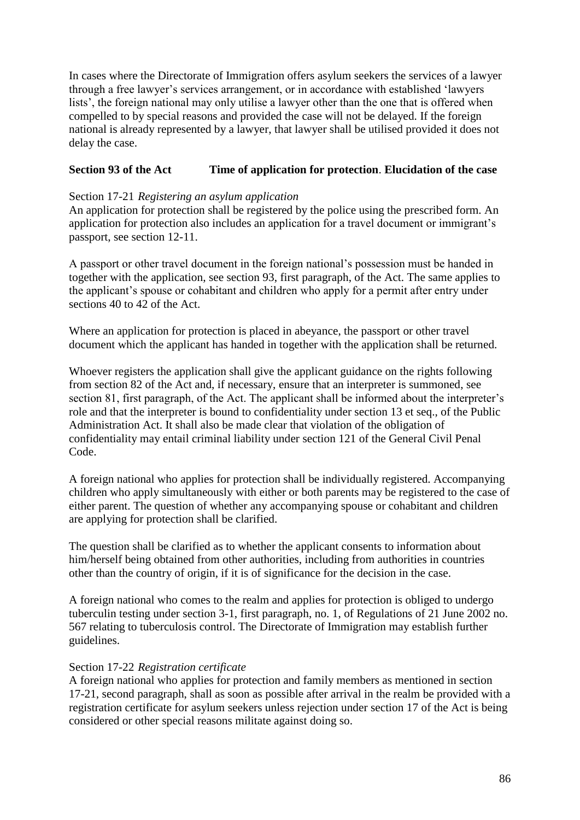In cases where the Directorate of Immigration offers asylum seekers the services of a lawyer through a free lawyer"s services arrangement, or in accordance with established "lawyers lists', the foreign national may only utilise a lawyer other than the one that is offered when compelled to by special reasons and provided the case will not be delayed. If the foreign national is already represented by a lawyer, that lawyer shall be utilised provided it does not delay the case.

# **Section 93 of the Act Time of application for protection**. **Elucidation of the case**

#### Section 17-21 *Registering an asylum application*

An application for protection shall be registered by the police using the prescribed form. An application for protection also includes an application for a travel document or immigrant"s passport, see section 12-11.

A passport or other travel document in the foreign national"s possession must be handed in together with the application, see section 93, first paragraph, of the Act. The same applies to the applicant"s spouse or cohabitant and children who apply for a permit after entry under sections 40 to 42 of the Act.

Where an application for protection is placed in abeyance, the passport or other travel document which the applicant has handed in together with the application shall be returned.

Whoever registers the application shall give the applicant guidance on the rights following from section 82 of the Act and, if necessary, ensure that an interpreter is summoned, see section 81, first paragraph, of the Act. The applicant shall be informed about the interpreter's role and that the interpreter is bound to confidentiality under section 13 et seq., of the Public Administration Act. It shall also be made clear that violation of the obligation of confidentiality may entail criminal liability under section 121 of the General Civil Penal Code.

A foreign national who applies for protection shall be individually registered. Accompanying children who apply simultaneously with either or both parents may be registered to the case of either parent. The question of whether any accompanying spouse or cohabitant and children are applying for protection shall be clarified.

The question shall be clarified as to whether the applicant consents to information about him/herself being obtained from other authorities, including from authorities in countries other than the country of origin, if it is of significance for the decision in the case.

A foreign national who comes to the realm and applies for protection is obliged to undergo tuberculin testing under section 3-1, first paragraph, no. 1, of Regulations of 21 June 2002 no. 567 relating to tuberculosis control. The Directorate of Immigration may establish further guidelines.

#### Section 17-22 *Registration certificate*

A foreign national who applies for protection and family members as mentioned in section 17-21, second paragraph, shall as soon as possible after arrival in the realm be provided with a registration certificate for asylum seekers unless rejection under section 17 of the Act is being considered or other special reasons militate against doing so.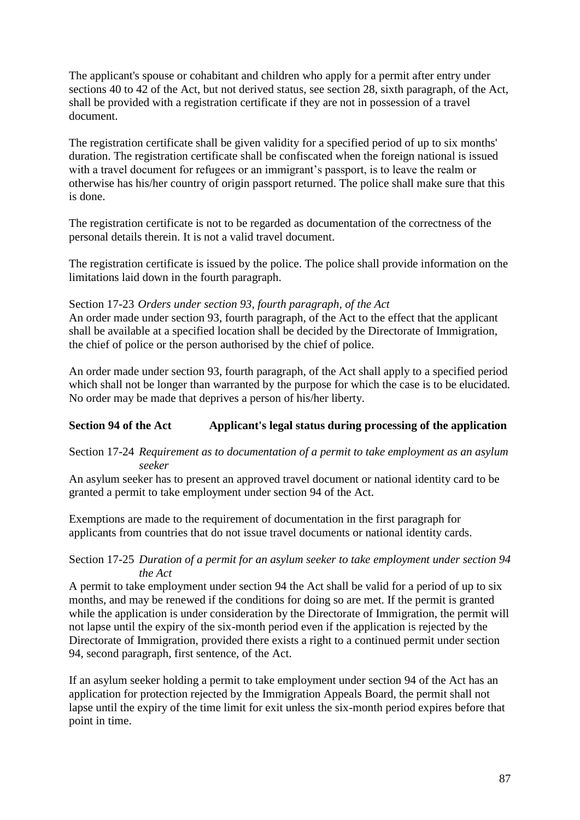The applicant's spouse or cohabitant and children who apply for a permit after entry under sections 40 to 42 of the Act, but not derived status, see section 28, sixth paragraph, of the Act, shall be provided with a registration certificate if they are not in possession of a travel document.

The registration certificate shall be given validity for a specified period of up to six months' duration. The registration certificate shall be confiscated when the foreign national is issued with a travel document for refugees or an immigrant's passport, is to leave the realm or otherwise has his/her country of origin passport returned. The police shall make sure that this is done.

The registration certificate is not to be regarded as documentation of the correctness of the personal details therein. It is not a valid travel document.

The registration certificate is issued by the police. The police shall provide information on the limitations laid down in the fourth paragraph.

# Section 17-23 *Orders under section 93, fourth paragraph, of the Act*

An order made under section 93, fourth paragraph, of the Act to the effect that the applicant shall be available at a specified location shall be decided by the Directorate of Immigration, the chief of police or the person authorised by the chief of police.

An order made under section 93, fourth paragraph, of the Act shall apply to a specified period which shall not be longer than warranted by the purpose for which the case is to be elucidated. No order may be made that deprives a person of his/her liberty.

# **Section 94 of the Act Applicant's legal status during processing of the application**

### Section 17-24 *Requirement as to documentation of a permit to take employment as an asylum seeker*

An asylum seeker has to present an approved travel document or national identity card to be granted a permit to take employment under section 94 of the Act.

Exemptions are made to the requirement of documentation in the first paragraph for applicants from countries that do not issue travel documents or national identity cards.

### Section 17-25 *Duration of a permit for an asylum seeker to take employment under section 94 the Act*

A permit to take employment under section 94 the Act shall be valid for a period of up to six months, and may be renewed if the conditions for doing so are met. If the permit is granted while the application is under consideration by the Directorate of Immigration, the permit will not lapse until the expiry of the six-month period even if the application is rejected by the Directorate of Immigration, provided there exists a right to a continued permit under section 94, second paragraph, first sentence, of the Act.

If an asylum seeker holding a permit to take employment under section 94 of the Act has an application for protection rejected by the Immigration Appeals Board, the permit shall not lapse until the expiry of the time limit for exit unless the six-month period expires before that point in time.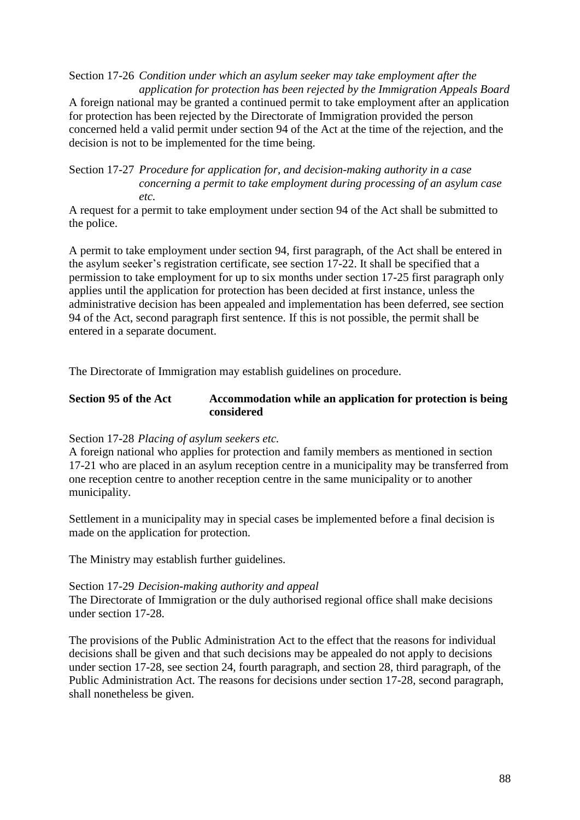Section 17-26 *Condition under which an asylum seeker may take employment after the application for protection has been rejected by the Immigration Appeals Board* A foreign national may be granted a continued permit to take employment after an application for protection has been rejected by the Directorate of Immigration provided the person concerned held a valid permit under section 94 of the Act at the time of the rejection, and the decision is not to be implemented for the time being.

Section 17-27 *Procedure for application for, and decision-making authority in a case concerning a permit to take employment during processing of an asylum case etc.*

A request for a permit to take employment under section 94 of the Act shall be submitted to the police.

A permit to take employment under section 94, first paragraph, of the Act shall be entered in the asylum seeker"s registration certificate, see section 17-22. It shall be specified that a permission to take employment for up to six months under section 17-25 first paragraph only applies until the application for protection has been decided at first instance, unless the administrative decision has been appealed and implementation has been deferred, see section 94 of the Act, second paragraph first sentence. If this is not possible, the permit shall be entered in a separate document.

The Directorate of Immigration may establish guidelines on procedure.

#### **Section 95 of the Act Accommodation while an application for protection is being considered**

Section 17-28 *Placing of asylum seekers etc.*

A foreign national who applies for protection and family members as mentioned in section 17-21 who are placed in an asylum reception centre in a municipality may be transferred from one reception centre to another reception centre in the same municipality or to another municipality.

Settlement in a municipality may in special cases be implemented before a final decision is made on the application for protection.

The Ministry may establish further guidelines.

#### Section 17-29 *Decision-making authority and appeal*

The Directorate of Immigration or the duly authorised regional office shall make decisions under section 17-28.

The provisions of the Public Administration Act to the effect that the reasons for individual decisions shall be given and that such decisions may be appealed do not apply to decisions under section 17-28, see section 24, fourth paragraph, and section 28, third paragraph, of the Public Administration Act. The reasons for decisions under section 17-28, second paragraph, shall nonetheless be given.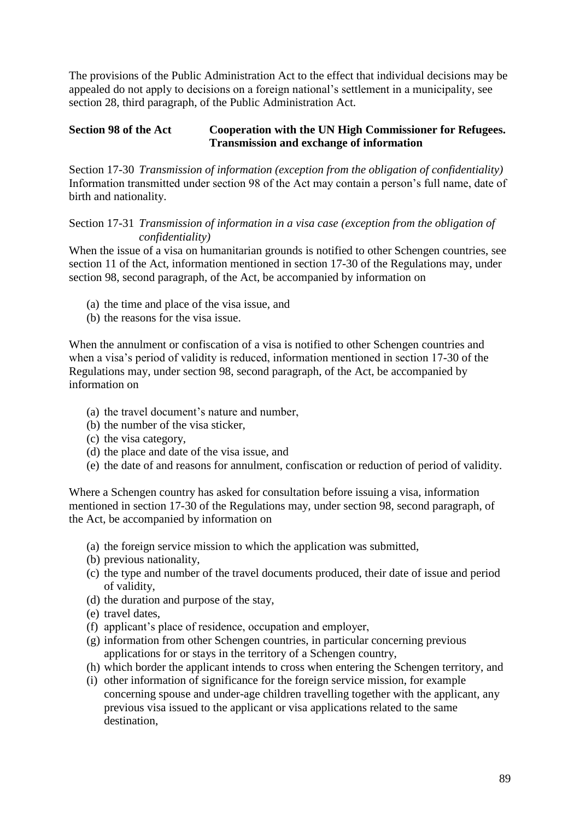The provisions of the Public Administration Act to the effect that individual decisions may be appealed do not apply to decisions on a foreign national"s settlement in a municipality, see section 28, third paragraph, of the Public Administration Act.

### **Section 98 of the Act Cooperation with the UN High Commissioner for Refugees. Transmission and exchange of information**

Section 17-30 *Transmission of information (exception from the obligation of confidentiality)* Information transmitted under section 98 of the Act may contain a person's full name, date of birth and nationality.

Section 17-31 *Transmission of information in a visa case (exception from the obligation of confidentiality)*

When the issue of a visa on humanitarian grounds is notified to other Schengen countries, see section 11 of the Act, information mentioned in section 17-30 of the Regulations may, under section 98, second paragraph, of the Act, be accompanied by information on

- (a) the time and place of the visa issue, and
- (b) the reasons for the visa issue.

When the annulment or confiscation of a visa is notified to other Schengen countries and when a visa's period of validity is reduced, information mentioned in section 17-30 of the Regulations may, under section 98, second paragraph, of the Act, be accompanied by information on

- (a) the travel document"s nature and number,
- (b) the number of the visa sticker,
- (c) the visa category,
- (d) the place and date of the visa issue, and
- (e) the date of and reasons for annulment, confiscation or reduction of period of validity.

Where a Schengen country has asked for consultation before issuing a visa, information mentioned in section 17-30 of the Regulations may, under section 98, second paragraph, of the Act, be accompanied by information on

- (a) the foreign service mission to which the application was submitted,
- (b) previous nationality,
- (c) the type and number of the travel documents produced, their date of issue and period of validity,
- (d) the duration and purpose of the stay,
- (e) travel dates,
- (f) applicant"s place of residence, occupation and employer,
- (g) information from other Schengen countries, in particular concerning previous applications for or stays in the territory of a Schengen country,
- (h) which border the applicant intends to cross when entering the Schengen territory, and
- (i) other information of significance for the foreign service mission, for example concerning spouse and under-age children travelling together with the applicant, any previous visa issued to the applicant or visa applications related to the same destination,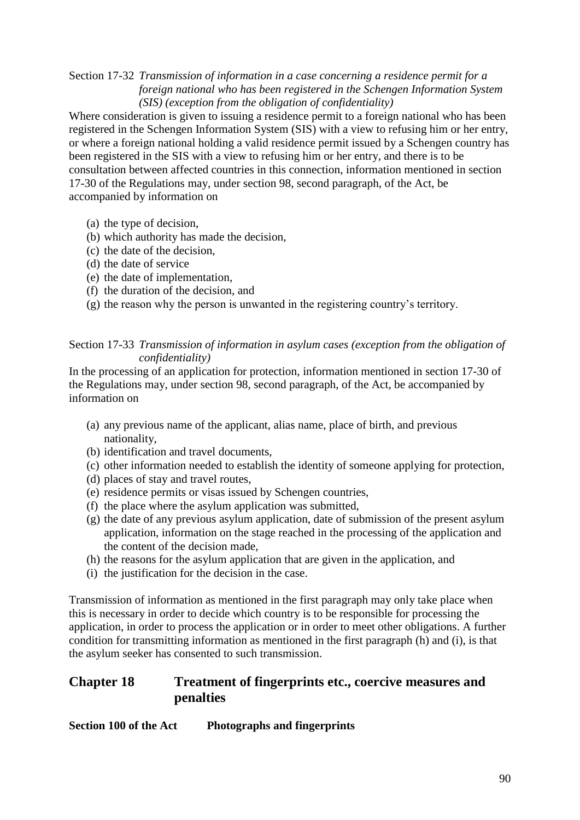# Section 17-32 *Transmission of information in a case concerning a residence permit for a foreign national who has been registered in the Schengen Information System (SIS) (exception from the obligation of confidentiality)*

Where consideration is given to issuing a residence permit to a foreign national who has been registered in the Schengen Information System (SIS) with a view to refusing him or her entry, or where a foreign national holding a valid residence permit issued by a Schengen country has been registered in the SIS with a view to refusing him or her entry, and there is to be consultation between affected countries in this connection, information mentioned in section 17-30 of the Regulations may, under section 98, second paragraph, of the Act, be accompanied by information on

- (a) the type of decision,
- (b) which authority has made the decision,
- (c) the date of the decision,
- (d) the date of service
- (e) the date of implementation,
- (f) the duration of the decision, and
- (g) the reason why the person is unwanted in the registering country"s territory.

Section 17-33 *Transmission of information in asylum cases (exception from the obligation of confidentiality)*

In the processing of an application for protection, information mentioned in section 17-30 of the Regulations may, under section 98, second paragraph, of the Act, be accompanied by information on

- (a) any previous name of the applicant, alias name, place of birth, and previous nationality,
- (b) identification and travel documents,
- (c) other information needed to establish the identity of someone applying for protection,
- (d) places of stay and travel routes,
- (e) residence permits or visas issued by Schengen countries,
- (f) the place where the asylum application was submitted,
- (g) the date of any previous asylum application, date of submission of the present asylum application, information on the stage reached in the processing of the application and the content of the decision made,
- (h) the reasons for the asylum application that are given in the application, and
- (i) the justification for the decision in the case.

Transmission of information as mentioned in the first paragraph may only take place when this is necessary in order to decide which country is to be responsible for processing the application, in order to process the application or in order to meet other obligations. A further condition for transmitting information as mentioned in the first paragraph (h) and (i), is that the asylum seeker has consented to such transmission.

# **Chapter 18 Treatment of fingerprints etc., coercive measures and penalties**

**Section 100 of the Act Photographs and fingerprints**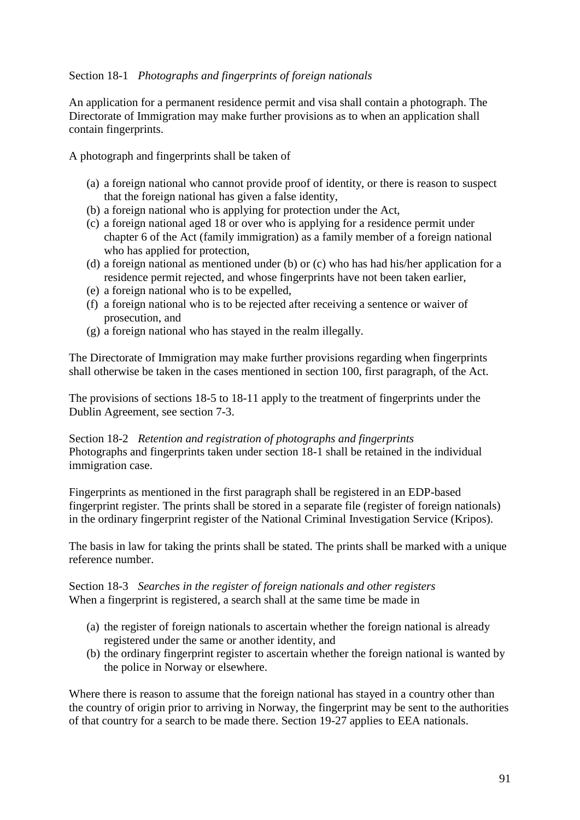# Section 18-1 *Photographs and fingerprints of foreign nationals*

An application for a permanent residence permit and visa shall contain a photograph. The Directorate of Immigration may make further provisions as to when an application shall contain fingerprints.

A photograph and fingerprints shall be taken of

- (a) a foreign national who cannot provide proof of identity, or there is reason to suspect that the foreign national has given a false identity,
- (b) a foreign national who is applying for protection under the Act,
- (c) a foreign national aged 18 or over who is applying for a residence permit under chapter 6 of the Act (family immigration) as a family member of a foreign national who has applied for protection,
- (d) a foreign national as mentioned under (b) or (c) who has had his/her application for a residence permit rejected, and whose fingerprints have not been taken earlier,
- (e) a foreign national who is to be expelled,
- (f) a foreign national who is to be rejected after receiving a sentence or waiver of prosecution, and
- (g) a foreign national who has stayed in the realm illegally.

The Directorate of Immigration may make further provisions regarding when fingerprints shall otherwise be taken in the cases mentioned in section 100, first paragraph, of the Act.

The provisions of sections 18-5 to 18-11 apply to the treatment of fingerprints under the Dublin Agreement, see section 7-3.

Section 18-2 *Retention and registration of photographs and fingerprints* Photographs and fingerprints taken under section 18-1 shall be retained in the individual immigration case.

Fingerprints as mentioned in the first paragraph shall be registered in an EDP-based fingerprint register. The prints shall be stored in a separate file (register of foreign nationals) in the ordinary fingerprint register of the National Criminal Investigation Service (Kripos).

The basis in law for taking the prints shall be stated. The prints shall be marked with a unique reference number.

Section 18-3 *Searches in the register of foreign nationals and other registers* When a fingerprint is registered, a search shall at the same time be made in

- (a) the register of foreign nationals to ascertain whether the foreign national is already registered under the same or another identity, and
- (b) the ordinary fingerprint register to ascertain whether the foreign national is wanted by the police in Norway or elsewhere.

Where there is reason to assume that the foreign national has stayed in a country other than the country of origin prior to arriving in Norway, the fingerprint may be sent to the authorities of that country for a search to be made there. Section 19-27 applies to EEA nationals.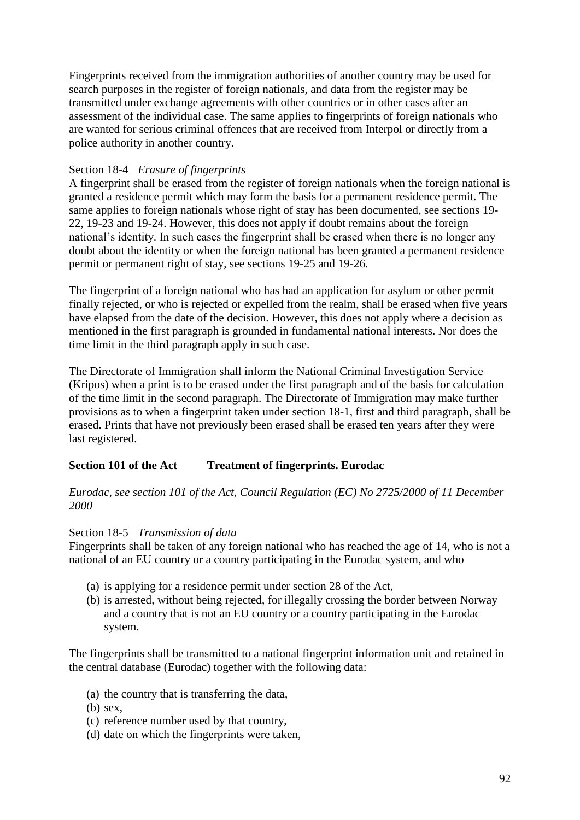Fingerprints received from the immigration authorities of another country may be used for search purposes in the register of foreign nationals, and data from the register may be transmitted under exchange agreements with other countries or in other cases after an assessment of the individual case. The same applies to fingerprints of foreign nationals who are wanted for serious criminal offences that are received from Interpol or directly from a police authority in another country.

# Section 18-4 *Erasure of fingerprints*

A fingerprint shall be erased from the register of foreign nationals when the foreign national is granted a residence permit which may form the basis for a permanent residence permit. The same applies to foreign nationals whose right of stay has been documented, see sections 19- 22, 19-23 and 19-24. However, this does not apply if doubt remains about the foreign national"s identity. In such cases the fingerprint shall be erased when there is no longer any doubt about the identity or when the foreign national has been granted a permanent residence permit or permanent right of stay, see sections 19-25 and 19-26.

The fingerprint of a foreign national who has had an application for asylum or other permit finally rejected, or who is rejected or expelled from the realm, shall be erased when five years have elapsed from the date of the decision. However, this does not apply where a decision as mentioned in the first paragraph is grounded in fundamental national interests. Nor does the time limit in the third paragraph apply in such case.

The Directorate of Immigration shall inform the National Criminal Investigation Service (Kripos) when a print is to be erased under the first paragraph and of the basis for calculation of the time limit in the second paragraph. The Directorate of Immigration may make further provisions as to when a fingerprint taken under section 18-1, first and third paragraph, shall be erased. Prints that have not previously been erased shall be erased ten years after they were last registered.

# **Section 101 of the Act Treatment of fingerprints. Eurodac**

# *Eurodac, see section 101 of the Act, Council Regulation (EC) No 2725/2000 of 11 December 2000*

#### Section 18-5 *Transmission of data*

Fingerprints shall be taken of any foreign national who has reached the age of 14, who is not a national of an EU country or a country participating in the Eurodac system, and who

- (a) is applying for a residence permit under section 28 of the Act,
- (b) is arrested, without being rejected, for illegally crossing the border between Norway and a country that is not an EU country or a country participating in the Eurodac system.

The fingerprints shall be transmitted to a national fingerprint information unit and retained in the central database (Eurodac) together with the following data:

- (a) the country that is transferring the data,
- (b) sex,
- (c) reference number used by that country,
- (d) date on which the fingerprints were taken,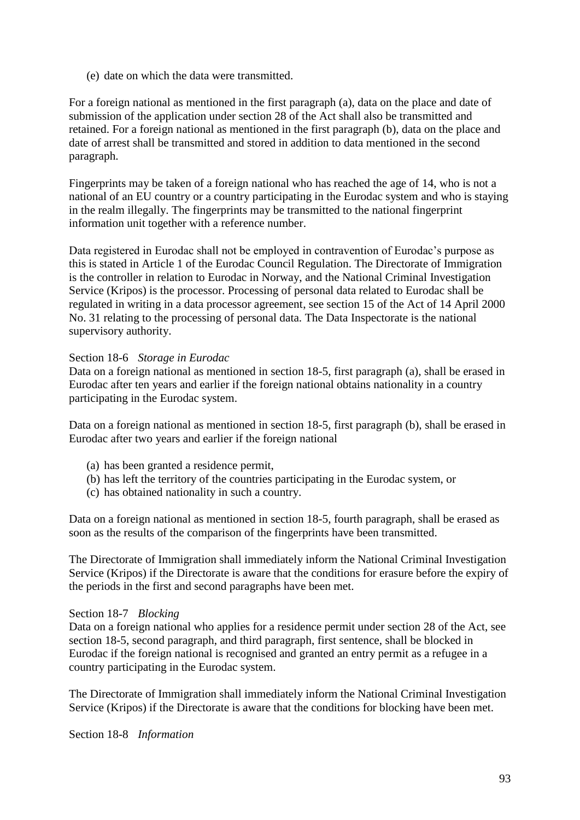(e) date on which the data were transmitted.

For a foreign national as mentioned in the first paragraph (a), data on the place and date of submission of the application under section 28 of the Act shall also be transmitted and retained. For a foreign national as mentioned in the first paragraph (b), data on the place and date of arrest shall be transmitted and stored in addition to data mentioned in the second paragraph.

Fingerprints may be taken of a foreign national who has reached the age of 14, who is not a national of an EU country or a country participating in the Eurodac system and who is staying in the realm illegally. The fingerprints may be transmitted to the national fingerprint information unit together with a reference number.

Data registered in Eurodac shall not be employed in contravention of Eurodac"s purpose as this is stated in Article 1 of the Eurodac Council Regulation. The Directorate of Immigration is the controller in relation to Eurodac in Norway, and the National Criminal Investigation Service (Kripos) is the processor. Processing of personal data related to Eurodac shall be regulated in writing in a data processor agreement, see section 15 of the Act of 14 April 2000 No. 31 relating to the processing of personal data. The Data Inspectorate is the national supervisory authority.

### Section 18-6 *Storage in Eurodac*

Data on a foreign national as mentioned in section 18-5, first paragraph (a), shall be erased in Eurodac after ten years and earlier if the foreign national obtains nationality in a country participating in the Eurodac system.

Data on a foreign national as mentioned in section 18-5, first paragraph (b), shall be erased in Eurodac after two years and earlier if the foreign national

- (a) has been granted a residence permit,
- (b) has left the territory of the countries participating in the Eurodac system, or
- (c) has obtained nationality in such a country.

Data on a foreign national as mentioned in section 18-5, fourth paragraph, shall be erased as soon as the results of the comparison of the fingerprints have been transmitted.

The Directorate of Immigration shall immediately inform the National Criminal Investigation Service (Kripos) if the Directorate is aware that the conditions for erasure before the expiry of the periods in the first and second paragraphs have been met.

#### Section 18-7 *Blocking*

Data on a foreign national who applies for a residence permit under section 28 of the Act, see section 18-5, second paragraph, and third paragraph, first sentence, shall be blocked in Eurodac if the foreign national is recognised and granted an entry permit as a refugee in a country participating in the Eurodac system.

The Directorate of Immigration shall immediately inform the National Criminal Investigation Service (Kripos) if the Directorate is aware that the conditions for blocking have been met.

Section 18-8 *Information*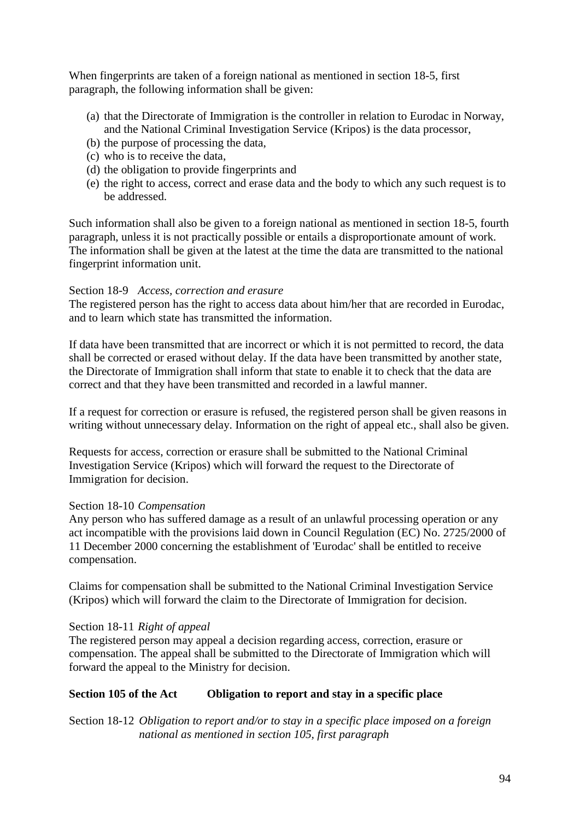When fingerprints are taken of a foreign national as mentioned in section 18-5, first paragraph, the following information shall be given:

- (a) that the Directorate of Immigration is the controller in relation to Eurodac in Norway, and the National Criminal Investigation Service (Kripos) is the data processor,
- (b) the purpose of processing the data,
- (c) who is to receive the data,
- (d) the obligation to provide fingerprints and
- (e) the right to access, correct and erase data and the body to which any such request is to be addressed.

Such information shall also be given to a foreign national as mentioned in section 18-5, fourth paragraph, unless it is not practically possible or entails a disproportionate amount of work. The information shall be given at the latest at the time the data are transmitted to the national fingerprint information unit.

#### Section 18-9 *Access, correction and erasure*

The registered person has the right to access data about him/her that are recorded in Eurodac, and to learn which state has transmitted the information.

If data have been transmitted that are incorrect or which it is not permitted to record, the data shall be corrected or erased without delay. If the data have been transmitted by another state, the Directorate of Immigration shall inform that state to enable it to check that the data are correct and that they have been transmitted and recorded in a lawful manner.

If a request for correction or erasure is refused, the registered person shall be given reasons in writing without unnecessary delay. Information on the right of appeal etc., shall also be given.

Requests for access, correction or erasure shall be submitted to the National Criminal Investigation Service (Kripos) which will forward the request to the Directorate of Immigration for decision.

#### Section 18-10 *Compensation*

Any person who has suffered damage as a result of an unlawful processing operation or any act incompatible with the provisions laid down in Council Regulation (EC) No. 2725/2000 of 11 December 2000 concerning the establishment of 'Eurodac' shall be entitled to receive compensation.

Claims for compensation shall be submitted to the National Criminal Investigation Service (Kripos) which will forward the claim to the Directorate of Immigration for decision.

#### Section 18-11 *Right of appeal*

The registered person may appeal a decision regarding access, correction, erasure or compensation. The appeal shall be submitted to the Directorate of Immigration which will forward the appeal to the Ministry for decision.

# **Section 105 of the Act Obligation to report and stay in a specific place**

Section 18-12 *Obligation to report and/or to stay in a specific place imposed on a foreign national as mentioned in section 105, first paragraph*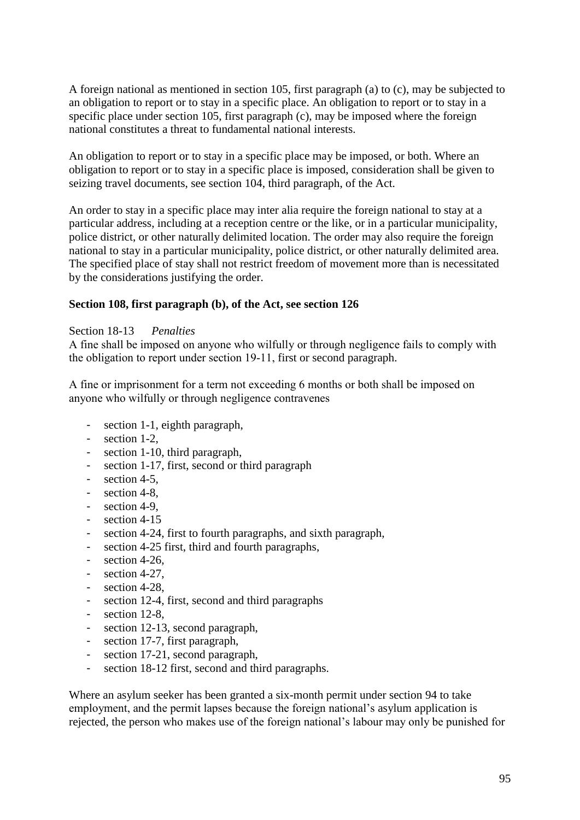A foreign national as mentioned in section 105, first paragraph (a) to (c), may be subjected to an obligation to report or to stay in a specific place. An obligation to report or to stay in a specific place under section 105, first paragraph (c), may be imposed where the foreign national constitutes a threat to fundamental national interests.

An obligation to report or to stay in a specific place may be imposed, or both. Where an obligation to report or to stay in a specific place is imposed, consideration shall be given to seizing travel documents, see section 104, third paragraph, of the Act.

An order to stay in a specific place may inter alia require the foreign national to stay at a particular address, including at a reception centre or the like, or in a particular municipality, police district, or other naturally delimited location. The order may also require the foreign national to stay in a particular municipality, police district, or other naturally delimited area. The specified place of stay shall not restrict freedom of movement more than is necessitated by the considerations justifying the order.

# **Section 108, first paragraph (b), of the Act, see section 126**

#### Section 18-13 *Penalties*

A fine shall be imposed on anyone who wilfully or through negligence fails to comply with the obligation to report under section 19-11, first or second paragraph.

A fine or imprisonment for a term not exceeding 6 months or both shall be imposed on anyone who wilfully or through negligence contravenes

- section 1-1, eighth paragraph,
- section 1-2,
- section 1-10, third paragraph,
- section 1-17, first, second or third paragraph
- section 4-5.
- section 4-8.
- section 4-9,
- section 4-15
- section 4-24, first to fourth paragraphs, and sixth paragraph,
- section 4-25 first, third and fourth paragraphs,
- section 4-26,
- section 4-27,
- section 4-28,
- section 12-4, first, second and third paragraphs
- section 12-8.
- section 12-13, second paragraph,
- section 17-7, first paragraph,
- section 17-21, second paragraph,
- section 18-12 first, second and third paragraphs.

Where an asylum seeker has been granted a six-month permit under section 94 to take employment, and the permit lapses because the foreign national's asylum application is rejected, the person who makes use of the foreign national"s labour may only be punished for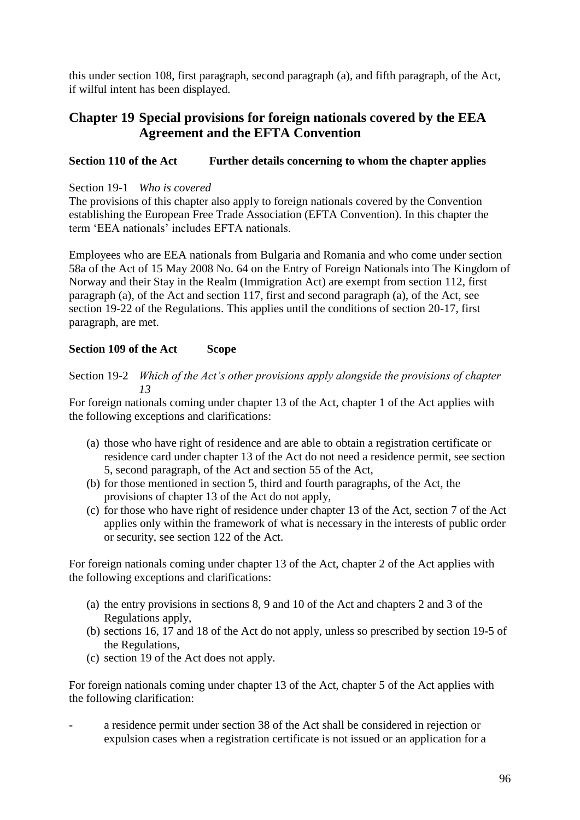this under section 108, first paragraph, second paragraph (a), and fifth paragraph, of the Act, if wilful intent has been displayed.

# **Chapter 19 Special provisions for foreign nationals covered by the EEA Agreement and the EFTA Convention**

# **Section 110 of the Act Further details concerning to whom the chapter applies**

### Section 19-1 *Who is covered*

The provisions of this chapter also apply to foreign nationals covered by the Convention establishing the European Free Trade Association (EFTA Convention). In this chapter the term "EEA nationals" includes EFTA nationals.

Employees who are EEA nationals from Bulgaria and Romania and who come under section 58a of the Act of 15 May 2008 No. 64 on the Entry of Foreign Nationals into The Kingdom of Norway and their Stay in the Realm (Immigration Act) are exempt from section 112, first paragraph (a), of the Act and section 117, first and second paragraph (a), of the Act, see section 19-22 of the Regulations. This applies until the conditions of section 20-17, first paragraph, are met.

# **Section 109 of the Act Scope**

# Section 19-2 *Which of the Act's other provisions apply alongside the provisions of chapter 13*

For foreign nationals coming under chapter 13 of the Act, chapter 1 of the Act applies with the following exceptions and clarifications:

- (a) those who have right of residence and are able to obtain a registration certificate or residence card under chapter 13 of the Act do not need a residence permit, see section 5, second paragraph, of the Act and section 55 of the Act,
- (b) for those mentioned in section 5, third and fourth paragraphs, of the Act, the provisions of chapter 13 of the Act do not apply,
- (c) for those who have right of residence under chapter 13 of the Act, section 7 of the Act applies only within the framework of what is necessary in the interests of public order or security, see section 122 of the Act.

For foreign nationals coming under chapter 13 of the Act, chapter 2 of the Act applies with the following exceptions and clarifications:

- (a) the entry provisions in sections 8, 9 and 10 of the Act and chapters 2 and 3 of the Regulations apply,
- (b) sections 16, 17 and 18 of the Act do not apply, unless so prescribed by section 19-5 of the Regulations,
- (c) section 19 of the Act does not apply.

For foreign nationals coming under chapter 13 of the Act, chapter 5 of the Act applies with the following clarification:

a residence permit under section 38 of the Act shall be considered in rejection or expulsion cases when a registration certificate is not issued or an application for a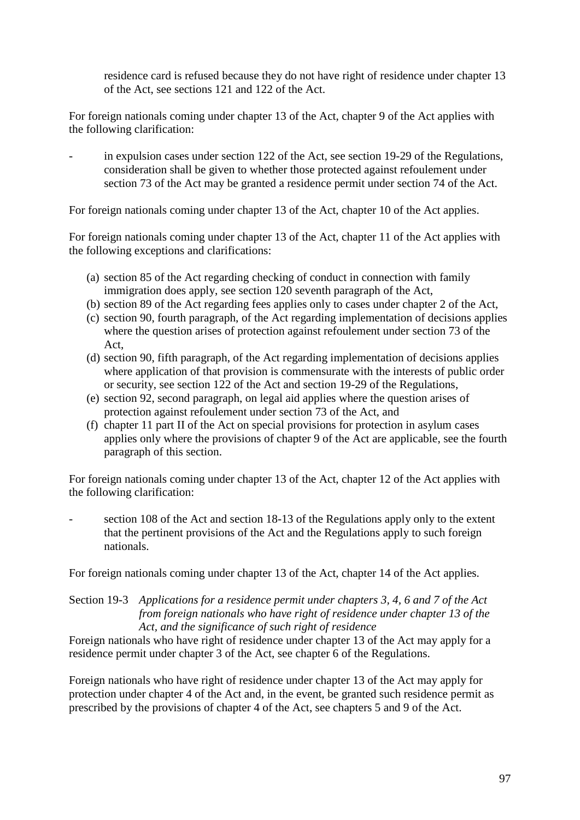residence card is refused because they do not have right of residence under chapter 13 of the Act, see sections 121 and 122 of the Act.

For foreign nationals coming under chapter 13 of the Act, chapter 9 of the Act applies with the following clarification:

in expulsion cases under section 122 of the Act, see section 19-29 of the Regulations, consideration shall be given to whether those protected against refoulement under section 73 of the Act may be granted a residence permit under section 74 of the Act.

For foreign nationals coming under chapter 13 of the Act, chapter 10 of the Act applies.

For foreign nationals coming under chapter 13 of the Act, chapter 11 of the Act applies with the following exceptions and clarifications:

- (a) section 85 of the Act regarding checking of conduct in connection with family immigration does apply, see section 120 seventh paragraph of the Act,
- (b) section 89 of the Act regarding fees applies only to cases under chapter 2 of the Act,
- (c) section 90, fourth paragraph, of the Act regarding implementation of decisions applies where the question arises of protection against refoulement under section 73 of the Act,
- (d) section 90, fifth paragraph, of the Act regarding implementation of decisions applies where application of that provision is commensurate with the interests of public order or security, see section 122 of the Act and section 19-29 of the Regulations,
- (e) section 92, second paragraph, on legal aid applies where the question arises of protection against refoulement under section 73 of the Act, and
- (f) chapter 11 part II of the Act on special provisions for protection in asylum cases applies only where the provisions of chapter 9 of the Act are applicable, see the fourth paragraph of this section.

For foreign nationals coming under chapter 13 of the Act, chapter 12 of the Act applies with the following clarification:

section 108 of the Act and section 18-13 of the Regulations apply only to the extent that the pertinent provisions of the Act and the Regulations apply to such foreign nationals.

For foreign nationals coming under chapter 13 of the Act, chapter 14 of the Act applies.

#### Section 19-3 *Applications for a residence permit under chapters 3, 4, 6 and 7 of the Act from foreign nationals who have right of residence under chapter 13 of the Act, and the significance of such right of residence*

Foreign nationals who have right of residence under chapter 13 of the Act may apply for a residence permit under chapter 3 of the Act, see chapter 6 of the Regulations.

Foreign nationals who have right of residence under chapter 13 of the Act may apply for protection under chapter 4 of the Act and, in the event, be granted such residence permit as prescribed by the provisions of chapter 4 of the Act, see chapters 5 and 9 of the Act.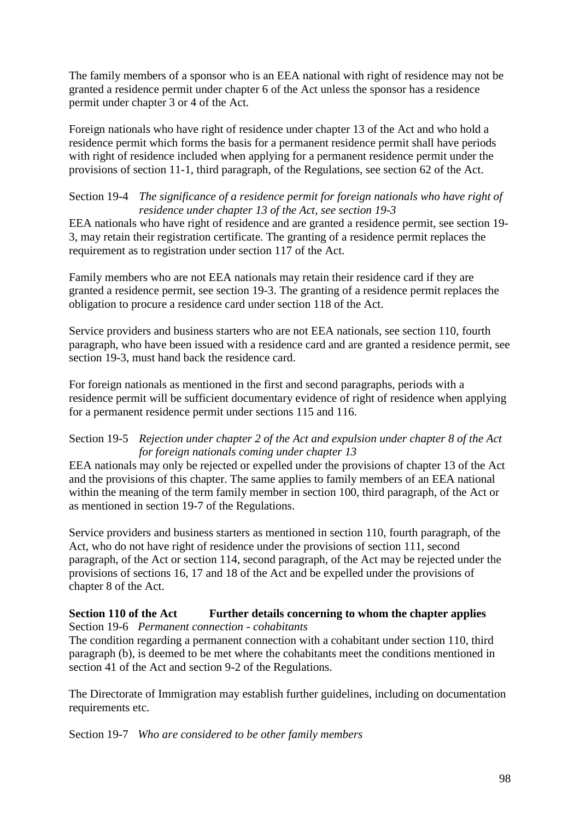The family members of a sponsor who is an EEA national with right of residence may not be granted a residence permit under chapter 6 of the Act unless the sponsor has a residence permit under chapter 3 or 4 of the Act.

Foreign nationals who have right of residence under chapter 13 of the Act and who hold a residence permit which forms the basis for a permanent residence permit shall have periods with right of residence included when applying for a permanent residence permit under the provisions of section 11-1, third paragraph, of the Regulations, see section 62 of the Act.

### Section 19-4 *The significance of a residence permit for foreign nationals who have right of residence under chapter 13 of the Act, see section 19-3*

EEA nationals who have right of residence and are granted a residence permit, see section 19- 3, may retain their registration certificate. The granting of a residence permit replaces the requirement as to registration under section 117 of the Act.

Family members who are not EEA nationals may retain their residence card if they are granted a residence permit, see section 19-3. The granting of a residence permit replaces the obligation to procure a residence card under section 118 of the Act.

Service providers and business starters who are not EEA nationals, see section 110, fourth paragraph, who have been issued with a residence card and are granted a residence permit, see section 19-3, must hand back the residence card.

For foreign nationals as mentioned in the first and second paragraphs, periods with a residence permit will be sufficient documentary evidence of right of residence when applying for a permanent residence permit under sections 115 and 116.

### Section 19-5 *Rejection under chapter 2 of the Act and expulsion under chapter 8 of the Act for foreign nationals coming under chapter 13*

EEA nationals may only be rejected or expelled under the provisions of chapter 13 of the Act and the provisions of this chapter. The same applies to family members of an EEA national within the meaning of the term family member in section 100, third paragraph, of the Act or as mentioned in section 19-7 of the Regulations.

Service providers and business starters as mentioned in section 110, fourth paragraph, of the Act, who do not have right of residence under the provisions of section 111, second paragraph, of the Act or section 114, second paragraph, of the Act may be rejected under the provisions of sections 16, 17 and 18 of the Act and be expelled under the provisions of chapter 8 of the Act.

#### **Section 110 of the Act Further details concerning to whom the chapter applies** Section 19-6 *Permanent connection - cohabitants*

The condition regarding a permanent connection with a cohabitant under section 110, third paragraph (b), is deemed to be met where the cohabitants meet the conditions mentioned in section 41 of the Act and section 9-2 of the Regulations.

The Directorate of Immigration may establish further guidelines, including on documentation requirements etc.

Section 19-7 *Who are considered to be other family members*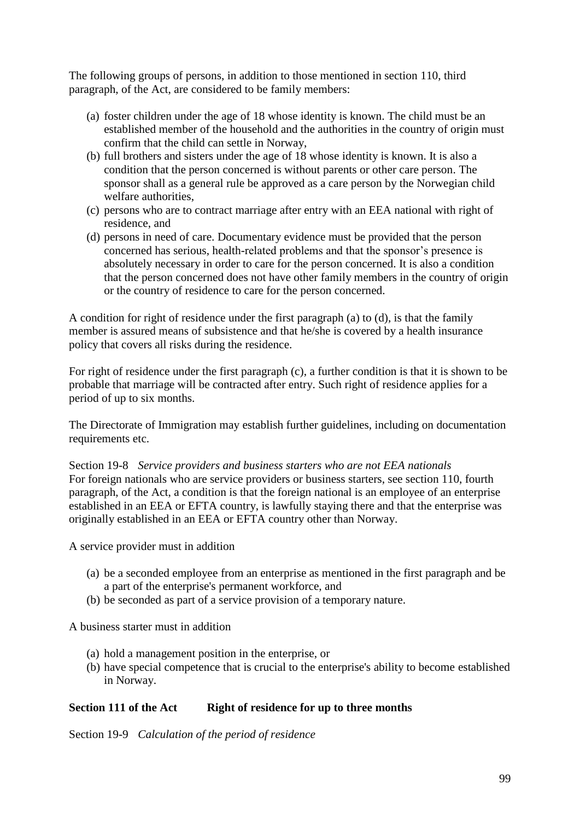The following groups of persons, in addition to those mentioned in section 110, third paragraph, of the Act, are considered to be family members:

- (a) foster children under the age of 18 whose identity is known. The child must be an established member of the household and the authorities in the country of origin must confirm that the child can settle in Norway,
- (b) full brothers and sisters under the age of 18 whose identity is known. It is also a condition that the person concerned is without parents or other care person. The sponsor shall as a general rule be approved as a care person by the Norwegian child welfare authorities,
- (c) persons who are to contract marriage after entry with an EEA national with right of residence, and
- (d) persons in need of care. Documentary evidence must be provided that the person concerned has serious, health-related problems and that the sponsor"s presence is absolutely necessary in order to care for the person concerned. It is also a condition that the person concerned does not have other family members in the country of origin or the country of residence to care for the person concerned.

A condition for right of residence under the first paragraph (a) to (d), is that the family member is assured means of subsistence and that he/she is covered by a health insurance policy that covers all risks during the residence.

For right of residence under the first paragraph (c), a further condition is that it is shown to be probable that marriage will be contracted after entry. Such right of residence applies for a period of up to six months.

The Directorate of Immigration may establish further guidelines, including on documentation requirements etc.

Section 19-8 *Service providers and business starters who are not EEA nationals* For foreign nationals who are service providers or business starters, see section 110, fourth paragraph, of the Act, a condition is that the foreign national is an employee of an enterprise established in an EEA or EFTA country, is lawfully staying there and that the enterprise was originally established in an EEA or EFTA country other than Norway.

A service provider must in addition

- (a) be a seconded employee from an enterprise as mentioned in the first paragraph and be a part of the enterprise's permanent workforce, and
- (b) be seconded as part of a service provision of a temporary nature.

A business starter must in addition

- (a) hold a management position in the enterprise, or
- (b) have special competence that is crucial to the enterprise's ability to become established in Norway.

#### **Section 111 of the Act Right of residence for up to three months**

Section 19-9 *Calculation of the period of residence*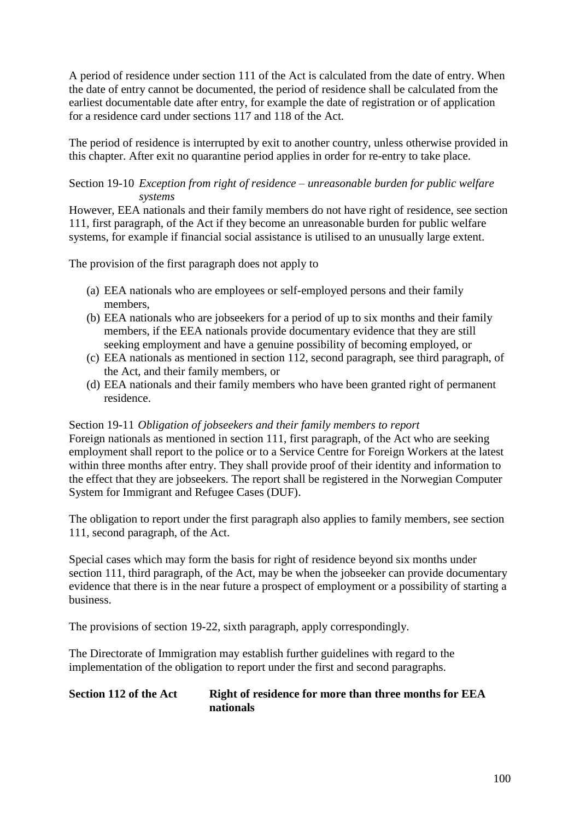A period of residence under section 111 of the Act is calculated from the date of entry. When the date of entry cannot be documented, the period of residence shall be calculated from the earliest documentable date after entry, for example the date of registration or of application for a residence card under sections 117 and 118 of the Act.

The period of residence is interrupted by exit to another country, unless otherwise provided in this chapter. After exit no quarantine period applies in order for re-entry to take place.

### Section 19-10 *Exception from right of residence – unreasonable burden for public welfare systems*

However, EEA nationals and their family members do not have right of residence, see section 111, first paragraph, of the Act if they become an unreasonable burden for public welfare systems, for example if financial social assistance is utilised to an unusually large extent.

The provision of the first paragraph does not apply to

- (a) EEA nationals who are employees or self-employed persons and their family members,
- (b) EEA nationals who are jobseekers for a period of up to six months and their family members, if the EEA nationals provide documentary evidence that they are still seeking employment and have a genuine possibility of becoming employed, or
- (c) EEA nationals as mentioned in section 112, second paragraph, see third paragraph, of the Act, and their family members, or
- (d) EEA nationals and their family members who have been granted right of permanent residence.

Section 19-11 *Obligation of jobseekers and their family members to report* Foreign nationals as mentioned in section 111, first paragraph, of the Act who are seeking employment shall report to the police or to a Service Centre for Foreign Workers at the latest

within three months after entry. They shall provide proof of their identity and information to the effect that they are jobseekers. The report shall be registered in the Norwegian Computer System for Immigrant and Refugee Cases (DUF).

The obligation to report under the first paragraph also applies to family members, see section 111, second paragraph, of the Act.

Special cases which may form the basis for right of residence beyond six months under section 111, third paragraph, of the Act, may be when the jobseeker can provide documentary evidence that there is in the near future a prospect of employment or a possibility of starting a business.

The provisions of section 19-22, sixth paragraph, apply correspondingly.

The Directorate of Immigration may establish further guidelines with regard to the implementation of the obligation to report under the first and second paragraphs.

### **Section 112 of the Act Right of residence for more than three months for EEA nationals**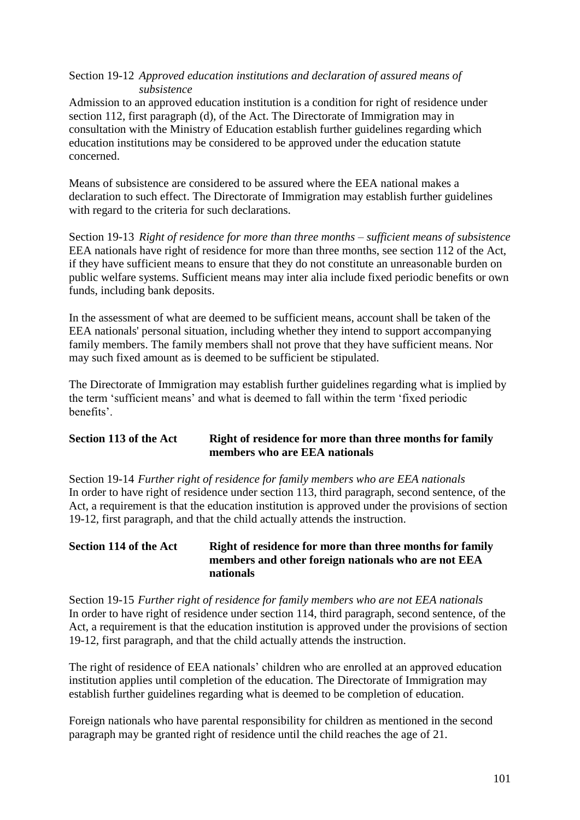### Section 19-12 *Approved education institutions and declaration of assured means of subsistence*

Admission to an approved education institution is a condition for right of residence under section 112, first paragraph (d), of the Act. The Directorate of Immigration may in consultation with the Ministry of Education establish further guidelines regarding which education institutions may be considered to be approved under the education statute concerned.

Means of subsistence are considered to be assured where the EEA national makes a declaration to such effect. The Directorate of Immigration may establish further guidelines with regard to the criteria for such declarations.

Section 19-13 *Right of residence for more than three months – sufficient means of subsistence* EEA nationals have right of residence for more than three months, see section 112 of the Act, if they have sufficient means to ensure that they do not constitute an unreasonable burden on public welfare systems. Sufficient means may inter alia include fixed periodic benefits or own funds, including bank deposits.

In the assessment of what are deemed to be sufficient means, account shall be taken of the EEA nationals' personal situation, including whether they intend to support accompanying family members. The family members shall not prove that they have sufficient means. Nor may such fixed amount as is deemed to be sufficient be stipulated.

The Directorate of Immigration may establish further guidelines regarding what is implied by the term "sufficient means" and what is deemed to fall within the term "fixed periodic benefits".

# **Section 113 of the Act Right of residence for more than three months for family members who are EEA nationals**

Section 19-14 *Further right of residence for family members who are EEA nationals* In order to have right of residence under section 113, third paragraph, second sentence, of the Act, a requirement is that the education institution is approved under the provisions of section 19-12, first paragraph, and that the child actually attends the instruction.

# **Section 114 of the Act Right of residence for more than three months for family members and other foreign nationals who are not EEA nationals**

Section 19-15 *Further right of residence for family members who are not EEA nationals* In order to have right of residence under section 114, third paragraph, second sentence, of the Act, a requirement is that the education institution is approved under the provisions of section 19-12, first paragraph, and that the child actually attends the instruction.

The right of residence of EEA nationals" children who are enrolled at an approved education institution applies until completion of the education. The Directorate of Immigration may establish further guidelines regarding what is deemed to be completion of education.

Foreign nationals who have parental responsibility for children as mentioned in the second paragraph may be granted right of residence until the child reaches the age of 21.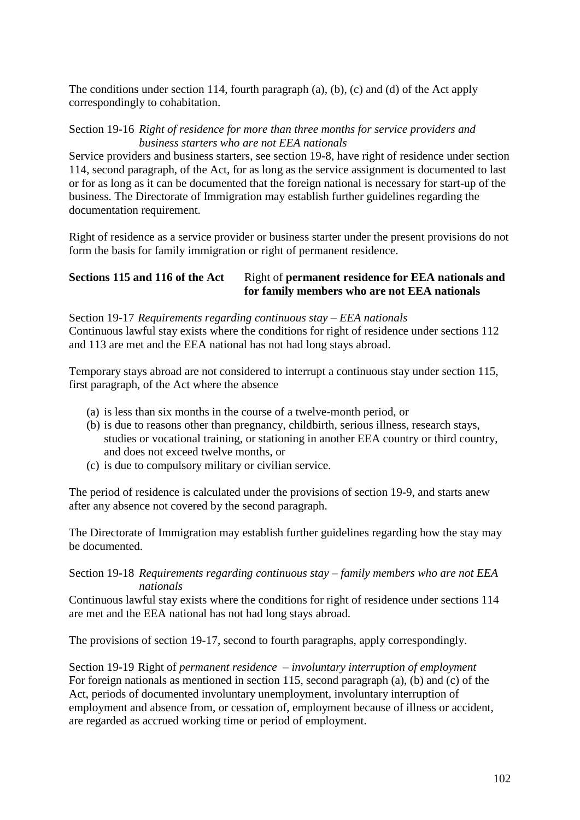The conditions under section 114, fourth paragraph (a), (b), (c) and (d) of the Act apply correspondingly to cohabitation.

Section 19-16 *Right of residence for more than three months for service providers and business starters who are not EEA nationals*

Service providers and business starters, see section 19-8, have right of residence under section 114, second paragraph, of the Act, for as long as the service assignment is documented to last or for as long as it can be documented that the foreign national is necessary for start-up of the business. The Directorate of Immigration may establish further guidelines regarding the documentation requirement.

Right of residence as a service provider or business starter under the present provisions do not form the basis for family immigration or right of permanent residence.

### **Sections 115 and 116 of the Act** Right of **permanent residence** for **EEA** nationals and **for family members who are not EEA nationals**

Section 19-17 *Requirements regarding continuous stay – EEA nationals* Continuous lawful stay exists where the conditions for right of residence under sections 112 and 113 are met and the EEA national has not had long stays abroad.

Temporary stays abroad are not considered to interrupt a continuous stay under section 115, first paragraph, of the Act where the absence

- (a) is less than six months in the course of a twelve-month period, or
- (b) is due to reasons other than pregnancy, childbirth, serious illness, research stays, studies or vocational training, or stationing in another EEA country or third country, and does not exceed twelve months, or
- (c) is due to compulsory military or civilian service.

The period of residence is calculated under the provisions of section 19-9, and starts anew after any absence not covered by the second paragraph.

The Directorate of Immigration may establish further guidelines regarding how the stay may be documented.

Section 19-18 *Requirements regarding continuous stay – family members who are not EEA nationals*

Continuous lawful stay exists where the conditions for right of residence under sections 114 are met and the EEA national has not had long stays abroad.

The provisions of section 19-17, second to fourth paragraphs, apply correspondingly.

Section 19-19 Right of *permanent residence – involuntary interruption of employment* For foreign nationals as mentioned in section 115, second paragraph (a), (b) and (c) of the Act, periods of documented involuntary unemployment, involuntary interruption of employment and absence from, or cessation of, employment because of illness or accident, are regarded as accrued working time or period of employment.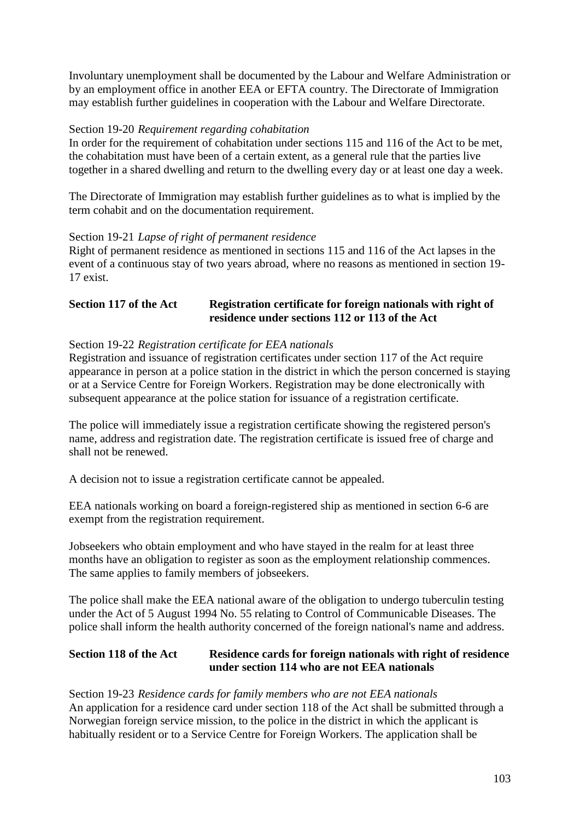Involuntary unemployment shall be documented by the Labour and Welfare Administration or by an employment office in another EEA or EFTA country. The Directorate of Immigration may establish further guidelines in cooperation with the Labour and Welfare Directorate.

### Section 19-20 *Requirement regarding cohabitation*

In order for the requirement of cohabitation under sections 115 and 116 of the Act to be met, the cohabitation must have been of a certain extent, as a general rule that the parties live together in a shared dwelling and return to the dwelling every day or at least one day a week.

The Directorate of Immigration may establish further guidelines as to what is implied by the term cohabit and on the documentation requirement.

### Section 19-21 *Lapse of right of permanent residence*

Right of permanent residence as mentioned in sections 115 and 116 of the Act lapses in the event of a continuous stay of two years abroad, where no reasons as mentioned in section 19- 17 exist.

# **Section 117 of the Act Registration certificate for foreign nationals with right of residence under sections 112 or 113 of the Act**

### Section 19-22 *Registration certificate for EEA nationals*

Registration and issuance of registration certificates under section 117 of the Act require appearance in person at a police station in the district in which the person concerned is staying or at a Service Centre for Foreign Workers. Registration may be done electronically with subsequent appearance at the police station for issuance of a registration certificate.

The police will immediately issue a registration certificate showing the registered person's name, address and registration date. The registration certificate is issued free of charge and shall not be renewed.

A decision not to issue a registration certificate cannot be appealed.

EEA nationals working on board a foreign-registered ship as mentioned in section 6-6 are exempt from the registration requirement.

Jobseekers who obtain employment and who have stayed in the realm for at least three months have an obligation to register as soon as the employment relationship commences. The same applies to family members of jobseekers.

The police shall make the EEA national aware of the obligation to undergo tuberculin testing under the Act of 5 August 1994 No. 55 relating to Control of Communicable Diseases. The police shall inform the health authority concerned of the foreign national's name and address.

### **Section 118 of the Act Residence cards for foreign nationals with right of residence under section 114 who are not EEA nationals**

Section 19-23 *Residence cards for family members who are not EEA nationals* An application for a residence card under section 118 of the Act shall be submitted through a Norwegian foreign service mission, to the police in the district in which the applicant is habitually resident or to a Service Centre for Foreign Workers. The application shall be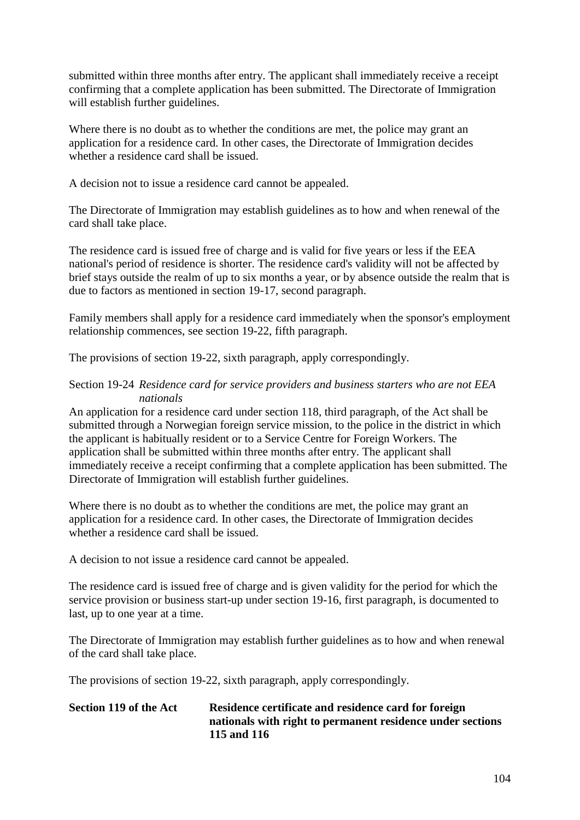submitted within three months after entry. The applicant shall immediately receive a receipt confirming that a complete application has been submitted. The Directorate of Immigration will establish further guidelines.

Where there is no doubt as to whether the conditions are met, the police may grant an application for a residence card. In other cases, the Directorate of Immigration decides whether a residence card shall be issued.

A decision not to issue a residence card cannot be appealed.

The Directorate of Immigration may establish guidelines as to how and when renewal of the card shall take place.

The residence card is issued free of charge and is valid for five years or less if the EEA national's period of residence is shorter. The residence card's validity will not be affected by brief stays outside the realm of up to six months a year, or by absence outside the realm that is due to factors as mentioned in section 19-17, second paragraph.

Family members shall apply for a residence card immediately when the sponsor's employment relationship commences, see section 19-22, fifth paragraph.

The provisions of section 19-22, sixth paragraph, apply correspondingly.

### Section 19-24 *Residence card for service providers and business starters who are not EEA nationals*

An application for a residence card under section 118, third paragraph, of the Act shall be submitted through a Norwegian foreign service mission, to the police in the district in which the applicant is habitually resident or to a Service Centre for Foreign Workers. The application shall be submitted within three months after entry. The applicant shall immediately receive a receipt confirming that a complete application has been submitted. The Directorate of Immigration will establish further guidelines.

Where there is no doubt as to whether the conditions are met, the police may grant an application for a residence card. In other cases, the Directorate of Immigration decides whether a residence card shall be issued.

A decision to not issue a residence card cannot be appealed.

The residence card is issued free of charge and is given validity for the period for which the service provision or business start-up under section 19-16, first paragraph, is documented to last, up to one year at a time.

The Directorate of Immigration may establish further guidelines as to how and when renewal of the card shall take place.

The provisions of section 19-22, sixth paragraph, apply correspondingly.

# **Section 119 of the Act Residence certificate and residence card for foreign nationals with right to permanent residence under sections 115 and 116**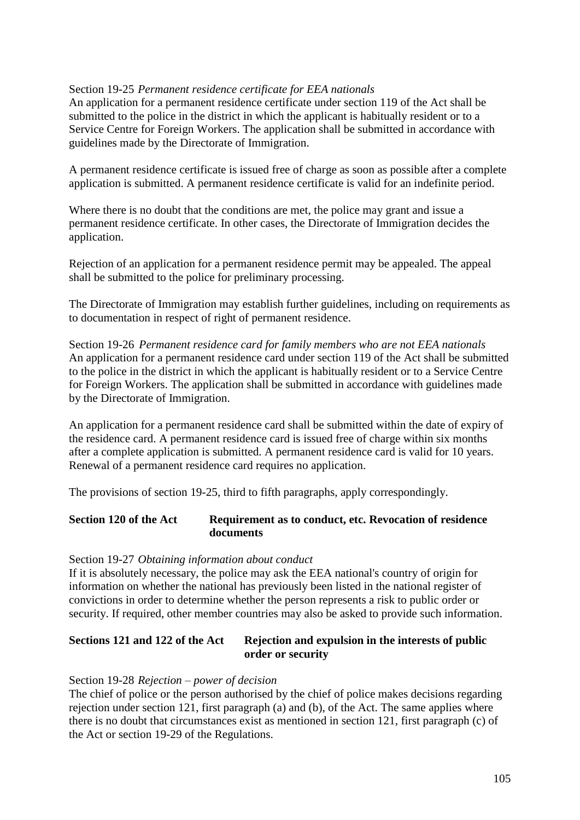### Section 19-25 *Permanent residence certificate for EEA nationals*

An application for a permanent residence certificate under section 119 of the Act shall be submitted to the police in the district in which the applicant is habitually resident or to a Service Centre for Foreign Workers. The application shall be submitted in accordance with guidelines made by the Directorate of Immigration.

A permanent residence certificate is issued free of charge as soon as possible after a complete application is submitted. A permanent residence certificate is valid for an indefinite period.

Where there is no doubt that the conditions are met, the police may grant and issue a permanent residence certificate. In other cases, the Directorate of Immigration decides the application.

Rejection of an application for a permanent residence permit may be appealed. The appeal shall be submitted to the police for preliminary processing.

The Directorate of Immigration may establish further guidelines, including on requirements as to documentation in respect of right of permanent residence.

Section 19-26 *Permanent residence card for family members who are not EEA nationals* An application for a permanent residence card under section 119 of the Act shall be submitted to the police in the district in which the applicant is habitually resident or to a Service Centre for Foreign Workers. The application shall be submitted in accordance with guidelines made by the Directorate of Immigration.

An application for a permanent residence card shall be submitted within the date of expiry of the residence card. A permanent residence card is issued free of charge within six months after a complete application is submitted. A permanent residence card is valid for 10 years. Renewal of a permanent residence card requires no application.

The provisions of section 19-25, third to fifth paragraphs, apply correspondingly.

#### **Section 120 of the Act Requirement as to conduct, etc. Revocation of residence documents**

#### Section 19-27 *Obtaining information about conduct*

If it is absolutely necessary, the police may ask the EEA national's country of origin for information on whether the national has previously been listed in the national register of convictions in order to determine whether the person represents a risk to public order or security. If required, other member countries may also be asked to provide such information.

### **Sections 121 and 122 of the Act Rejection and expulsion in the interests of public order or security**

#### Section 19-28 *Rejection – power of decision*

The chief of police or the person authorised by the chief of police makes decisions regarding rejection under section 121, first paragraph (a) and (b), of the Act. The same applies where there is no doubt that circumstances exist as mentioned in section 121, first paragraph (c) of the Act or section 19-29 of the Regulations.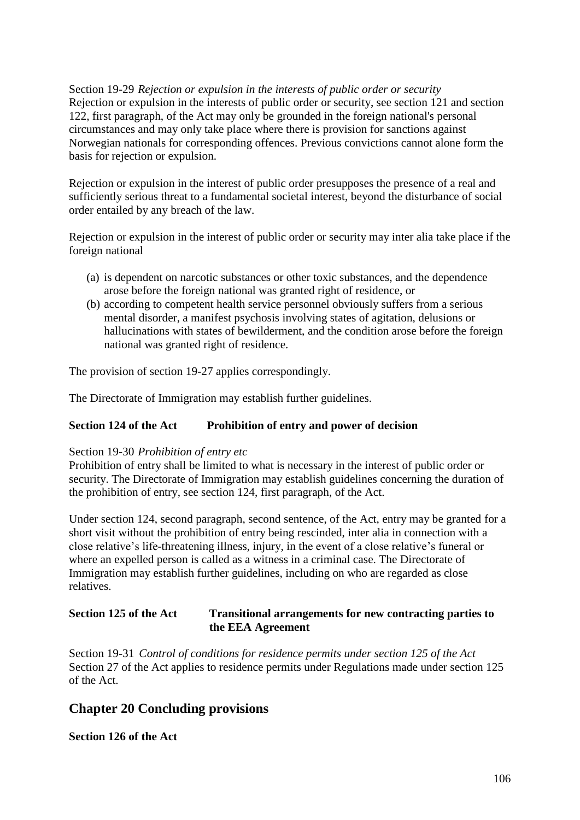Section 19-29 *Rejection or expulsion in the interests of public order or security* Rejection or expulsion in the interests of public order or security, see section 121 and section 122, first paragraph, of the Act may only be grounded in the foreign national's personal circumstances and may only take place where there is provision for sanctions against Norwegian nationals for corresponding offences. Previous convictions cannot alone form the basis for rejection or expulsion.

Rejection or expulsion in the interest of public order presupposes the presence of a real and sufficiently serious threat to a fundamental societal interest, beyond the disturbance of social order entailed by any breach of the law.

Rejection or expulsion in the interest of public order or security may inter alia take place if the foreign national

- (a) is dependent on narcotic substances or other toxic substances, and the dependence arose before the foreign national was granted right of residence, or
- (b) according to competent health service personnel obviously suffers from a serious mental disorder, a manifest psychosis involving states of agitation, delusions or hallucinations with states of bewilderment, and the condition arose before the foreign national was granted right of residence.

The provision of section 19-27 applies correspondingly.

The Directorate of Immigration may establish further guidelines.

# **Section 124 of the Act Prohibition of entry and power of decision**

#### Section 19-30 *Prohibition of entry etc*

Prohibition of entry shall be limited to what is necessary in the interest of public order or security. The Directorate of Immigration may establish guidelines concerning the duration of the prohibition of entry, see section 124, first paragraph, of the Act.

Under section 124, second paragraph, second sentence, of the Act, entry may be granted for a short visit without the prohibition of entry being rescinded, inter alia in connection with a close relative"s life-threatening illness, injury, in the event of a close relative"s funeral or where an expelled person is called as a witness in a criminal case. The Directorate of Immigration may establish further guidelines, including on who are regarded as close relatives.

### **Section 125 of the Act Transitional arrangements for new contracting parties to the EEA Agreement**

Section 19-31 *Control of conditions for residence permits under section 125 of the Act* Section 27 of the Act applies to residence permits under Regulations made under section 125 of the Act.

# **Chapter 20 Concluding provisions**

**Section 126 of the Act**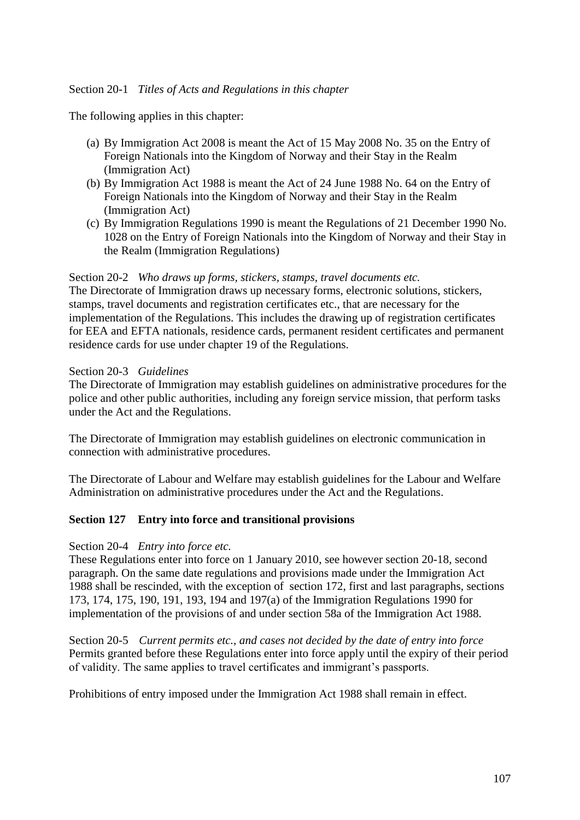The following applies in this chapter:

- (a) By Immigration Act 2008 is meant the Act of 15 May 2008 No. 35 on the Entry of Foreign Nationals into the Kingdom of Norway and their Stay in the Realm (Immigration Act)
- (b) By Immigration Act 1988 is meant the Act of 24 June 1988 No. 64 on the Entry of Foreign Nationals into the Kingdom of Norway and their Stay in the Realm (Immigration Act)
- (c) By Immigration Regulations 1990 is meant the Regulations of 21 December 1990 No. 1028 on the Entry of Foreign Nationals into the Kingdom of Norway and their Stay in the Realm (Immigration Regulations)

Section 20-2 *Who draws up forms, stickers, stamps, travel documents etc.* The Directorate of Immigration draws up necessary forms, electronic solutions, stickers, stamps, travel documents and registration certificates etc., that are necessary for the implementation of the Regulations. This includes the drawing up of registration certificates for EEA and EFTA nationals, residence cards, permanent resident certificates and permanent residence cards for use under chapter 19 of the Regulations.

#### Section 20-3 *Guidelines*

The Directorate of Immigration may establish guidelines on administrative procedures for the police and other public authorities, including any foreign service mission, that perform tasks under the Act and the Regulations.

The Directorate of Immigration may establish guidelines on electronic communication in connection with administrative procedures.

The Directorate of Labour and Welfare may establish guidelines for the Labour and Welfare Administration on administrative procedures under the Act and the Regulations.

# **Section 127 Entry into force and transitional provisions**

#### Section 20-4 *Entry into force etc.*

These Regulations enter into force on 1 January 2010, see however section 20-18, second paragraph. On the same date regulations and provisions made under the Immigration Act 1988 shall be rescinded, with the exception of section 172, first and last paragraphs, sections 173, 174, 175, 190, 191, 193, 194 and 197(a) of the Immigration Regulations 1990 for implementation of the provisions of and under section 58a of the Immigration Act 1988.

Section 20-5 *Current permits etc., and cases not decided by the date of entry into force* Permits granted before these Regulations enter into force apply until the expiry of their period of validity. The same applies to travel certificates and immigrant"s passports.

Prohibitions of entry imposed under the Immigration Act 1988 shall remain in effect.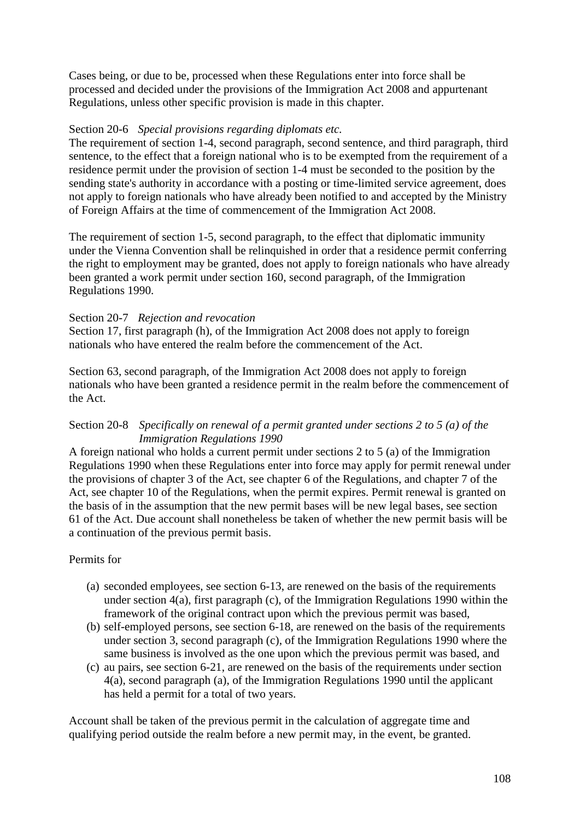Cases being, or due to be, processed when these Regulations enter into force shall be processed and decided under the provisions of the Immigration Act 2008 and appurtenant Regulations, unless other specific provision is made in this chapter.

### Section 20-6 *Special provisions regarding diplomats etc.*

The requirement of section 1-4, second paragraph, second sentence, and third paragraph, third sentence, to the effect that a foreign national who is to be exempted from the requirement of a residence permit under the provision of section 1-4 must be seconded to the position by the sending state's authority in accordance with a posting or time-limited service agreement, does not apply to foreign nationals who have already been notified to and accepted by the Ministry of Foreign Affairs at the time of commencement of the Immigration Act 2008.

The requirement of section 1-5, second paragraph, to the effect that diplomatic immunity under the Vienna Convention shall be relinquished in order that a residence permit conferring the right to employment may be granted, does not apply to foreign nationals who have already been granted a work permit under section 160, second paragraph, of the Immigration Regulations 1990.

### Section 20-7 *Rejection and revocation*

Section 17, first paragraph (h), of the Immigration Act 2008 does not apply to foreign nationals who have entered the realm before the commencement of the Act.

Section 63, second paragraph, of the Immigration Act 2008 does not apply to foreign nationals who have been granted a residence permit in the realm before the commencement of the Act.

# Section 20-8 *Specifically on renewal of a permit granted under sections 2 to 5 (a) of the Immigration Regulations 1990*

A foreign national who holds a current permit under sections 2 to 5 (a) of the Immigration Regulations 1990 when these Regulations enter into force may apply for permit renewal under the provisions of chapter 3 of the Act, see chapter 6 of the Regulations, and chapter 7 of the Act, see chapter 10 of the Regulations, when the permit expires. Permit renewal is granted on the basis of in the assumption that the new permit bases will be new legal bases, see section 61 of the Act. Due account shall nonetheless be taken of whether the new permit basis will be a continuation of the previous permit basis.

#### Permits for

- (a) seconded employees, see section 6-13, are renewed on the basis of the requirements under section 4(a), first paragraph (c), of the Immigration Regulations 1990 within the framework of the original contract upon which the previous permit was based,
- (b) self-employed persons, see section 6-18, are renewed on the basis of the requirements under section 3, second paragraph (c), of the Immigration Regulations 1990 where the same business is involved as the one upon which the previous permit was based, and
- (c) au pairs, see section 6-21, are renewed on the basis of the requirements under section 4(a), second paragraph (a), of the Immigration Regulations 1990 until the applicant has held a permit for a total of two years.

Account shall be taken of the previous permit in the calculation of aggregate time and qualifying period outside the realm before a new permit may, in the event, be granted.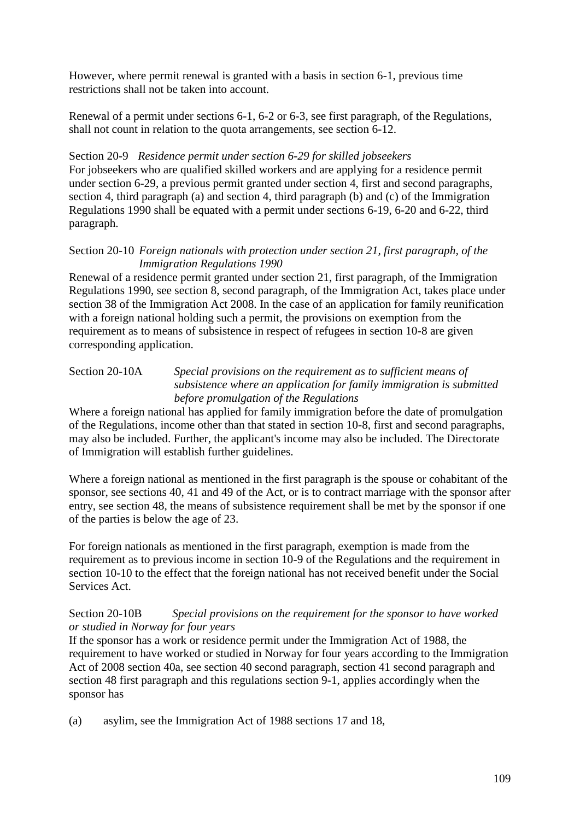However, where permit renewal is granted with a basis in section 6-1, previous time restrictions shall not be taken into account.

Renewal of a permit under sections 6-1, 6-2 or 6-3, see first paragraph, of the Regulations, shall not count in relation to the quota arrangements, see section 6-12.

Section 20-9 *Residence permit under section 6-29 for skilled jobseekers* For jobseekers who are qualified skilled workers and are applying for a residence permit under section 6-29, a previous permit granted under section 4, first and second paragraphs, section 4, third paragraph (a) and section 4, third paragraph (b) and (c) of the Immigration Regulations 1990 shall be equated with a permit under sections 6-19, 6-20 and 6-22, third paragraph.

# Section 20-10 *Foreign nationals with protection under section 21, first paragraph, of the Immigration Regulations 1990*

Renewal of a residence permit granted under section 21, first paragraph, of the Immigration Regulations 1990, see section 8, second paragraph, of the Immigration Act, takes place under section 38 of the Immigration Act 2008. In the case of an application for family reunification with a foreign national holding such a permit, the provisions on exemption from the requirement as to means of subsistence in respect of refugees in section 10-8 are given corresponding application.

# Section 20-10A *Special provisions on the requirement as to sufficient means of subsistence where an application for family immigration is submitted before promulgation of the Regulations*

Where a foreign national has applied for family immigration before the date of promulgation of the Regulations, income other than that stated in section 10-8, first and second paragraphs, may also be included. Further, the applicant's income may also be included. The Directorate of Immigration will establish further guidelines.

Where a foreign national as mentioned in the first paragraph is the spouse or cohabitant of the sponsor, see sections 40, 41 and 49 of the Act, or is to contract marriage with the sponsor after entry, see section 48, the means of subsistence requirement shall be met by the sponsor if one of the parties is below the age of 23.

For foreign nationals as mentioned in the first paragraph, exemption is made from the requirement as to previous income in section 10-9 of the Regulations and the requirement in section 10-10 to the effect that the foreign national has not received benefit under the Social Services Act.

# Section 20-10B *Special provisions on the requirement for the sponsor to have worked or studied in Norway for four years*

If the sponsor has a work or residence permit under the Immigration Act of 1988, the requirement to have worked or studied in Norway for four years according to the Immigration Act of 2008 section 40a, see section 40 second paragraph, section 41 second paragraph and section 48 first paragraph and this regulations section 9-1, applies accordingly when the sponsor has

(a) asylim, see the Immigration Act of 1988 sections 17 and 18,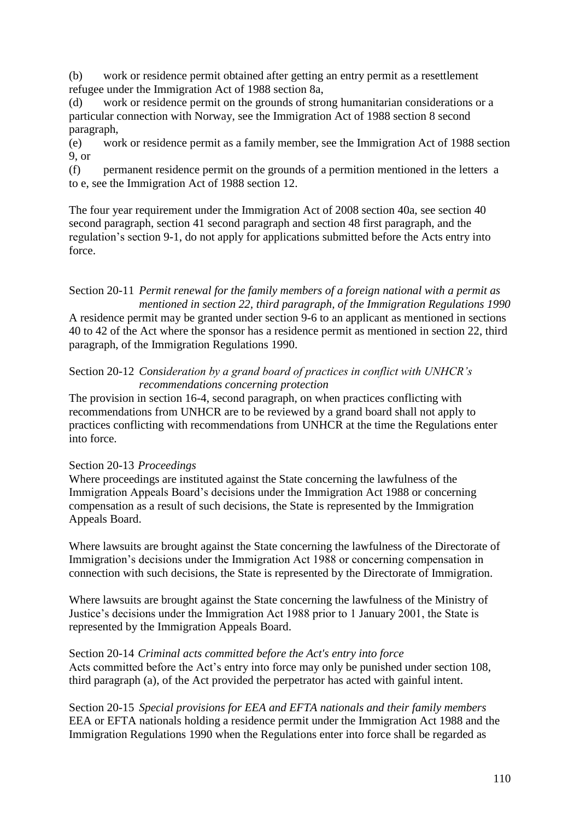(b) work or residence permit obtained after getting an entry permit as a resettlement refugee under the Immigration Act of 1988 section 8a,

(d) work or residence permit on the grounds of strong humanitarian considerations or a particular connection with Norway, see the Immigration Act of 1988 section 8 second paragraph,

(e) work or residence permit as a family member, see the Immigration Act of 1988 section 9, or

(f) permanent residence permit on the grounds of a permition mentioned in the letters a to e, see the Immigration Act of 1988 section 12.

The four year requirement under the Immigration Act of 2008 section 40a, see section 40 second paragraph, section 41 second paragraph and section 48 first paragraph, and the regulation"s section 9-1, do not apply for applications submitted before the Acts entry into force.

Section 20-11 *Permit renewal for the family members of a foreign national with a permit as mentioned in section 22, third paragraph, of the Immigration Regulations 1990* A residence permit may be granted under section 9-6 to an applicant as mentioned in sections 40 to 42 of the Act where the sponsor has a residence permit as mentioned in section 22, third paragraph, of the Immigration Regulations 1990.

### Section 20-12 *Consideration by a grand board of practices in conflict with UNHCR's recommendations concerning protection*

The provision in section 16-4, second paragraph, on when practices conflicting with recommendations from UNHCR are to be reviewed by a grand board shall not apply to practices conflicting with recommendations from UNHCR at the time the Regulations enter into force.

# Section 20-13 *Proceedings*

Where proceedings are instituted against the State concerning the lawfulness of the Immigration Appeals Board"s decisions under the Immigration Act 1988 or concerning compensation as a result of such decisions, the State is represented by the Immigration Appeals Board.

Where lawsuits are brought against the State concerning the lawfulness of the Directorate of Immigration"s decisions under the Immigration Act 1988 or concerning compensation in connection with such decisions, the State is represented by the Directorate of Immigration.

Where lawsuits are brought against the State concerning the lawfulness of the Ministry of Justice's decisions under the Immigration Act 1988 prior to 1 January 2001, the State is represented by the Immigration Appeals Board.

#### Section 20-14 *Criminal acts committed before the Act's entry into force*

Acts committed before the Act's entry into force may only be punished under section 108, third paragraph (a), of the Act provided the perpetrator has acted with gainful intent.

Section 20-15 *Special provisions for EEA and EFTA nationals and their family members* EEA or EFTA nationals holding a residence permit under the Immigration Act 1988 and the Immigration Regulations 1990 when the Regulations enter into force shall be regarded as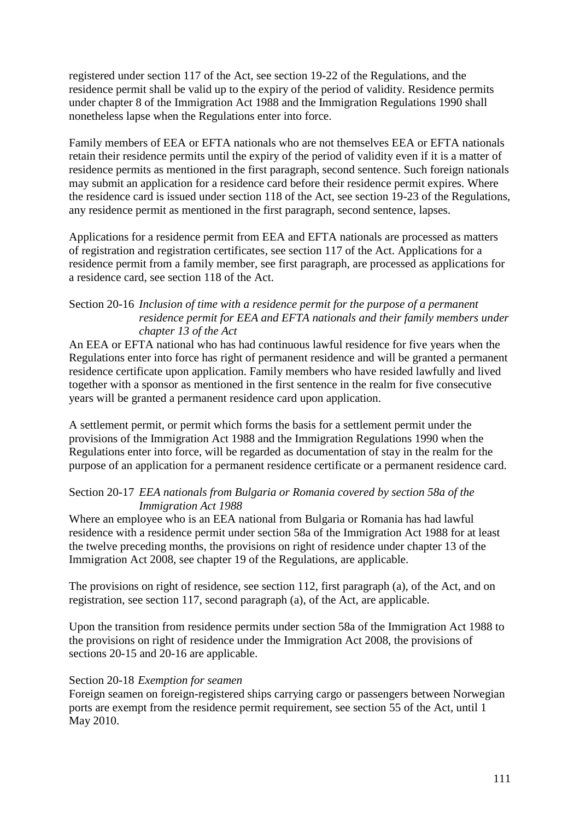registered under section 117 of the Act, see section 19-22 of the Regulations, and the residence permit shall be valid up to the expiry of the period of validity. Residence permits under chapter 8 of the Immigration Act 1988 and the Immigration Regulations 1990 shall nonetheless lapse when the Regulations enter into force.

Family members of EEA or EFTA nationals who are not themselves EEA or EFTA nationals retain their residence permits until the expiry of the period of validity even if it is a matter of residence permits as mentioned in the first paragraph, second sentence. Such foreign nationals may submit an application for a residence card before their residence permit expires. Where the residence card is issued under section 118 of the Act, see section 19-23 of the Regulations, any residence permit as mentioned in the first paragraph, second sentence, lapses.

Applications for a residence permit from EEA and EFTA nationals are processed as matters of registration and registration certificates, see section 117 of the Act. Applications for a residence permit from a family member, see first paragraph, are processed as applications for a residence card, see section 118 of the Act.

### Section 20-16 *Inclusion of time with a residence permit for the purpose of a permanent residence permit for EEA and EFTA nationals and their family members under chapter 13 of the Act*

An EEA or EFTA national who has had continuous lawful residence for five years when the Regulations enter into force has right of permanent residence and will be granted a permanent residence certificate upon application. Family members who have resided lawfully and lived together with a sponsor as mentioned in the first sentence in the realm for five consecutive years will be granted a permanent residence card upon application.

A settlement permit, or permit which forms the basis for a settlement permit under the provisions of the Immigration Act 1988 and the Immigration Regulations 1990 when the Regulations enter into force, will be regarded as documentation of stay in the realm for the purpose of an application for a permanent residence certificate or a permanent residence card.

# Section 20-17 *EEA nationals from Bulgaria or Romania covered by section 58a of the Immigration Act 1988*

Where an employee who is an EEA national from Bulgaria or Romania has had lawful residence with a residence permit under section 58a of the Immigration Act 1988 for at least the twelve preceding months, the provisions on right of residence under chapter 13 of the Immigration Act 2008, see chapter 19 of the Regulations, are applicable.

The provisions on right of residence, see section 112, first paragraph (a), of the Act, and on registration, see section 117, second paragraph (a), of the Act, are applicable.

Upon the transition from residence permits under section 58a of the Immigration Act 1988 to the provisions on right of residence under the Immigration Act 2008, the provisions of sections 20-15 and 20-16 are applicable.

# Section 20-18 *Exemption for seamen*

Foreign seamen on foreign-registered ships carrying cargo or passengers between Norwegian ports are exempt from the residence permit requirement, see section 55 of the Act, until 1 May 2010.